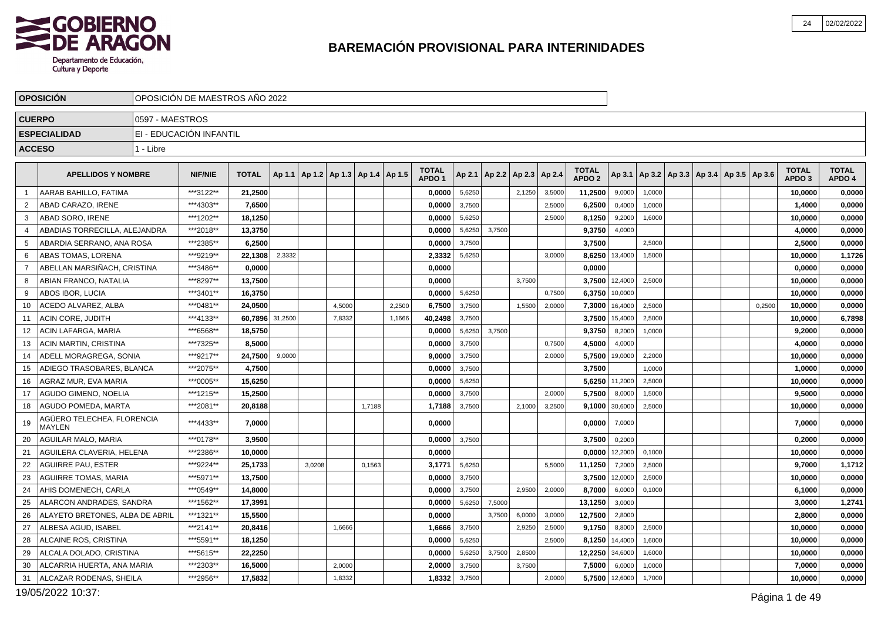

|                | <b>OPOSICION</b>                            |                 | OPOSICION DE MAESTROS ANO 2022 |              |         |                                   |        |        |        |                                   |        |        |                                   |        |                                   |         |                                                |  |        |                                   |                        |
|----------------|---------------------------------------------|-----------------|--------------------------------|--------------|---------|-----------------------------------|--------|--------|--------|-----------------------------------|--------|--------|-----------------------------------|--------|-----------------------------------|---------|------------------------------------------------|--|--------|-----------------------------------|------------------------|
|                | <b>CUERPO</b>                               | 0597 - MAESTROS |                                |              |         |                                   |        |        |        |                                   |        |        |                                   |        |                                   |         |                                                |  |        |                                   |                        |
|                | <b>ESPECIALIDAD</b>                         |                 | EI - EDUCACIÓN INFANTIL        |              |         |                                   |        |        |        |                                   |        |        |                                   |        |                                   |         |                                                |  |        |                                   |                        |
|                | <b>ACCESO</b>                               | 1 - Libre       |                                |              |         |                                   |        |        |        |                                   |        |        |                                   |        |                                   |         |                                                |  |        |                                   |                        |
|                | <b>APELLIDOS Y NOMBRE</b>                   |                 | <b>NIF/NIE</b>                 | <b>TOTAL</b> | Ap 1.1  | Ap 1.2   Ap 1.3   Ap 1.4   Ap 1.5 |        |        |        | <b>TOTAL</b><br>APDO <sub>1</sub> |        |        | Ap 2.1   Ap 2.2   Ap 2.3   Ap 2.4 |        | <b>TOTAL</b><br>APDO <sub>2</sub> | Ap 3.1  | $ $ Ap 3.2   Ap 3.3   Ap 3.4   Ap 3.5   Ap 3.6 |  |        | <b>TOTAL</b><br>APDO <sub>3</sub> | <b>TOTAL</b><br>APDO 4 |
| - 1            | AARAB BAHILLO, FATIMA                       |                 | ***3122**                      | 21,2500      |         |                                   |        |        |        | 0,0000                            | 5,6250 |        | 2,1250                            | 3,5000 | 11,2500                           | 9,0000  | 1,0000                                         |  |        | 10,0000                           | 0,0000                 |
| 2              | ABAD CARAZO. IRENE                          |                 | ***4303**                      | 7.6500       |         |                                   |        |        |        | 0,0000                            | 3,7500 |        |                                   | 2,5000 | 6,2500                            | 0,4000  | 1,0000                                         |  |        | 1,4000                            | 0,0000                 |
| 3              | <b>ABAD SORO, IRENE</b>                     |                 | ***1202**                      | 18,1250      |         |                                   |        |        |        | 0,0000                            | 5,6250 |        |                                   | 2,5000 | 8,1250                            | 9,2000  | 1,6000                                         |  |        | 10,0000                           | 0,0000                 |
| 4              | ABADIAS TORRECILLA, ALEJANDRA               |                 | ***2018**                      | 13,3750      |         |                                   |        |        |        | 0,0000                            | 5,6250 | 3,7500 |                                   |        | 9,3750                            | 4,0000  |                                                |  |        | 4,0000                            | 0,0000                 |
| 5              | ABARDIA SERRANO, ANA ROSA                   |                 | ***2385**                      | 6,2500       |         |                                   |        |        |        | 0,0000                            | 3,7500 |        |                                   |        | 3,7500                            |         | 2,5000                                         |  |        | 2,5000                            | 0,0000                 |
| 6              | ABAS TOMAS, LORENA                          |                 | ***9219**                      | 22,1308      | 2,3332  |                                   |        |        |        | 2,3332                            | 5,6250 |        |                                   | 3,0000 | 8,6250                            | 13,4000 | 1,5000                                         |  |        | 10,0000                           | 1,1726                 |
| $\overline{7}$ | ABELLAN MARSIÑACH, CRISTINA                 |                 | ***3486**                      | 0.0000       |         |                                   |        |        |        | 0.0000                            |        |        |                                   |        | 0.0000                            |         |                                                |  |        | 0.0000                            | 0,0000                 |
| 8              | ABIAN FRANCO, NATALIA                       |                 | ***8297**                      | 13,7500      |         |                                   |        |        |        | 0,0000                            |        |        | 3,7500                            |        | 3,7500                            | 12,4000 | 2,5000                                         |  |        | 10,0000                           | 0,0000                 |
| -9             | ABOS IBOR. LUCIA                            |                 | ***3401**                      | 16,3750      |         |                                   |        |        |        | 0.0000                            | 5,6250 |        |                                   | 0,7500 | 6,3750                            | 10,0000 |                                                |  |        | 10,0000                           | 0,0000                 |
| 10             | ACEDO ALVAREZ, ALBA                         |                 | ***0481**                      | 24,0500      |         |                                   | 4,5000 |        | 2,2500 | 6,7500                            | 3,7500 |        | 1,5500                            | 2,0000 | 7,3000                            | 16,4000 | 2,5000                                         |  | 0,2500 | 10,0000                           | 0,0000                 |
| 11             | <b>ACIN CORE, JUDITH</b>                    |                 | ***4133**                      | 60,7896      | 31,2500 |                                   | 7,8332 |        | 1,1666 | 40,2498                           | 3,7500 |        |                                   |        | 3,7500                            | 15,4000 | 2,5000                                         |  |        | 10,0000                           | 6,7898                 |
| 12             | ACIN LAFARGA, MARIA                         |                 | ***6568**                      | 18.5750      |         |                                   |        |        |        | 0.0000                            | 5,6250 | 3,7500 |                                   |        | 9,3750                            | 8,2000  | 1,0000                                         |  |        | 9.2000                            | 0,0000                 |
| 13             | <b>ACIN MARTIN, CRISTINA</b>                |                 | ***7325**                      | 8,5000       |         |                                   |        |        |        | 0,0000                            | 3,7500 |        |                                   | 0,7500 | 4,5000                            | 4,0000  |                                                |  |        | 4,0000                            | 0,0000                 |
| 14             | ADELL MORAGREGA, SONIA                      |                 | ***9217**                      | 24,7500      | 9,0000  |                                   |        |        |        | 9,0000                            | 3,7500 |        |                                   | 2,0000 | 5,7500                            | 19,0000 | 2,2000                                         |  |        | 10,0000                           | 0,0000                 |
| 15             | ADIEGO TRASOBARES, BLANCA                   |                 | ***2075**                      | 4,7500       |         |                                   |        |        |        | 0,0000                            | 3,7500 |        |                                   |        | 3,7500                            |         | 1,0000                                         |  |        | 1,0000                            | 0,0000                 |
| 16             | AGRAZ MUR, EVA MARIA                        |                 | ***0005**                      | 15,6250      |         |                                   |        |        |        | 0,0000                            | 5,6250 |        |                                   |        | 5,6250                            | 11,2000 | 2,5000                                         |  |        | 10,0000                           | 0,0000                 |
| 17             | AGUDO GIMENO, NOELIA                        |                 | ***1215**                      | 15,2500      |         |                                   |        |        |        | 0,0000                            | 3,7500 |        |                                   | 2.0000 | 5,7500                            | 8,0000  | 1,5000                                         |  |        | 9,5000                            | 0,0000                 |
| 18             | <b>AGUDO POMEDA, MARTA</b>                  |                 | ***2081**                      | 20,8188      |         |                                   |        | 1,7188 |        | 1,7188                            | 3,7500 |        | 2,1000                            | 3,2500 | 9,1000                            | 30,6000 | 2,5000                                         |  |        | 10,0000                           | 0,0000                 |
| 19             | AGÜERO TELECHEA, FLORENCIA<br><b>MAYLEN</b> |                 | ***4433**                      | 7,0000       |         |                                   |        |        |        | 0,0000                            |        |        |                                   |        | 0,0000                            | 7,0000  |                                                |  |        | 7,0000                            | 0,0000                 |
| 20             | AGUILAR MALO, MARIA                         |                 | ***0178**                      | 3,9500       |         |                                   |        |        |        | 0,0000                            | 3,7500 |        |                                   |        | 3,7500                            | 0,2000  |                                                |  |        | 0,2000                            | 0,0000                 |
| 21             | AGUILERA CLAVERIA, HELENA                   |                 | ***2386**                      | 10,0000      |         |                                   |        |        |        | 0,0000                            |        |        |                                   |        | 0,0000                            | 12,2000 | 0,1000                                         |  |        | 10,0000                           | 0,0000                 |
| 22             | <b>AGUIRRE PAU, ESTER</b>                   |                 | ***9224**                      | 25.1733      |         | 3,0208                            |        | 0,1563 |        | 3,1771                            | 5,6250 |        |                                   | 5,5000 | 11,1250                           | 7,2000  | 2,5000                                         |  |        | 9.7000                            | 1,1712                 |
| 23             | <b>AGUIRRE TOMAS, MARIA</b>                 |                 | ***5971**                      | 13,7500      |         |                                   |        |        |        | 0,0000                            | 3,7500 |        |                                   |        | 3,7500                            | 12,0000 | 2,5000                                         |  |        | 10,0000                           | 0,0000                 |
| 24             | AHIS DOMENECH, CARLA                        |                 | ***0549**                      | 14,8000      |         |                                   |        |        |        | 0,0000                            | 3,7500 |        | 2,9500                            | 2,0000 | 8,7000                            | 6,0000  | 0,1000                                         |  |        | 6,1000                            | 0,0000                 |
| 25             | ALARCON ANDRADES, SANDRA                    |                 | ***1562**                      | 17,3991      |         |                                   |        |        |        | 0,0000                            | 5,6250 | 7,5000 |                                   |        | 13,1250                           | 3,0000  |                                                |  |        | 3,0000                            | 1,2741                 |
| 26             | ALAYETO BRETONES, ALBA DE ABRIL             |                 | ***1321**                      | 15,5500      |         |                                   |        |        |        | 0,0000                            |        | 3.7500 | 6,0000                            | 3,0000 | 12,7500                           | 2,8000  |                                                |  |        | 2,8000                            | 0,0000                 |
| 27             | ALBESA AGUD, ISABEL                         |                 | ***2141**                      | 20.8416      |         |                                   | 1,6666 |        |        | 1,6666                            | 3,7500 |        | 2,9250                            | 2,5000 | 9,1750                            | 8,8000  | 2,5000                                         |  |        | 10,0000                           | 0,0000                 |
| 28             | ALCAINE ROS, CRISTINA                       |                 | ***5591**                      | 18,1250      |         |                                   |        |        |        | 0,0000                            | 5,6250 |        |                                   | 2,5000 | 8,1250                            | 14,4000 | 1,6000                                         |  |        | 10,0000                           | 0,0000                 |
| 29             | ALCALA DOLADO, CRISTINA                     |                 | ***5615**                      | 22,2250      |         |                                   |        |        |        | 0,0000                            | 5,6250 | 3,7500 | 2,8500                            |        | 12,2250                           | 34,6000 | 1,6000                                         |  |        | 10,0000                           | 0,0000                 |
| 30             | ALCARRIA HUERTA, ANA MARIA                  |                 | ***2303**                      | 16,5000      |         |                                   | 2,0000 |        |        | 2,0000                            | 3,7500 |        | 3,7500                            |        | 7,5000                            | 6,0000  | 1,0000                                         |  |        | 7,0000                            | 0,0000                 |
| 31             | ALCAZAR RODENAS, SHEILA                     |                 | ***2956**                      | 17,5832      |         |                                   | 1,8332 |        |        | 1,8332                            | 3,7500 |        |                                   | 2,0000 | 5,7500                            | 12,6000 | 1,7000                                         |  |        | 10,0000                           | 0,0000                 |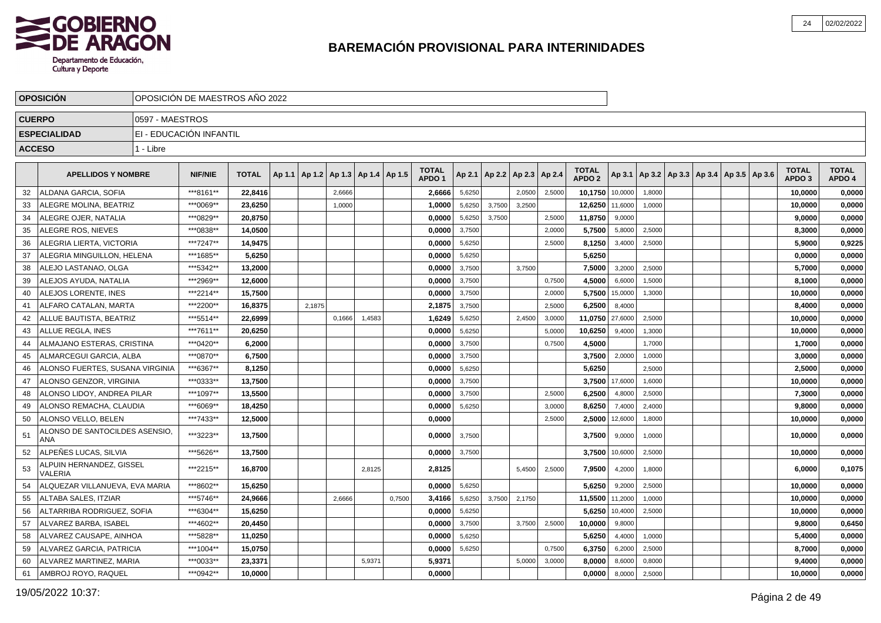

|               | <b>OPOSICION</b>                      |                 | OPOSICION DE MAESTROS ANO 2022 |              |        |                                            |        |        |                                   |        |                          |        |        |                                   |                |        |                                                     |  |                                   |                        |
|---------------|---------------------------------------|-----------------|--------------------------------|--------------|--------|--------------------------------------------|--------|--------|-----------------------------------|--------|--------------------------|--------|--------|-----------------------------------|----------------|--------|-----------------------------------------------------|--|-----------------------------------|------------------------|
| <b>CUERPO</b> |                                       | 0597 - MAESTROS |                                |              |        |                                            |        |        |                                   |        |                          |        |        |                                   |                |        |                                                     |  |                                   |                        |
|               | <b>ESPECIALIDAD</b>                   |                 | EI - EDUCACIÓN INFANTIL        |              |        |                                            |        |        |                                   |        |                          |        |        |                                   |                |        |                                                     |  |                                   |                        |
| <b>ACCESO</b> |                                       | 1 - Libre       |                                |              |        |                                            |        |        |                                   |        |                          |        |        |                                   |                |        |                                                     |  |                                   |                        |
|               |                                       |                 |                                |              |        |                                            |        |        |                                   |        |                          |        |        |                                   |                |        |                                                     |  |                                   |                        |
|               | <b>APELLIDOS Y NOMBRE</b>             |                 | <b>NIF/NIE</b>                 | <b>TOTAL</b> |        | Ap 1.1   Ap 1.2   Ap 1.3   Ap 1.4   Ap 1.5 |        |        | <b>TOTAL</b><br>APDO <sub>1</sub> | Ap 2.1 | Ap 2.2   Ap 2.3   Ap 2.4 |        |        | <b>TOTAL</b><br>APDO <sub>2</sub> |                |        | Ap 3.1   Ap 3.2   Ap 3.3   Ap 3.4   Ap 3.5   Ap 3.6 |  | <b>TOTAL</b><br>APDO <sub>3</sub> | <b>TOTAL</b><br>APDO 4 |
| 32            | ALDANA GARCIA, SOFIA                  |                 | ***8161**                      | 22,8416      |        | 2,6666                                     |        |        | 2,6666                            | 5,6250 |                          | 2,0500 | 2,5000 | 10,1750 10,0000                   |                | 1,8000 |                                                     |  | 10,0000                           | 0,0000                 |
| 33            | ALEGRE MOLINA, BEATRIZ                |                 | ***0069**                      | 23.6250      |        | 1,0000                                     |        |        | 1,0000                            | 5,6250 | 3,7500                   | 3,2500 |        | 12,6250 11,6000                   |                | 1,0000 |                                                     |  | 10,0000                           | 0,0000                 |
| 34            | ALEGRE OJER, NATALIA                  |                 | ***0829**                      | 20.8750      |        |                                            |        |        | 0,0000                            | 5,6250 | 3,7500                   |        | 2,5000 | 11,8750                           | 9,0000         |        |                                                     |  | 9,0000                            | 0,0000                 |
| 35            | <b>ALEGRE ROS. NIEVES</b>             |                 | ***0838**                      | 14.0500      |        |                                            |        |        | 0,0000                            | 3,7500 |                          |        | 2,0000 | 5.7500                            | 5,8000         | 2,5000 |                                                     |  | 8,3000                            | 0,0000                 |
| 36            | ALEGRIA LIERTA, VICTORIA              |                 | ***7247**                      | 14,9475      |        |                                            |        |        | 0,0000                            | 5,6250 |                          |        | 2,5000 | 8,1250                            | 3,4000         | 2,5000 |                                                     |  | 5,9000                            | 0,9225                 |
| 37            | ALEGRIA MINGUILLON, HELENA            |                 | ***1685**                      | 5,6250       |        |                                            |        |        | 0,0000                            | 5,6250 |                          |        |        | 5,6250                            |                |        |                                                     |  | 0,0000                            | 0,0000                 |
| 38            | ALEJO LASTANAO, OLGA                  |                 | ***5342**                      | 13,2000      |        |                                            |        |        | 0,0000                            | 3,7500 |                          | 3,7500 |        | 7,5000                            | 3,2000         | 2,5000 |                                                     |  | 5,7000                            | 0,0000                 |
| 39            | ALEJOS AYUDA, NATALIA                 |                 | ***2969**                      | 12,6000      |        |                                            |        |        | 0,0000                            | 3,7500 |                          |        | 0,7500 | 4,5000                            | 6,6000         | 1,5000 |                                                     |  | 8,1000                            | 0,0000                 |
| 40            | ALEJOS LORENTE. INES                  |                 | ***2214**                      | 15,7500      |        |                                            |        |        | 0,0000                            | 3,7500 |                          |        | 2,0000 | 5,7500                            | 15,0000        | 1,3000 |                                                     |  | 10,0000                           | 0,0000                 |
| 41            | ALFARO CATALAN, MARTA                 |                 | ***2200**                      | 16.8375      | 2.1875 |                                            |        |        | 2.1875                            | 3,7500 |                          |        | 2,5000 | 6,2500                            | 8,4000         |        |                                                     |  | 8.4000                            | 0,0000                 |
| 42            | ALLUE BAUTISTA, BEATRIZ               |                 | ***5514**                      | 22,6999      |        | 0.1666                                     | 1.4583 |        | 1,6249                            | 5,6250 |                          | 2,4500 | 3,0000 | 11,0750                           | 27,6000        | 2,5000 |                                                     |  | 10,0000                           | 0,0000                 |
| 43            | <b>ALLUE REGLA. INES</b>              |                 | ***7611**                      | 20,6250      |        |                                            |        |        | 0,0000                            | 5,6250 |                          |        | 5,0000 | 10,6250                           | 9,4000         | 1,3000 |                                                     |  | 10,0000                           | 0,0000                 |
| 44            | ALMAJANO ESTERAS, CRISTINA            |                 | ***0420**                      | 6,2000       |        |                                            |        |        | 0,0000                            | 3,7500 |                          |        | 0,7500 | 4,5000                            |                | 1,7000 |                                                     |  | 1,7000                            | 0,0000                 |
| 45            | ALMARCEGUI GARCIA, ALBA               |                 | ***0870**                      | 6,7500       |        |                                            |        |        | 0.0000                            | 3,7500 |                          |        |        | 3,7500                            | 2,0000         | 1,0000 |                                                     |  | 3,0000                            | 0,0000                 |
| 46            | ALONSO FUERTES, SUSANA VIRGINIA       |                 | ***6367**                      | 8.1250       |        |                                            |        |        | 0.0000                            | 5,6250 |                          |        |        | 5.6250                            |                | 2,5000 |                                                     |  | 2,5000                            | 0,0000                 |
| 47            | ALONSO GENZOR, VIRGINIA               |                 | ***0333**                      | 13,7500      |        |                                            |        |        | 0.0000                            | 3,7500 |                          |        |        |                                   | 3.7500 17,6000 | 1,6000 |                                                     |  | 10.0000                           | 0,0000                 |
| 48            | ALONSO LIDOY, ANDREA PILAR            |                 | ***1097**                      | 13.5500      |        |                                            |        |        | 0.0000                            | 3,7500 |                          |        | 2.5000 | 6.2500                            | 4,8000         | 2,5000 |                                                     |  | 7,3000                            | 0,0000                 |
| 49            | ALONSO REMACHA, CLAUDIA               |                 | ***6069**                      | 18,4250      |        |                                            |        |        | 0,0000                            | 5,6250 |                          |        | 3,0000 | 8,6250                            | 7,4000         | 2,4000 |                                                     |  | 9,8000                            | 0,0000                 |
| 50            | ALONSO VELLO, BELEN                   |                 | ***7433**                      | 12,5000      |        |                                            |        |        | 0,0000                            |        |                          |        | 2,5000 | 2,5000                            | 12,6000        | 1,8000 |                                                     |  | 10,0000                           | 0,0000                 |
| 51            | ALONSO DE SANTOCILDES ASENSIO.<br>ANA |                 | ***3223**                      | 13,7500      |        |                                            |        |        | 0.00001                           | 3,7500 |                          |        |        | 3,7500                            | 9,0000         | 1.0000 |                                                     |  | 10,0000                           | 0,0000                 |
| 52            | ALPEÑES LUCAS, SILVIA                 |                 | ***5626**                      | 13,7500      |        |                                            |        |        | 0,0000                            | 3,7500 |                          |        |        | 3,7500                            | 10,6000        | 2,5000 |                                                     |  | 10,0000                           | 0,0000                 |
| 53            | ALPUIN HERNANDEZ, GISSEL<br>VALERIA   |                 | ***2215**                      | 16,8700      |        |                                            | 2,8125 |        | 2,8125                            |        |                          | 5,4500 | 2,5000 | 7.9500                            | 4,2000         | 1,8000 |                                                     |  | 6.0000                            | 0,1075                 |
| 54            | ALQUEZAR VILLANUEVA. EVA MARIA        |                 | ***8602**                      | 15,6250      |        |                                            |        |        | 0.0000                            | 5,6250 |                          |        |        | 5.6250                            | 9,2000         | 2,5000 |                                                     |  | 10,0000                           | 0,0000                 |
| 55            | <b>ALTABA SALES, ITZIAR</b>           |                 | ***5746**                      | 24,9666      |        | 2,6666                                     |        | 0,7500 | 3,4166                            | 5,6250 | 3,7500                   | 2,1750 |        | 11,5500 11,2000                   |                | 1,0000 |                                                     |  | 10,0000                           | 0,0000                 |
| 56            | ALTARRIBA RODRIGUEZ. SOFIA            |                 | ***6304**                      | 15.6250      |        |                                            |        |        | 0.0000                            | 5,6250 |                          |        |        | 5.6250                            | 10,4000        | 2,5000 |                                                     |  | 10.0000                           | 0,0000                 |
| 57            | ALVAREZ BARBA. ISABEL                 |                 | ***4602**                      | 20.4450      |        |                                            |        |        | 0.0000                            | 3,7500 |                          | 3,7500 | 2,5000 | 10,0000                           | 9,8000         |        |                                                     |  | 9,8000                            | 0,6450                 |
| 58            | ALVAREZ CAUSAPE, AINHOA               |                 | ***5828**                      | 11,0250      |        |                                            |        |        | 0,0000                            | 5,6250 |                          |        |        | 5,6250                            | 4,4000         | 1,0000 |                                                     |  | 5,4000                            | 0,0000                 |
| 59            | <b>ALVAREZ GARCIA, PATRICIA</b>       |                 | ***1004**                      | 15,0750      |        |                                            |        |        | 0,0000                            | 5,6250 |                          |        | 0,7500 | 6,3750                            | 6,2000         | 2,5000 |                                                     |  | 8,7000                            | 0,0000                 |
| 60            | ALVAREZ MARTINEZ, MARIA               |                 | ***0033**                      | 23,3371      |        |                                            | 5,9371 |        | 5,9371                            |        |                          | 5,0000 | 3,0000 | 8,0000                            | 8,6000         | 0,8000 |                                                     |  | 9,4000                            | 0,0000                 |
| 61            | AMBROJ ROYO, RAQUEL                   |                 | ***0942**                      | 10,0000      |        |                                            |        |        | 0.0000                            |        |                          |        |        | 0,0000                            | 8,0000         | 2,5000 |                                                     |  | 10,0000                           | 0,0000                 |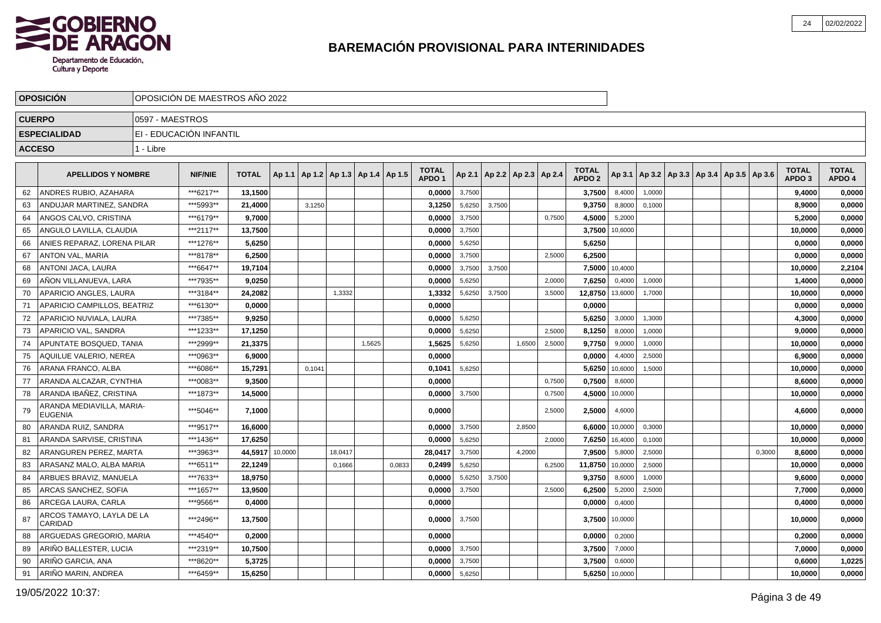

|               | <b>OPOSICION</b>                            |                 | OPOSICIÓN DE MAESTROS AÑO 2022 |              |         |        |                                            |        |        |                                   |        |        |                                   |        |                                   |         |                                                     |  |        |                                   |                        |
|---------------|---------------------------------------------|-----------------|--------------------------------|--------------|---------|--------|--------------------------------------------|--------|--------|-----------------------------------|--------|--------|-----------------------------------|--------|-----------------------------------|---------|-----------------------------------------------------|--|--------|-----------------------------------|------------------------|
| <b>CUERPO</b> |                                             | 0597 - MAESTROS |                                |              |         |        |                                            |        |        |                                   |        |        |                                   |        |                                   |         |                                                     |  |        |                                   |                        |
|               | <b>ESPECIALIDAD</b>                         |                 | EI - EDUCACIÓN INFANTIL        |              |         |        |                                            |        |        |                                   |        |        |                                   |        |                                   |         |                                                     |  |        |                                   |                        |
|               | <b>ACCESO</b>                               | 1 - Libre       |                                |              |         |        |                                            |        |        |                                   |        |        |                                   |        |                                   |         |                                                     |  |        |                                   |                        |
|               |                                             |                 |                                |              |         |        |                                            |        |        |                                   |        |        |                                   |        |                                   |         |                                                     |  |        |                                   |                        |
|               | <b>APELLIDOS Y NOMBRE</b>                   |                 | <b>NIF/NIE</b>                 | <b>TOTAL</b> |         |        | Ap 1.1   Ap 1.2   Ap 1.3   Ap 1.4   Ap 1.5 |        |        | <b>TOTAL</b><br>APDO <sub>1</sub> |        |        | Ap 2.1   Ap 2.2   Ap 2.3   Ap 2.4 |        | <b>TOTAL</b><br>APDO <sub>2</sub> |         | Ap 3.1   Ap 3.2   Ap 3.3   Ap 3.4   Ap 3.5   Ap 3.6 |  |        | <b>TOTAL</b><br>APDO <sub>3</sub> | <b>TOTAL</b><br>APDO 4 |
| 62            | ANDRES RUBIO, AZAHARA                       |                 | ***6217**                      | 13.1500      |         |        |                                            |        |        | 0.0000                            | 3,7500 |        |                                   |        | 3.7500                            | 8,4000  | 1,0000                                              |  |        | 9.4000                            | 0,0000                 |
| 63            | ANDUJAR MARTINEZ, SANDRA                    |                 | ***5993**                      | 21,4000      |         | 3,1250 |                                            |        |        | 3,1250                            | 5,6250 | 3,7500 |                                   |        | 9,3750                            | 8,8000  | 0,1000                                              |  |        | 8,9000                            | 0,0000                 |
| 64            | ANGOS CALVO, CRISTINA                       |                 | ***6179**                      | 9,7000       |         |        |                                            |        |        | 0,0000                            | 3,7500 |        |                                   | 0,7500 | 4,5000                            | 5,2000  |                                                     |  |        | 5,2000                            | 0,0000                 |
| 65            | ANGULO LAVILLA, CLAUDIA                     |                 | ***2117**                      | 13,7500      |         |        |                                            |        |        | 0,0000                            | 3,7500 |        |                                   |        | 3,7500                            | 10,6000 |                                                     |  |        | 10,0000                           | 0,0000                 |
| 66            | ANIES REPARAZ, LORENA PILAR                 |                 | ***1276**                      | 5,6250       |         |        |                                            |        |        | 0,0000                            | 5,6250 |        |                                   |        | 5,6250                            |         |                                                     |  |        | 0,0000                            | 0,0000                 |
| 67            | <b>ANTON VAL, MARIA</b>                     |                 | ***8178**                      | 6,2500       |         |        |                                            |        |        | 0,0000                            | 3,7500 |        |                                   | 2,5000 | 6,2500                            |         |                                                     |  |        | 0,0000                            | 0,0000                 |
| 68            | <b>ANTONI JACA, LAURA</b>                   |                 | ***6647**                      | 19,7104      |         |        |                                            |        |        | 0,0000                            | 3,7500 | 3,7500 |                                   |        | 7,5000                            | 10,4000 |                                                     |  |        | 10,0000                           | 2,2104                 |
| 69            | AÑON VILLANUEVA, LARA                       |                 | ***7935**                      | 9.0250       |         |        |                                            |        |        | 0,0000                            | 5,6250 |        |                                   | 2.0000 | 7,6250                            | 0,4000  | 1,0000                                              |  |        | 1,4000                            | 0,0000                 |
| 70            | APARICIO ANGLES, LAURA                      |                 | ***3184**                      | 24.2082      |         |        | 1,3332                                     |        |        | 1,3332                            | 5,6250 | 3,7500 |                                   | 3,5000 | 12,8750                           | 13,6000 | 1,7000                                              |  |        | 10,0000                           | 0,0000                 |
| 71            | APARICIO CAMPILLOS, BEATRIZ                 |                 | ***6130**                      | 0.0000       |         |        |                                            |        |        | 0.0000                            |        |        |                                   |        | 0.0000                            |         |                                                     |  |        | 0.0000                            | 0,0000                 |
| 72            | APARICIO NUVIALA, LAURA                     |                 | ***7385**                      | 9,9250       |         |        |                                            |        |        | 0,0000                            | 5,6250 |        |                                   |        | 5,6250                            | 3,0000  | 1,3000                                              |  |        | 4,3000                            | 0,0000                 |
| 73            | APARICIO VAL, SANDRA                        |                 | ***1233**                      | 17,1250      |         |        |                                            |        |        | 0,0000                            | 5,6250 |        |                                   | 2,5000 | 8,1250                            | 8,0000  | 1,0000                                              |  |        | 9,0000                            | 0,0000                 |
| 74            | APUNTATE BOSQUED, TANIA                     |                 | ***2999**                      | 21,3375      |         |        |                                            | 1,5625 |        | 1,5625                            | 5,6250 |        | 1,6500                            | 2,5000 | 9,7750                            | 9,0000  | 1,0000                                              |  |        | 10,0000                           | 0,0000                 |
| 75            | AQUILUE VALERIO, NEREA                      |                 | ***0963**                      | 6,9000       |         |        |                                            |        |        | 0,0000                            |        |        |                                   |        | 0,0000                            | 4,4000  | 2,5000                                              |  |        | 6,9000                            | 0,0000                 |
| 76            | ARANA FRANCO, ALBA                          |                 | ***6086**                      | 15,7291      |         | 0,1041 |                                            |        |        | 0,1041                            | 5,6250 |        |                                   |        | 5,6250                            | 10,6000 | 1,5000                                              |  |        | 10,0000                           | 0,0000                 |
| 77            | ARANDA ALCAZAR, CYNTHIA                     |                 | ***0083**                      | 9,3500       |         |        |                                            |        |        | 0.0000                            |        |        |                                   | 0,7500 | 0,7500                            | 8,6000  |                                                     |  |        | 8,6000                            | 0,0000                 |
| 78            | ARANDA IBAÑEZ, CRISTINA                     |                 | ***1873**                      | 14,5000      |         |        |                                            |        |        | 0,0000                            | 3,7500 |        |                                   | 0,7500 | 4,5000                            | 10,0000 |                                                     |  |        | 10,0000                           | 0,0000                 |
| 79            | ARANDA MEDIAVILLA, MARIA-<br><b>EUGENIA</b> |                 | ***5046**                      | 7,1000       |         |        |                                            |        |        | 0,0000                            |        |        |                                   | 2,5000 | 2,5000                            | 4,6000  |                                                     |  |        | 4,6000                            | 0,0000                 |
| 80            | ARANDA RUIZ, SANDRA                         |                 | ***9517**                      | 16,6000      |         |        |                                            |        |        | 0,0000                            | 3,7500 |        | 2,8500                            |        | 6,6000                            | 10,0000 | 0,3000                                              |  |        | 10,0000                           | 0,0000                 |
| 81            | ARANDA SARVISE, CRISTINA                    |                 | ***1436**                      | 17.6250      |         |        |                                            |        |        | 0.0000                            | 5,6250 |        |                                   | 2,0000 | 7,6250                            | 16,4000 | 0,1000                                              |  |        | 10,0000                           | 0,0000                 |
| 82            | ARANGUREN PEREZ. MARTA                      |                 | ***3963**                      | 44.5917      | 10,0000 |        | 18,0417                                    |        |        | 28.0417                           | 3,7500 |        | 4,2000                            |        | 7,9500                            | 5,8000  | 2,5000                                              |  | 0,3000 | 8.6000                            | 0,0000                 |
| 83            | ARASANZ MALO, ALBA MARIA                    |                 | ***6511**                      | 22,1249      |         |        | 0.1666                                     |        | 0,0833 | 0,2499                            | 5,6250 |        |                                   | 6,2500 | 11,8750                           | 10,0000 | 2,5000                                              |  |        | 10,0000                           | 0,0000                 |
| 84            | ARBUES BRAVIZ, MANUELA                      |                 | ***7633**                      | 18,9750      |         |        |                                            |        |        | 0,0000                            | 5,6250 | 3,7500 |                                   |        | 9,3750                            | 8,6000  | 1,0000                                              |  |        | 9,6000                            | 0,0000                 |
| 85            | ARCAS SANCHEZ, SOFIA                        |                 | ***1657**                      | 13,9500      |         |        |                                            |        |        | 0,0000                            | 3,7500 |        |                                   | 2,5000 | 6,2500                            | 5,2000  | 2,5000                                              |  |        | 7,7000                            | 0,0000                 |
| 86            | ARCEGA LAURA, CARLA                         |                 | ***9566**                      | 0,4000       |         |        |                                            |        |        | 0,0000                            |        |        |                                   |        | 0,0000                            | 0,4000  |                                                     |  |        | 0,4000                            | 0,0000                 |
| 87            | ARCOS TAMAYO, LAYLA DE LA<br>CARIDAD        |                 | ***2496**                      | 13,7500      |         |        |                                            |        |        | 0,0000                            | 3,7500 |        |                                   |        | 3,7500                            | 10,0000 |                                                     |  |        | 10,0000                           | 0,0000                 |
| 88            | ARGUEDAS GREGORIO, MARIA                    |                 | ***4540**                      | 0,2000       |         |        |                                            |        |        | 0,0000                            |        |        |                                   |        | 0,0000                            | 0,2000  |                                                     |  |        | 0,2000                            | 0,0000                 |
| 89            | ARIÑO BALLESTER, LUCIA                      |                 | ***2319**                      | 10,7500      |         |        |                                            |        |        | 0,0000                            | 3,7500 |        |                                   |        | 3,7500                            | 7,0000  |                                                     |  |        | 7,0000                            | 0,0000                 |
| 90            | ARIÑO GARCIA, ANA                           |                 | ***8620**                      | 5,3725       |         |        |                                            |        |        | 0,0000                            | 3,7500 |        |                                   |        | 3,7500                            | 0,6000  |                                                     |  |        | 0,6000                            | 1,0225                 |
| 91            | ARIÑO MARIN, ANDREA                         |                 | ***6459**                      | 15,6250      |         |        |                                            |        |        | 0,0000                            | 5,6250 |        |                                   |        | 5,6250                            | 10,0000 |                                                     |  |        | 10,0000                           | 0,0000                 |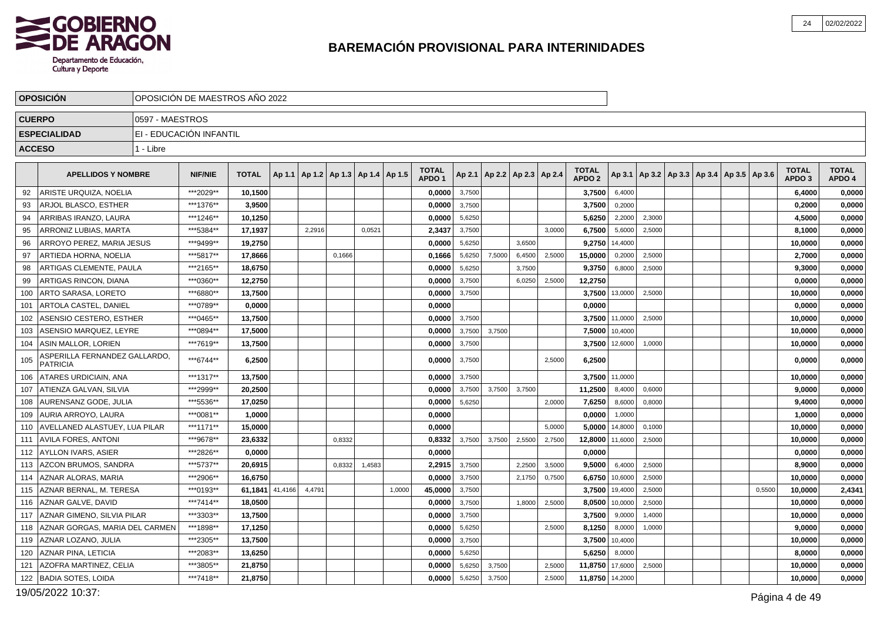

|               | <b>OPOSICIÓN</b>                                 |                 | OPOSICIÓN DE MAESTROS AÑO 2022 |              |         |        |                                   |        |        |                                   |        |        |                                   |        |                                   |         |                                                     |  |        |                                   |                        |
|---------------|--------------------------------------------------|-----------------|--------------------------------|--------------|---------|--------|-----------------------------------|--------|--------|-----------------------------------|--------|--------|-----------------------------------|--------|-----------------------------------|---------|-----------------------------------------------------|--|--------|-----------------------------------|------------------------|
|               | <b>CUERPO</b>                                    | 0597 - MAESTROS |                                |              |         |        |                                   |        |        |                                   |        |        |                                   |        |                                   |         |                                                     |  |        |                                   |                        |
|               | <b>ESPECIALIDAD</b>                              |                 | EI - EDUCACIÓN INFANTIL        |              |         |        |                                   |        |        |                                   |        |        |                                   |        |                                   |         |                                                     |  |        |                                   |                        |
| <b>ACCESO</b> |                                                  | 1 - Libre       |                                |              |         |        |                                   |        |        |                                   |        |        |                                   |        |                                   |         |                                                     |  |        |                                   |                        |
|               |                                                  |                 |                                |              |         |        |                                   |        |        |                                   |        |        |                                   |        |                                   |         |                                                     |  |        |                                   |                        |
|               | <b>APELLIDOS Y NOMBRE</b>                        |                 | <b>NIF/NIE</b>                 | <b>TOTAL</b> | Ap 1.1  |        | Ap 1.2   Ap 1.3   Ap 1.4   Ap 1.5 |        |        | <b>TOTAL</b><br>APDO <sub>1</sub> |        |        | Ap 2.1   Ap 2.2   Ap 2.3   Ap 2.4 |        | <b>TOTAL</b><br>APDO <sub>2</sub> |         | Ap 3.1   Ap 3.2   Ap 3.3   Ap 3.4   Ap 3.5   Ap 3.6 |  |        | <b>TOTAL</b><br>APDO <sub>3</sub> | <b>TOTAL</b><br>APDO 4 |
| 92            | ARISTE URQUIZA, NOELIA                           |                 | ***2029**                      | 10.1500      |         |        |                                   |        |        | 0.0000                            | 3,7500 |        |                                   |        | 3,7500                            | 6.4000  |                                                     |  |        | 6,4000                            | 0,0000                 |
| 93            | ARJOL BLASCO, ESTHER                             |                 | ***1376**                      | 3,9500       |         |        |                                   |        |        | 0,0000                            | 3,7500 |        |                                   |        | 3,7500                            | 0,2000  |                                                     |  |        | 0,2000                            | 0,0000                 |
| 94            | ARRIBAS IRANZO, LAURA                            |                 | ***1246**                      | 10,1250      |         |        |                                   |        |        | 0,0000                            | 5,6250 |        |                                   |        | 5,6250                            | 2,2000  | 2,3000                                              |  |        | 4,5000                            | 0,0000                 |
| 95            | ARRONIZ LUBIAS, MARTA                            |                 | ***5384**                      | 17,1937      |         | 2,2916 |                                   | 0,0521 |        | 2,3437                            | 3,7500 |        |                                   | 3,0000 | 6,7500                            | 5,6000  | 2,5000                                              |  |        | 8,1000                            | 0,0000                 |
| 96            | ARROYO PEREZ. MARIA JESUS                        |                 | ***9499**                      | 19,2750      |         |        |                                   |        |        | 0,0000                            | 5,6250 |        | 3,6500                            |        | 9,2750                            | 14,4000 |                                                     |  |        | 10,0000                           | 0,0000                 |
| 97            | ARTIEDA HORNA, NOELIA                            |                 | ***5817**                      | 17,8666      |         |        | 0,1666                            |        |        | 0,1666                            | 5,6250 | 7,5000 | 6,4500                            | 2,5000 | 15,0000                           | 0,2000  | 2,5000                                              |  |        | 2,7000                            | 0,0000                 |
| 98            | ARTIGAS CLEMENTE, PAULA                          |                 | ***2165**                      | 18,6750      |         |        |                                   |        |        | 0,0000                            | 5,6250 |        | 3,7500                            |        | 9,3750                            | 6,8000  | 2,5000                                              |  |        | 9,3000                            | 0,0000                 |
| 99            | ARTIGAS RINCON, DIANA                            |                 | ***0360**                      | 12,2750      |         |        |                                   |        |        | 0,0000                            | 3,7500 |        | 6,0250                            | 2,5000 | 12,2750                           |         |                                                     |  |        | 0,0000                            | 0,0000                 |
| 100           | ARTO SARASA, LORETO                              |                 | ***6880**                      | 13,7500      |         |        |                                   |        |        | 0,0000                            | 3,7500 |        |                                   |        | 3,7500                            | 13,0000 | 2,5000                                              |  |        | 10,0000                           | 0,0000                 |
| 101           | <b>ARTOLA CASTEL, DANIEL</b>                     |                 | ***0789**                      | 0.0000       |         |        |                                   |        |        | 0.0000                            |        |        |                                   |        | 0.0000                            |         |                                                     |  |        | 0.0000                            | 0,0000                 |
| 102           | ASENSIO CESTERO, ESTHER                          |                 | ***0465**                      | 13,7500      |         |        |                                   |        |        | 0,0000                            | 3,7500 |        |                                   |        | 3,7500                            | 11,0000 | 2,5000                                              |  |        | 10,0000                           | 0,0000                 |
| 103           | ASENSIO MARQUEZ. LEYRE                           |                 | ***0894**                      | 17,5000      |         |        |                                   |        |        | 0.0000                            | 3,7500 | 3.7500 |                                   |        | 7,5000                            | 10.4000 |                                                     |  |        | 10,0000                           | 0,0000                 |
| 104           | ASIN MALLOR, LORIEN                              |                 | ***7619**                      | 13,7500      |         |        |                                   |        |        | 0,0000                            | 3,7500 |        |                                   |        | 3,7500                            | 12,6000 | 1,0000                                              |  |        | 10,0000                           | 0,0000                 |
| 105           | ASPERILLA FERNANDEZ GALLARDO.<br><b>PATRICIA</b> |                 | ***6744**                      | 6,2500       |         |        |                                   |        |        | 0,0000                            | 3,7500 |        |                                   | 2,5000 | 6,2500                            |         |                                                     |  |        | 0,0000                            | 0,0000                 |
| 106           | <b>ATARES URDICIAIN, ANA</b>                     |                 | ***1317**                      | 13,7500      |         |        |                                   |        |        | 0,0000                            | 3,7500 |        |                                   |        | 3,7500                            | 11,0000 |                                                     |  |        | 10,0000                           | 0,0000                 |
| 107           | ATIENZA GALVAN, SILVIA                           |                 | ***2999**                      | 20,2500      |         |        |                                   |        |        | 0,0000                            | 3,7500 | 3,7500 | 3,7500                            |        | 11,2500                           | 8,4000  | 0,6000                                              |  |        | 9,0000                            | 0,0000                 |
| 108           | AURENSANZ GODE, JULIA                            |                 | ***5536**                      | 17,0250      |         |        |                                   |        |        | 0,0000                            | 5,6250 |        |                                   | 2,0000 | 7,6250                            | 8,6000  | 0,8000                                              |  |        | 9,4000                            | 0,0000                 |
| 109           | AURIA ARROYO. LAURA                              |                 | ***0081**                      | 1,0000       |         |        |                                   |        |        | 0,0000                            |        |        |                                   |        | 0,0000                            | 1,0000  |                                                     |  |        | 1,0000                            | 0,0000                 |
| 110           | <b>AVELLANED ALASTUEY, LUA PILAR</b>             |                 | ***1171**                      | 15,0000      |         |        |                                   |        |        | 0.0000                            |        |        |                                   | 5.0000 | 5,0000                            | 14,8000 | 0.1000                                              |  |        | 10.0000                           | 0,0000                 |
| 111           | <b>AVILA FORES, ANTONI</b>                       |                 | ***9678**                      | 23,6332      |         |        | 0,8332                            |        |        | 0,8332                            | 3,7500 | 3,7500 | 2,5500                            | 2,7500 | 12,8000                           | 11,6000 | 2,5000                                              |  |        | 10,0000                           | 0,0000                 |
| 112           | AYLLON IVARS. ASIER                              |                 | ***2826**                      | 0.0000       |         |        |                                   |        |        | 0.0000                            |        |        |                                   |        | 0.0000                            |         |                                                     |  |        | 0.0000                            | 0,0000                 |
| 113           | AZCON BRUMOS, SANDRA                             |                 | ***5737**                      | 20,6915      |         |        | 0,8332                            | 1,4583 |        | 2,2915                            | 3,7500 |        | 2,2500                            | 3,5000 | 9,5000                            | 6,4000  | 2,5000                                              |  |        | 8,9000                            | 0,0000                 |
| 114           | AZNAR ALORAS, MARIA                              |                 | ***2906**                      | 16.6750      |         |        |                                   |        |        | 0.0000                            | 3,7500 |        | 2,1750                            | 0,7500 | 6,6750                            | 10,6000 | 2,5000                                              |  |        | 10,0000                           | 0,0000                 |
| 115           | AZNAR BERNAL, M. TERESA                          |                 | ***0193**                      | 61,1841      | 41,4166 | 4,4791 |                                   |        | 1,0000 | 45,0000                           | 3,7500 |        |                                   |        | 3,7500                            | 19,4000 | 2,5000                                              |  | 0,5500 | 10,0000                           | 2,4341                 |
| 116           | AZNAR GALVE, DAVID                               |                 | ***7414**                      | 18,0500      |         |        |                                   |        |        | 0,0000                            | 3,7500 |        | 1,8000                            | 2,5000 | 8,0500                            | 10,0000 | 2,5000                                              |  |        | 10,0000                           | 0,0000                 |
| 117           | AZNAR GIMENO, SILVIA PILAR                       |                 | ***3303**                      | 13,7500      |         |        |                                   |        |        | 0,0000                            | 3,7500 |        |                                   |        | 3,7500                            | 9,0000  | 1,4000                                              |  |        | 10,0000                           | 0,0000                 |
| 118           | AZNAR GORGAS, MARIA DEL CARMEN                   |                 | ***1898**                      | 17,1250      |         |        |                                   |        |        | 0,0000                            | 5,6250 |        |                                   | 2,5000 | 8,1250                            | 8,0000  | 1,0000                                              |  |        | 9,0000                            | 0,0000                 |
| 119           | AZNAR LOZANO, JULIA                              |                 | ***2305**                      | 13,7500      |         |        |                                   |        |        | 0,0000                            | 3,7500 |        |                                   |        | 3,7500                            | 10,4000 |                                                     |  |        | 10,0000                           | 0,0000                 |
| 120           | <b>AZNAR PINA, LETICIA</b>                       |                 | ***2083**                      | 13,6250      |         |        |                                   |        |        | 0,0000                            | 5,6250 |        |                                   |        | 5,6250                            | 8,0000  |                                                     |  |        | 8,0000                            | 0,0000                 |
| 121           | AZOFRA MARTINEZ, CELIA                           |                 | ***3805**                      | 21,8750      |         |        |                                   |        |        | 0.0000                            | 5,6250 | 3,7500 |                                   | 2.5000 | 11,8750                           | 17,6000 | 2,5000                                              |  |        | 10.0000                           | 0,0000                 |
|               | 122   BADIA SOTES, LOIDA                         |                 | ***7418**                      | 21,8750      |         |        |                                   |        |        | 0,0000                            | 5,6250 | 3,7500 |                                   | 2,5000 | 11,8750                           | 14,2000 |                                                     |  |        | 10,0000                           | 0,0000                 |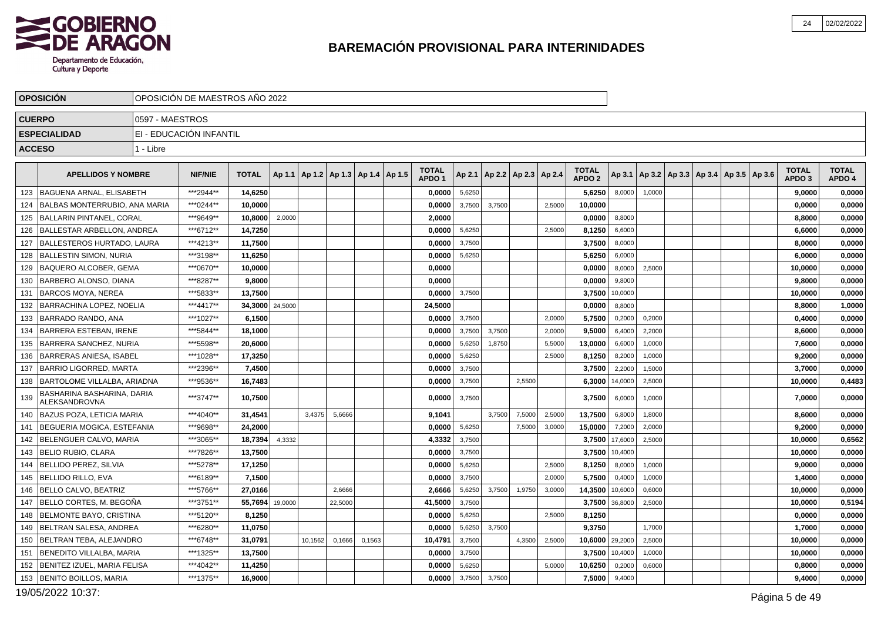

|     | <b>OPOSICIÓN</b>                            |                 | OPOSICIÓN DE MAESTROS AÑO 2022 |              |         |         |         |                                   |                                   |        |        |                          |        |                                   |         |                                            |  |  |                                   |                        |
|-----|---------------------------------------------|-----------------|--------------------------------|--------------|---------|---------|---------|-----------------------------------|-----------------------------------|--------|--------|--------------------------|--------|-----------------------------------|---------|--------------------------------------------|--|--|-----------------------------------|------------------------|
|     | <b>CUERPO</b>                               | 0597 - MAESTROS |                                |              |         |         |         |                                   |                                   |        |        |                          |        |                                   |         |                                            |  |  |                                   |                        |
|     | <b>ESPECIALIDAD</b>                         |                 | EI - EDUCACIÓN INFANTIL        |              |         |         |         |                                   |                                   |        |        |                          |        |                                   |         |                                            |  |  |                                   |                        |
|     | <b>ACCESO</b>                               | 1 - Libre       |                                |              |         |         |         |                                   |                                   |        |        |                          |        |                                   |         |                                            |  |  |                                   |                        |
|     | <b>APELLIDOS Y NOMBRE</b>                   |                 | <b>NIF/NIE</b>                 | <b>TOTAL</b> | Ap 1.1  |         |         | Ap 1.2   Ap 1.3   Ap 1.4   Ap 1.5 | <b>TOTAL</b><br>APDO <sub>1</sub> | Ap 2.1 |        | Ap 2.2   Ap 2.3   Ap 2.4 |        | <b>TOTAL</b><br>APDO <sub>2</sub> | Ap 3.1  | Ap 3.2   Ap 3.3   Ap 3.4   Ap 3.5   Ap 3.6 |  |  | <b>TOTAL</b><br>APDO <sub>3</sub> | <b>TOTAL</b><br>APDO 4 |
| 123 | BAGUENA ARNAL, ELISABETH                    |                 | ***2944**                      | 14,6250      |         |         |         |                                   | 0,0000                            | 5,6250 |        |                          |        | 5,6250                            | 8,0000  | 1,0000                                     |  |  | 9,0000                            | 0,0000                 |
| 124 | <b>BALBAS MONTERRUBIO. ANA MARIA</b>        |                 | ***0244**                      | 10.0000      |         |         |         |                                   | 0,0000                            | 3,7500 | 3,7500 |                          | 2,5000 | 10,0000                           |         |                                            |  |  | 0,0000                            | 0,0000                 |
|     | 125   BALLARIN PINTANEL, CORAL              |                 | ***9649**                      | 10,8000      | 2,0000  |         |         |                                   | 2,0000                            |        |        |                          |        | 0,0000                            | 8,8000  |                                            |  |  | 8,8000                            | 0,0000                 |
| 126 | <b>BALLESTAR ARBELLON, ANDREA</b>           |                 | ***6712**                      | 14,7250      |         |         |         |                                   | 0,0000                            | 5,6250 |        |                          | 2,5000 | 8,1250                            | 6,6000  |                                            |  |  | 6,6000                            | 0,0000                 |
| 127 | BALLESTEROS HURTADO, LAURA                  |                 | ***4213**                      | 11,7500      |         |         |         |                                   | 0,0000                            | 3,7500 |        |                          |        | 3,7500                            | 8,0000  |                                            |  |  | 8,0000                            | 0,0000                 |
| 128 | <b>BALLESTIN SIMON, NURIA</b>               |                 | ***3198**                      | 11,6250      |         |         |         |                                   | 0,0000                            | 5,6250 |        |                          |        | 5,6250                            | 6,0000  |                                            |  |  | 6,0000                            | 0,0000                 |
| 129 | <b>IBAQUERO ALCOBER. GEMA</b>               |                 | ***0670**                      | 10.0000      |         |         |         |                                   | 0.0000                            |        |        |                          |        | 0,0000                            | 8,0000  | 2,5000                                     |  |  | 10.0000                           | 0,0000                 |
| 130 | BARBERO ALONSO. DIANA                       |                 | ***8287**                      | 9,8000       |         |         |         |                                   | 0,0000                            |        |        |                          |        | 0,0000                            | 9,8000  |                                            |  |  | 9,8000                            | 0,0000                 |
| 131 | <b>BARCOS MOYA, NEREA</b>                   |                 | ***5833**                      | 13.7500      |         |         |         |                                   | 0.0000                            | 3,7500 |        |                          |        | 3,7500                            | 10,0000 |                                            |  |  | 10.0000                           | 0,0000                 |
| 132 | <b>BARRACHINA LOPEZ, NOELIA</b>             |                 | ***4417**                      | 34,3000      | 24,5000 |         |         |                                   | 24,5000                           |        |        |                          |        | 0,0000                            | 8,8000  |                                            |  |  | 8,8000                            | 1,0000                 |
| 133 | BARRADO RANDO. ANA                          |                 | ***1027**                      | 6,1500       |         |         |         |                                   | 0.0000                            | 3,7500 |        |                          | 2.0000 | 5,7500                            | 0,2000  | 0,2000                                     |  |  | 0,4000                            | 0,0000                 |
| 134 | <b>BARRERA ESTEBAN, IRENE</b>               |                 | ***5844**                      | 18,1000      |         |         |         |                                   | 0,0000                            | 3,7500 | 3,7500 |                          | 2,0000 | 9,5000                            | 6,4000  | 2,2000                                     |  |  | 8,6000                            | 0,0000                 |
| 135 | <b>BARRERA SANCHEZ, NURIA</b>               |                 | ***5598**                      | 20,6000      |         |         |         |                                   | 0.0000                            | 5,6250 | 1,8750 |                          | 5,5000 | 13,0000                           | 6,6000  | 1,0000                                     |  |  | 7,6000                            | 0,0000                 |
| 136 | BARRERAS ANIESA. ISABEL                     |                 | ***1028**                      | 17,3250      |         |         |         |                                   | 0,0000                            | 5,6250 |        |                          | 2,5000 | 8,1250                            | 8,2000  | 1,0000                                     |  |  | 9,2000                            | 0,0000                 |
| 137 | BARRIO LIGORRED. MARTA                      |                 | ***2396**                      | 7,4500       |         |         |         |                                   | 0,0000                            | 3,7500 |        |                          |        | 3,7500                            | 2,2000  | 1,5000                                     |  |  | 3.7000                            | 0,0000                 |
| 138 | <b>BARTOLOME VILLALBA, ARIADNA</b>          |                 | ***9536**                      | 16,7483      |         |         |         |                                   | 0,0000                            | 3,7500 |        | 2,5500                   |        | 6,3000                            | 14,0000 | 2,5000                                     |  |  | 10,0000                           | 0,4483                 |
| 139 | BASHARINA BASHARINA, DARIA<br>ALEKSANDROVNA |                 | ***3747**                      | 10,7500      |         |         |         |                                   | 0,0000                            | 3,7500 |        |                          |        | 3,7500                            | 6,0000  | 1,0000                                     |  |  | 7,0000                            | 0,0000                 |
| 140 | <b>BAZUS POZA, LETICIA MARIA</b>            |                 | ***4040**                      | 31,4541      |         | 3,4375  | 5,6666  |                                   | 9,1041                            |        | 3,7500 | 7,5000                   | 2,5000 | 13,7500                           | 6,8000  | 1,8000                                     |  |  | 8,6000                            | 0,0000                 |
| 141 | BEGUERIA MOGICA, ESTEFANIA                  |                 | ***9698**                      | 24.2000      |         |         |         |                                   | 0,0000                            | 5,6250 |        | 7,5000                   | 3,0000 | 15,0000                           | 7,2000  | 2,0000                                     |  |  | 9,2000                            | 0,0000                 |
| 142 | BELENGUER CALVO, MARIA                      |                 | ***3065**                      | 18,7394      | 4,3332  |         |         |                                   | 4,3332                            | 3,7500 |        |                          |        | 3,7500                            | 17,6000 | 2,5000                                     |  |  | 10,0000                           | 0,6562                 |
| 143 | <b>BELIO RUBIO, CLARA</b>                   |                 | ***7826**                      | 13,7500      |         |         |         |                                   | 0,0000                            | 3,7500 |        |                          |        | 3,7500                            | 10,4000 |                                            |  |  | 10,0000                           | 0,0000                 |
| 144 | <b>BELLIDO PEREZ, SILVIA</b>                |                 | ***5278**                      | 17,1250      |         |         |         |                                   | 0,0000                            | 5,6250 |        |                          | 2,5000 | 8,1250                            | 8,0000  | 1,0000                                     |  |  | 9,0000                            | 0,0000                 |
| 145 | BELLIDO RILLO. EVA                          |                 | ***6189**                      | 7,1500       |         |         |         |                                   | 0,0000                            | 3,7500 |        |                          | 2,0000 | 5,7500                            | 0,4000  | 1,0000                                     |  |  | 1,4000                            | 0,0000                 |
| 146 | <b>BELLO CALVO, BEATRIZ</b>                 |                 | ***5766**                      | 27,0166      |         |         | 2.6666  |                                   | 2,6666                            | 5,6250 | 3.7500 | 1,9750                   | 3,0000 | 14,3500                           | 10,6000 | 0,6000                                     |  |  | 10,0000                           | 0,0000                 |
| 147 | BELLO CORTES, M. BEGOÑA                     |                 | ***3751**                      | 55.7694      | 19,0000 |         | 22,5000 |                                   | 41,5000                           | 3,7500 |        |                          |        | 3,7500                            | 36,8000 | 2,5000                                     |  |  | 10,0000                           | 0,5194                 |
| 148 | <b>BELMONTE BAYO, CRISTINA</b>              |                 | ***5120**                      | 8.1250       |         |         |         |                                   | 0,0000                            | 5,6250 |        |                          | 2,5000 | 8,1250                            |         |                                            |  |  | 0.0000                            | 0,0000                 |
| 149 | BELTRAN SALESA. ANDREA                      |                 | ***6280**                      | 11,0750      |         |         |         |                                   | 0,0000                            | 5,6250 | 3,7500 |                          |        | 9,3750                            |         | 1,7000                                     |  |  | 1,7000                            | 0,0000                 |
| 150 | <b>BELTRAN TEBA, ALEJANDRO</b>              |                 | ***6748**                      | 31.0791      |         | 10,1562 | 0,1666  | 0.1563                            | 10.4791                           | 3,7500 |        | 4,3500                   | 2,5000 | 10.6000                           | 29,2000 | 2,5000                                     |  |  | 10,0000                           | 0,0000                 |
| 151 | BENEDITO VILLALBA, MARIA                    |                 | ***1325**                      | 13,7500      |         |         |         |                                   | 0,0000                            | 3,7500 |        |                          |        | 3,7500                            | 10,4000 | 1,0000                                     |  |  | 10,0000                           | 0,0000                 |
| 152 | BENITEZ IZUEL. MARIA FELISA                 |                 | ***4042**                      | 11,4250      |         |         |         |                                   | 0,0000                            | 5,6250 |        |                          | 5,0000 | 10,6250                           | 0,2000  | 0,6000                                     |  |  | 0,8000                            | 0,0000                 |
|     | 153   BENITO BOILLOS, MARIA                 |                 | ***1375**                      | 16,9000      |         |         |         |                                   | 0,0000                            | 3,7500 | 3,7500 |                          |        | 7,5000                            | 9,4000  |                                            |  |  | 9,4000                            | 0,0000                 |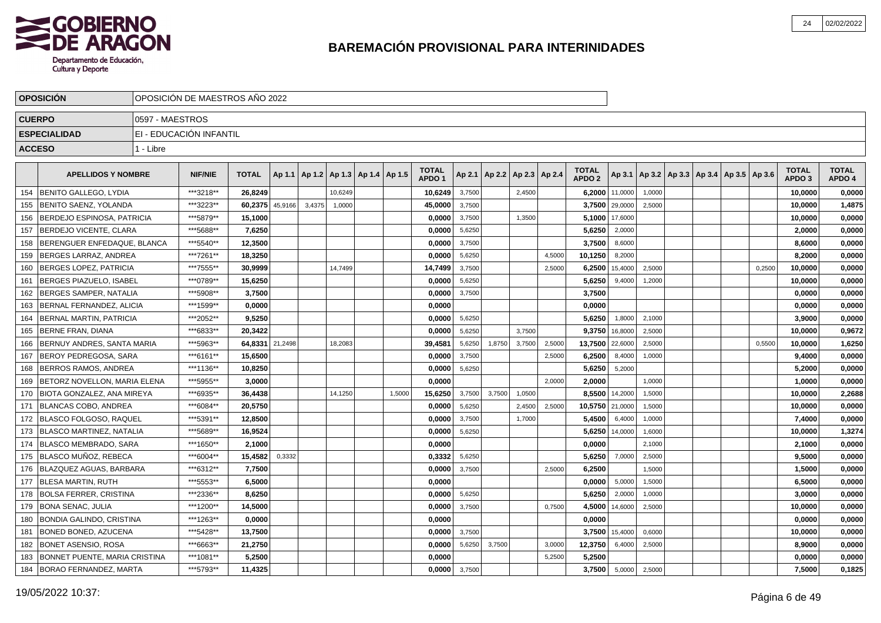

|               | <b>OPOSICION</b>                  |                 | OPOSICIÓN DE MAESTROS AÑO 2022 |              |         |        |                                   |        |                                   |        |        |                          |        |                                   |         |                                            |  |        |                                   |                        |
|---------------|-----------------------------------|-----------------|--------------------------------|--------------|---------|--------|-----------------------------------|--------|-----------------------------------|--------|--------|--------------------------|--------|-----------------------------------|---------|--------------------------------------------|--|--------|-----------------------------------|------------------------|
| <b>CUERPO</b> |                                   | 0597 - MAESTROS |                                |              |         |        |                                   |        |                                   |        |        |                          |        |                                   |         |                                            |  |        |                                   |                        |
|               | <b>ESPECIALIDAD</b>               |                 | EI - EDUCACIÓN INFANTIL        |              |         |        |                                   |        |                                   |        |        |                          |        |                                   |         |                                            |  |        |                                   |                        |
|               | <b>ACCESO</b>                     | 1 - Libre       |                                |              |         |        |                                   |        |                                   |        |        |                          |        |                                   |         |                                            |  |        |                                   |                        |
|               |                                   |                 |                                |              |         |        |                                   |        |                                   |        |        |                          |        |                                   |         |                                            |  |        |                                   |                        |
|               | <b>APELLIDOS Y NOMBRE</b>         |                 | <b>NIF/NIE</b>                 | <b>TOTAL</b> | Ap 1.1  |        | Ap 1.2   Ap 1.3   Ap 1.4   Ap 1.5 |        | <b>TOTAL</b><br>APDO <sub>1</sub> | Ap 2.1 |        | Ap 2.2   Ap 2.3   Ap 2.4 |        | <b>TOTAL</b><br>APDO <sub>2</sub> | Ap 3.1  | Ap 3.2   Ap 3.3   Ap 3.4   Ap 3.5   Ap 3.6 |  |        | <b>TOTAL</b><br>APDO <sub>3</sub> | <b>TOTAL</b><br>APDO 4 |
| 154           | <b>IBENITO GALLEGO. LYDIA</b>     |                 | ***3218**                      | 26.8249      |         |        | 10,6249                           |        | 10,6249                           | 3,7500 |        | 2,4500                   |        | 6,2000                            | 11,0000 | 1,0000                                     |  |        | 10,0000                           | 0,0000                 |
| 155           | BENITO SAENZ, YOLANDA             |                 | ***3223**                      | 60,2375      | 45,9166 | 3,4375 | 1,0000                            |        | 45,0000                           | 3,7500 |        |                          |        | 3,7500                            | 29,0000 | 2,5000                                     |  |        | 10,0000                           | 1,4875                 |
| 156           | BERDEJO ESPINOSA, PATRICIA        |                 | ***5879**                      | 15,1000      |         |        |                                   |        | 0,0000                            | 3,7500 |        | 1,3500                   |        | 5,1000                            | 17,6000 |                                            |  |        | 10,0000                           | 0,0000                 |
| 157           | BERDEJO VICENTE, CLARA            |                 | ***5688**                      | 7,6250       |         |        |                                   |        | 0,0000                            | 5,6250 |        |                          |        | 5,6250                            | 2,0000  |                                            |  |        | 2,0000                            | 0,0000                 |
| 158           | BERENGUER ENFEDAQUE, BLANCA       |                 | ***5540**                      | 12,3500      |         |        |                                   |        | 0,0000                            | 3,7500 |        |                          |        | 3,7500                            | 8,6000  |                                            |  |        | 8,6000                            | 0,0000                 |
| 159           | BERGES LARRAZ. ANDREA             |                 | ***7261**                      | 18.3250      |         |        |                                   |        | 0.0000                            | 5,6250 |        |                          | 4,5000 | 10,1250                           | 8,2000  |                                            |  |        | 8.2000                            | 0,0000                 |
| 160           | BERGES LOPEZ, PATRICIA            |                 | ***7555**                      | 30.9999      |         |        | 14,7499                           |        | 14,7499                           | 3,7500 |        |                          | 2,5000 | 6,2500                            | 15,4000 | 2,5000                                     |  | 0,2500 | 10,0000                           | 0,0000                 |
| 161           | BERGES PIAZUELO, ISABEL           |                 | ***0789**                      | 15,6250      |         |        |                                   |        | 0,0000                            | 5,6250 |        |                          |        | 5,6250                            | 9,4000  | 1,2000                                     |  |        | 10,0000                           | 0,0000                 |
| 162           | <b>BERGES SAMPER, NATALIA</b>     |                 | ***5908**                      | 3,7500       |         |        |                                   |        | 0,0000                            | 3,7500 |        |                          |        | 3,7500                            |         |                                            |  |        | 0,0000                            | 0,0000                 |
| 163           | BERNAL FERNANDEZ, ALICIA          |                 | ***1599**                      | 0,0000       |         |        |                                   |        | 0,0000                            |        |        |                          |        | 0,0000                            |         |                                            |  |        | 0,0000                            | 0,0000                 |
| 164           | <b>BERNAL MARTIN, PATRICIA</b>    |                 | ***2052**                      | 9,5250       |         |        |                                   |        | 0,0000                            | 5,6250 |        |                          |        | 5,6250                            | 1,8000  | 2,1000                                     |  |        | 3,9000                            | 0,0000                 |
| 165           | <b>IBERNE FRAN. DIANA</b>         |                 | ***6833**                      | 20,3422      |         |        |                                   |        | 0,0000                            | 5,6250 |        | 3.7500                   |        | 9,3750                            | 16,8000 | 2,5000                                     |  |        | 10.0000                           | 0,9672                 |
| 166           | BERNUY ANDRES. SANTA MARIA        |                 | ***5963**                      | 64,8331      | 21,2498 |        | 18,2083                           |        | 39,4581                           | 5,6250 | 1,8750 | 3,7500                   | 2,5000 | 13,7500                           | 22,6000 | 2,5000                                     |  | 0,5500 | 10,0000                           | 1,6250                 |
| 167           | BEROY PEDREGOSA, SARA             |                 | ***6161**                      | 15,6500      |         |        |                                   |        | 0,0000                            | 3,7500 |        |                          | 2,5000 | 6,2500                            | 8,4000  | 1,0000                                     |  |        | 9,4000                            | 0,0000                 |
| 168           | <b>BERROS RAMOS, ANDREA</b>       |                 | ***1136**                      | 10,8250      |         |        |                                   |        | 0,0000                            | 5,6250 |        |                          |        | 5,6250                            | 5,2000  |                                            |  |        | 5,2000                            | 0,0000                 |
| 169           | BETORZ NOVELLON, MARIA ELENA      |                 | ***5955**                      | 3,0000       |         |        |                                   |        | 0,0000                            |        |        |                          | 2,0000 | 2,0000                            |         | 1,0000                                     |  |        | 1,0000                            | 0,0000                 |
| 170           | <b>BIOTA GONZALEZ, ANA MIREYA</b> |                 | ***6935**                      | 36,4438      |         |        | 14,1250                           | 1,5000 | 15,6250                           | 3,7500 | 3,7500 | 1,0500                   |        | 8,5500                            | 14,2000 | 1,5000                                     |  |        | 10,0000                           | 2,2688                 |
| 171           | BLANCAS COBO. ANDREA              |                 | ***6084**                      | 20.5750      |         |        |                                   |        | 0.0000                            | 5,6250 |        | 2,4500                   | 2.5000 | 10,5750                           | 21,0000 | 1,5000                                     |  |        | 10,0000                           | 0,0000                 |
| 172           | BLASCO FOLGOSO. RAQUEL            |                 | ***5391**                      | 12,8500      |         |        |                                   |        | 0.0000                            | 3,7500 |        | 1,7000                   |        | 5,4500                            | 6,4000  | 1,0000                                     |  |        | 7,4000                            | 0,0000                 |
| 173           | <b>BLASCO MARTINEZ, NATALIA</b>   |                 | ***5689**                      | 16,9524      |         |        |                                   |        | 0,0000                            | 5,6250 |        |                          |        | 5,6250                            | 14,0000 | 1,6000                                     |  |        | 10,0000                           | 1,3274                 |
| 174           | BLASCO MEMBRADO, SARA             |                 | ***1650**                      | 2,1000       |         |        |                                   |        | 0,0000                            |        |        |                          |        | 0,0000                            |         | 2,1000                                     |  |        | 2,1000                            | 0,0000                 |
| 175           | BLASCO MUÑOZ, REBECA              |                 | ***6004**                      | 15,4582      | 0,3332  |        |                                   |        | 0,3332                            | 5,6250 |        |                          |        | 5,6250                            | 7,0000  | 2,5000                                     |  |        | 9,5000                            | 0,0000                 |
| 176           | BLAZQUEZ AGUAS, BARBARA           |                 | ***6312**                      | 7,7500       |         |        |                                   |        | 0,0000                            | 3,7500 |        |                          | 2,5000 | 6,2500                            |         | 1,5000                                     |  |        | 1,5000                            | 0,0000                 |
| 177           | IBLESA MARTIN. RUTH               |                 | ***5553**                      | 6.5000       |         |        |                                   |        | 0.0000                            |        |        |                          |        | 0.0000                            | 5,0000  | 1,5000                                     |  |        | 6,5000                            | 0,0000                 |
| 178           | <b>BOLSA FERRER, CRISTINA</b>     |                 | ***2336**                      | 8.6250       |         |        |                                   |        | 0.0000                            | 5,6250 |        |                          |        | 5,6250                            | 2,0000  | 1,0000                                     |  |        | 3,0000                            | 0,0000                 |
| 179           | <b>BONA SENAC, JULIA</b>          |                 | ***1200**                      | 14,5000      |         |        |                                   |        | 0,0000                            | 3,7500 |        |                          | 0,7500 | 4,5000                            | 14,6000 | 2,5000                                     |  |        | 10,0000                           | 0,0000                 |
| 180           | <b>BONDIA GALINDO, CRISTINA</b>   |                 | ***1263**                      | 0,0000       |         |        |                                   |        | 0,0000                            |        |        |                          |        | 0,0000                            |         |                                            |  |        | 0,0000                            | 0,0000                 |
| 181           | <b>BONED BONED, AZUCENA</b>       |                 | ***5428**                      | 13,7500      |         |        |                                   |        | 0,0000                            | 3,7500 |        |                          |        | 3,7500                            | 15,4000 | 0,6000                                     |  |        | 10,0000                           | 0,0000                 |
| 182           | <b>BONET ASENSIO, ROSA</b>        |                 | ***6663**                      | 21,2750      |         |        |                                   |        | 0,0000                            | 5,6250 | 3,7500 |                          | 3,0000 | 12,3750                           | 6,4000  | 2,5000                                     |  |        | 8,9000                            | 0,0000                 |
| 183           | BONNET PUENTE, MARIA CRISTINA     |                 | ***1081**                      | 5,2500       |         |        |                                   |        | 0,0000                            |        |        |                          | 5,2500 | 5,2500                            |         |                                            |  |        | 0.0000                            | 0,0000                 |
| 184           | <b>BORAO FERNANDEZ, MARTA</b>     |                 | ***5793**                      | 11,4325      |         |        |                                   |        | 0,0000                            | 3,7500 |        |                          |        | 3,7500                            | 5,0000  | 2,5000                                     |  |        | 7,5000                            | 0,1825                 |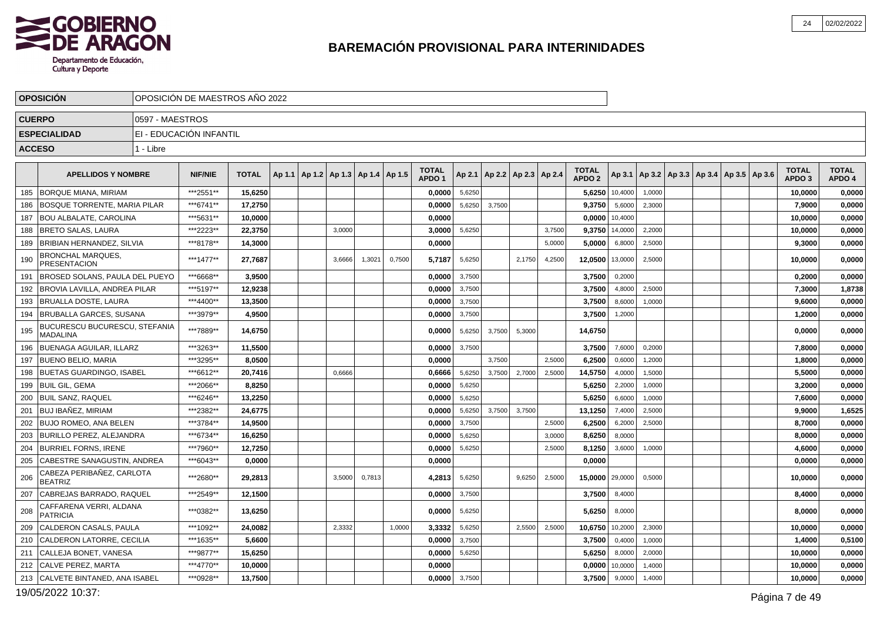

|     | <b>OPOSICIÓN</b>                                 |                 | OPOSICIÓN DE MAESTROS AÑO 2022 |              |        |                                   |        |        |        |                                   |        |                          |        |        |                                   |                |        |                                                     |  |                                   |                        |
|-----|--------------------------------------------------|-----------------|--------------------------------|--------------|--------|-----------------------------------|--------|--------|--------|-----------------------------------|--------|--------------------------|--------|--------|-----------------------------------|----------------|--------|-----------------------------------------------------|--|-----------------------------------|------------------------|
|     | <b>CUERPO</b>                                    | 0597 - MAESTROS |                                |              |        |                                   |        |        |        |                                   |        |                          |        |        |                                   |                |        |                                                     |  |                                   |                        |
|     | <b>ESPECIALIDAD</b>                              |                 | EI - EDUCACIÓN INFANTIL        |              |        |                                   |        |        |        |                                   |        |                          |        |        |                                   |                |        |                                                     |  |                                   |                        |
|     | <b>ACCESO</b>                                    | 1 - Libre       |                                |              |        |                                   |        |        |        |                                   |        |                          |        |        |                                   |                |        |                                                     |  |                                   |                        |
|     | <b>APELLIDOS Y NOMBRE</b>                        |                 | <b>NIF/NIE</b>                 | <b>TOTAL</b> | Ap 1.1 | Ap 1.2   Ap 1.3   Ap 1.4   Ap 1.5 |        |        |        | <b>TOTAL</b><br>APDO <sub>1</sub> | Ap 2.1 | Ap 2.2   Ap 2.3   Ap 2.4 |        |        | <b>TOTAL</b><br>APDO <sub>2</sub> |                |        | Ap 3.1   Ap 3.2   Ap 3.3   Ap 3.4   Ap 3.5   Ap 3.6 |  | <b>TOTAL</b><br>APDO <sub>3</sub> | <b>TOTAL</b><br>APDO 4 |
| 185 | <b>BORQUE MIANA, MIRIAM</b>                      |                 | ***2551**                      | 15,6250      |        |                                   |        |        |        | 0,0000                            | 5,6250 |                          |        |        |                                   | 5,6250 10,4000 | 1,0000 |                                                     |  | 10,0000                           | 0,0000                 |
| 186 | <b>BOSQUE TORRENTE, MARIA PILAR</b>              |                 | ***6741**                      | 17,2750      |        |                                   |        |        |        | 0,0000                            | 5,6250 | 3,7500                   |        |        | 9,3750                            | 5,6000         | 2,3000 |                                                     |  | 7,9000                            | 0,0000                 |
| 187 | <b>BOU ALBALATE, CAROLINA</b>                    |                 | ***5631**                      | 10,0000      |        |                                   |        |        |        | 0,0000                            |        |                          |        |        |                                   | 0,0000 10,4000 |        |                                                     |  | 10,0000                           | 0,0000                 |
| 188 | <b>BRETO SALAS, LAURA</b>                        |                 | ***2223**                      | 22,3750      |        |                                   | 3,0000 |        |        | 3,0000                            | 5,6250 |                          |        | 3,7500 | 9,3750                            | 14,0000        | 2,2000 |                                                     |  | 10,0000                           | 0,0000                 |
| 189 | <b>BRIBIAN HERNANDEZ, SILVIA</b>                 |                 | ***8178**                      | 14,3000      |        |                                   |        |        |        | 0,0000                            |        |                          |        | 5.0000 | 5,0000                            | 6,8000         | 2,5000 |                                                     |  | 9,3000                            | 0,0000                 |
| 190 | BRONCHAL MARQUES,<br><b>PRESENTACION</b>         |                 | ***1477**                      | 27,7687      |        |                                   | 3,6666 | 1,3021 | 0,7500 | 5,7187                            | 5,6250 |                          | 2,1750 | 4,2500 | 12,0500                           | 13,0000        | 2,5000 |                                                     |  | 10,0000                           | 0,0000                 |
| 191 | <b>IBROSED SOLANS. PAULA DEL PUEYO</b>           |                 | ***6668**                      | 3.9500       |        |                                   |        |        |        | 0.0000                            | 3,7500 |                          |        |        | 3,7500                            | 0,2000         |        |                                                     |  | 0.2000                            | 0,0000                 |
| 192 | <b>BROVIA LAVILLA, ANDREA PILAR</b>              |                 | ***5197**                      | 12,9238      |        |                                   |        |        |        | 0,0000                            | 3,7500 |                          |        |        | 3,7500                            | 4,8000         | 2,5000 |                                                     |  | 7,3000                            | 1,8738                 |
| 193 | <b>IBRUALLA DOSTE. LAURA</b>                     |                 | ***4400**                      | 13.3500      |        |                                   |        |        |        | 0.0000                            | 3,7500 |                          |        |        | 3,7500                            | 8,6000         | 1,0000 |                                                     |  | 9,6000                            | 0,0000                 |
| 194 | <b>BRUBALLA GARCES, SUSANA</b>                   |                 | ***3979**                      | 4,9500       |        |                                   |        |        |        | 0,0000                            | 3,7500 |                          |        |        | 3,7500                            | 1,2000         |        |                                                     |  | 1,2000                            | 0,0000                 |
| 195 | BUCURESCU BUCURESCU, STEFANIA<br><b>MADALINA</b> |                 | ***7889**                      | 14,6750      |        |                                   |        |        |        | 0.0000                            | 5,6250 | 3,7500                   | 5,3000 |        | 14,6750                           |                |        |                                                     |  | 0,0000                            | 0,0000                 |
| 196 | <b>BUENAGA AGUILAR, ILLARZ</b>                   |                 | ***3263**                      | 11,5500      |        |                                   |        |        |        | 0,0000                            | 3,7500 |                          |        |        | 3,7500                            | 7,6000         | 0,2000 |                                                     |  | 7,8000                            | 0,0000                 |
| 197 | <b>BUENO BELIO, MARIA</b>                        |                 | ***3295**                      | 8.0500       |        |                                   |        |        |        | 0.0000                            |        | 3.7500                   |        | 2.5000 | 6,2500                            | 0,6000         | 1,2000 |                                                     |  | 1,8000                            | 0,0000                 |
| 198 | <b>BUETAS GUARDINGO, ISABEL</b>                  |                 | ***6612**                      | 20,7416      |        |                                   | 0,6666 |        |        | 0,6666                            | 5,6250 | 3,7500                   | 2,7000 | 2,5000 | 14,5750                           | 4,0000         | 1,5000 |                                                     |  | 5,5000                            | 0,0000                 |
| 199 | <b>BUIL GIL. GEMA</b>                            |                 | ***2066**                      | 8,8250       |        |                                   |        |        |        | 0,0000                            | 5,6250 |                          |        |        | 5,6250                            | 2,2000         | 1,0000 |                                                     |  | 3,2000                            | 0,0000                 |
| 200 | <b>BUIL SANZ. RAQUEL</b>                         |                 | ***6246**                      | 13,2250      |        |                                   |        |        |        | 0,0000                            | 5,6250 |                          |        |        | 5,6250                            | 6,6000         | 1,0000 |                                                     |  | 7,6000                            | 0,0000                 |
| 201 | <b>BUJ IBAÑEZ. MIRIAM</b>                        |                 | ***2382**                      | 24,6775      |        |                                   |        |        |        | 0.0000                            | 5,6250 | 3,7500                   | 3,7500 |        | 13,1250                           | 7,4000         | 2,5000 |                                                     |  | 9,9000                            | 1,6525                 |
| 202 | <b>BUJO ROMEO, ANA BELEN</b>                     |                 | ***3784**                      | 14,9500      |        |                                   |        |        |        | 0,0000                            | 3,7500 |                          |        | 2,5000 | 6,2500                            | 6,2000         | 2,5000 |                                                     |  | 8,7000                            | 0,0000                 |
| 203 | <b>BURILLO PEREZ, ALEJANDRA</b>                  |                 | ***6734**                      | 16.6250      |        |                                   |        |        |        | 0,0000                            | 5,6250 |                          |        | 3,0000 | 8,6250                            | 8,0000         |        |                                                     |  | 8,0000                            | 0,0000                 |
| 204 | <b>BURRIEL FORNS, IRENE</b>                      |                 | ***7960**                      | 12,7250      |        |                                   |        |        |        | 0,0000                            | 5,6250 |                          |        | 2,5000 | 8,1250                            | 3,6000         | 1,0000 |                                                     |  | 4,6000                            | 0,0000                 |
| 205 | CABESTRE SANAGUSTIN, ANDREA                      |                 | ***6043**                      | 0,0000       |        |                                   |        |        |        | 0,0000                            |        |                          |        |        | 0,0000                            |                |        |                                                     |  | 0,0000                            | 0,0000                 |
| 206 | CABEZA PERIBAÑEZ, CARLOTA<br><b>BEATRIZ</b>      |                 | ***2680**                      | 29,2813      |        |                                   | 3,5000 | 0,7813 |        | 4,2813                            | 5,6250 |                          | 9,6250 | 2,5000 | 15,0000                           | 29,0000        | 0,5000 |                                                     |  | 10,0000                           | 0,0000                 |
| 207 | CABREJAS BARRADO. RAQUEL                         |                 | ***2549**                      | 12,1500      |        |                                   |        |        |        | 0,0000                            | 3,7500 |                          |        |        | 3,7500                            | 8,4000         |        |                                                     |  | 8,4000                            | 0,0000                 |
| 208 | CAFFARENA VERRI, ALDANA<br><b>PATRICIA</b>       |                 | ***0382**                      | 13,6250      |        |                                   |        |        |        | 0,0000                            | 5,6250 |                          |        |        | 5,6250                            | 8,0000         |        |                                                     |  | 8,0000                            | 0,0000                 |
| 209 | CALDERON CASALS, PAULA                           |                 | ***1092**                      | 24,0082      |        |                                   | 2,3332 |        | 1,0000 | 3,3332                            | 5,6250 |                          | 2,5500 | 2,5000 | 10,6750                           | 10,2000        | 2,3000 |                                                     |  | 10,0000                           | 0,0000                 |
| 210 | CALDERON LATORRE. CECILIA                        |                 | ***1635**                      | 5.6600       |        |                                   |        |        |        | 0.0000                            | 3,7500 |                          |        |        | 3,7500                            | 0,4000         | 1,0000 |                                                     |  | 1,4000                            | 0,5100                 |
| 211 | CALLEJA BONET, VANESA                            |                 | ***9877**                      | 15,6250      |        |                                   |        |        |        | 0,0000                            | 5,6250 |                          |        |        | 5,6250                            | 8,0000         | 2,0000 |                                                     |  | 10,0000                           | 0,0000                 |
| 212 | <b>ICALVE PEREZ. MARTA</b>                       |                 | ***4770**                      | 10,0000      |        |                                   |        |        |        | 0.0000                            |        |                          |        |        | 0,0000                            | 10,0000        | 1,4000 |                                                     |  | 10,0000                           | 0,0000                 |
|     | 213 CALVETE BINTANED, ANA ISABEL                 |                 | ***0928**                      | 13,7500      |        |                                   |        |        |        | $0,0000$ 3,7500                   |        |                          |        |        | 3,7500                            | 9,0000         | 1,4000 |                                                     |  | 10,0000                           | 0,0000                 |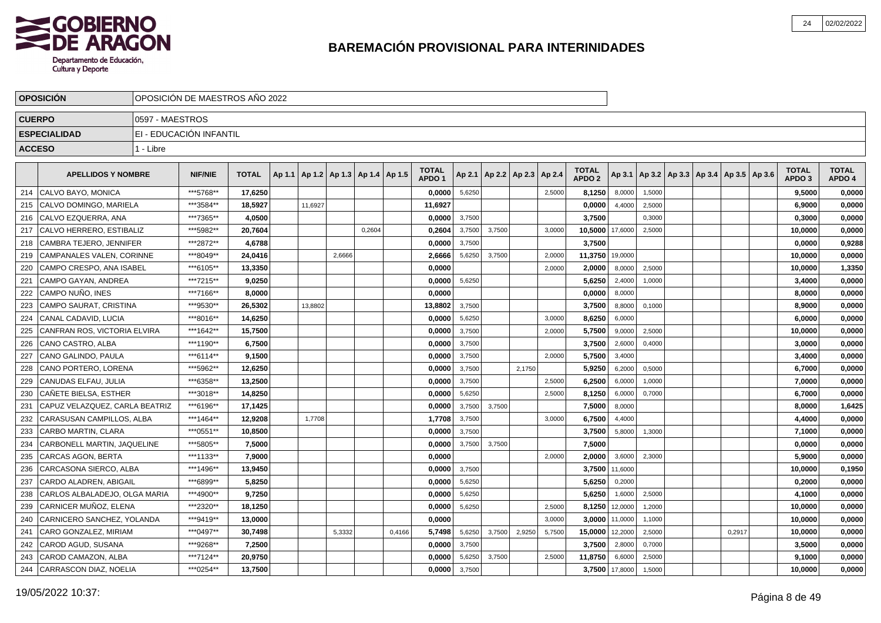

|     | <b>OPOSICIÓN</b>               |                 | OPOSICIÓN DE MAESTROS AÑO 2022 |              |        |         |                                   |        |        |                                   |        |        |                                   |        |                                   |         |        |  |                                            |                                   |                        |
|-----|--------------------------------|-----------------|--------------------------------|--------------|--------|---------|-----------------------------------|--------|--------|-----------------------------------|--------|--------|-----------------------------------|--------|-----------------------------------|---------|--------|--|--------------------------------------------|-----------------------------------|------------------------|
|     | <b>CUERPO</b>                  | 0597 - MAESTROS |                                |              |        |         |                                   |        |        |                                   |        |        |                                   |        |                                   |         |        |  |                                            |                                   |                        |
|     | <b>ESPECIALIDAD</b>            |                 | EI - EDUCACIÓN INFANTIL        |              |        |         |                                   |        |        |                                   |        |        |                                   |        |                                   |         |        |  |                                            |                                   |                        |
|     | <b>ACCESO</b>                  | 1 - Libre       |                                |              |        |         |                                   |        |        |                                   |        |        |                                   |        |                                   |         |        |  |                                            |                                   |                        |
|     |                                |                 |                                |              |        |         |                                   |        |        |                                   |        |        |                                   |        |                                   |         |        |  |                                            |                                   |                        |
|     | <b>APELLIDOS Y NOMBRE</b>      |                 | <b>NIF/NIE</b>                 | <b>TOTAL</b> | Ap 1.1 |         | Ap 1.2   Ap 1.3   Ap 1.4   Ap 1.5 |        |        | <b>TOTAL</b><br>APDO <sub>1</sub> |        |        | Ap 2.1   Ap 2.2   Ap 2.3   Ap 2.4 |        | <b>TOTAL</b><br>APDO <sub>2</sub> | Ap 3.1  |        |  | Ap 3.2   Ap 3.3   Ap 3.4   Ap 3.5   Ap 3.6 | <b>TOTAL</b><br>APDO <sub>3</sub> | <b>TOTAL</b><br>APDO 4 |
| 214 | CALVO BAYO, MONICA             |                 | ***5768**                      | 17,6250      |        |         |                                   |        |        | 0,0000                            | 5,6250 |        |                                   | 2,5000 | 8,1250                            | 8,0000  | 1,5000 |  |                                            | 9,5000                            | 0,0000                 |
| 215 | CALVO DOMINGO, MARIELA         |                 | ***3584**                      | 18,5927      |        | 11,6927 |                                   |        |        | 11,6927                           |        |        |                                   |        | 0,0000                            | 4,4000  | 2,5000 |  |                                            | 6,9000                            | 0,0000                 |
| 216 | CALVO EZQUERRA, ANA            |                 | ***7365**                      | 4,0500       |        |         |                                   |        |        | 0,0000                            | 3,7500 |        |                                   |        | 3,7500                            |         | 0,3000 |  |                                            | 0,3000                            | 0,0000                 |
| 217 | CALVO HERRERO, ESTIBALIZ       |                 | ***5982**                      | 20,7604      |        |         |                                   | 0,2604 |        | 0,2604                            | 3,7500 | 3,7500 |                                   | 3,0000 | 10,5000                           | 17,6000 | 2,5000 |  |                                            | 10,0000                           | 0,0000                 |
| 218 | CAMBRA TEJERO, JENNIFER        |                 | ***2872**                      | 4,6788       |        |         |                                   |        |        | 0,0000                            | 3,7500 |        |                                   |        | 3,7500                            |         |        |  |                                            | 0,0000                            | 0,9288                 |
| 219 | CAMPANALES VALEN, CORINNE      |                 | ***8049**                      | 24.0416      |        |         | 2.6666                            |        |        | 2,6666                            | 5,6250 | 3,7500 |                                   | 2,0000 | 11,3750                           | 19,0000 |        |  |                                            | 10,0000                           | 0,0000                 |
| 220 | CAMPO CRESPO, ANA ISABEL       |                 | ***6105**                      | 13,3350      |        |         |                                   |        |        | 0.0000                            |        |        |                                   | 2,0000 | 2,0000                            | 8,0000  | 2,5000 |  |                                            | 10,0000                           | 1,3350                 |
| 221 | CAMPO GAYAN, ANDREA            |                 | ***7215**                      | 9.0250       |        |         |                                   |        |        | 0,0000                            | 5,6250 |        |                                   |        | 5,6250                            | 2,4000  | 1,0000 |  |                                            | 3,4000                            | 0,0000                 |
| 222 | CAMPO NUÑO. INES               |                 | ***7166**                      | 8,0000       |        |         |                                   |        |        | 0.0000                            |        |        |                                   |        | 0,0000                            | 8,0000  |        |  |                                            | 8,0000                            | 0,0000                 |
| 223 | CAMPO SAURAT, CRISTINA         |                 | ***9530**                      | 26,5302      |        | 13,8802 |                                   |        |        | 13,8802                           | 3,7500 |        |                                   |        | 3,7500                            | 8,8000  | 0,1000 |  |                                            | 8,9000                            | 0,0000                 |
| 224 | CANAL CADAVID. LUCIA           |                 | ***8016**                      | 14,6250      |        |         |                                   |        |        | 0,0000                            | 5,6250 |        |                                   | 3,0000 | 8,6250                            | 6,0000  |        |  |                                            | 6,0000                            | 0,0000                 |
| 225 | CANFRAN ROS, VICTORIA ELVIRA   |                 | ***1642**                      | 15,7500      |        |         |                                   |        |        | 0,0000                            | 3,7500 |        |                                   | 2,0000 | 5,7500                            | 9,0000  | 2,5000 |  |                                            | 10,0000                           | 0,0000                 |
| 226 | CANO CASTRO, ALBA              |                 | ***1190**                      | 6,7500       |        |         |                                   |        |        | 0,0000                            | 3,7500 |        |                                   |        | 3,7500                            | 2,6000  | 0,4000 |  |                                            | 3,0000                            | 0,0000                 |
| 227 | CANO GALINDO, PAULA            |                 | ***6114**                      | 9,1500       |        |         |                                   |        |        | 0,0000                            | 3,7500 |        |                                   | 2,0000 | 5,7500                            | 3,4000  |        |  |                                            | 3,4000                            | 0,0000                 |
| 228 | CANO PORTERO, LORENA           |                 | ***5962**                      | 12,6250      |        |         |                                   |        |        | 0,0000                            | 3,7500 |        | 2,1750                            |        | 5,9250                            | 6,2000  | 0,5000 |  |                                            | 6,7000                            | 0,0000                 |
| 229 | CANUDAS ELFAU, JULIA           |                 | ***6358**                      | 13,2500      |        |         |                                   |        |        | 0,0000                            | 3,7500 |        |                                   | 2,5000 | 6,2500                            | 6,0000  | 1,0000 |  |                                            | 7,0000                            | 0,0000                 |
| 230 | CAÑETE BIELSA, ESTHER          |                 | ***3018**                      | 14.8250      |        |         |                                   |        |        | 0.0000                            | 5,6250 |        |                                   | 2.5000 | 8,1250                            | 6,0000  | 0,7000 |  |                                            | 6.7000                            | 0,0000                 |
| 231 | CAPUZ VELAZQUEZ. CARLA BEATRIZ |                 | ***6196**                      | 17,1425      |        |         |                                   |        |        | 0,0000                            | 3,7500 | 3.7500 |                                   |        | 7,5000                            | 8,0000  |        |  |                                            | 8,0000                            | 1,6425                 |
| 232 | CARASUSAN CAMPILLOS, ALBA      |                 | ***1464**                      | 12.9208      |        | 1,7708  |                                   |        |        | 1,7708                            | 3,7500 |        |                                   | 3,0000 | 6,7500                            | 4,4000  |        |  |                                            | 4,4000                            | 0,0000                 |
| 233 | CARBO MARTIN, CLARA            |                 | ***0551**                      | 10,8500      |        |         |                                   |        |        | 0,0000                            | 3,7500 |        |                                   |        | 3,7500                            | 5,8000  | 1,3000 |  |                                            | 7,1000                            | 0,0000                 |
| 234 | CARBONELL MARTIN, JAQUELINE    |                 | ***5805**                      | 7,5000       |        |         |                                   |        |        | 0,0000                            | 3,7500 | 3,7500 |                                   |        | 7,5000                            |         |        |  |                                            | 0,0000                            | 0,0000                 |
| 235 | CARCAS AGON, BERTA             |                 | ***1133**                      | 7,9000       |        |         |                                   |        |        | 0,0000                            |        |        |                                   | 2,0000 | 2,0000                            | 3,6000  | 2,3000 |  |                                            | 5,9000                            | 0,0000                 |
| 236 | CARCASONA SIERCO, ALBA         |                 | ***1496**                      | 13,9450      |        |         |                                   |        |        | 0,0000                            | 3,7500 |        |                                   |        | 3,7500                            | 11,6000 |        |  |                                            | 10,0000                           | 0,1950                 |
| 237 | CARDO ALADREN, ABIGAIL         |                 | ***6899**                      | 5,8250       |        |         |                                   |        |        | 0,0000                            | 5,6250 |        |                                   |        | 5,6250                            | 0,2000  |        |  |                                            | 0,2000                            | 0,0000                 |
| 238 | CARLOS ALBALADEJO, OLGA MARIA  |                 | ***4900**                      | 9,7250       |        |         |                                   |        |        | 0,0000                            | 5,6250 |        |                                   |        | 5,6250                            | 1,6000  | 2,5000 |  |                                            | 4,1000                            | 0,0000                 |
| 239 | CARNICER MUÑOZ, ELENA          |                 | ***2320**                      | 18,1250      |        |         |                                   |        |        | 0,0000                            | 5,6250 |        |                                   | 2,5000 | 8,1250                            | 12,0000 | 1,2000 |  |                                            | 10,0000                           | 0,0000                 |
| 240 | CARNICERO SANCHEZ, YOLANDA     |                 | ***9419**                      | 13,0000      |        |         |                                   |        |        | 0,0000                            |        |        |                                   | 3,0000 | 3,0000                            | 11,0000 | 1,1000 |  |                                            | 10,0000                           | 0,0000                 |
| 241 | CARO GONZALEZ. MIRIAM          |                 | ***0497**                      | 30.7498      |        |         | 5,3332                            |        | 0,4166 | 5,7498                            | 5,6250 | 3,7500 | 2,9250                            | 5,7500 | 15,0000                           | 12,2000 | 2,5000 |  | 0,2917                                     | 10,0000                           | 0,0000                 |
| 242 | CAROD AGUD, SUSANA             |                 | ***9268**                      | 7,2500       |        |         |                                   |        |        | 0,0000                            | 3,7500 |        |                                   |        | 3,7500                            | 2,8000  | 0,7000 |  |                                            | 3,5000                            | 0,0000                 |
| 243 | CAROD CAMAZON. ALBA            |                 | ***7124**                      | 20,9750      |        |         |                                   |        |        | 0,0000                            | 5,6250 | 3,7500 |                                   | 2,5000 | 11,8750                           | 6,6000  | 2,5000 |  |                                            | 9,1000                            | 0,0000                 |
|     | 244 CARRASCON DIAZ, NOELIA     |                 | ***0254**                      | 13,7500      |        |         |                                   |        |        | 0,0000                            | 3,7500 |        |                                   |        | 3,7500                            | 17,8000 | 1,5000 |  |                                            | 10.0000                           | 0,0000                 |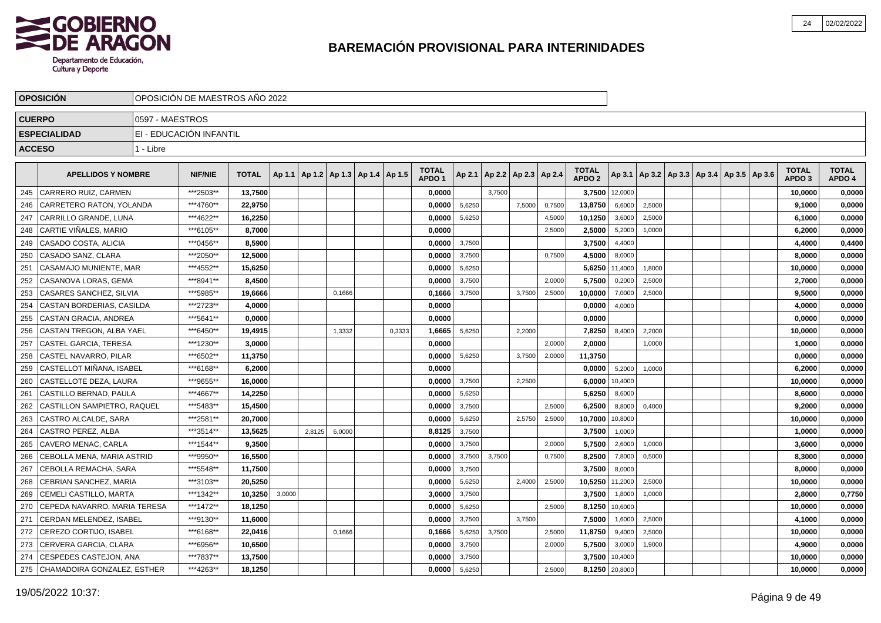

|               | <b>OPOSICION</b>              |                 | OPOSICIÓN DE MAESTROS AÑO 2022 |              |        |        |                                   |        |                                   |        |        |                          |        |                                   |                |        |                                            |  |                                   |                        |
|---------------|-------------------------------|-----------------|--------------------------------|--------------|--------|--------|-----------------------------------|--------|-----------------------------------|--------|--------|--------------------------|--------|-----------------------------------|----------------|--------|--------------------------------------------|--|-----------------------------------|------------------------|
| <b>CUERPO</b> |                               | 0597 - MAESTROS |                                |              |        |        |                                   |        |                                   |        |        |                          |        |                                   |                |        |                                            |  |                                   |                        |
|               | <b>ESPECIALIDAD</b>           |                 | EI - EDUCACIÓN INFANTIL        |              |        |        |                                   |        |                                   |        |        |                          |        |                                   |                |        |                                            |  |                                   |                        |
| <b>ACCESO</b> |                               | 1 - Libre       |                                |              |        |        |                                   |        |                                   |        |        |                          |        |                                   |                |        |                                            |  |                                   |                        |
|               | <b>APELLIDOS Y NOMBRE</b>     |                 | <b>NIF/NIE</b>                 | <b>TOTAL</b> | Ap 1.1 |        | Ap 1.2   Ap 1.3   Ap 1.4   Ap 1.5 |        | <b>TOTAL</b><br>APDO <sub>1</sub> | Ap 2.1 |        | Ap 2.2   Ap 2.3   Ap 2.4 |        | <b>TOTAL</b><br>APDO <sub>2</sub> | Ap 3.1         |        | Ap 3.2   Ap 3.3   Ap 3.4   Ap 3.5   Ap 3.6 |  | <b>TOTAL</b><br>APDO <sub>3</sub> | <b>TOTAL</b><br>APDO 4 |
| 245           | CARRERO RUIZ, CARMEN          |                 | ***2503**                      | 13.7500      |        |        |                                   |        | 0.0000                            |        | 3.7500 |                          |        | 3,7500                            | 12,0000        |        |                                            |  | 10,0000                           | 0,0000                 |
| 246           | CARRETERO RATON, YOLANDA      |                 | ***4760**                      | 22,9750      |        |        |                                   |        | 0,0000                            | 5,6250 |        | 7,5000                   | 0,7500 | 13,8750                           | 6,6000         | 2,5000 |                                            |  | 9,1000                            | 0,0000                 |
| 247           | CARRILLO GRANDE, LUNA         |                 | ***4622**                      | 16,2250      |        |        |                                   |        | 0,0000                            | 5,6250 |        |                          | 4,5000 | 10,1250                           | 3,6000         | 2,5000 |                                            |  | 6,1000                            | 0,0000                 |
| 248           | CARTIE VIÑALES, MARIO         |                 | ***6105**                      | 8,7000       |        |        |                                   |        | 0.0000                            |        |        |                          | 2,5000 | 2,5000                            | 5,2000         | 1,0000 |                                            |  | 6,2000                            | 0,0000                 |
| 249           | CASADO COSTA, ALICIA          |                 | ***0456**                      | 8,5900       |        |        |                                   |        | 0,0000                            | 3,7500 |        |                          |        | 3,7500                            | 4,4000         |        |                                            |  | 4,4000                            | 0,4400                 |
| 250           | CASADO SANZ, CLARA            |                 | ***2050**                      | 12,5000      |        |        |                                   |        | 0,0000                            | 3,7500 |        |                          | 0,7500 | 4,5000                            | 8,0000         |        |                                            |  | 8,0000                            | 0,0000                 |
| 251           | CASAMAJO MUNIENTE, MAR        |                 | ***4552**                      | 15,6250      |        |        |                                   |        | 0,0000                            | 5,6250 |        |                          |        | 5,6250                            | 11,4000        | 1,8000 |                                            |  | 10,0000                           | 0,0000                 |
| 252           | CASANOVA LORAS, GEMA          |                 | ***8941**                      | 8.4500       |        |        |                                   |        | 0.0000                            | 3,7500 |        |                          | 2,0000 | 5,7500                            | 0,2000         | 2,5000 |                                            |  | 2,7000                            | 0,0000                 |
| 253           | CASARES SANCHEZ. SILVIA       |                 | ***5985**                      | 19,6666      |        |        | 0,1666                            |        | 0,1666                            | 3,7500 |        | 3,7500                   | 2,5000 | 10,0000                           | 7,0000         | 2,5000 |                                            |  | 9,5000                            | 0,0000                 |
| 254           | CASTAN BORDERIAS, CASILDA     |                 | ***2723**                      | 4,0000       |        |        |                                   |        | 0,0000                            |        |        |                          |        | 0,0000                            | 4,0000         |        |                                            |  | 4,0000                            | 0,0000                 |
| 255           | CASTAN GRACIA, ANDREA         |                 | ***5641**                      | 0,0000       |        |        |                                   |        | 0,0000                            |        |        |                          |        | 0,0000                            |                |        |                                            |  | 0,0000                            | 0,0000                 |
| 256           | CASTAN TREGON, ALBA YAEL      |                 | ***6450**                      | 19,4915      |        |        | 1,3332                            | 0,3333 | 1,6665                            | 5,6250 |        | 2,2000                   |        | 7,8250                            | 8,4000         | 2,2000 |                                            |  | 10,0000                           | 0,0000                 |
| 257           | CASTEL GARCIA, TERESA         |                 | ***1230**                      | 3,0000       |        |        |                                   |        | 0,0000                            |        |        |                          | 2,0000 | 2,0000                            |                | 1,0000 |                                            |  | 1,0000                            | 0,0000                 |
| 258           | CASTEL NAVARRO, PILAR         |                 | ***6502**                      | 11,3750      |        |        |                                   |        | 0,0000                            | 5,6250 |        | 3,7500                   | 2,0000 | 11,3750                           |                |        |                                            |  | 0,0000                            | 0,0000                 |
| 259           | CASTELLOT MIÑANA. ISABEL      |                 | ***6168**                      | 6.2000       |        |        |                                   |        | 0.0000                            |        |        |                          |        | 0.0000                            | 5,2000         | 1.0000 |                                            |  | 6,2000                            | 0,0000                 |
| 260           | CASTELLOTE DEZA. LAURA        |                 | ***9655**                      | 16,0000      |        |        |                                   |        | 0.0000                            | 3,7500 |        | 2,2500                   |        | 6,0000                            | 10,4000        |        |                                            |  | 10,0000                           | 0,0000                 |
| 261           | CASTILLO BERNAD, PAULA        |                 | ***4667**                      | 14,2250      |        |        |                                   |        | 0.0000                            | 5,6250 |        |                          |        | 5,6250                            | 8,6000         |        |                                            |  | 8,6000                            | 0,0000                 |
| 262           | CASTILLON SAMPIETRO, RAQUEL   |                 | ***5483**                      | 15,4500      |        |        |                                   |        | 0,0000                            | 3,7500 |        |                          | 2,5000 | 6,2500                            | 8,8000         | 0,4000 |                                            |  | 9,2000                            | 0,0000                 |
| 263           | CASTRO ALCALDE, SARA          |                 | ***2581**                      | 20,7000      |        |        |                                   |        | 0,0000                            | 5,6250 |        | 2,5750                   | 2,5000 | 10,7000                           | 10,8000        |        |                                            |  | 10,0000                           | 0,0000                 |
| 264           | CASTRO PEREZ, ALBA            |                 | ***3514**                      | 13,5625      |        | 2,8125 | 6,0000                            |        | 8,8125                            | 3,7500 |        |                          |        | 3,7500                            | 1,0000         |        |                                            |  | 1,0000                            | 0,0000                 |
| 265           | CAVERO MENAC, CARLA           |                 | ***1544**                      | 9,3500       |        |        |                                   |        | 0,0000                            | 3,7500 |        |                          | 2,0000 | 5,7500                            | 2,6000         | 1,0000 |                                            |  | 3,6000                            | 0,0000                 |
| 266           | CEBOLLA MENA, MARIA ASTRID    |                 | ***9950**                      | 16.5500      |        |        |                                   |        | 0.0000                            | 3,7500 | 3,7500 |                          | 0,7500 | 8,2500                            | 7,8000         | 0,5000 |                                            |  | 8,3000                            | 0,0000                 |
| 267           | CEBOLLA REMACHA, SARA         |                 | ***5548**                      | 11,7500      |        |        |                                   |        | 0.0000                            | 3,7500 |        |                          |        | 3,7500                            | 8,0000         |        |                                            |  | 8,0000                            | 0,0000                 |
| 268           | CEBRIAN SANCHEZ, MARIA        |                 | ***3103**                      | 20.5250      |        |        |                                   |        | 0,0000                            | 5,6250 |        | 2,4000                   | 2,5000 | 10,5250                           | 11,2000        | 2,5000 |                                            |  | 10,0000                           | 0,0000                 |
| 269           | <b>CEMELI CASTILLO, MARTA</b> |                 | ***1342**                      | 10,3250      | 3,0000 |        |                                   |        | 3,0000                            | 3,7500 |        |                          |        | 3,7500                            | 1,8000         | 1,0000 |                                            |  | 2,8000                            | 0,7750                 |
| 270           | CEPEDA NAVARRO, MARIA TERESA  |                 | ***1472**                      | 18,1250      |        |        |                                   |        | 0,0000                            | 5,6250 |        |                          | 2,5000 | 8,1250                            | 10,6000        |        |                                            |  | 10,0000                           | 0,0000                 |
| 271           | CERDAN MELENDEZ, ISABEL       |                 | ***9130**                      | 11,6000      |        |        |                                   |        | 0,0000                            | 3,7500 |        | 3,7500                   |        | 7,5000                            | 1,6000         | 2,5000 |                                            |  | 4,1000                            | 0,0000                 |
| 272           | CEREZO CORTIJO, ISABEL        |                 | ***6168**                      | 22,0416      |        |        | 0,1666                            |        | 0,1666                            | 5,6250 | 3,7500 |                          | 2,5000 | 11,8750                           | 9,4000         | 2,5000 |                                            |  | 10,0000                           | 0,0000                 |
| 273           | CERVERA GARCIA, CLARA         |                 | ***6956**                      | 10.6500      |        |        |                                   |        | 0,0000                            | 3,7500 |        |                          | 2,0000 | 5,7500                            | 3,0000         | 1,9000 |                                            |  | 4.9000                            | 0,0000                 |
| 274           | CESPEDES CASTEJON, ANA        |                 | ***7837**                      | 13,7500      |        |        |                                   |        | 0,0000                            | 3,7500 |        |                          |        | 3,7500                            | 10,4000        |        |                                            |  | 10,0000                           | 0,0000                 |
| 275           | CHAMADOIRA GONZALEZ. ESTHER   |                 | ***4263**                      | 18,1250      |        |        |                                   |        | 0,0000                            | 5,6250 |        |                          | 2,5000 |                                   | 8,1250 20,8000 |        |                                            |  | 10,0000                           | 0,0000                 |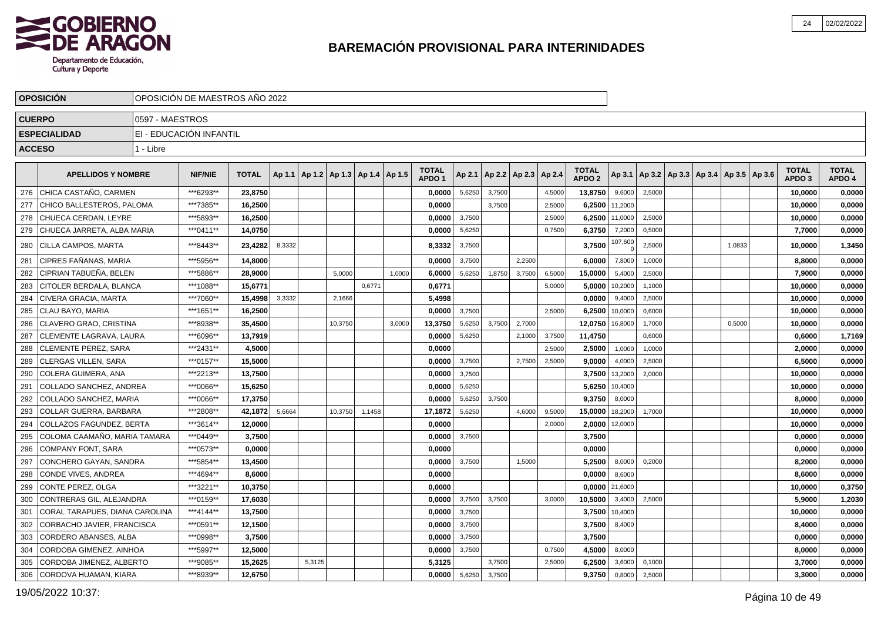

|               | <b>OPOSICION</b>               | OPOSICIÓN DE MAESTROS AÑO 2022 |                         |              |        |        |                                   |        |        |                                   |        |        |                          |        |                                   |         |        |                                            |        |                                   |                        |
|---------------|--------------------------------|--------------------------------|-------------------------|--------------|--------|--------|-----------------------------------|--------|--------|-----------------------------------|--------|--------|--------------------------|--------|-----------------------------------|---------|--------|--------------------------------------------|--------|-----------------------------------|------------------------|
| <b>CUERPO</b> |                                | 0597 - MAESTROS                |                         |              |        |        |                                   |        |        |                                   |        |        |                          |        |                                   |         |        |                                            |        |                                   |                        |
|               | <b>ESPECIALIDAD</b>            |                                | EI - EDUCACIÓN INFANTIL |              |        |        |                                   |        |        |                                   |        |        |                          |        |                                   |         |        |                                            |        |                                   |                        |
| <b>ACCESO</b> |                                | 1 - Libre                      |                         |              |        |        |                                   |        |        |                                   |        |        |                          |        |                                   |         |        |                                            |        |                                   |                        |
|               |                                |                                |                         |              |        |        |                                   |        |        |                                   |        |        |                          |        |                                   |         |        |                                            |        |                                   |                        |
|               | <b>APELLIDOS Y NOMBRE</b>      |                                | <b>NIF/NIE</b>          | <b>TOTAL</b> | Ap 1.1 |        | Ap 1.2   Ap 1.3   Ap 1.4   Ap 1.5 |        |        | <b>TOTAL</b><br>APDO <sub>1</sub> | Ap 2.1 |        | Ap 2.2   Ap 2.3   Ap 2.4 |        | <b>TOTAL</b><br>APDO <sub>2</sub> | Ap 3.1  |        | Ap 3.2   Ap 3.3   Ap 3.4   Ap 3.5   Ap 3.6 |        | <b>TOTAL</b><br>APDO <sub>3</sub> | <b>TOTAL</b><br>APDO 4 |
| 276           | I CHICA CASTAÑO. CARMEN        |                                | ***6293**               | 23,8750      |        |        |                                   |        |        | 0,0000                            | 5,6250 | 3,7500 |                          | 4,5000 | 13,8750                           | 9,6000  | 2,5000 |                                            |        | 10,0000                           | 0,0000                 |
| 277           | CHICO BALLESTEROS, PALOMA      |                                | ***7385**               | 16,2500      |        |        |                                   |        |        | 0,0000                            |        | 3,7500 |                          | 2,5000 | 6,2500                            | 11,2000 |        |                                            |        | 10,0000                           | 0,0000                 |
| 278           | CHUECA CERDAN, LEYRE           |                                | ***5893**               | 16,2500      |        |        |                                   |        |        | 0,0000                            | 3,7500 |        |                          | 2,5000 | 6,2500                            | 11,0000 | 2,5000 |                                            |        | 10,0000                           | 0,0000                 |
| 279           | CHUECA JARRETA, ALBA MARIA     |                                | *** 0411**              | 14,0750      |        |        |                                   |        |        | 0,0000                            | 5,6250 |        |                          | 0,7500 | 6,3750                            | 7,2000  | 0,5000 |                                            |        | 7,7000                            | 0,0000                 |
| 280           | CILLA CAMPOS, MARTA            |                                | ***8443**               | 23.4282      | 8,3332 |        |                                   |        |        | 8.3332                            | 3,7500 |        |                          |        | 3.7500                            | 107,600 | 2,5000 |                                            | 1,0833 | 10,0000                           | 1,3450                 |
| 281           | CIPRES FAÑANAS, MARIA          |                                | ***5956**               | 14,8000      |        |        |                                   |        |        | 0,0000                            | 3,7500 |        | 2,2500                   |        | 6,0000                            | 7,8000  | 1,0000 |                                            |        | 8,8000                            | 0,0000                 |
| 282           | CIPRIAN TABUEÑA, BELEN         |                                | ***5886**               | 28,9000      |        |        | 5,0000                            |        | 1,0000 | 6,0000                            | 5,6250 | 1,8750 | 3,7500                   | 6,5000 | 15,0000                           | 5,4000  | 2,5000 |                                            |        | 7,9000                            | 0,0000                 |
| 283           | CITOLER BERDALA, BLANCA        |                                | ***1088**               | 15.6771      |        |        |                                   | 0,6771 |        | 0,6771                            |        |        |                          | 5,0000 | 5,0000                            | 10,2000 | 1,1000 |                                            |        | 10,0000                           | 0,0000                 |
| 284           | CIVERA GRACIA, MARTA           |                                | ***7060**               | 15,4998      | 3,3332 |        | 2,1666                            |        |        | 5,4998                            |        |        |                          |        | 0,0000                            | 9.4000  | 2,5000 |                                            |        | 10,0000                           | 0,0000                 |
| 285           | CLAU BAYO, MARIA               |                                | ***1651**               | 16,2500      |        |        |                                   |        |        | 0,0000                            | 3,7500 |        |                          | 2,5000 | 6,2500                            | 10,0000 | 0,6000 |                                            |        | 10,0000                           | 0,0000                 |
| 286           | CLAVERO GRAO, CRISTINA         |                                | ***8938**               | 35,4500      |        |        | 10,3750                           |        | 3,0000 | 13,3750                           | 5,6250 | 3,7500 | 2,7000                   |        | 12,0750                           | 16,8000 | 1,7000 |                                            | 0,5000 | 10,0000                           | 0,0000                 |
| 287           | CLEMENTE LAGRAVA, LAURA        |                                | ***6096**               | 13,7919      |        |        |                                   |        |        | 0,0000                            | 5,6250 |        | 2,1000                   | 3,7500 | 11,4750                           |         | 0,6000 |                                            |        | 0,6000                            | 1,7169                 |
| 288           | <b>CLEMENTE PEREZ, SARA</b>    |                                | ***2431**               | 4,5000       |        |        |                                   |        |        | 0.0000                            |        |        |                          | 2,5000 | 2,5000                            | 1,0000  | 1,0000 |                                            |        | 2,0000                            | 0,0000                 |
| 289           | CLERGAS VILLEN, SARA           |                                | ***0157**               | 15,5000      |        |        |                                   |        |        | 0,0000                            | 3,7500 |        | 2,7500                   | 2,5000 | 9,0000                            | 4,0000  | 2,5000 |                                            |        | 6,5000                            | 0,0000                 |
| 290           | COLERA GUIMERA, ANA            |                                | ***2213**               | 13,7500      |        |        |                                   |        |        | 0,0000                            | 3,7500 |        |                          |        | 3,7500                            | 13,2000 | 2,0000 |                                            |        | 10,0000                           | 0,0000                 |
| 291           | COLLADO SANCHEZ, ANDREA        |                                | ***0066**               | 15,6250      |        |        |                                   |        |        | 0,0000                            | 5,6250 |        |                          |        | 5,6250                            | 10,4000 |        |                                            |        | 10,0000                           | 0,0000                 |
| 292           | COLLADO SANCHEZ, MARIA         |                                | ***0066**               | 17,3750      |        |        |                                   |        |        | 0,0000                            | 5,6250 | 3.7500 |                          |        | 9,3750                            | 8,0000  |        |                                            |        | 8,0000                            | 0,0000                 |
| 293           | <b>COLLAR GUERRA, BARBARA</b>  |                                | ***2808**               | 42,1872      | 5,6664 |        | 10,3750                           | 1.1458 |        | 17,1872                           | 5,6250 |        | 4,6000                   | 9,5000 | 15,0000                           | 18,2000 | 1,7000 |                                            |        | 10,0000                           | 0,0000                 |
| 294           | COLLAZOS FAGUNDEZ, BERTA       |                                | ***3614**               | 12,0000      |        |        |                                   |        |        | 0,0000                            |        |        |                          | 2,0000 | 2,0000                            | 12,0000 |        |                                            |        | 10,0000                           | 0,0000                 |
| 295           | COLOMA CAAMAÑO, MARIA TAMARA   |                                | ***0449**               | 3,7500       |        |        |                                   |        |        | 0,0000                            | 3,7500 |        |                          |        | 3,7500                            |         |        |                                            |        | 0,0000                            | 0,0000                 |
| 296           | <b>COMPANY FONT, SARA</b>      |                                | ***0573**               | 0.0000       |        |        |                                   |        |        | 0,0000                            |        |        |                          |        | 0,0000                            |         |        |                                            |        | 0,0000                            | 0,0000                 |
| 297           | CONCHERO GAYAN, SANDRA         |                                | ***5854**               | 13,4500      |        |        |                                   |        |        | 0.0000                            | 3,7500 |        | 1,5000                   |        | 5,2500                            | 8,0000  | 0,2000 |                                            |        | 8,2000                            | 0,0000                 |
| 298           | CONDE VIVES, ANDREA            |                                | ***4694**               | 8.6000       |        |        |                                   |        |        | 0,0000                            |        |        |                          |        | 0,0000                            | 8,6000  |        |                                            |        | 8,6000                            | 0,0000                 |
| 299           | CONTE PEREZ, OLGA              |                                | ***3221**               | 10,3750      |        |        |                                   |        |        | 0,0000                            |        |        |                          |        | 0,0000                            | 21,6000 |        |                                            |        | 10,0000                           | 0,3750                 |
| 300           | CONTRERAS GIL, ALEJANDRA       |                                | ***0159**               | 17,6030      |        |        |                                   |        |        | 0,0000                            | 3,7500 | 3,7500 |                          | 3,0000 | 10,5000                           | 3,4000  | 2,5000 |                                            |        | 5,9000                            | 1,2030                 |
| 301           | CORAL TARAPUES, DIANA CAROLINA |                                | ***4144**               | 13,7500      |        |        |                                   |        |        | 0,0000                            | 3,7500 |        |                          |        | 3,7500                            | 10,4000 |        |                                            |        | 10,0000                           | 0,0000                 |
| 302           | CORBACHO JAVIER, FRANCISCA     |                                | ***0591**               | 12,1500      |        |        |                                   |        |        | 0,0000                            | 3,7500 |        |                          |        | 3,7500                            | 8,4000  |        |                                            |        | 8,4000                            | 0,0000                 |
| 303           | <b>CORDERO ABANSES, ALBA</b>   |                                | ***0998**               | 3,7500       |        |        |                                   |        |        | 0.0000                            | 3,7500 |        |                          |        | 3,7500                            |         |        |                                            |        | 0,0000                            | 0,0000                 |
| 304           | CORDOBA GIMENEZ, AINHOA        |                                | ***5997**               | 12,5000      |        |        |                                   |        |        | 0,0000                            | 3,7500 |        |                          | 0,7500 | 4,5000                            | 8,0000  |        |                                            |        | 8,0000                            | 0,0000                 |
| 305           | CORDOBA JIMENEZ, ALBERTO       |                                | ***9085**               | 15,2625      |        | 5,3125 |                                   |        |        | 5,3125                            |        | 3,7500 |                          | 2,5000 | 6,2500                            | 3,6000  | 0,1000 |                                            |        | 3,7000                            | 0,0000                 |
| 306           | CORDOVA HUAMAN, KIARA          |                                | ***8939**               | 12,6750      |        |        |                                   |        |        | 0,0000                            | 5,6250 | 3,7500 |                          |        | 9,3750                            | 0,8000  | 2,5000 |                                            |        | 3,3000                            | 0,0000                 |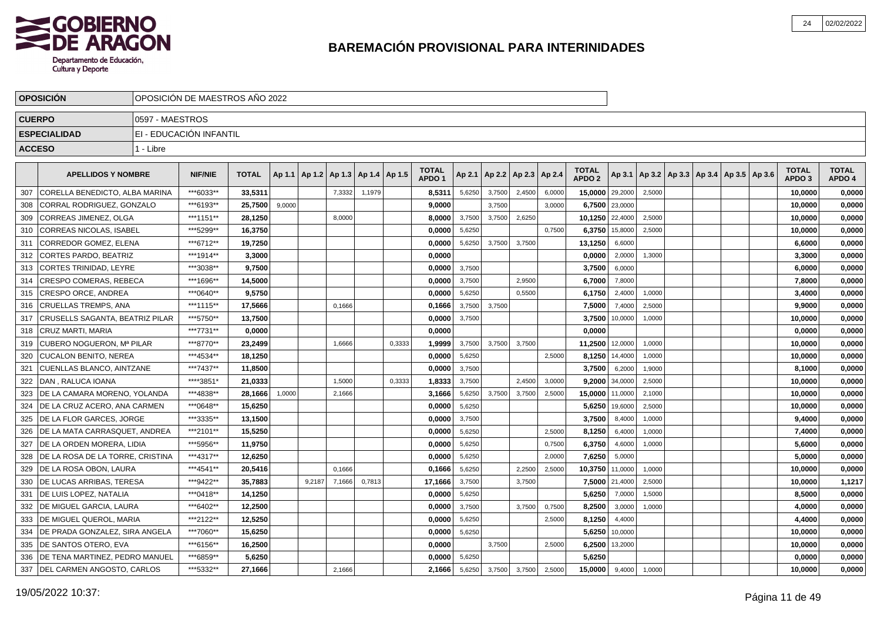

|               | <b>OPOSICION</b>                     |                 | OPOSICION DE MAESTROS ANO 2022 |              |        |        |        |        |        |                                   |        |                 |        |        |                                   |                 |        |                                                     |  |                                   |                        |
|---------------|--------------------------------------|-----------------|--------------------------------|--------------|--------|--------|--------|--------|--------|-----------------------------------|--------|-----------------|--------|--------|-----------------------------------|-----------------|--------|-----------------------------------------------------|--|-----------------------------------|------------------------|
| <b>CUERPO</b> |                                      | 0597 - MAESTROS |                                |              |        |        |        |        |        |                                   |        |                 |        |        |                                   |                 |        |                                                     |  |                                   |                        |
|               | <b>ESPECIALIDAD</b>                  |                 | EI - EDUCACIÓN INFANTIL        |              |        |        |        |        |        |                                   |        |                 |        |        |                                   |                 |        |                                                     |  |                                   |                        |
| <b>ACCESO</b> |                                      | 1 - Libre       |                                |              |        |        |        |        |        |                                   |        |                 |        |        |                                   |                 |        |                                                     |  |                                   |                        |
|               |                                      |                 |                                |              |        |        |        |        |        |                                   |        |                 |        |        |                                   |                 |        |                                                     |  |                                   |                        |
|               | <b>APELLIDOS Y NOMBRE</b>            |                 | <b>NIF/NIE</b>                 | <b>TOTAL</b> | Ap 1.1 | Ap 1.2 | Ap 1.3 | Ap 1.4 | Ap 1.5 | <b>TOTAL</b><br>APDO <sub>1</sub> | Ap 2.1 | Ap 2.2   Ap 2.3 |        | Ap 2.4 | <b>TOTAL</b><br>APDO <sub>2</sub> |                 |        | Ap 3.1   Ap 3.2   Ap 3.3   Ap 3.4   Ap 3.5   Ap 3.6 |  | <b>TOTAL</b><br>APDO <sub>3</sub> | <b>TOTAL</b><br>APDO 4 |
| 307           | CORELLA BENEDICTO. ALBA MARINA       |                 | ***6033**                      | 33.5311      |        |        | 7,3332 | 1,1979 |        | 8,5311                            | 5,6250 | 3,7500          | 2,4500 | 6,0000 | 15,0000 29,2000                   |                 | 2,5000 |                                                     |  | 10,0000                           | 0,0000                 |
| 308           | CORRAL RODRIGUEZ, GONZALO            |                 | ***6193**                      | 25.7500      | 9,0000 |        |        |        |        | 9.0000                            |        | 3,7500          |        | 3.0000 |                                   | 6,7500 23,0000  |        |                                                     |  | 10,0000                           | 0,0000                 |
| 309           | CORREAS JIMENEZ, OLGA                |                 | ***1151**                      | 28,1250      |        |        | 8,0000 |        |        | 8.0000                            | 3,7500 | 3,7500          | 2,6250 |        |                                   | 10,1250 22,4000 | 2,5000 |                                                     |  | 10,0000                           | 0,0000                 |
| 310           | <b>CORREAS NICOLAS, ISABEL</b>       |                 | ***5299**                      | 16,3750      |        |        |        |        |        | 0.0000                            | 5,6250 |                 |        | 0.7500 | 6,3750                            | 15,8000         | 2,5000 |                                                     |  | 10,0000                           | 0,0000                 |
| 311           | CORREDOR GOMEZ, ELENA                |                 | ***6712**                      | 19,7250      |        |        |        |        |        | 0,0000                            | 5,6250 | 3,7500          | 3,7500 |        | 13,1250                           | 6,6000          |        |                                                     |  | 6,6000                            | 0,0000                 |
| 312           | CORTES PARDO, BEATRIZ                |                 | ***1914**                      | 3,3000       |        |        |        |        |        | 0,0000                            |        |                 |        |        | 0,0000                            | 2,0000          | 1,3000 |                                                     |  | 3,3000                            | 0,0000                 |
| 313           | CORTES TRINIDAD, LEYRE               |                 | ***3038**                      | 9,7500       |        |        |        |        |        | 0,0000                            | 3,7500 |                 |        |        | 3,7500                            | 6,0000          |        |                                                     |  | 6,0000                            | 0,0000                 |
| 314           | CRESPO COMERAS. REBECA               |                 | ***1696**                      | 14,5000      |        |        |        |        |        | 0.0000                            | 3,7500 |                 | 2.9500 |        | 6,7000                            | 7,8000          |        |                                                     |  | 7,8000                            | 0,0000                 |
| 315           | <b>CRESPO ORCE. ANDREA</b>           |                 | ***0640**                      | 9.5750       |        |        |        |        |        | 0.0000                            | 5,6250 |                 | 0,5500 |        | 6,1750                            | 2,4000          | 1,0000 |                                                     |  | 3,4000                            | 0,0000                 |
| 316           | CRUELLAS TREMPS. ANA                 |                 | ***1115**                      | 17,5666      |        |        | 0,1666 |        |        | 0,1666                            | 3,7500 | 3,7500          |        |        | 7,5000                            | 7,4000          | 2,5000 |                                                     |  | 9,9000                            | 0,0000                 |
| 317           | CRUSELLS SAGANTA, BEATRIZ PILAR      |                 | ***5750**                      | 13,7500      |        |        |        |        |        | 0,0000                            | 3,7500 |                 |        |        | 3,7500                            | 10,0000         | 1,0000 |                                                     |  | 10,0000                           | 0,0000                 |
| 318           | <b>ICRUZ MARTI, MARIA</b>            |                 | ***7731**                      | 0.0000       |        |        |        |        |        | 0.0000                            |        |                 |        |        | 0,0000                            |                 |        |                                                     |  | 0,0000                            | 0,0000                 |
| 319           | CUBERO NOGUERON, Mª PILAR            |                 | ***8770**                      | 23,2499      |        |        | 1,6666 |        | 0,3333 | 1,9999                            | 3,7500 | 3,7500          | 3,7500 |        | 11,2500 12,0000                   |                 | 1,0000 |                                                     |  | 10,0000                           | 0,0000                 |
| 320           | <b>CUCALON BENITO, NEREA</b>         |                 | ***4534**                      | 18,1250      |        |        |        |        |        | 0,0000                            | 5,6250 |                 |        | 2,5000 | 8,1250                            | 14,4000         | 1,0000 |                                                     |  | 10,0000                           | 0,0000                 |
| 321           | <b>CUENLLAS BLANCO, AINTZANE</b>     |                 | ***7437**                      | 11.8500      |        |        |        |        |        | 0.0000                            | 3,7500 |                 |        |        | 3,7500                            | 6,2000          | 1,9000 |                                                     |  | 8,1000                            | 0,0000                 |
| 322           | DAN . RALUCA IOANA                   |                 | ****3851*                      | 21.0333      |        |        | 1,5000 |        | 0.3333 | 1.8333                            | 3,7500 |                 | 2.4500 | 3,0000 | 9.2000                            | 34,0000         | 2,5000 |                                                     |  | 10.0000                           | 0,0000                 |
| 323           | <b>IDE LA CAMARA MORENO, YOLANDA</b> |                 | ***4838**                      | 28.1666      | 1,0000 |        | 2,1666 |        |        | 3,1666                            | 5,6250 | 3.7500          | 3,7500 | 2,5000 | 15,0000                           | 11,0000         | 2,1000 |                                                     |  | 10,0000                           | 0,0000                 |
| 324           | DE LA CRUZ ACERO, ANA CARMEN         |                 | ***0648**                      | 15,6250      |        |        |        |        |        | 0,0000                            | 5,6250 |                 |        |        | 5,6250                            | 19,6000         | 2,5000 |                                                     |  | 10,0000                           | 0,0000                 |
| 325           | DE LA FLOR GARCES, JORGE             |                 | ***3335**                      | 13,1500      |        |        |        |        |        | 0,0000                            | 3,7500 |                 |        |        | 3,7500                            | 8,4000          | 1,0000 |                                                     |  | 9,4000                            | 0,0000                 |
| 326           | DE LA MATA CARRASQUET, ANDREA        |                 | ***2101**                      | 15,5250      |        |        |        |        |        | 0,0000                            | 5,6250 |                 |        | 2,5000 | 8,1250                            | 6,4000          | 1,0000 |                                                     |  | 7,4000                            | 0,0000                 |
| 327           | DE LA ORDEN MORERA, LIDIA            |                 | ***5956**                      | 11,9750      |        |        |        |        |        | 0,0000                            | 5,6250 |                 |        | 0,7500 | 6,3750                            | 4,6000          | 1,0000 |                                                     |  | 5,6000                            | 0,0000                 |
| 328           | I DE LA ROSA DE LA TORRE. CRISTINA   |                 | ***4317**                      | 12,6250      |        |        |        |        |        | 0.0000                            | 5,6250 |                 |        | 2.0000 | 7,6250                            | 5,0000          |        |                                                     |  | 5,0000                            | 0,0000                 |
| 329           | DE LA ROSA OBON, LAURA               |                 | ***4541**                      | 20,5416      |        |        | 0.1666 |        |        | 0,1666                            | 5,6250 |                 | 2,2500 | 2,5000 | 10,3750                           | 11,0000         | 1,0000 |                                                     |  | 10,0000                           | 0,0000                 |
| 330           | DE LUCAS ARRIBAS, TERESA             |                 | ***9422**                      | 35,7883      |        | 9,2187 | 7,1666 | 0,7813 |        | 17,1666                           | 3,7500 |                 | 3,7500 |        |                                   | 7,5000 21,4000  | 2,5000 |                                                     |  | 10,0000                           | 1,1217                 |
| 331           | <b>DE LUIS LOPEZ, NATALIA</b>        |                 | ***0418**                      | 14,1250      |        |        |        |        |        | 0,0000                            | 5,6250 |                 |        |        | 5,6250                            | 7,0000          | 1,5000 |                                                     |  | 8,5000                            | 0,0000                 |
| 332           | DE MIGUEL GARCIA, LAURA              |                 | ***6402**                      | 12,2500      |        |        |        |        |        | 0,0000                            | 3,7500 |                 | 3,7500 | 0,7500 | 8,2500                            | 3,0000          | 1,0000 |                                                     |  | 4,0000                            | 0,0000                 |
| 333           | DE MIGUEL QUEROL, MARIA              |                 | ***2122**                      | 12,5250      |        |        |        |        |        | 0,0000                            | 5,6250 |                 |        | 2,5000 | 8,1250                            | 4,4000          |        |                                                     |  | 4,4000                            | 0,0000                 |
| 334           | DE PRADA GONZALEZ, SIRA ANGELA       |                 | ***7060**                      | 15,6250      |        |        |        |        |        | 0,0000                            | 5,6250 |                 |        |        |                                   | 5,6250 10,0000  |        |                                                     |  | 10,0000                           | 0,0000                 |
| 335           | <b>IDE SANTOS OTERO, EVA</b>         |                 | ***6156**                      | 16,2500      |        |        |        |        |        | 0,0000                            |        | 3,7500          |        | 2.5000 |                                   | 6,2500 13,2000  |        |                                                     |  | 10,0000                           | 0,0000                 |
| 336           | DE TENA MARTINEZ, PEDRO MANUEL       |                 | ***6859**                      | 5.6250       |        |        |        |        |        | 0.0000                            | 5,6250 |                 |        |        | 5,6250                            |                 |        |                                                     |  | 0,0000                            | 0,0000                 |
|               | 337   DEL CARMEN ANGOSTO, CARLOS     |                 | ***5332**                      | 27,1666      |        |        | 2,1666 |        |        | 2,1666                            | 5,6250 | 3,7500          | 3,7500 | 2,5000 | 15,0000                           | 9,4000          | 1,0000 |                                                     |  | 10,0000                           | 0,0000                 |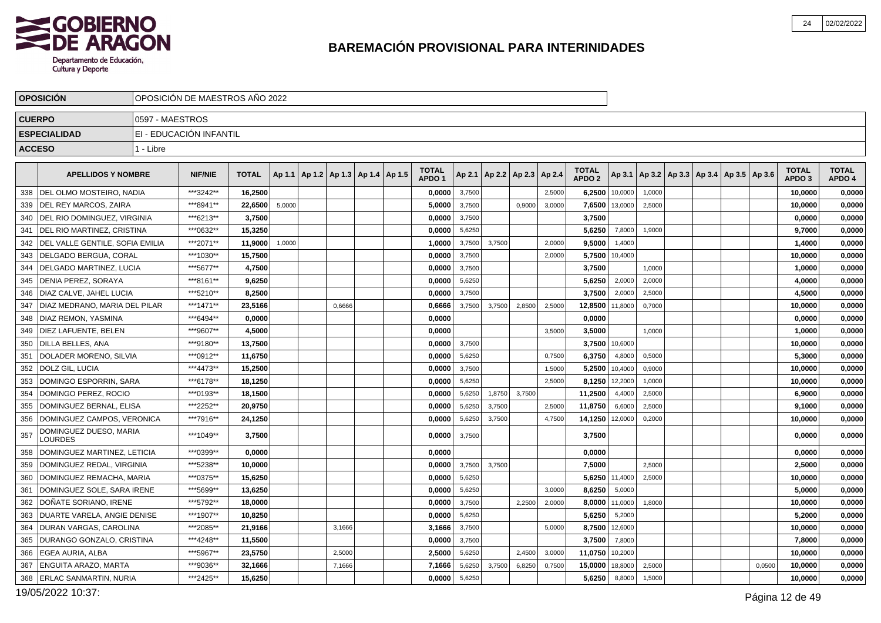

|     | <b>OPOSICION</b>                   |                 | OPOSICIÓN DE MAESTROS AÑO 2022 |              |        |                                            |        |  |                                   |        |        |                                   |        |                                   |         |                                            |  |        |                                   |                        |
|-----|------------------------------------|-----------------|--------------------------------|--------------|--------|--------------------------------------------|--------|--|-----------------------------------|--------|--------|-----------------------------------|--------|-----------------------------------|---------|--------------------------------------------|--|--------|-----------------------------------|------------------------|
|     | <b>CUERPO</b>                      | 0597 - MAESTROS |                                |              |        |                                            |        |  |                                   |        |        |                                   |        |                                   |         |                                            |  |        |                                   |                        |
|     | <b>ESPECIALIDAD</b>                |                 | EI - EDUCACIÓN INFANTIL        |              |        |                                            |        |  |                                   |        |        |                                   |        |                                   |         |                                            |  |        |                                   |                        |
|     | <b>ACCESO</b>                      | 1 - Libre       |                                |              |        |                                            |        |  |                                   |        |        |                                   |        |                                   |         |                                            |  |        |                                   |                        |
|     | <b>APELLIDOS Y NOMBRE</b>          |                 | <b>NIF/NIE</b>                 | <b>TOTAL</b> |        | Ap 1.1   Ap 1.2   Ap 1.3   Ap 1.4   Ap 1.5 |        |  | <b>TOTAL</b><br>APDO <sub>1</sub> |        |        | Ap 2.1   Ap 2.2   Ap 2.3   Ap 2.4 |        | <b>TOTAL</b><br>APDO <sub>2</sub> | Ap 3.1  | Ap 3.2   Ap 3.3   Ap 3.4   Ap 3.5   Ap 3.6 |  |        | <b>TOTAL</b><br>APDO <sub>3</sub> | <b>TOTAL</b><br>APDO 4 |
| 338 | <b>IDEL OLMO MOSTEIRO, NADIA</b>   |                 | ***3242**                      | 16,2500      |        |                                            |        |  | 0,0000                            | 3,7500 |        |                                   | 2,5000 | 6,2500                            | 10,0000 | 1,0000                                     |  |        | 10,0000                           | 0,0000                 |
| 339 | <b>IDEL REY MARCOS, ZAIRA</b>      |                 | ***8941**                      | 22.6500      | 5,0000 |                                            |        |  | 5.0000                            | 3,7500 |        | 0,9000                            | 3,0000 | 7,6500                            | 13,0000 | 2,5000                                     |  |        | 10.0000                           | 0,0000                 |
| 340 | DEL RIO DOMINGUEZ, VIRGINIA        |                 | ***6213**                      | 3,7500       |        |                                            |        |  | 0,0000                            | 3,7500 |        |                                   |        | 3,7500                            |         |                                            |  |        | 0,0000                            | 0,0000                 |
| 341 | <b>IDEL RIO MARTINEZ, CRISTINA</b> |                 | ***0632**                      | 15.3250      |        |                                            |        |  | 0,0000                            | 5,6250 |        |                                   |        | 5,6250                            | 7,8000  | 1,9000                                     |  |        | 9.7000                            | 0,0000                 |
| 342 | DEL VALLE GENTILE, SOFIA EMILIA    |                 | ***2071**                      | 11,9000      | 1,0000 |                                            |        |  | 1,0000                            | 3,7500 | 3,7500 |                                   | 2,0000 | 9,5000                            | 1,4000  |                                            |  |        | 1,4000                            | 0,0000                 |
| 343 | <b>IDELGADO BERGUA, CORAL</b>      |                 | ***1030**                      | 15,7500      |        |                                            |        |  | 0,0000                            | 3,7500 |        |                                   | 2,0000 | 5,7500                            | 10,4000 |                                            |  |        | 10,0000                           | 0,0000                 |
| 344 | <b>IDELGADO MARTINEZ. LUCIA</b>    |                 | ***5677**                      | 4.7500       |        |                                            |        |  | 0.0000                            | 3,7500 |        |                                   |        | 3,7500                            |         | 1,0000                                     |  |        | 1,0000                            | 0,0000                 |
| 345 | DENIA PEREZ, SORAYA                |                 | ***8161**                      | 9,6250       |        |                                            |        |  | 0,0000                            | 5,6250 |        |                                   |        | 5,6250                            | 2,0000  | 2,0000                                     |  |        | 4,0000                            | 0,0000                 |
| 346 | <b>IDIAZ CALVE. JAHEL LUCIA</b>    |                 | ***5210**                      | 8,2500       |        |                                            |        |  | 0,0000                            | 3,7500 |        |                                   |        | 3,7500                            | 2,0000  | 2,5000                                     |  |        | 4,5000                            | 0,0000                 |
| 347 | DIAZ MEDRANO, MARIA DEL PILAR      |                 | ***1471**                      | 23,5166      |        |                                            | 0,6666 |  | 0,6666                            | 3,7500 | 3,7500 | 2,8500                            | 2,5000 | 12,8500                           | 11,8000 | 0,7000                                     |  |        | 10,0000                           | 0,0000                 |
| 348 | <b>DIAZ REMON, YASMINA</b>         |                 | ***6494**                      | 0,0000       |        |                                            |        |  | 0,0000                            |        |        |                                   |        | 0,0000                            |         |                                            |  |        | 0,0000                            | 0,0000                 |
| 349 | <b>IDIEZ LAFUENTE. BELEN</b>       |                 | ***9607**                      | 4.5000       |        |                                            |        |  | 0.0000                            |        |        |                                   | 3,5000 | 3.5000                            |         | 1.0000                                     |  |        | 1.0000                            | 0,0000                 |
| 350 | <b>DILLA BELLES, ANA</b>           |                 | ***9180**                      | 13,7500      |        |                                            |        |  | 0,0000                            | 3,7500 |        |                                   |        | 3,7500                            | 10,6000 |                                            |  |        | 10,0000                           | 0,0000                 |
| 351 | DOLADER MORENO, SILVIA             |                 | ***0912**                      | 11,6750      |        |                                            |        |  | 0,0000                            | 5,6250 |        |                                   | 0,7500 | 6,3750                            | 4,8000  | 0,5000                                     |  |        | 5,3000                            | 0,0000                 |
| 352 | DOLZ GIL, LUCIA                    |                 | ***4473**                      | 15,2500      |        |                                            |        |  | 0,0000                            | 3,7500 |        |                                   | 1,5000 | 5,2500                            | 10,4000 | 0,9000                                     |  |        | 10,0000                           | 0,0000                 |
| 353 | DOMINGO ESPORRIN, SARA             |                 | ***6178**                      | 18,1250      |        |                                            |        |  | 0,0000                            | 5,6250 |        |                                   | 2,5000 | 8,1250                            | 12,2000 | 1,0000                                     |  |        | 10,0000                           | 0,0000                 |
| 354 | DOMINGO PEREZ, ROCIO               |                 | ***0193**                      | 18,1500      |        |                                            |        |  | 0,0000                            | 5,6250 | 1,8750 | 3.7500                            |        | 11,2500                           | 4.4000  | 2,5000                                     |  |        | 6,9000                            | 0,0000                 |
| 355 | DOMINGUEZ BERNAL. ELISA            |                 | ***2252**                      | 20,9750      |        |                                            |        |  | 0,0000                            | 5,6250 | 3,7500 |                                   | 2,5000 | 11,8750                           | 6,6000  | 2,5000                                     |  |        | 9,1000                            | 0,0000                 |
| 356 | DOMINGUEZ CAMPOS, VERONICA         |                 | ***7916**                      | 24,1250      |        |                                            |        |  | 0,0000                            | 5,6250 | 3,7500 |                                   | 4,7500 | 14,1250                           | 12,0000 | 0,2000                                     |  |        | 10,0000                           | 0,0000                 |
| 357 | DOMINGUEZ DUESO, MARIA<br>LOURDES  |                 | ***1049**                      | 3,7500       |        |                                            |        |  | 0,0000                            | 3,7500 |        |                                   |        | 3,7500                            |         |                                            |  |        | 0.0000                            | 0,0000                 |
| 358 | DOMINGUEZ MARTINEZ. LETICIA        |                 | ***0399**                      | 0,0000       |        |                                            |        |  | 0,0000                            |        |        |                                   |        | 0,0000                            |         |                                            |  |        | 0,0000                            | 0,0000                 |
| 359 | DOMINGUEZ REDAL. VIRGINIA          |                 | ***5238**                      | 10.0000      |        |                                            |        |  | 0.0000                            | 3,7500 | 3.7500 |                                   |        | 7.5000                            |         | 2.5000                                     |  |        | 2.5000                            | 0,0000                 |
| 360 | DOMINGUEZ REMACHA, MARIA           |                 | ***0375**                      | 15,6250      |        |                                            |        |  | 0,0000                            | 5,6250 |        |                                   |        | 5,6250                            | 11,4000 | 2,5000                                     |  |        | 10,0000                           | 0,0000                 |
| 361 | DOMINGUEZ SOLE, SARA IRENE         |                 | ***5699**                      | 13,6250      |        |                                            |        |  | 0,0000                            | 5,6250 |        |                                   | 3,0000 | 8,6250                            | 5,0000  |                                            |  |        | 5,0000                            | 0,0000                 |
| 362 | DOÑATE SORIANO, IRENE              |                 | ***5792**                      | 18,0000      |        |                                            |        |  | 0,0000                            | 3,7500 |        | 2,2500                            | 2,0000 | 8,0000                            | 11,0000 | 1,8000                                     |  |        | 10,0000                           | 0,0000                 |
| 363 | DUARTE VARELA, ANGIE DENISE        |                 | ***1907**                      | 10,8250      |        |                                            |        |  | 0,0000                            | 5,6250 |        |                                   |        | 5,6250                            | 5,2000  |                                            |  |        | 5,2000                            | 0,0000                 |
| 364 | <b>DURAN VARGAS, CAROLINA</b>      |                 | ***2085**                      | 21.9166      |        |                                            | 3,1666 |  | 3,1666                            | 3,7500 |        |                                   | 5,0000 | 8,7500                            | 12,6000 |                                            |  |        | 10,0000                           | 0,0000                 |
| 365 | <b>DURANGO GONZALO, CRISTINA</b>   |                 | ***4248**                      | 11,5500      |        |                                            |        |  | 0,0000                            | 3,7500 |        |                                   |        | 3,7500                            | 7,8000  |                                            |  |        | 7,8000                            | 0,0000                 |
| 366 | <b>EGEA AURIA, ALBA</b>            |                 | ***5967**                      | 23,5750      |        |                                            | 2,5000 |  | 2,5000                            | 5,6250 |        | 2,4500                            | 3,0000 | 11,0750                           | 10,2000 |                                            |  |        | 10,0000                           | 0,0000                 |
| 367 | <b>ENGUITA ARAZO, MARTA</b>        |                 | ***9036**                      | 32,1666      |        |                                            | 7,1666 |  | 7,1666                            | 5,6250 | 3,7500 | 6,8250                            | 0,7500 | 15,0000                           | 18,8000 | 2,5000                                     |  | 0,0500 | 10,0000                           | 0,0000                 |
| 368 | <b>ERLAC SANMARTIN, NURIA</b>      |                 | ***2425**                      | 15,6250      |        |                                            |        |  | 0,0000                            | 5,6250 |        |                                   |        | 5,6250                            | 8,8000  | 1,5000                                     |  |        | 10,0000                           | 0,0000                 |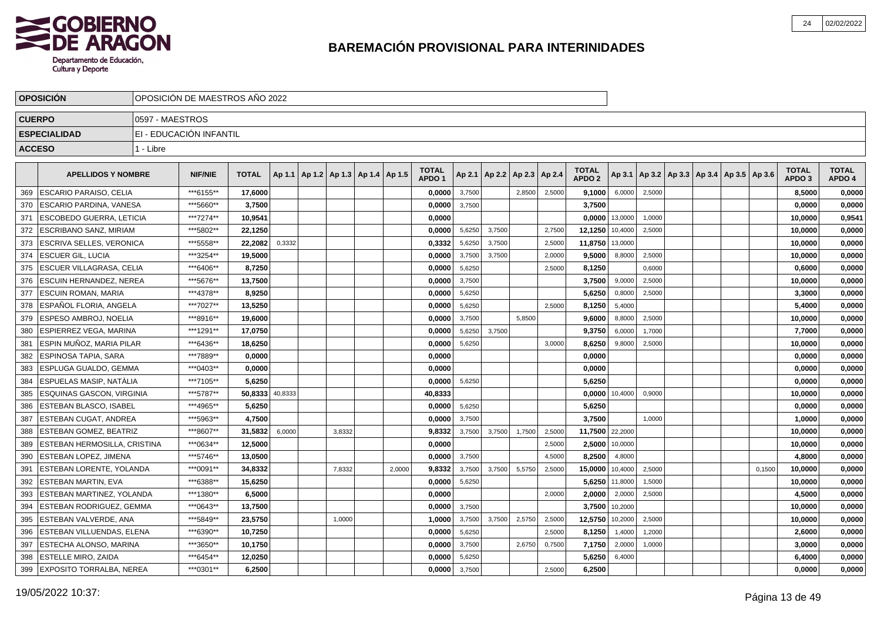

|               | <b>OPOSICIÓN</b>                 |                 | OPOSICIÓN DE MAESTROS AÑO 2022 |              |         |                                            |        |                                   |        |        |                                   |        |                                   |         |        |  |                                            |        |                                   |                        |
|---------------|----------------------------------|-----------------|--------------------------------|--------------|---------|--------------------------------------------|--------|-----------------------------------|--------|--------|-----------------------------------|--------|-----------------------------------|---------|--------|--|--------------------------------------------|--------|-----------------------------------|------------------------|
|               | <b>CUERPO</b>                    | 0597 - MAESTROS |                                |              |         |                                            |        |                                   |        |        |                                   |        |                                   |         |        |  |                                            |        |                                   |                        |
|               | <b>ESPECIALIDAD</b>              |                 | EI - EDUCACIÓN INFANTIL        |              |         |                                            |        |                                   |        |        |                                   |        |                                   |         |        |  |                                            |        |                                   |                        |
| <b>ACCESO</b> |                                  | 1 - Libre       |                                |              |         |                                            |        |                                   |        |        |                                   |        |                                   |         |        |  |                                            |        |                                   |                        |
|               |                                  |                 |                                |              |         |                                            |        |                                   |        |        |                                   |        |                                   |         |        |  |                                            |        |                                   |                        |
|               | <b>APELLIDOS Y NOMBRE</b>        |                 | <b>NIF/NIE</b>                 | <b>TOTAL</b> |         | Ap 1.1   Ap 1.2   Ap 1.3   Ap 1.4   Ap 1.5 |        | <b>TOTAL</b><br>APDO <sub>1</sub> |        |        | Ap 2.1   Ap 2.2   Ap 2.3   Ap 2.4 |        | <b>TOTAL</b><br>APDO <sub>2</sub> | Ap 3.1  |        |  | Ap 3.2   Ap 3.3   Ap 3.4   Ap 3.5   Ap 3.6 |        | <b>TOTAL</b><br>APDO <sub>3</sub> | <b>TOTAL</b><br>APDO 4 |
| 369           | <b>ESCARIO PARAISO, CELIA</b>    |                 | ***6155**                      | 17,6000      |         |                                            |        | 0,0000                            | 3,7500 |        | 2,8500                            | 2,5000 | 9,1000                            | 6,0000  | 2,5000 |  |                                            |        | 8,5000                            | 0,0000                 |
| 370           | <b>ESCARIO PARDINA, VANESA</b>   |                 | ***5660**                      | 3,7500       |         |                                            |        | 0,0000                            | 3,7500 |        |                                   |        | 3,7500                            |         |        |  |                                            |        | 0,0000                            | 0,0000                 |
| 371           | <b>ESCOBEDO GUERRA, LETICIA</b>  |                 | ***7274**                      | 10,9541      |         |                                            |        | 0,0000                            |        |        |                                   |        | 0,0000                            | 13,0000 | 1,0000 |  |                                            |        | 10,0000                           | 0,9541                 |
| 372           | ESCRIBANO SANZ, MIRIAM           |                 | ***5802**                      | 22,1250      |         |                                            |        | 0,0000                            | 5,6250 | 3,7500 |                                   | 2,7500 | 12,1250                           | 10,4000 | 2,5000 |  |                                            |        | 10,0000                           | 0,0000                 |
| 373           | <b>ESCRIVA SELLES, VERONICA</b>  |                 | ***5558**                      | 22,2082      | 0,3332  |                                            |        | 0,3332                            | 5,6250 | 3,7500 |                                   | 2,5000 | 11,8750                           | 13,0000 |        |  |                                            |        | 10,0000                           | 0,0000                 |
| 374           | <b>ESCUER GIL. LUCIA</b>         |                 | ***3254**                      | 19.5000      |         |                                            |        | 0.0000                            | 3,7500 | 3.7500 |                                   | 2,0000 | 9.5000                            | 8.8000  | 2,5000 |  |                                            |        | 10,0000                           | 0,0000                 |
| 375           | <b>ESCUER VILLAGRASA, CELIA</b>  |                 | ***6406**                      | 8,7250       |         |                                            |        | 0,0000                            | 5,6250 |        |                                   | 2,5000 | 8,1250                            |         | 0,6000 |  |                                            |        | 0.6000                            | 0,0000                 |
| 376           | <b>IESCUIN HERNANDEZ. NEREA</b>  |                 | ***5676**                      | 13.7500      |         |                                            |        | 0.0000                            | 3,7500 |        |                                   |        | 3.7500                            | 9,0000  | 2,5000 |  |                                            |        | 10,0000                           | 0,0000                 |
| 377           | <b>IESCUIN ROMAN. MARIA</b>      |                 | ***4378**                      | 8,9250       |         |                                            |        | 0,0000                            | 5,6250 |        |                                   |        | 5,6250                            | 0,8000  | 2,5000 |  |                                            |        | 3,3000                            | 0,0000                 |
| 378           | lESPAÑOL FLORIA. ANGELA          |                 | ***7027**                      | 13,5250      |         |                                            |        | 0,0000                            | 5,6250 |        |                                   | 2,5000 | 8,1250                            | 5,4000  |        |  |                                            |        | 5,4000                            | 0,0000                 |
| 379           | <b>IESPESO AMBROJ. NOELIA</b>    |                 | ***8916**                      | 19,6000      |         |                                            |        | 0,0000                            | 3,7500 |        | 5,8500                            |        | 9,6000                            | 8,8000  | 2,5000 |  |                                            |        | 10,0000                           | 0,0000                 |
| 380           | <b>ESPIERREZ VEGA, MARINA</b>    |                 | ***1291**                      | 17,0750      |         |                                            |        | 0,0000                            | 5,6250 | 3,7500 |                                   |        | 9,3750                            | 6,0000  | 1,7000 |  |                                            |        | 7,7000                            | 0,0000                 |
| 381           | İ ESPIN MUÑOZ. MARIA PILAR       |                 | ***6436**                      | 18,6250      |         |                                            |        | 0,0000                            | 5,6250 |        |                                   | 3,0000 | 8,6250                            | 9,8000  | 2,5000 |  |                                            |        | 10,0000                           | 0,0000                 |
| 382           | <b>LESPINOSA TAPIA. SARA</b>     |                 | ***7889**                      | 0,0000       |         |                                            |        | 0,0000                            |        |        |                                   |        | 0,0000                            |         |        |  |                                            |        | 0,0000                            | 0,0000                 |
| 383           | ESPLUGA GUALDO, GEMMA            |                 | ***0403**                      | 0,0000       |         |                                            |        | 0,0000                            |        |        |                                   |        | 0,0000                            |         |        |  |                                            |        | 0,0000                            | 0,0000                 |
| 384           | <b>ESPUELAS MASIP, NATÀLIA</b>   |                 | ***7105**                      | 5,6250       |         |                                            |        | 0,0000                            | 5,6250 |        |                                   |        | 5,6250                            |         |        |  |                                            |        | 0,0000                            | 0,0000                 |
| 385           | <b>ESQUINAS GASCON, VIRGINIA</b> |                 | ***5787**                      | 50.8333      | 40,8333 |                                            |        | 40.8333                           |        |        |                                   |        | 0.0000                            | 10.4000 | 0.9000 |  |                                            |        | 10.0000                           | 0,0000                 |
| 386           | <b>ESTEBAN BLASCO. ISABEL</b>    |                 | ***4965**                      | 5,6250       |         |                                            |        | 0.0000                            | 5,6250 |        |                                   |        | 5,6250                            |         |        |  |                                            |        | 0,0000                            | 0,0000                 |
| 387           | <b>ESTEBAN CUGAT, ANDREA</b>     |                 | ***5963**                      | 4,7500       |         |                                            |        | 0.0000                            | 3,7500 |        |                                   |        | 3.7500                            |         | 1,0000 |  |                                            |        | 1,0000                            | 0,0000                 |
| 388           | <b>ESTEBAN GOMEZ, BEATRIZ</b>    |                 | ***8607**                      | 31,5832      | 6,0000  | 3,8332                                     |        | 9,8332                            | 3,7500 | 3,7500 | 1,7500                            | 2,5000 | 11,7500                           | 22,2000 |        |  |                                            |        | 10,0000                           | 0,0000                 |
| 389           | ESTEBAN HERMOSILLA, CRISTINA     |                 | ***0634**                      | 12,5000      |         |                                            |        | 0,0000                            |        |        |                                   | 2,5000 | 2,5000                            | 10,0000 |        |  |                                            |        | 10,0000                           | 0,0000                 |
| 390           | <b>ESTEBAN LOPEZ, JIMENA</b>     |                 | ***5746**                      | 13,0500      |         |                                            |        | 0.0000                            | 3,7500 |        |                                   | 4,5000 | 8,2500                            | 4,8000  |        |  |                                            |        | 4,8000                            | 0,0000                 |
| 391           | ESTEBAN LORENTE, YOLANDA         |                 | ***0091**                      | 34,8332      |         | 7,8332                                     | 2,0000 | 9,8332                            | 3,7500 | 3,7500 | 5,5750                            | 2,5000 | 15,0000                           | 10,4000 | 2,5000 |  |                                            | 0,1500 | 10,0000                           | 0,0000                 |
| 392           | ESTEBAN MARTIN, EVA              |                 | ***6388**                      | 15,6250      |         |                                            |        | 0,0000                            | 5,6250 |        |                                   |        | 5,6250                            | 11,8000 | 1,5000 |  |                                            |        | 10,0000                           | 0,0000                 |
| 393           | <b>ESTEBAN MARTINEZ, YOLANDA</b> |                 | ***1380**                      | 6,5000       |         |                                            |        | 0,0000                            |        |        |                                   | 2,0000 | 2,0000                            | 2,0000  | 2,5000 |  |                                            |        | 4,5000                            | 0,0000                 |
| 394           | <b>ESTEBAN RODRIGUEZ, GEMMA</b>  |                 | ***0643**                      | 13,7500      |         |                                            |        | 0,0000                            | 3,7500 |        |                                   |        | 3,7500                            | 10,2000 |        |  |                                            |        | 10,0000                           | 0,0000                 |
| 395           | <b>ESTEBAN VALVERDE, ANA</b>     |                 | ***5849**                      | 23,5750      |         | 1,0000                                     |        | 1,0000                            | 3,7500 | 3,7500 | 2,5750                            | 2,5000 | 12,5750                           | 10,2000 | 2,5000 |  |                                            |        | 10,0000                           | 0,0000                 |
| 396           | <b>ESTEBAN VILLUENDAS, ELENA</b> |                 | ***6390**                      | 10,7250      |         |                                            |        | 0.0000                            | 5,6250 |        |                                   | 2,5000 | 8,1250                            | 1,4000  | 1,2000 |  |                                            |        | 2,6000                            | 0,0000                 |
| 397           | <b>ESTECHA ALONSO, MARINA</b>    |                 | ***3650**                      | 10,1750      |         |                                            |        | 0,0000                            | 3,7500 |        | 2,6750                            | 0,7500 | 7,1750                            | 2,0000  | 1,0000 |  |                                            |        | 3.0000                            | 0,0000                 |
| 398           | <b>ESTELLE MIRO, ZAIDA</b>       |                 | ***6454**                      | 12,0250      |         |                                            |        | 0,0000                            | 5,6250 |        |                                   |        | 5,6250                            | 6,4000  |        |  |                                            |        | 6,4000                            | 0,0000                 |
|               | 399 EXPOSITO TORRALBA, NEREA     |                 | ***0301**                      | 6,2500       |         |                                            |        | 0,0000                            | 3,7500 |        |                                   | 2,5000 | 6,2500                            |         |        |  |                                            |        | 0.0000                            | 0,0000                 |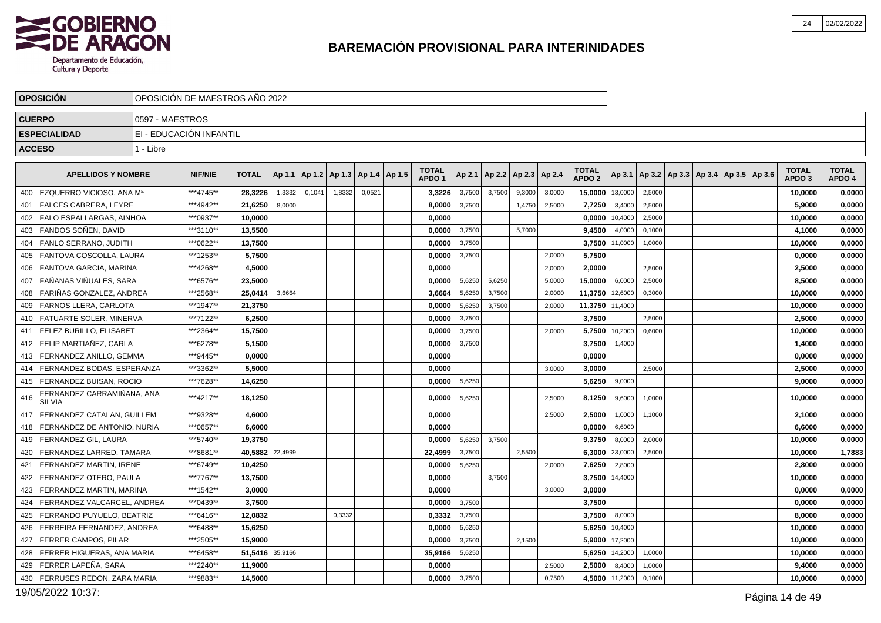

|     | <b>OPOSICION</b>                            |                 | OPOSICIÓN DE MAESTROS AÑO 2022 |                 |         |        |        |                          |                                   |        |                 |               |        |                                   |         |                                                     |  |  |                                   |                        |
|-----|---------------------------------------------|-----------------|--------------------------------|-----------------|---------|--------|--------|--------------------------|-----------------------------------|--------|-----------------|---------------|--------|-----------------------------------|---------|-----------------------------------------------------|--|--|-----------------------------------|------------------------|
|     | <b>CUERPO</b>                               | 0597 - MAESTROS |                                |                 |         |        |        |                          |                                   |        |                 |               |        |                                   |         |                                                     |  |  |                                   |                        |
|     | <b>ESPECIALIDAD</b>                         |                 | EI - EDUCACIÓN INFANTIL        |                 |         |        |        |                          |                                   |        |                 |               |        |                                   |         |                                                     |  |  |                                   |                        |
|     | <b>ACCESO</b>                               | 1 - Libre       |                                |                 |         |        |        |                          |                                   |        |                 |               |        |                                   |         |                                                     |  |  |                                   |                        |
|     |                                             |                 |                                |                 |         |        |        |                          |                                   |        |                 |               |        |                                   |         |                                                     |  |  |                                   |                        |
|     | <b>APELLIDOS Y NOMBRE</b>                   |                 | <b>NIF/NIE</b>                 | <b>TOTAL</b>    | Ap 1.1  | Ap 1.2 |        | Ap 1.3   Ap 1.4   Ap 1.5 | <b>TOTAL</b><br>APDO <sub>1</sub> |        | Ap 2.1   Ap 2.2 | Ap 2.3 Ap 2.4 |        | <b>TOTAL</b><br>APDO <sub>2</sub> |         | Ap 3.1   Ap 3.2   Ap 3.3   Ap 3.4   Ap 3.5   Ap 3.6 |  |  | <b>TOTAL</b><br>APDO <sub>3</sub> | <b>TOTAL</b><br>APDO 4 |
| 400 | EZQUERRO VICIOSO, ANA Mª                    |                 | ***4745**                      | 28,3226         | 1,3332  | 0,1041 | 1,8332 | 0,0521                   | 3,3226                            | 3,7500 | 3,7500          | 9,3000        | 3,0000 | 15,0000                           | 13,0000 | 2,5000                                              |  |  | 10,0000                           | 0,0000                 |
| 401 | <b>FALCES CABRERA, LEYRE</b>                |                 | ***4942**                      | 21,6250         | 8,0000  |        |        |                          | 8,0000                            | 3,7500 |                 | 1,4750        | 2,5000 | 7,7250                            | 3,4000  | 2,5000                                              |  |  | 5,9000                            | 0,0000                 |
| 402 | <b>FALO ESPALLARGAS, AINHOA</b>             |                 | ***0937**                      | 10.0000         |         |        |        |                          | 0.0000                            |        |                 |               |        | 0,0000                            | 10,4000 | 2,5000                                              |  |  | 10,0000                           | 0,0000                 |
| 403 | FANDOS SOÑEN, DAVID                         |                 | ***3110**                      | 13,5500         |         |        |        |                          | 0,0000                            | 3,7500 |                 | 5,7000        |        | 9,4500                            | 4,0000  | 0,1000                                              |  |  | 4,1000                            | 0,0000                 |
| 404 | FANLO SERRANO. JUDITH                       |                 | ***0622**                      | 13,7500         |         |        |        |                          | 0,0000                            | 3,7500 |                 |               |        | 3,7500                            | 11,0000 | 1,0000                                              |  |  | 10,0000                           | 0,0000                 |
| 405 | FANTOVA COSCOLLA, LAURA                     |                 | ***1253**                      | 5,7500          |         |        |        |                          | 0,0000                            | 3,7500 |                 |               | 2,0000 | 5,7500                            |         |                                                     |  |  | 0,0000                            | 0,0000                 |
| 406 | <b>FANTOVA GARCIA, MARINA</b>               |                 | ***4268**                      | 4,5000          |         |        |        |                          | 0,0000                            |        |                 |               | 2,0000 | 2,0000                            |         | 2,5000                                              |  |  | 2,5000                            | 0,0000                 |
| 407 | FAÑANAS VIÑUALES. SARA                      |                 | ***6576**                      | 23.5000         |         |        |        |                          | 0.0000                            | 5,6250 | 5,6250          |               | 5,0000 | 15,0000                           | 6,0000  | 2,5000                                              |  |  | 8,5000                            | 0,0000                 |
| 408 | FARIÑAS GONZALEZ, ANDREA                    |                 | ***2568**                      | 25,0414         | 3,6664  |        |        |                          | 3,6664                            | 5,6250 | 3,7500          |               | 2,0000 | 11,3750                           | 12,6000 | 0,3000                                              |  |  | 10,0000                           | 0,0000                 |
| 409 | FARNOS LLERA, CARLOTA                       |                 | ***1947**                      | 21,3750         |         |        |        |                          | 0,0000                            | 5,6250 | 3,7500          |               | 2,0000 | 11,3750                           | 11,4000 |                                                     |  |  | 10,0000                           | 0,0000                 |
| 410 | <b>FATUARTE SOLER, MINERVA</b>              |                 | ***7122**                      | 6,2500          |         |        |        |                          | 0,0000                            | 3,7500 |                 |               |        | 3,7500                            |         | 2.5000                                              |  |  | 2,5000                            | 0,0000                 |
| 411 | <b>FELEZ BURILLO, ELISABET</b>              |                 | ***2364**                      | 15,7500         |         |        |        |                          | 0,0000                            | 3,7500 |                 |               | 2,0000 | 5,7500                            | 10,2000 | 0,6000                                              |  |  | 10,0000                           | 0,0000                 |
| 412 | <b>FELIP MARTIAÑEZ. CARLA</b>               |                 | ***6278**                      | 5,1500          |         |        |        |                          | 0,0000                            | 3,7500 |                 |               |        | 3,7500                            | 1,4000  |                                                     |  |  | 1,4000                            | 0,0000                 |
| 413 | <b>FERNANDEZ ANILLO, GEMMA</b>              |                 | ***9445**                      | 0,0000          |         |        |        |                          | 0,0000                            |        |                 |               |        | 0,0000                            |         |                                                     |  |  | 0,0000                            | 0,0000                 |
| 414 | FERNANDEZ BODAS, ESPERANZA                  |                 | ***3362**                      | 5,5000          |         |        |        |                          | 0.0000                            |        |                 |               | 3,0000 | 3,0000                            |         | 2,5000                                              |  |  | 2,5000                            | 0,0000                 |
|     | 415   FERNANDEZ BUISAN, ROCIO               |                 | ***7628**                      | 14,6250         |         |        |        |                          | 0.0000                            | 5,6250 |                 |               |        | 5,6250                            | 9,0000  |                                                     |  |  | 9.0000                            | 0,0000                 |
| 416 | FERNANDEZ CARRAMIÑANA, ANA<br><b>SILVIA</b> |                 | ***4217**                      | 18,1250         |         |        |        |                          | 0.0000                            | 5,6250 |                 |               | 2,5000 | 8,1250                            | 9,6000  | 1,0000                                              |  |  | 10,0000                           | 0,0000                 |
| 417 | FERNANDEZ CATALAN, GUILLEM                  |                 | ***9328**                      | 4,6000          |         |        |        |                          | 0,0000                            |        |                 |               | 2,5000 | 2,5000                            | 1,0000  | 1,1000                                              |  |  | 2,1000                            | 0,0000                 |
| 418 | FERNANDEZ DE ANTONIO. NURIA                 |                 | ***0657**                      | 6.6000          |         |        |        |                          | 0.0000                            |        |                 |               |        | 0,0000                            | 6,6000  |                                                     |  |  | 6.6000                            | 0,0000                 |
| 419 | <b>FERNANDEZ GIL, LAURA</b>                 |                 | ***5740**                      | 19,3750         |         |        |        |                          | 0,0000                            | 5,6250 | 3,7500          |               |        | 9,3750                            | 8,0000  | 2,0000                                              |  |  | 10,0000                           | 0,0000                 |
| 420 | FERNANDEZ LARRED, TAMARA                    |                 | ***8681**                      | 40,5882         | 22,4999 |        |        |                          | 22,4999                           | 3,7500 |                 | 2,5500        |        | 6,3000                            | 23,0000 | 2,5000                                              |  |  | 10.0000                           | 1,7883                 |
| 421 | FERNANDEZ MARTIN, IRENE                     |                 | ***6749**                      | 10,4250         |         |        |        |                          | 0,0000                            | 5,6250 |                 |               | 2,0000 | 7,6250                            | 2,8000  |                                                     |  |  | 2,8000                            | 0,0000                 |
| 422 | FERNANDEZ OTERO. PAULA                      |                 | ***7767**                      | 13,7500         |         |        |        |                          | 0,0000                            |        | 3,7500          |               |        | 3,7500                            | 14,4000 |                                                     |  |  | 10,0000                           | 0,0000                 |
| 423 | FERRANDEZ MARTIN, MARINA                    |                 | ***1542**                      | 3,0000          |         |        |        |                          | 0.0000                            |        |                 |               | 3,0000 | 3,0000                            |         |                                                     |  |  | 0.0000                            | 0,0000                 |
| 424 | FERRANDEZ VALCARCEL, ANDREA                 |                 | ***0439**                      | 3,7500          |         |        |        |                          | 0,0000                            | 3,7500 |                 |               |        | 3,7500                            |         |                                                     |  |  | 0,0000                            | 0,0000                 |
| 425 | FERRANDO PUYUELO, BEATRIZ                   |                 | ***6416**                      | 12,0832         |         |        | 0,3332 |                          | 0,3332                            | 3,7500 |                 |               |        | 3,7500                            | 8,0000  |                                                     |  |  | 8,0000                            | 0,0000                 |
| 426 | FERREIRA FERNANDEZ, ANDREA                  |                 | ***6488**                      | 15.6250         |         |        |        |                          | 0.0000                            | 5,6250 |                 |               |        | 5,6250                            | 10,4000 |                                                     |  |  | 10,0000                           | 0,0000                 |
| 427 | <b>FERRER CAMPOS, PILAR</b>                 |                 | ***2505**                      | 15,9000         |         |        |        |                          | 0,0000                            | 3,7500 |                 | 2,1500        |        | 5,9000                            | 17,2000 |                                                     |  |  | 10,0000                           | 0,0000                 |
| 428 | <b>FERRER HIGUERAS, ANA MARIA</b>           |                 | ***6458**                      | 51,5416 35,9166 |         |        |        |                          | 35,9166                           | 5,6250 |                 |               |        | 5,6250                            | 14,2000 | 1,0000                                              |  |  | 10,0000                           | 0,0000                 |
| 429 | FERRER LAPEÑA, SARA                         |                 | ***2240**                      | 11,9000         |         |        |        |                          | 0,0000                            |        |                 |               | 2,5000 | 2,5000                            | 8,4000  | 1,0000                                              |  |  | 9,4000                            | 0,0000                 |
| 430 | <b>FERRUSES REDON, ZARA MARIA</b>           |                 | ***9883**                      | 14,5000         |         |        |        |                          | 0,0000                            | 3,7500 |                 |               | 0,7500 | 4,5000                            | 11,2000 | 0,1000                                              |  |  | 10,0000                           | 0,0000                 |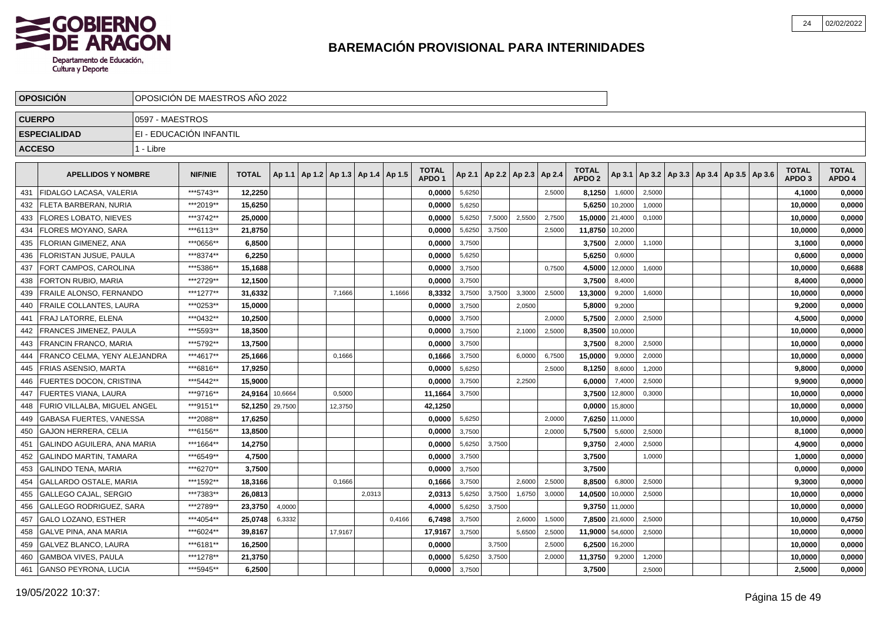

|               | <b>OPOSICIÓN</b>               |                 | OPOSICIÓN DE MAESTROS AÑO 2022 |                 |         |                                            |        |        |                                   |        |        |                                   |        |                                   |         |        |  |                                            |                                   |                        |
|---------------|--------------------------------|-----------------|--------------------------------|-----------------|---------|--------------------------------------------|--------|--------|-----------------------------------|--------|--------|-----------------------------------|--------|-----------------------------------|---------|--------|--|--------------------------------------------|-----------------------------------|------------------------|
|               | <b>CUERPO</b>                  | 0597 - MAESTROS |                                |                 |         |                                            |        |        |                                   |        |        |                                   |        |                                   |         |        |  |                                            |                                   |                        |
|               | <b>ESPECIALIDAD</b>            |                 | EI - EDUCACIÓN INFANTIL        |                 |         |                                            |        |        |                                   |        |        |                                   |        |                                   |         |        |  |                                            |                                   |                        |
| <b>ACCESO</b> |                                | 1 - Libre       |                                |                 |         |                                            |        |        |                                   |        |        |                                   |        |                                   |         |        |  |                                            |                                   |                        |
|               |                                |                 |                                |                 |         |                                            |        |        |                                   |        |        |                                   |        |                                   |         |        |  |                                            |                                   |                        |
|               | <b>APELLIDOS Y NOMBRE</b>      |                 | <b>NIF/NIE</b>                 | <b>TOTAL</b>    |         | Ap 1.1   Ap 1.2   Ap 1.3   Ap 1.4   Ap 1.5 |        |        | <b>TOTAL</b><br>APDO <sub>1</sub> |        |        | Ap 2.1   Ap 2.2   Ap 2.3   Ap 2.4 |        | <b>TOTAL</b><br>APDO <sub>2</sub> | Ap 3.1  |        |  | Ap 3.2   Ap 3.3   Ap 3.4   Ap 3.5   Ap 3.6 | <b>TOTAL</b><br>APDO <sub>3</sub> | <b>TOTAL</b><br>APDO 4 |
| 431           | FIDALGO LACASA. VALERIA        |                 | ***5743**                      | 12.2250         |         |                                            |        |        | 0,0000                            | 5,6250 |        |                                   | 2,5000 | 8,1250                            | 1,6000  | 2,5000 |  |                                            | 4,1000                            | 0,0000                 |
| 432           | FLETA BARBERAN, NURIA          |                 | ***2019**                      | 15,6250         |         |                                            |        |        | 0.0000                            | 5,6250 |        |                                   |        | 5,6250                            | 10,2000 | 1,0000 |  |                                            | 10,0000                           | 0,0000                 |
| 433           | <b>IFLORES LOBATO. NIEVES</b>  |                 | ***3742**                      | 25,0000         |         |                                            |        |        | 0,0000                            | 5,6250 | 7,5000 | 2,5500                            | 2,7500 | 15,0000                           | 21,4000 | 0,1000 |  |                                            | 10,0000                           | 0,0000                 |
| 434           | <b>FLORES MOYANO, SARA</b>     |                 | ***6113**                      | 21,8750         |         |                                            |        |        | 0,0000                            | 5,6250 | 3,7500 |                                   | 2,5000 | 11,8750                           | 10,2000 |        |  |                                            | 10,0000                           | 0,0000                 |
| 435           | <b>FLORIAN GIMENEZ, ANA</b>    |                 | ***0656**                      | 6,8500          |         |                                            |        |        | 0,0000                            | 3,7500 |        |                                   |        | 3,7500                            | 2,0000  | 1,1000 |  |                                            | 3,1000                            | 0,0000                 |
| 436           | <b>FLORISTAN JUSUE, PAULA</b>  |                 | ***8374**                      | 6,2250          |         |                                            |        |        | 0,0000                            | 5,6250 |        |                                   |        | 5,6250                            | 0,6000  |        |  |                                            | 0,6000                            | 0,0000                 |
| 437           | FORT CAMPOS, CAROLINA          |                 | ***5386**                      | 15,1688         |         |                                            |        |        | 0,0000                            | 3,7500 |        |                                   | 0,7500 | 4,5000                            | 12,0000 | 1,6000 |  |                                            | 10,0000                           | 0,6688                 |
| 438           | FORTON RUBIO, MARIA            |                 | ***2729**                      | 12,1500         |         |                                            |        |        | 0,0000                            | 3,7500 |        |                                   |        | 3,7500                            | 8,4000  |        |  |                                            | 8,4000                            | 0,0000                 |
| 439           | <b>FRAILE ALONSO, FERNANDO</b> |                 | ***1277**                      | 31,6332         |         | 7,1666                                     |        | 1,1666 | 8,3332                            | 3,7500 | 3,7500 | 3,3000                            | 2,5000 | 13,3000                           | 9,2000  | 1,6000 |  |                                            | 10,0000                           | 0,0000                 |
| 440           | <b>FRAILE COLLANTES, LAURA</b> |                 | ***0253**                      | 15,0000         |         |                                            |        |        | 0,0000                            | 3,7500 |        | 2,0500                            |        | 5,8000                            | 9,2000  |        |  |                                            | 9,2000                            | 0,0000                 |
| 441           | FRAJ LATORRE, ELENA            |                 | ***0432**                      | 10,2500         |         |                                            |        |        | 0,0000                            | 3,7500 |        |                                   | 2,0000 | 5,7500                            | 2,0000  | 2,5000 |  |                                            | 4,5000                            | 0,0000                 |
| 442           | <b>FRANCES JIMENEZ, PAULA</b>  |                 | ***5593**                      | 18,3500         |         |                                            |        |        | 0,0000                            | 3,7500 |        | 2,1000                            | 2,5000 | 8,3500                            | 10,0000 |        |  |                                            | 10,0000                           | 0,0000                 |
| 443           | FRANCIN FRANCO. MARIA          |                 | ***5792**                      | 13,7500         |         |                                            |        |        | 0,0000                            | 3,7500 |        |                                   |        | 3,7500                            | 8,2000  | 2,5000 |  |                                            | 10.0000                           | 0,0000                 |
| 444           | FRANCO CELMA, YENY ALEJANDRA   |                 | ***4617**                      | 25,1666         |         | 0.1666                                     |        |        | 0,1666                            | 3,7500 |        | 6,0000                            | 6,7500 | 15,0000                           | 9,0000  | 2,0000 |  |                                            | 10,0000                           | 0,0000                 |
| 445           | <b>I FRIAS ASENSIO. MARTA</b>  |                 | ***6816**                      | 17,9250         |         |                                            |        |        | 0,0000                            | 5,6250 |        |                                   | 2,5000 | 8,1250                            | 8,6000  | 1,2000 |  |                                            | 9,8000                            | 0,0000                 |
| 446           | <b>FUERTES DOCON, CRISTINA</b> |                 | ***5442**                      | 15.9000         |         |                                            |        |        | 0,0000                            | 3,7500 |        | 2,2500                            |        | 6,0000                            | 7,4000  | 2,5000 |  |                                            | 9,9000                            | 0,0000                 |
| 447           | FUERTES VIANA, LAURA           |                 | ***9716**                      | 24.9164         | 10,6664 | 0,5000                                     |        |        | 11,1664                           | 3,7500 |        |                                   |        | 3,7500                            | 12,8000 | 0,3000 |  |                                            | 10,0000                           | 0,0000                 |
| 448           | FURIO VILLALBA. MIGUEL ANGEL   |                 | ***9151**                      | 52,1250 29,7500 |         | 12,3750                                    |        |        | 42,1250                           |        |        |                                   |        | 0,0000                            | 15,8000 |        |  |                                            | 10,0000                           | 0,0000                 |
| 449           | <b>GABASA FUERTES, VANESSA</b> |                 | ***2088**                      | 17,6250         |         |                                            |        |        | 0,0000                            | 5,6250 |        |                                   | 2,0000 | 7,6250                            | 11,0000 |        |  |                                            | 10,0000                           | 0,0000                 |
| 450           | <b>GAJON HERRERA, CELIA</b>    |                 | ***6156**                      | 13,8500         |         |                                            |        |        | 0,0000                            | 3,7500 |        |                                   | 2,0000 | 5,7500                            | 5,6000  | 2,5000 |  |                                            | 8,1000                            | 0,0000                 |
| 451           | GALINDO AGUILERA, ANA MARIA    |                 | ***1664**                      | 14,2750         |         |                                            |        |        | 0,0000                            | 5,6250 | 3,7500 |                                   |        | 9,3750                            | 2,4000  | 2,5000 |  |                                            | 4,9000                            | 0,0000                 |
| 452           | <b>GALINDO MARTIN, TAMARA</b>  |                 | ***6549**                      | 4,7500          |         |                                            |        |        | 0,0000                            | 3,7500 |        |                                   |        | 3,7500                            |         | 1,0000 |  |                                            | 1,0000                            | 0,0000                 |
| 453           | <b>GALINDO TENA, MARIA</b>     |                 | ***6270**                      | 3,7500          |         |                                            |        |        | 0,0000                            | 3,7500 |        |                                   |        | 3,7500                            |         |        |  |                                            | 0,0000                            | 0,0000                 |
| 454           | <b>GALLARDO OSTALE, MARIA</b>  |                 | ***1592**                      | 18,3166         |         | 0,1666                                     |        |        | 0,1666                            | 3,7500 |        | 2,6000                            | 2,5000 | 8,8500                            | 6,8000  | 2,5000 |  |                                            | 9,3000                            | 0,0000                 |
| 455           | GALLEGO CAJAL, SERGIO          |                 | ***7383**                      | 26,0813         |         |                                            | 2,0313 |        | 2,0313                            | 5,6250 | 3,7500 | 1,6750                            | 3,0000 | 14,0500                           | 10,0000 | 2,5000 |  |                                            | 10,0000                           | 0,0000                 |
| 456           | GALLEGO RODRIGUEZ. SARA        |                 | ***2789**                      | 23.3750         | 4,0000  |                                            |        |        | 4.0000                            | 5,6250 | 3.7500 |                                   |        | 9.3750                            | 11,0000 |        |  |                                            | 10.0000                           | 0,0000                 |
| 457           | GALO LOZANO. ESTHER            |                 | ***4054**                      | 25.0748         | 6,3332  |                                            |        | 0,4166 | 6,7498                            | 3,7500 |        | 2,6000                            | 1,5000 | 7,8500                            | 21,6000 | 2,5000 |  |                                            | 10,0000                           | 0,4750                 |
| 458           | IGALVE PINA. ANA MARIA         |                 | ***6024**                      | 39.8167         |         | 17,9167                                    |        |        | 17,9167                           | 3,7500 |        | 5,650                             | 2,5000 | 11,9000                           | 54,6000 | 2,5000 |  |                                            | 10.0000                           | 0,0000                 |
| 459           | GALVEZ BLANCO, LAURA           |                 | ***6181**                      | 16,2500         |         |                                            |        |        | 0,0000                            |        | 3,7500 |                                   | 2,5000 | 6,2500                            | 16,2000 |        |  |                                            | 10,0000                           | 0,0000                 |
| 460           | GAMBOA VIVES, PAULA            |                 | ***1278**                      | 21,3750         |         |                                            |        |        | 0,0000                            | 5,6250 | 3,7500 |                                   | 2,0000 | 11,3750                           | 9,2000  | 1,2000 |  |                                            | 10,0000                           | 0,0000                 |
| 461           | GANSO PEYRONA, LUCIA           |                 | *** 5945**                     | 6,2500          |         |                                            |        |        | 0,0000                            | 3,7500 |        |                                   |        | 3,7500                            |         | 2,5000 |  |                                            | 2,5000                            | 0,0000                 |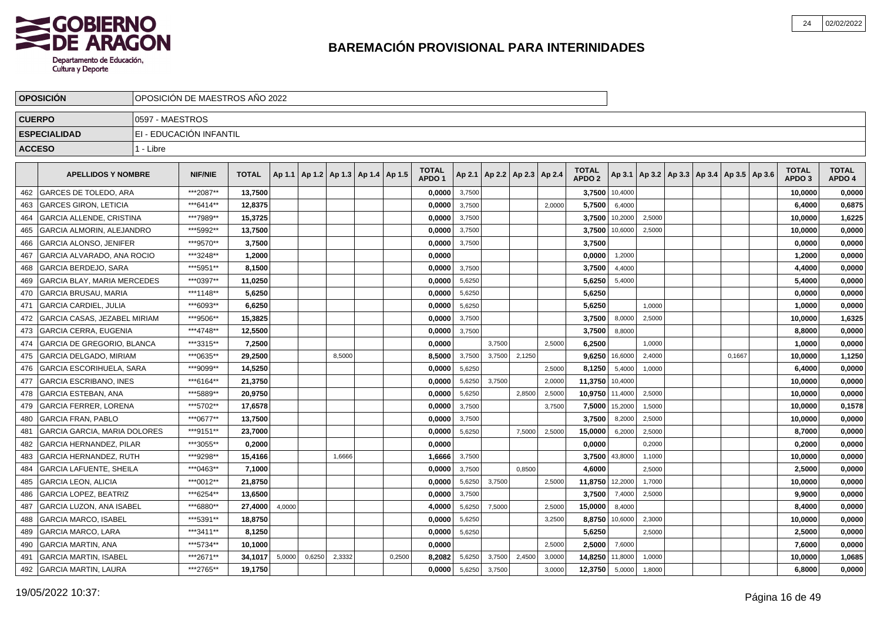

|               | <b>OPOSICION</b>                    |                 | OPOSICION DE MAESTROS ANO 2022 |              |        |        |                                            |        |                                   |        |        |                          |        |                                   |                |        |  |                                                     |                                   |                        |
|---------------|-------------------------------------|-----------------|--------------------------------|--------------|--------|--------|--------------------------------------------|--------|-----------------------------------|--------|--------|--------------------------|--------|-----------------------------------|----------------|--------|--|-----------------------------------------------------|-----------------------------------|------------------------|
| <b>CUERPO</b> |                                     | 0597 - MAESTROS |                                |              |        |        |                                            |        |                                   |        |        |                          |        |                                   |                |        |  |                                                     |                                   |                        |
|               | <b>ESPECIALIDAD</b>                 |                 | EI - EDUCACIÓN INFANTIL        |              |        |        |                                            |        |                                   |        |        |                          |        |                                   |                |        |  |                                                     |                                   |                        |
|               | <b>ACCESO</b>                       | 1 - Libre       |                                |              |        |        |                                            |        |                                   |        |        |                          |        |                                   |                |        |  |                                                     |                                   |                        |
|               |                                     |                 |                                |              |        |        |                                            |        |                                   |        |        |                          |        |                                   |                |        |  |                                                     |                                   |                        |
|               | <b>APELLIDOS Y NOMBRE</b>           |                 | <b>NIF/NIE</b>                 | <b>TOTAL</b> |        |        | Ap 1.1   Ap 1.2   Ap 1.3   Ap 1.4   Ap 1.5 |        | <b>TOTAL</b><br>APDO <sub>1</sub> | Ap 2.1 |        | Ap 2.2   Ap 2.3   Ap 2.4 |        | <b>TOTAL</b><br>APDO <sub>2</sub> |                |        |  | Ap 3.1   Ap 3.2   Ap 3.3   Ap 3.4   Ap 3.5   Ap 3.6 | <b>TOTAL</b><br>APDO <sub>3</sub> | <b>TOTAL</b><br>APDO 4 |
| 462           | <b>GARCES DE TOLEDO. ARA</b>        |                 | ***2087**                      | 13.7500      |        |        |                                            |        | 0.0000                            | 3,7500 |        |                          |        |                                   | 3.7500 10,4000 |        |  |                                                     | 10,0000                           | 0,0000                 |
| 463           | <b>GARCES GIRON, LETICIA</b>        |                 | ***6414**                      | 12.8375      |        |        |                                            |        | 0.0000                            | 3,7500 |        |                          | 2.0000 | 5,7500                            | 6,4000         |        |  |                                                     | 6.4000                            | 0,6875                 |
| 464           | <b>GARCIA ALLENDE, CRISTINA</b>     |                 | ***7989**                      | 15,3725      |        |        |                                            |        | 0.0000                            | 3,7500 |        |                          |        | 3,7500                            | 10,2000        | 2,5000 |  |                                                     | 10,0000                           | 1,6225                 |
| 465           | <b>GARCIA ALMORIN, ALEJANDRO</b>    |                 | ***5992**                      | 13,7500      |        |        |                                            |        | 0.0000                            | 3,7500 |        |                          |        | 3,7500                            | 10,6000        | 2,5000 |  |                                                     | 10,0000                           | 0,0000                 |
| 466           | <b>GARCIA ALONSO, JENIFER</b>       |                 | ***9570**                      | 3,7500       |        |        |                                            |        | 0,0000                            | 3,7500 |        |                          |        | 3,7500                            |                |        |  |                                                     | 0,0000                            | 0,0000                 |
| 467           | GARCIA ALVARADO, ANA ROCIO          |                 | ***3248**                      | 1,2000       |        |        |                                            |        | 0,0000                            |        |        |                          |        | 0,0000                            | 1,2000         |        |  |                                                     | 1,2000                            | 0,0000                 |
| 468           | <b>GARCIA BERDEJO, SARA</b>         |                 | ***5951**                      | 8,1500       |        |        |                                            |        | 0,0000                            | 3,7500 |        |                          |        | 3,7500                            | 4,4000         |        |  |                                                     | 4,4000                            | 0,0000                 |
| 469           | <b>GARCIA BLAY. MARIA MERCEDES</b>  |                 | ***0397**                      | 11,0250      |        |        |                                            |        | 0.0000                            | 5,6250 |        |                          |        | 5,6250                            | 5,4000         |        |  |                                                     | 5,4000                            | 0,0000                 |
| 470           | <b>GARCIA BRUSAU. MARIA</b>         |                 | ***1148**                      | 5.6250       |        |        |                                            |        | 0,0000                            | 5,6250 |        |                          |        | 5,6250                            |                |        |  |                                                     | 0,0000                            | 0,0000                 |
| 471           | İ GARCIA CARDIEL. JULIA             |                 | ***6093**                      | 6,6250       |        |        |                                            |        | 0,0000                            | 5,6250 |        |                          |        | 5,6250                            |                | 1,0000 |  |                                                     | 1,0000                            | 0,0000                 |
| 472           | <b>GARCIA CASAS, JEZABEL MIRIAM</b> |                 | ***9506**                      | 15,3825      |        |        |                                            |        | 0,0000                            | 3,7500 |        |                          |        | 3,7500                            | 8,0000         | 2,5000 |  |                                                     | 10,0000                           | 1,6325                 |
| 473           | <b>GARCIA CERRA, EUGENIA</b>        |                 | ***4748**                      | 12,5500      |        |        |                                            |        | 0,0000                            | 3,7500 |        |                          |        | 3,7500                            | 8,8000         |        |  |                                                     | 8,8000                            | 0,0000                 |
| 474           | GARCIA DE GREGORIO, BLANCA          |                 | ***3315**                      | 7,2500       |        |        |                                            |        | 0,0000                            |        | 3,7500 |                          | 2,5000 | 6,2500                            |                | 1,0000 |  |                                                     | 1,0000                            | 0,0000                 |
| 475           | GARCIA DELGADO, MIRIAM              |                 | ***0635**                      | 29,2500      |        |        | 8,5000                                     |        | 8,5000                            | 3,7500 | 3,7500 | 2,1250                   |        | 9,6250                            | 16,6000        | 2,4000 |  | 0,1667                                              | 10,0000                           | 1,1250                 |
| 476           | <b>GARCIA ESCORIHUELA. SARA</b>     |                 | ***9099**                      | 14.5250      |        |        |                                            |        | 0.0000                            | 5,6250 |        |                          | 2,5000 | 8,1250                            | 5,4000         | 1,0000 |  |                                                     | 6,4000                            | 0,0000                 |
| 477           | <b>GARCIA ESCRIBANO. INES</b>       |                 | ***6164**                      | 21.3750      |        |        |                                            |        | 0.0000                            | 5,6250 | 3.7500 |                          | 2.0000 | 11,3750                           | 10,4000        |        |  |                                                     | 10.0000                           | 0,0000                 |
| 478           | <b>GARCIA ESTEBAN, ANA</b>          |                 | ***5889**                      | 20.9750      |        |        |                                            |        | 0.0000                            | 5,6250 |        | 2,8500                   | 2,5000 | 10,9750                           | 11,4000        | 2,5000 |  |                                                     | 10.0000                           | 0,0000                 |
| 479           | <b>GARCIA FERRER, LORENA</b>        |                 | ***5702**                      | 17,6578      |        |        |                                            |        | 0,0000                            | 3,7500 |        |                          | 3,7500 | 7,5000                            | 15,2000        | 1,5000 |  |                                                     | 10,0000                           | 0,1578                 |
| 480           | <b>GARCIA FRAN, PABLO</b>           |                 | ***0677**                      | 13,7500      |        |        |                                            |        | 0,0000                            | 3,7500 |        |                          |        | 3,7500                            | 8,2000         | 2,5000 |  |                                                     | 10,0000                           | 0,0000                 |
| 481           | <b>GARCIA GARCIA, MARIA DOLORES</b> |                 | ***9151**                      | 23,7000      |        |        |                                            |        | 0,0000                            | 5,6250 |        | 7,5000                   | 2,5000 | 15,0000                           | 6,2000         | 2,5000 |  |                                                     | 8,7000                            | 0,0000                 |
| 482           | <b>GARCIA HERNANDEZ, PILAR</b>      |                 | ***3055**                      | 0,2000       |        |        |                                            |        | 0,0000                            |        |        |                          |        | 0,0000                            |                | 0,2000 |  |                                                     | 0,2000                            | 0,0000                 |
| 483           | <b>GARCIA HERNANDEZ. RUTH</b>       |                 | ***9298**                      | 15,4166      |        |        | 1.6666                                     |        | 1,6666                            | 3,7500 |        |                          |        |                                   | 3.7500 43,8000 | 1.1000 |  |                                                     | 10,0000                           | 0,0000                 |
| 484           | <b>GARCIA LAFUENTE, SHEILA</b>      |                 | ***0463**                      | 7.1000       |        |        |                                            |        | 0.0000                            | 3,7500 |        | 0.8500                   |        | 4.6000                            |                | 2,5000 |  |                                                     | 2,5000                            | 0,0000                 |
| 485           | <b>GARCIA LEON, ALICIA</b>          |                 | ***0012**                      | 21,8750      |        |        |                                            |        | 0.0000                            | 5,6250 | 3,7500 |                          | 2,5000 | 11,8750 12,2000                   |                | 1,7000 |  |                                                     | 10,0000                           | 0,0000                 |
| 486           | <b>GARCIA LOPEZ. BEATRIZ</b>        |                 | ***6254**                      | 13,6500      |        |        |                                            |        | 0,0000                            | 3,7500 |        |                          |        | 3,7500                            | 7,4000         | 2,5000 |  |                                                     | 9,9000                            | 0,0000                 |
| 487           | <b>GARCIA LUZON, ANA ISABEL</b>     |                 | ***6880**                      | 27,4000      | 4,0000 |        |                                            |        | 4,0000                            | 5,6250 | 7,5000 |                          | 2,5000 | 15,0000                           | 8,4000         |        |  |                                                     | 8,4000                            | 0,0000                 |
| 488           | <b>GARCIA MARCO, ISABEL</b>         |                 | ***5391**                      | 18,8750      |        |        |                                            |        | 0,0000                            | 5,6250 |        |                          | 3,2500 | 8,8750                            | 10,6000        | 2,3000 |  |                                                     | 10,0000                           | 0,0000                 |
| 489           | <b>GARCIA MARCO, LARA</b>           |                 | ***3411**                      | 8,1250       |        |        |                                            |        | 0,0000                            | 5,6250 |        |                          |        | 5,6250                            |                | 2,5000 |  |                                                     | 2,5000                            | 0,0000                 |
| 490           | <b>GARCIA MARTIN. ANA</b>           |                 | ***5734**                      | 10.1000      |        |        |                                            |        | 0,0000                            |        |        |                          | 2.5000 | 2,5000                            | 7,6000         |        |  |                                                     | 7,6000                            | 0,0000                 |
| 491           | <b>GARCIA MARTIN, ISABEL</b>        |                 | ***2671**                      | 34,1017      | 5,0000 | 0,6250 | 2,3332                                     | 0,2500 | 8.2082                            | 5,6250 | 3,7500 | 2,4500                   | 3,0000 | 14,8250                           | 11,8000        | 1,0000 |  |                                                     | 10,0000                           | 1,0685                 |
| 492           | <b>GARCIA MARTIN, LAURA</b>         |                 | ***2765**                      | 19,1750      |        |        |                                            |        | 0,0000                            | 5,6250 | 3,7500 |                          | 3,0000 | 12,3750                           | 5,0000         | 1,8000 |  |                                                     | 6.8000                            | 0,0000                 |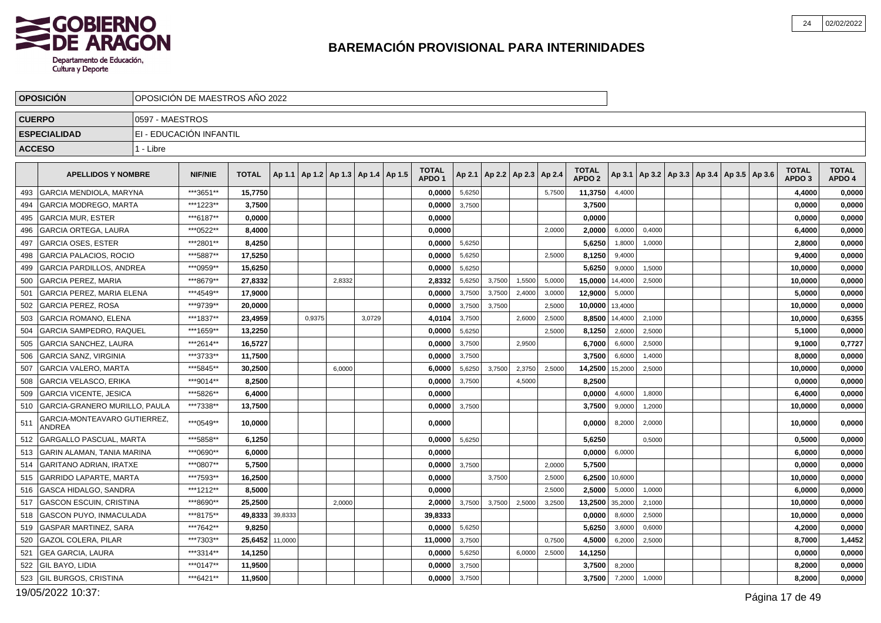

|               | <b>OPOSICION</b>                       |                 | OPOSICIÓN DE MAESTROS AÑO 2022 |              |         |        |                                            |        |                                   |        |        |                                   |        |                                   |         |                                                     |  |  |                                   |                        |
|---------------|----------------------------------------|-----------------|--------------------------------|--------------|---------|--------|--------------------------------------------|--------|-----------------------------------|--------|--------|-----------------------------------|--------|-----------------------------------|---------|-----------------------------------------------------|--|--|-----------------------------------|------------------------|
| <b>CUERPO</b> |                                        | 0597 - MAESTROS |                                |              |         |        |                                            |        |                                   |        |        |                                   |        |                                   |         |                                                     |  |  |                                   |                        |
|               | <b>ESPECIALIDAD</b>                    |                 | EI - EDUCACIÓN INFANTIL        |              |         |        |                                            |        |                                   |        |        |                                   |        |                                   |         |                                                     |  |  |                                   |                        |
| <b>ACCESO</b> |                                        | 1 - Libre       |                                |              |         |        |                                            |        |                                   |        |        |                                   |        |                                   |         |                                                     |  |  |                                   |                        |
|               | <b>APELLIDOS Y NOMBRE</b>              |                 | <b>NIF/NIE</b>                 | <b>TOTAL</b> |         |        | Ap 1.1   Ap 1.2   Ap 1.3   Ap 1.4   Ap 1.5 |        | <b>TOTAL</b><br>APDO <sub>1</sub> |        |        | Ap 2.1   Ap 2.2   Ap 2.3   Ap 2.4 |        | <b>TOTAL</b><br>APDO <sub>2</sub> |         | Ap 3.1   Ap 3.2   Ap 3.3   Ap 3.4   Ap 3.5   Ap 3.6 |  |  | <b>TOTAL</b><br>APDO <sub>3</sub> | <b>TOTAL</b><br>APDO 4 |
| 493           | GARCIA MENDIOLA. MARYNA                |                 | ***3651**                      | 15,7750      |         |        |                                            |        | 0,0000                            | 5,6250 |        |                                   | 5,7500 | 11,3750                           | 4,4000  |                                                     |  |  | 4,4000                            | 0,0000                 |
| 494           | <b>GARCIA MODREGO, MARTA</b>           |                 | ***1223**                      | 3,7500       |         |        |                                            |        | 0,0000                            | 3,7500 |        |                                   |        | 3,7500                            |         |                                                     |  |  | 0,0000                            | 0,0000                 |
| 495           | <b>IGARCIA MUR. ESTER</b>              |                 | ***6187**                      | 0.0000       |         |        |                                            |        | 0.0000                            |        |        |                                   |        | 0,0000                            |         |                                                     |  |  | 0,0000                            | 0,0000                 |
| 496           | <b>GARCIA ORTEGA, LAURA</b>            |                 | ***0522**                      | 8,4000       |         |        |                                            |        | 0,0000                            |        |        |                                   | 2,0000 | 2,0000                            | 6,0000  | 0,4000                                              |  |  | 6,4000                            | 0,0000                 |
| 497           | GARCIA OSES, ESTER                     |                 | ***2801**                      | 8,4250       |         |        |                                            |        | 0,0000                            | 5,6250 |        |                                   |        | 5,6250                            | 1,8000  | 1,0000                                              |  |  | 2,8000                            | 0,0000                 |
| 498           | <b>GARCIA PALACIOS, ROCIO</b>          |                 | ***5887**                      | 17,5250      |         |        |                                            |        | 0,0000                            | 5,6250 |        |                                   | 2,5000 | 8,1250                            | 9,4000  |                                                     |  |  | 9,4000                            | 0,0000                 |
| 499           | <b>GARCIA PARDILLOS, ANDREA</b>        |                 | ***0959**                      | 15,6250      |         |        |                                            |        | 0,0000                            | 5,6250 |        |                                   |        | 5,6250                            | 9,0000  | 1,5000                                              |  |  | 10,0000                           | 0,0000                 |
| 500           | <b>GARCIA PEREZ, MARIA</b>             |                 | ***8679**                      | 27,8332      |         |        | 2.8332                                     |        | 2,8332                            | 5,6250 | 3,7500 | 1.5500                            | 5.0000 | 15,0000                           | 14.4000 | 2,5000                                              |  |  | 10,0000                           | 0,0000                 |
| 501           | <b>GARCIA PEREZ. MARIA ELENA</b>       |                 | ***4549**                      | 17,9000      |         |        |                                            |        | 0,0000                            | 3,7500 | 3,7500 | 2,4000                            | 3,0000 | 12,9000                           | 5,0000  |                                                     |  |  | 5,0000                            | 0,0000                 |
| 502           | <b>GARCIA PEREZ, ROSA</b>              |                 | ***9739**                      | 20.0000      |         |        |                                            |        | 0.0000                            | 3,7500 | 3.7500 |                                   | 2,5000 | 10,0000                           | 13,4000 |                                                     |  |  | 10.0000                           | 0,0000                 |
| 503           | <b>GARCIA ROMANO, ELENA</b>            |                 | ***1837**                      | 23,4959      |         | 0.9375 |                                            | 3.0729 | 4,0104                            | 3,7500 |        | 2,6000                            | 2,5000 | 8,8500                            | 14,4000 | 2,1000                                              |  |  | 10,0000                           | 0,6355                 |
| 504           | <b>GARCIA SAMPEDRO, RAQUEL</b>         |                 | ***1659**                      | 13.2250      |         |        |                                            |        | 0,0000                            | 5,6250 |        |                                   | 2,5000 | 8,1250                            | 2,6000  | 2,5000                                              |  |  | 5.1000                            | 0,0000                 |
| 505           | <b>GARCIA SANCHEZ, LAURA</b>           |                 | ***2614**                      | 16,5727      |         |        |                                            |        | 0,0000                            | 3,7500 |        | 2,9500                            |        | 6,7000                            | 6,6000  | 2,5000                                              |  |  | 9,1000                            | 0,7727                 |
| 506           | GARCIA SANZ, VIRGINIA                  |                 | ***3733**                      | 11,7500      |         |        |                                            |        | 0,0000                            | 3,7500 |        |                                   |        | 3,7500                            | 6,6000  | 1,4000                                              |  |  | 8,0000                            | 0,0000                 |
| 507           | <b>GARCIA VALERO, MARTA</b>            |                 | ***5845**                      | 30,2500      |         |        | 6,0000                                     |        | 6,0000                            | 5,6250 | 3,7500 | 2,3750                            | 2,5000 | 14,2500                           | 15,2000 | 2,5000                                              |  |  | 10,0000                           | 0,0000                 |
| 508           | <b>GARCIA VELASCO, ERIKA</b>           |                 | ***9014**                      | 8,2500       |         |        |                                            |        | 0,0000                            | 3,7500 |        | 4,5000                            |        | 8,2500                            |         |                                                     |  |  | 0,0000                            | 0,0000                 |
| 509           | <b>GARCIA VICENTE, JESICA</b>          |                 | ***5826**                      | 6,4000       |         |        |                                            |        | 0,0000                            |        |        |                                   |        | 0,0000                            | 4,6000  | 1,8000                                              |  |  | 6,4000                            | 0,0000                 |
| 510           | GARCIA-GRANERO MURILLO, PAULA          |                 | ***7338**                      | 13,7500      |         |        |                                            |        | 0,0000                            | 3,7500 |        |                                   |        | 3,7500                            | 9,0000  | 1,2000                                              |  |  | 10,0000                           | 0,0000                 |
| 511           | GARCIA-MONTEAVARO GUTIERREZ,<br>ANDREA |                 | ***0549**                      | 10,0000      |         |        |                                            |        | 0,0000                            |        |        |                                   |        | 0,0000                            | 8,2000  | 2,0000                                              |  |  | 10,0000                           | 0,0000                 |
| 512           | <b>GARGALLO PASCUAL, MARTA</b>         |                 | ***5858**                      | 6,1250       |         |        |                                            |        | 0,0000                            | 5,6250 |        |                                   |        | 5,6250                            |         | 0,5000                                              |  |  | 0,5000                            | 0,0000                 |
| 513           | <b>GARIN ALAMAN, TANIA MARINA</b>      |                 | ***0690**                      | 6,0000       |         |        |                                            |        | 0.0000                            |        |        |                                   |        | 0.0000                            | 6,0000  |                                                     |  |  | 6.0000                            | 0,0000                 |
| 514           | <b>GARITANO ADRIAN, IRATXE</b>         |                 | ***0807**                      | 5,7500       |         |        |                                            |        | 0,0000                            | 3,7500 |        |                                   | 2,0000 | 5,7500                            |         |                                                     |  |  | 0,0000                            | 0,0000                 |
| 515           | <b>GARRIDO LAPARTE, MARTA</b>          |                 | ***7593**                      | 16,2500      |         |        |                                            |        | 0.0000                            |        | 3,7500 |                                   | 2,5000 | 6,2500                            | 10,6000 |                                                     |  |  | 10,0000                           | 0,0000                 |
| 516           | GASCA HIDALGO, SANDRA                  |                 | ***1212**                      | 8,5000       |         |        |                                            |        | 0,0000                            |        |        |                                   | 2,5000 | 2,5000                            | 5,0000  | 1,0000                                              |  |  | 6,0000                            | 0,0000                 |
| 517           | <b>GASCON ESCUIN, CRISTINA</b>         |                 | ***8690**                      | 25.2500      |         |        | 2.0000                                     |        | 2.0000                            | 3,7500 | 3,7500 | 2,5000                            | 3,2500 | 13,2500                           | 35,2000 | 2,1000                                              |  |  | 10,0000                           | 0,0000                 |
| 518           | GASCON PUYO, INMACULADA                |                 | ***8175**                      | 49,8333      | 39,8333 |        |                                            |        | 39,8333                           |        |        |                                   |        | 0,0000                            | 8,6000  | 2,5000                                              |  |  | 10,0000                           | 0,0000                 |
| 519           | <b>GASPAR MARTINEZ, SARA</b>           |                 | ***7642**                      | 9.8250       |         |        |                                            |        | 0,0000                            | 5,6250 |        |                                   |        | 5,6250                            | 3,6000  | 0,6000                                              |  |  | 4,2000                            | 0,0000                 |
| 520           | <b>GAZOL COLERA, PILAR</b>             |                 | ***7303**                      | 25,6452      | 11,0000 |        |                                            |        | 11,0000                           | 3,7500 |        |                                   | 0,7500 | 4,5000                            | 6,2000  | 2,5000                                              |  |  | 8,7000                            | 1,4452                 |
| 521           | <b>GEA GARCIA, LAURA</b>               |                 | ***3314**                      | 14,1250      |         |        |                                            |        | 0,0000                            | 5,6250 |        | 6,0000                            | 2,5000 | 14,1250                           |         |                                                     |  |  | 0,0000                            | 0,0000                 |
| 522           | GIL BAYO, LIDIA                        |                 | ***0147**                      | 11,9500      |         |        |                                            |        | 0,0000                            | 3,7500 |        |                                   |        | 3,7500                            | 8,2000  |                                                     |  |  | 8,2000                            | 0,0000                 |
| 523           | <b>GIL BURGOS, CRISTINA</b>            |                 | ***6421**                      | 11,9500      |         |        |                                            |        | 0,0000                            | 3,7500 |        |                                   |        | 3,7500                            | 7,2000  | 1,0000                                              |  |  | 8,2000                            | 0,0000                 |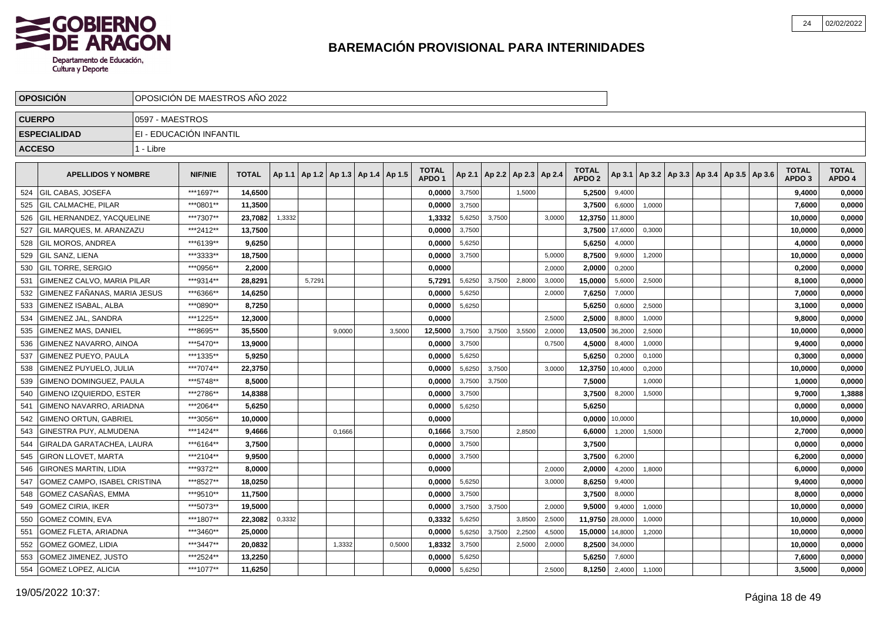

|               | <b>OPOSICIÓN</b>                  |                 | OPOSICIÓN DE MAESTROS AÑO 2022 |              |        |        |        |                                            |        |                                   |        |        |                                   |        |                                   |         |        |  |                                            |                                   |                        |
|---------------|-----------------------------------|-----------------|--------------------------------|--------------|--------|--------|--------|--------------------------------------------|--------|-----------------------------------|--------|--------|-----------------------------------|--------|-----------------------------------|---------|--------|--|--------------------------------------------|-----------------------------------|------------------------|
|               | <b>CUERPO</b>                     | 0597 - MAESTROS |                                |              |        |        |        |                                            |        |                                   |        |        |                                   |        |                                   |         |        |  |                                            |                                   |                        |
|               | <b>ESPECIALIDAD</b>               |                 | EI - EDUCACIÓN INFANTIL        |              |        |        |        |                                            |        |                                   |        |        |                                   |        |                                   |         |        |  |                                            |                                   |                        |
| <b>ACCESO</b> |                                   | 1 - Libre       |                                |              |        |        |        |                                            |        |                                   |        |        |                                   |        |                                   |         |        |  |                                            |                                   |                        |
|               |                                   |                 |                                |              |        |        |        |                                            |        |                                   |        |        |                                   |        |                                   |         |        |  |                                            |                                   |                        |
|               | <b>APELLIDOS Y NOMBRE</b>         |                 | <b>NIF/NIE</b>                 | <b>TOTAL</b> |        |        |        | Ap 1.1   Ap 1.2   Ap 1.3   Ap 1.4   Ap 1.5 |        | <b>TOTAL</b><br>APDO <sub>1</sub> |        |        | Ap 2.1   Ap 2.2   Ap 2.3   Ap 2.4 |        | <b>TOTAL</b><br>APDO <sub>2</sub> | Ap 3.1  |        |  | Ap 3.2   Ap 3.3   Ap 3.4   Ap 3.5   Ap 3.6 | <b>TOTAL</b><br>APDO <sub>3</sub> | <b>TOTAL</b><br>APDO 4 |
| 524           | <b>GIL CABAS, JOSEFA</b>          |                 | ***1697**                      | 14,6500      |        |        |        |                                            |        | 0,0000                            | 3,7500 |        | 1,5000                            |        | 5,2500                            | 9,4000  |        |  |                                            | 9,4000                            | 0,0000                 |
| 525           | <b>GIL CALMACHE. PILAR</b>        |                 | ***0801**                      | 11,3500      |        |        |        |                                            |        | 0,0000                            | 3,7500 |        |                                   |        | 3,7500                            | 6,6000  | 1,0000 |  |                                            | 7,6000                            | 0,0000                 |
| 526           | <b>GIL HERNANDEZ, YACQUELINE</b>  |                 | ***7307**                      | 23,7082      | 1,3332 |        |        |                                            |        | 1,3332                            | 5,6250 | 3,7500 |                                   | 3,0000 | 12,3750                           | 11,8000 |        |  |                                            | 10,0000                           | 0,0000                 |
| 527           | GIL MARQUES, M. ARANZAZU          |                 | ***2412**                      | 13,7500      |        |        |        |                                            |        | 0,0000                            | 3,7500 |        |                                   |        | 3,7500                            | 17,6000 | 0,3000 |  |                                            | 10,0000                           | 0,0000                 |
| 528           | <b>GIL MOROS, ANDREA</b>          |                 | ***6139**                      | 9,6250       |        |        |        |                                            |        | 0,0000                            | 5,6250 |        |                                   |        | 5,6250                            | 4,0000  |        |  |                                            | 4,0000                            | 0,0000                 |
| 529           | <b>GIL SANZ. LIENA</b>            |                 | ***3333**                      | 18.7500      |        |        |        |                                            |        | 0.0000                            | 3,7500 |        |                                   | 5.0000 | 8.7500                            | 9,6000  | 1,2000 |  |                                            | 10,0000                           | 0,0000                 |
| 530           | IGIL TORRE. SERGIO                |                 | ***0956**                      | 2.2000       |        |        |        |                                            |        | 0.0000                            |        |        |                                   | 2,0000 | 2,0000                            | 0,2000  |        |  |                                            | 0.2000                            | 0,0000                 |
| 531           | <b>GIMENEZ CALVO, MARIA PILAR</b> |                 | ***9314**                      | 28.8291      |        | 5,7291 |        |                                            |        | 5.7291                            | 5,6250 | 3,7500 | 2,8000                            | 3,0000 | 15,0000                           | 5,6000  | 2,5000 |  |                                            | 8,1000                            | 0,0000                 |
| 532           | GIMENEZ FAÑANAS. MARIA JESUS      |                 | ***6366**                      | 14,6250      |        |        |        |                                            |        | 0,0000                            | 5,6250 |        |                                   | 2,0000 | 7,6250                            | 7,0000  |        |  |                                            | 7,0000                            | 0,0000                 |
| 533           | <b>GIMENEZ ISABAL. ALBA</b>       |                 | ***0890**                      | 8,7250       |        |        |        |                                            |        | 0,0000                            | 5,6250 |        |                                   |        | 5,6250                            | 0,6000  | 2,5000 |  |                                            | 3,1000                            | 0,0000                 |
| 534           | GIMENEZ JAL, SANDRA               |                 | ***1225**                      | 12,3000      |        |        |        |                                            |        | 0.0000                            |        |        |                                   | 2,5000 | 2,5000                            | 8,8000  | 1,0000 |  |                                            | 9,8000                            | 0,0000                 |
| 535           | GIMENEZ MAS, DANIEL               |                 | ***8695**                      | 35,5500      |        |        | 9,0000 |                                            | 3,5000 | 12,5000                           | 3,7500 | 3,7500 | 3,5500                            | 2,0000 | 13,0500                           | 36,2000 | 2,5000 |  |                                            | 10,0000                           | 0,0000                 |
| 536           | <b>GIMENEZ NAVARRO, AINOA</b>     |                 | ***5470**                      | 13,9000      |        |        |        |                                            |        | 0,0000                            | 3,7500 |        |                                   | 0,7500 | 4,5000                            | 8,4000  | 1,0000 |  |                                            | 9,4000                            | 0,0000                 |
| 537           | GIMENEZ PUEYO, PAULA              |                 | ***1335**                      | 5,9250       |        |        |        |                                            |        | 0,0000                            | 5,6250 |        |                                   |        | 5,6250                            | 0,2000  | 0,1000 |  |                                            | 0,3000                            | 0,0000                 |
| 538           | <b>GIMENEZ PUYUELO, JULIA</b>     |                 | ***7074**                      | 22,3750      |        |        |        |                                            |        | 0,0000                            | 5,6250 | 3,7500 |                                   | 3,0000 | 12,3750                           | 10,4000 | 0,2000 |  |                                            | 10,0000                           | 0,0000                 |
| 539           | GIMENO DOMINGUEZ, PAULA           |                 | ***5748**                      | 8,5000       |        |        |        |                                            |        | 0,0000                            | 3,7500 | 3,7500 |                                   |        | 7,5000                            |         | 1,0000 |  |                                            | 1,0000                            | 0,0000                 |
| 540           | <b>GIMENO IZQUIERDO, ESTER</b>    |                 | ***2786**                      | 14.8388      |        |        |        |                                            |        | 0.0000                            | 3,7500 |        |                                   |        | 3.7500                            | 8,2000  | 1,5000 |  |                                            | 9.7000                            | 1,3888                 |
| 541           | GIMENO NAVARRO, ARIADNA           |                 | ***2064**                      | 5,6250       |        |        |        |                                            |        | 0,0000                            | 5,6250 |        |                                   |        | 5,6250                            |         |        |  |                                            | 0,0000                            | 0,0000                 |
| 542           | <b>GIMENO ORTUN, GABRIEL</b>      |                 | ***3056**                      | 10.0000      |        |        |        |                                            |        | 0.0000                            |        |        |                                   |        | 0,0000                            | 10,0000 |        |  |                                            | 10,0000                           | 0,0000                 |
| 543           | GINESTRA PUY, ALMUDENA            |                 | ***1424**                      | 9,4666       |        |        | 0,1666 |                                            |        | 0,1666                            | 3,7500 |        | 2,8500                            |        | 6,6000                            | 1,2000  | 1,5000 |  |                                            | 2,7000                            | 0,0000                 |
| 544           | GIRALDA GARATACHEA, LAURA         |                 | ***6164**                      | 3,7500       |        |        |        |                                            |        | 0,0000                            | 3,7500 |        |                                   |        | 3,7500                            |         |        |  |                                            | 0,0000                            | 0,0000                 |
| 545           | <b>GIRON LLOVET, MARTA</b>        |                 | ***2104**                      | 9,9500       |        |        |        |                                            |        | 0,0000                            | 3,7500 |        |                                   |        | 3,7500                            | 6,2000  |        |  |                                            | 6,2000                            | 0,0000                 |
| 546           | <b>GIRONES MARTIN, LIDIA</b>      |                 | ***9372**                      | 8,0000       |        |        |        |                                            |        | 0,0000                            |        |        |                                   | 2,0000 | 2,0000                            | 4,2000  | 1,8000 |  |                                            | 6,0000                            | 0,0000                 |
| 547           | GOMEZ CAMPO, ISABEL CRISTINA      |                 | ***8527**                      | 18,0250      |        |        |        |                                            |        | 0,0000                            | 5,6250 |        |                                   | 3,0000 | 8,6250                            | 9,4000  |        |  |                                            | 9,4000                            | 0,0000                 |
| 548           | GOMEZ CASAÑAS, EMMA               |                 | ***9510**                      | 11,7500      |        |        |        |                                            |        | 0,0000                            | 3,7500 |        |                                   |        | 3,7500                            | 8,0000  |        |  |                                            | 8,0000                            | 0,0000                 |
| 549           | <b>GOMEZ CIRIA, IKER</b>          |                 | ***5073**                      | 19,5000      |        |        |        |                                            |        | 0,0000                            | 3,7500 | 3,7500 |                                   | 2,0000 | 9,5000                            | 9,4000  | 1,0000 |  |                                            | 10,0000                           | 0,0000                 |
| 550           | <b>GOMEZ COMIN, EVA</b>           |                 | ***1807**                      | 22,3082      | 0,3332 |        |        |                                            |        | 0,3332                            | 5,6250 |        | 3,8500                            | 2,5000 | 11,9750                           | 28,0000 | 1,0000 |  |                                            | 10,0000                           | 0,0000                 |
| 551           | <b>GOMEZ FLETA, ARIADNA</b>       |                 | ***3460**                      | 25,0000      |        |        |        |                                            |        | 0.0000                            | 5,6250 | 3,7500 | 2,2500                            | 4,5000 | 15,0000                           | 14,8000 | 1,2000 |  |                                            | 10.0000                           | 0,0000                 |
| 552           | <b>GOMEZ GOMEZ, LIDIA</b>         |                 | ***3447**                      | 20,0832      |        |        | 1,3332 |                                            | 0,5000 | 1,8332                            | 3,7500 |        | 2,5000                            | 2,0000 | 8,2500                            | 34,0000 |        |  |                                            | 10,0000                           | 0,0000                 |
| 553           | GOMEZ JIMENEZ, JUSTO              |                 | ***2524**                      | 13,2250      |        |        |        |                                            |        | 0,0000                            | 5,6250 |        |                                   |        | 5,6250                            | 7,6000  |        |  |                                            | 7.6000                            | 0,0000                 |
|               | 554 GOMEZ LOPEZ, ALICIA           |                 | ***1077**                      | 11,6250      |        |        |        |                                            |        | 0,0000                            | 5,6250 |        |                                   | 2,5000 | 8,1250                            | 2,4000  | 1,1000 |  |                                            | 3,5000                            | 0,0000                 |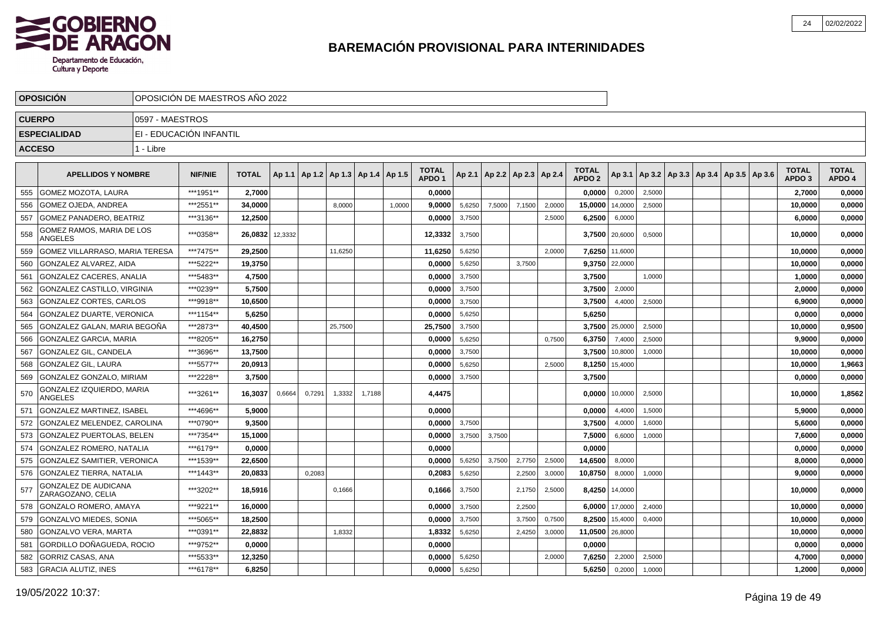

|               | <b>OPOSICIÓN</b>                            |                 | OPOSICIÓN DE MAESTROS AÑO 2022 |              |         |        |                                   |        |        |                                   |        |        |                          |        |                                   |                |        |                                            |  |                                   |                        |
|---------------|---------------------------------------------|-----------------|--------------------------------|--------------|---------|--------|-----------------------------------|--------|--------|-----------------------------------|--------|--------|--------------------------|--------|-----------------------------------|----------------|--------|--------------------------------------------|--|-----------------------------------|------------------------|
| <b>CUERPO</b> |                                             | 0597 - MAESTROS |                                |              |         |        |                                   |        |        |                                   |        |        |                          |        |                                   |                |        |                                            |  |                                   |                        |
|               | <b>ESPECIALIDAD</b>                         |                 | EI - EDUCACIÓN INFANTIL        |              |         |        |                                   |        |        |                                   |        |        |                          |        |                                   |                |        |                                            |  |                                   |                        |
| <b>ACCESO</b> |                                             | 1 - Libre       |                                |              |         |        |                                   |        |        |                                   |        |        |                          |        |                                   |                |        |                                            |  |                                   |                        |
|               |                                             |                 |                                |              |         |        |                                   |        |        |                                   |        |        |                          |        |                                   |                |        |                                            |  |                                   |                        |
|               | <b>APELLIDOS Y NOMBRE</b>                   |                 | <b>NIF/NIE</b>                 | <b>TOTAL</b> | Ap 1.1  |        | Ap 1.2   Ap 1.3   Ap 1.4   Ap 1.5 |        |        | <b>TOTAL</b><br>APDO <sub>1</sub> | Ap 2.1 |        | Ap 2.2   Ap 2.3   Ap 2.4 |        | <b>TOTAL</b><br>APDO <sub>2</sub> | Ap 3.1         |        | Ap 3.2   Ap 3.3   Ap 3.4   Ap 3.5   Ap 3.6 |  | <b>TOTAL</b><br>APDO <sub>3</sub> | <b>TOTAL</b><br>APDO 4 |
| 555           | GOMEZ MOZOTA, LAURA                         |                 | ***1951**                      | 2,7000       |         |        |                                   |        |        | 0,0000                            |        |        |                          |        | 0,0000                            | 0,2000         | 2,5000 |                                            |  | 2,7000                            | 0,0000                 |
| 556           | <b>GOMEZ OJEDA, ANDREA</b>                  |                 | ***2551**                      | 34,0000      |         |        | 8,0000                            |        | 1,0000 | 9,0000                            | 5,6250 | 7,5000 | 7,1500                   | 2,0000 | 15,0000                           | 14,0000        | 2,5000 |                                            |  | 10,0000                           | 0,0000                 |
| 557           | GOMEZ PANADERO, BEATRIZ                     |                 | ***3136**                      | 12,2500      |         |        |                                   |        |        | 0,0000                            | 3,7500 |        |                          | 2,5000 | 6,2500                            | 6,0000         |        |                                            |  | 6,0000                            | 0,0000                 |
| 558           | GOMEZ RAMOS, MARIA DE LOS<br><b>ANGELES</b> |                 | ***0358**                      | 26,0832      | 12,3332 |        |                                   |        |        | 12,3332                           | 3,7500 |        |                          |        |                                   | 3,7500 20,6000 | 0,5000 |                                            |  | 10,0000                           | 0,0000                 |
| 559           | GOMEZ VILLARRASO. MARIA TERESA              |                 | ***7475**                      | 29.2500      |         |        | 11,6250                           |        |        | 11,6250                           | 5,6250 |        |                          | 2.0000 | 7.6250                            | 11,6000        |        |                                            |  | 10,0000                           | 0,0000                 |
| 560           | GONZALEZ ALVAREZ. AIDA                      |                 | ***5222**                      | 19,3750      |         |        |                                   |        |        | 0.0000                            | 5,6250 |        | 3,7500                   |        |                                   | 9,3750 22,0000 |        |                                            |  | 10,0000                           | 0,0000                 |
| 561           | <b>GONZALEZ CACERES, ANALIA</b>             |                 | ***5483**                      | 4,7500       |         |        |                                   |        |        | 0,0000                            | 3,7500 |        |                          |        | 3,7500                            |                | 1,0000 |                                            |  | 1,0000                            | 0,0000                 |
| 562           | GONZALEZ CASTILLO, VIRGINIA                 |                 | ***0239**                      | 5,7500       |         |        |                                   |        |        | 0,0000                            | 3,7500 |        |                          |        | 3,7500                            | 2,0000         |        |                                            |  | 2,0000                            | 0,0000                 |
| 563           | GONZALEZ CORTES, CARLOS                     |                 | ***9918**                      | 10,6500      |         |        |                                   |        |        | 0.0000                            | 3,7500 |        |                          |        | 3,7500                            | 4,4000         | 2,5000 |                                            |  | 6,9000                            | 0,0000                 |
| 564           | GONZALEZ DUARTE, VERONICA                   |                 | ***1154**                      | 5,6250       |         |        |                                   |        |        | 0,0000                            | 5,6250 |        |                          |        | 5,6250                            |                |        |                                            |  | 0,0000                            | 0,0000                 |
| 565           | GONZALEZ GALAN, MARIA BEGOÑA                |                 | ***2873**                      | 40,4500      |         |        | 25,7500                           |        |        | 25,7500                           | 3,7500 |        |                          |        |                                   | 3,7500 25,0000 | 2,5000 |                                            |  | 10,0000                           | 0,9500                 |
| 566           | GONZALEZ GARCIA, MARIA                      |                 | ***8205**                      | 16,2750      |         |        |                                   |        |        | 0,0000                            | 5,6250 |        |                          | 0.7500 | 6,3750                            | 7,4000         | 2.5000 |                                            |  | 9,9000                            | 0,0000                 |
| 567           | <b>GONZALEZ GIL, CANDELA</b>                |                 | ***3696**                      | 13.7500      |         |        |                                   |        |        | 0.0000                            | 3,7500 |        |                          |        | 3.7500                            | 10,8000        | 1,0000 |                                            |  | 10.0000                           | 0.0000                 |
| 568           | <b>GONZALEZ GIL, LAURA</b>                  |                 | ***5577**                      | 20.0913      |         |        |                                   |        |        | 0.0000                            | 5,6250 |        |                          | 2.5000 | 8,1250                            | 15,4000        |        |                                            |  | 10,0000                           | 1,9663                 |
| 569           | GONZALEZ GONZALO. MIRIAM                    |                 | ***2228**                      | 3,7500       |         |        |                                   |        |        | 0,0000                            | 3,7500 |        |                          |        | 3,7500                            |                |        |                                            |  | 0.0000                            | 0,0000                 |
| 570           | GONZALEZ IZQUIERDO, MARIA<br>ANGELES        |                 | ***3261**                      | 16.3037      | 0,6664  | 0,7291 | 1,3332                            | 1.7188 |        | 4,4475                            |        |        |                          |        | 0.00001                           | 10,0000        | 2,5000 |                                            |  | 10.0000                           | 1,8562                 |
| 571           | <b>GONZALEZ MARTINEZ, ISABEL</b>            |                 | ***4696**                      | 5,9000       |         |        |                                   |        |        | 0,0000                            |        |        |                          |        | 0,0000                            | 4,4000         | 1,5000 |                                            |  | 5,9000                            | 0,0000                 |
| 572           | GONZALEZ MELENDEZ, CAROLINA                 |                 | ***0790**                      | 9,3500       |         |        |                                   |        |        | 0,0000                            | 3,7500 |        |                          |        | 3,7500                            | 4,0000         | 1,6000 |                                            |  | 5,6000                            | 0,0000                 |
| 573           | <b>GONZALEZ PUERTOLAS, BELEN</b>            |                 | ***7354**                      | 15.1000      |         |        |                                   |        |        | 0.0000                            | 3,7500 | 3,7500 |                          |        | 7.5000                            | 6,6000         | 1,0000 |                                            |  | 7.6000                            | 0,0000                 |
| 574           | <b>GONZALEZ ROMERO, NATALIA</b>             |                 | ***6179**                      | 0.0000       |         |        |                                   |        |        | 0.0000                            |        |        |                          |        | 0,0000                            |                |        |                                            |  | 0,0000                            | 0,0000                 |
| 575           | <b>GONZALEZ SAMITIER, VERONICA</b>          |                 | ***1539**                      | 22.6500      |         |        |                                   |        |        | 0,0000                            | 5,6250 | 3,7500 | 2,7750                   | 2,5000 | 14,6500                           | 8,0000         |        |                                            |  | 8,0000                            | 0,0000                 |
| 576           | <b>GONZALEZ TIERRA, NATALIA</b>             |                 | ***1443**                      | 20,0833      |         | 0,2083 |                                   |        |        | 0,2083                            | 5,6250 |        | 2,2500                   | 3,0000 | 10,8750                           | 8,0000         | 1,0000 |                                            |  | 9.0000                            | 0,0000                 |
| 577           | GONZALEZ DE AUDICANA<br>ZARAGOZANO, CELIA   |                 | ***3202**                      | 18.5916      |         |        | 0,1666                            |        |        | 0.1666                            | 3,7500 |        | 2,1750                   | 2,5000 | 8.4250                            | 14,0000        |        |                                            |  | 10,0000                           | 0,0000                 |
| 578           | GONZALO ROMERO, AMAYA                       |                 | ***9221**                      | 16,0000      |         |        |                                   |        |        | 0,0000                            | 3,7500 |        | 2,2500                   |        |                                   | 6,0000 17,0000 | 2,4000 |                                            |  | 10,0000                           | 0,0000                 |
| 579           | <b>GONZALVO MIEDES, SONIA</b>               |                 | ***5065**                      | 18,2500      |         |        |                                   |        |        | 0,0000                            | 3,7500 |        | 3,7500                   | 0,7500 | 8,2500                            | 15,4000        | 0,4000 |                                            |  | 10,0000                           | 0,0000                 |
| 580           | <b>GONZALVO VERA, MARTA</b>                 |                 | ***0391**                      | 22.8832      |         |        | 1.8332                            |        |        | 1,8332                            | 5,6250 |        | 2,4250                   | 3,0000 | 11,0500 26,8000                   |                |        |                                            |  | 10.0000                           | 0,0000                 |
| 581           | GORDILLO DOÑAGUEDA, ROCIO                   |                 | ***9752**                      | 0.0000       |         |        |                                   |        |        | 0,0000                            |        |        |                          |        | 0.0000                            |                |        |                                            |  | 0.0000                            | 0,0000                 |
| 582           | <b>GORRIZ CASAS, ANA</b>                    |                 | ***5533**                      | 12,3250      |         |        |                                   |        |        | 0.0000                            | 5,6250 |        |                          | 2,0000 | 7,6250                            | 2,2000         | 2,5000 |                                            |  | 4,7000                            | 0,0000                 |
|               | 583 GRACIA ALUTIZ, INES                     |                 | ***6178**                      | 6,8250       |         |        |                                   |        |        | 0,0000                            | 5,6250 |        |                          |        | 5,6250                            | 0,2000         | 1,0000 |                                            |  | 1,2000                            | 0,0000                 |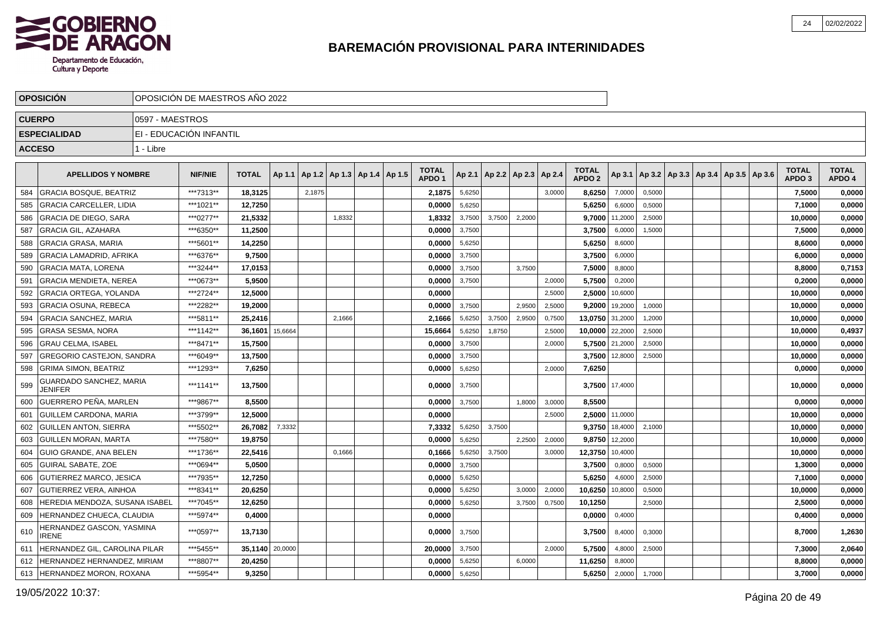

|               | <b>OPOSICIÓN</b>                          |                 | OPOSICIÓN DE MAESTROS AÑO 2022 |                 |         |        |                                   |  |                                   |        |        |                          |        |                                   |                |        |                                            |  |                                   |                        |
|---------------|-------------------------------------------|-----------------|--------------------------------|-----------------|---------|--------|-----------------------------------|--|-----------------------------------|--------|--------|--------------------------|--------|-----------------------------------|----------------|--------|--------------------------------------------|--|-----------------------------------|------------------------|
| <b>CUERPO</b> |                                           | 0597 - MAESTROS |                                |                 |         |        |                                   |  |                                   |        |        |                          |        |                                   |                |        |                                            |  |                                   |                        |
|               | <b>ESPECIALIDAD</b>                       |                 | EI - EDUCACIÓN INFANTIL        |                 |         |        |                                   |  |                                   |        |        |                          |        |                                   |                |        |                                            |  |                                   |                        |
| <b>ACCESO</b> |                                           | 1 - Libre       |                                |                 |         |        |                                   |  |                                   |        |        |                          |        |                                   |                |        |                                            |  |                                   |                        |
|               |                                           |                 |                                |                 |         |        |                                   |  |                                   |        |        |                          |        |                                   |                |        |                                            |  |                                   |                        |
|               | <b>APELLIDOS Y NOMBRE</b>                 |                 | <b>NIF/NIE</b>                 | <b>TOTAL</b>    | Ap 1.1  |        | Ap 1.2   Ap 1.3   Ap 1.4   Ap 1.5 |  | <b>TOTAL</b><br>APDO <sub>1</sub> | Ap 2.1 |        | Ap 2.2   Ap 2.3   Ap 2.4 |        | <b>TOTAL</b><br>APDO <sub>2</sub> | Ap 3.1         |        | Ap 3.2   Ap 3.3   Ap 3.4   Ap 3.5   Ap 3.6 |  | <b>TOTAL</b><br>APDO <sub>3</sub> | <b>TOTAL</b><br>APDO 4 |
| 584           | <b>GRACIA BOSQUE, BEATRIZ</b>             |                 | ***7313**                      | 18,3125         |         | 2.1875 |                                   |  | 2,1875                            | 5,6250 |        |                          | 3.0000 | 8,6250                            | 7,0000         | 0,5000 |                                            |  | 7,5000                            | 0,0000                 |
| 585           | <b>GRACIA CARCELLER, LIDIA</b>            |                 | ***1021**                      | 12,7250         |         |        |                                   |  | 0.0000                            | 5,6250 |        |                          |        | 5,6250                            | 6,6000         | 0,5000 |                                            |  | 7,1000                            | 0,0000                 |
| 586           | <b>GRACIA DE DIEGO, SARA</b>              |                 | ***0277**                      | 21,5332         |         |        | 1,8332                            |  | 1,8332                            | 3,7500 | 3,7500 | 2,2000                   |        |                                   | 9,7000 11,2000 | 2,5000 |                                            |  | 10,0000                           | 0,0000                 |
| 587           | <b>GRACIA GIL, AZAHARA</b>                |                 | ***6350**                      | 11,2500         |         |        |                                   |  | 0,0000                            | 3,7500 |        |                          |        | 3,7500                            | 6,0000         | 1,5000 |                                            |  | 7,5000                            | 0,0000                 |
| 588           | <b>GRACIA GRASA, MARIA</b>                |                 | ***5601**                      | 14,2250         |         |        |                                   |  | 0,0000                            | 5,6250 |        |                          |        | 5,6250                            | 8,6000         |        |                                            |  | 8,6000                            | 0,0000                 |
| 589           | GRACIA LAMADRID, AFRIKA                   |                 | ***6376**                      | 9,7500          |         |        |                                   |  | 0,0000                            | 3,7500 |        |                          |        | 3,7500                            | 6,0000         |        |                                            |  | 6,0000                            | 0,0000                 |
| 590           | <b>GRACIA MATA, LORENA</b>                |                 | ***3244**                      | 17,0153         |         |        |                                   |  | 0,0000                            | 3,7500 |        | 3.7500                   |        | 7,5000                            | 8,8000         |        |                                            |  | 8,8000                            | 0,7153                 |
| 591           | GRACIA MENDIETA. NEREA                    |                 | ***0673**                      | 5.9500          |         |        |                                   |  | 0.0000                            | 3,7500 |        |                          | 2,0000 | 5,7500                            | 0,2000         |        |                                            |  | 0.2000                            | 0,0000                 |
| 592           | <b>GRACIA ORTEGA, YOLANDA</b>             |                 | ***2724**                      | 12,5000         |         |        |                                   |  | 0,0000                            |        |        |                          | 2,5000 | 2,5000                            | 10,6000        |        |                                            |  | 10,0000                           | 0,0000                 |
| 593           | <b>GRACIA OSUNA, REBECA</b>               |                 | ***2282**                      | 19,2000         |         |        |                                   |  | 0,0000                            | 3,7500 |        | 2,9500                   | 2,5000 |                                   | 9,2000 19,2000 | 1,0000 |                                            |  | 10,0000                           | 0,0000                 |
| 594           | <b>GRACIA SANCHEZ, MARIA</b>              |                 | ***5811**                      | 25.2416         |         |        | 2,1666                            |  | 2,1666                            | 5,6250 | 3,7500 | 2,9500                   | 0,7500 | 13,0750 31,2000                   |                | 1,2000 |                                            |  | 10,0000                           | 0,0000                 |
| 595           | <b>GRASA SESMA, NORA</b>                  |                 | ***1142**                      | 36.1601         | 15,6664 |        |                                   |  | 15,6664                           | 5,6250 | 1,8750 |                          | 2,5000 | 10.0000 22,2000                   |                | 2,5000 |                                            |  | 10,0000                           | 0,4937                 |
| 596           | <b>GRAU CELMA. ISABEL</b>                 |                 | ***8471**                      | 15.7500         |         |        |                                   |  | 0.0000                            | 3,7500 |        |                          | 2.0000 |                                   | 5,7500 21,2000 | 2,5000 |                                            |  | 10.0000                           | 0,0000                 |
| 597           | <b>GREGORIO CASTEJON, SANDRA</b>          |                 | ***6049**                      | 13,7500         |         |        |                                   |  | 0,0000                            | 3,7500 |        |                          |        |                                   | 3,7500 12,8000 | 2,5000 |                                            |  | 10,0000                           | 0,0000                 |
| 598           | <b>GRIMA SIMON, BEATRIZ</b>               |                 | ***1293**                      | 7,6250          |         |        |                                   |  | 0,0000                            | 5,6250 |        |                          | 2,0000 | 7,6250                            |                |        |                                            |  | 0,0000                            | 0,0000                 |
| 599           | GUARDADO SANCHEZ, MARIA<br>JENIFER        |                 | ***1141**                      | 13,7500         |         |        |                                   |  | 0.0000                            | 3,7500 |        |                          |        |                                   | 3,7500 17,4000 |        |                                            |  | 10,0000                           | 0,0000                 |
| 600           | <b>GUERRERO PEÑA, MARLEN</b>              |                 | ***9867**                      | 8,5500          |         |        |                                   |  | 0,0000                            | 3,7500 |        | 1,8000                   | 3,0000 | 8,5500                            |                |        |                                            |  | 0,0000                            | 0,0000                 |
| 601           | <b>GUILLEM CARDONA, MARIA</b>             |                 | ***3799**                      | 12,5000         |         |        |                                   |  | 0,0000                            |        |        |                          | 2,5000 |                                   | 2,5000 11,0000 |        |                                            |  | 10,0000                           | 0,0000                 |
| 602           | <b>GUILLEN ANTON, SIERRA</b>              |                 | ***5502**                      | 26,7082         | 7,3332  |        |                                   |  | 7,3332                            | 5,6250 | 3.7500 |                          |        |                                   | 9,3750 18,4000 | 2,1000 |                                            |  | 10,0000                           | 0,0000                 |
| 603           | I GUILLEN MORAN. MARTA                    |                 | ***7580**                      | 19,8750         |         |        |                                   |  | 0.0000                            | 5,6250 |        | 2.2500                   | 2,0000 | 9.8750                            | 12,2000        |        |                                            |  | 10,0000                           | 0,0000                 |
| 604           | GUIO GRANDE, ANA BELEN                    |                 | ***1736**                      | 22,5416         |         |        | 0,1666                            |  | 0,1666                            | 5,6250 | 3,7500 |                          | 3,0000 | 12,3750 10,4000                   |                |        |                                            |  | 10,0000                           | 0,0000                 |
| 605           | <b>GUIRAL SABATE, ZOE</b>                 |                 | ***0694**                      | 5,0500          |         |        |                                   |  | 0,0000                            | 3,7500 |        |                          |        | 3,7500                            | 0,8000         | 0,5000 |                                            |  | 1,3000                            | 0,0000                 |
| 606           | <b>GUTIERREZ MARCO, JESICA</b>            |                 | ***7935**                      | 12,7250         |         |        |                                   |  | 0,0000                            | 5,6250 |        |                          |        | 5,6250                            | 4,6000         | 2,5000 |                                            |  | 7,1000                            | 0,0000                 |
| 607           | GUTIERREZ VERA. AINHOA                    |                 | ***8341**                      | 20,6250         |         |        |                                   |  | 0,0000                            | 5,6250 |        | 3,0000                   | 2,0000 | 10,6250                           | 10,8000        | 0,5000 |                                            |  | 10,0000                           | 0,0000                 |
| 608           | HEREDIA MENDOZA, SUSANA ISABEL            |                 | ***7045**                      | 12,6250         |         |        |                                   |  | 0,0000                            | 5,6250 |        | 3,7500                   | 0,7500 | 10,1250                           |                | 2,5000 |                                            |  | 2,5000                            | 0,0000                 |
| 609           | HERNANDEZ CHUECA, CLAUDIA                 |                 | ***5974**                      | 0,4000          |         |        |                                   |  | 0,0000                            |        |        |                          |        | 0,0000                            | 0,4000         |        |                                            |  | 0,4000                            | 0,0000                 |
| 610           | HERNANDEZ GASCON, YASMINA<br><b>IRENE</b> |                 | ***0597**                      | 13,7130         |         |        |                                   |  | 0,0000                            | 3,7500 |        |                          |        | 3,7500                            | 8,4000         | 0,3000 |                                            |  | 8,7000                            | 1,2630                 |
| 611           | HERNANDEZ GIL, CAROLINA PILAR             |                 | *** 5455**                     | 35,1140 20,0000 |         |        |                                   |  | 20,0000                           | 3,7500 |        |                          | 2,0000 | 5,7500                            | 4,8000         | 2,5000 |                                            |  | 7,3000                            | 2,0640                 |
| 612           | HERNANDEZ HERNANDEZ, MIRIAM               |                 | ***8807**                      | 20,4250         |         |        |                                   |  | 0,0000                            | 5,6250 |        | 6,0000                   |        | 11,6250                           | 8,8000         |        |                                            |  | 8,8000                            | 0,0000                 |
|               | 613 HERNANDEZ MORON, ROXANA               |                 | ***5954**                      | 9,3250          |         |        |                                   |  | 0,0000                            | 5,6250 |        |                          |        | 5,6250                            | 2,0000         | 1,7000 |                                            |  | 3,7000                            | 0,0000                 |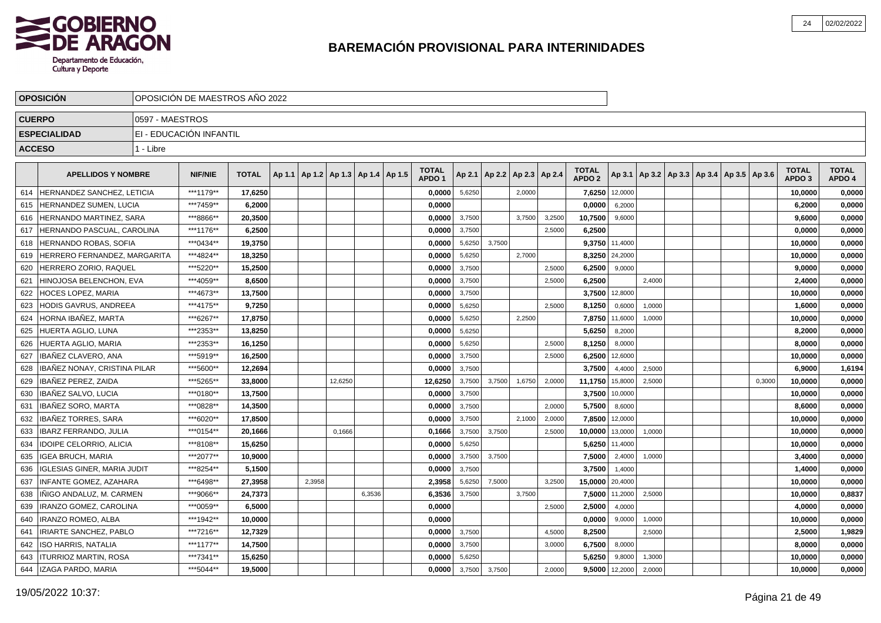

|               | <b>OPOSICION</b>               |                 | OPOSICION DE MAESTROS ANO 2022 |              |        |                                   |         |        |                                   |        |        |               |        |                                   |                |        |  |                                                     |        |                                   |                        |
|---------------|--------------------------------|-----------------|--------------------------------|--------------|--------|-----------------------------------|---------|--------|-----------------------------------|--------|--------|---------------|--------|-----------------------------------|----------------|--------|--|-----------------------------------------------------|--------|-----------------------------------|------------------------|
| <b>CUERPO</b> |                                | 0597 - MAESTROS |                                |              |        |                                   |         |        |                                   |        |        |               |        |                                   |                |        |  |                                                     |        |                                   |                        |
|               | <b>ESPECIALIDAD</b>            |                 | EI - EDUCACIÓN INFANTIL        |              |        |                                   |         |        |                                   |        |        |               |        |                                   |                |        |  |                                                     |        |                                   |                        |
| <b>ACCESO</b> |                                | 1 - Libre       |                                |              |        |                                   |         |        |                                   |        |        |               |        |                                   |                |        |  |                                                     |        |                                   |                        |
|               |                                |                 |                                |              |        |                                   |         |        |                                   |        |        |               |        |                                   |                |        |  |                                                     |        |                                   |                        |
|               | <b>APELLIDOS Y NOMBRE</b>      |                 | <b>NIF/NIE</b>                 | <b>TOTAL</b> | Ap 1.1 | Ap 1.2   Ap 1.3   Ap 1.4   Ap 1.5 |         |        | <b>TOTAL</b><br>APDO <sub>1</sub> | Ap 2.1 | Ap 2.2 | Ap 2.3 Ap 2.4 |        | <b>TOTAL</b><br>APDO <sub>2</sub> |                |        |  | Ap 3.1   Ap 3.2   Ap 3.3   Ap 3.4   Ap 3.5   Ap 3.6 |        | <b>TOTAL</b><br>APDO <sub>3</sub> | <b>TOTAL</b><br>APDO 4 |
| 614           | HERNANDEZ SANCHEZ, LETICIA     |                 | ***1179**                      | 17,6250      |        |                                   |         |        | 0,0000                            | 5,6250 |        | 2,0000        |        | 7.6250                            | 12,0000        |        |  |                                                     |        | 10,0000                           | 0,0000                 |
| 615           | <b>HERNANDEZ SUMEN, LUCIA</b>  |                 | ***7459**                      | 6.2000       |        |                                   |         |        | 0.0000                            |        |        |               |        | 0.0000                            | 6,2000         |        |  |                                                     |        | 6.2000                            | 0,0000                 |
| 616           | HERNANDO MARTINEZ, SARA        |                 | ***8866**                      | 20,3500      |        |                                   |         |        | 0.0000                            | 3,7500 |        | 3,7500        | 3,2500 | 10,7500                           | 9,6000         |        |  |                                                     |        | 9,6000                            | 0,0000                 |
| 617           | HERNANDO PASCUAL, CAROLINA     |                 | ***1176**                      | 6,2500       |        |                                   |         |        | 0.0000                            | 3,7500 |        |               | 2.5000 | 6,2500                            |                |        |  |                                                     |        | 0,0000                            | 0,0000                 |
| 618           | HERNANDO ROBAS, SOFIA          |                 | ***0434**                      | 19,3750      |        |                                   |         |        | 0,0000                            | 5,6250 | 3,7500 |               |        | 9,3750                            | 11,4000        |        |  |                                                     |        | 10,0000                           | 0,0000                 |
| 619           | HERRERO FERNANDEZ, MARGARITA   |                 | ***4824**                      | 18,3250      |        |                                   |         |        | 0,0000                            | 5,6250 |        | 2,7000        |        |                                   | 8,3250 24,2000 |        |  |                                                     |        | 10,0000                           | 0,0000                 |
| 620           | HERRERO ZORIO, RAQUEL          |                 | ***5220**                      | 15,2500      |        |                                   |         |        | 0,0000                            | 3,7500 |        |               | 2,5000 | 6,2500                            | 9,0000         |        |  |                                                     |        | 9,0000                            | 0,0000                 |
| 621           | HINOJOSA BELENCHON, EVA        |                 | ***4059**                      | 8.6500       |        |                                   |         |        | 0.0000                            | 3,7500 |        |               | 2,5000 | 6,2500                            |                | 2,4000 |  |                                                     |        | 2,4000                            | 0,0000                 |
| 622           | <b>HOCES LOPEZ, MARIA</b>      |                 | ***4673**                      | 13,7500      |        |                                   |         |        | 0,0000                            | 3,7500 |        |               |        | 3,7500                            | 12,8000        |        |  |                                                     |        | 10,0000                           | 0,0000                 |
| 623           | HODIS GAVRUS, ANDREEA          |                 | ***4175**                      | 9,7250       |        |                                   |         |        | 0,0000                            | 5,6250 |        |               | 2,5000 | 8,1250                            | 0,6000         | 1,0000 |  |                                                     |        | 1,6000                            | 0,0000                 |
| 624           | HORNA IBAÑEZ, MARTA            |                 | ***6267**                      | 17,8750      |        |                                   |         |        | 0,0000                            | 5,6250 |        | 2,2500        |        | 7,8750                            | 11,6000        | 1,0000 |  |                                                     |        | 10,0000                           | 0,0000                 |
| 625           | HUERTA AGLIO, LUNA             |                 | ***2353**                      | 13,8250      |        |                                   |         |        | 0,0000                            | 5,6250 |        |               |        | 5,6250                            | 8,2000         |        |  |                                                     |        | 8,2000                            | 0,0000                 |
| 626           | HUERTA AGLIO, MARIA            |                 | ***2353**                      | 16,1250      |        |                                   |         |        | 0,0000                            | 5,6250 |        |               | 2,5000 | 8,1250                            | 8,0000         |        |  |                                                     |        | 8,0000                            | 0,0000                 |
| 627           | IBAÑEZ CLAVERO. ANA            |                 | ***5919**                      | 16,2500      |        |                                   |         |        | 0,0000                            | 3,7500 |        |               | 2,5000 | 6,2500                            | 12,6000        |        |  |                                                     |        | 10,0000                           | 0,0000                 |
| 628           | IBAÑEZ NONAY, CRISTINA PILAR   |                 | ***5600**                      | 12,2694      |        |                                   |         |        | 0.0000                            | 3,7500 |        |               |        | 3,7500                            | 4,4000         | 2,5000 |  |                                                     |        | 6.9000                            | 1,6194                 |
| 629           | IBAÑEZ PEREZ. ZAIDA            |                 | ***5265**                      | 33,8000      |        |                                   | 12,6250 |        | 12.6250                           | 3,7500 | 3.7500 | 1,6750        | 2,0000 | 11,1750                           | 15,8000        | 2,5000 |  |                                                     | 0.3000 | 10.0000                           | 0,0000                 |
| 630           | IBAÑEZ SALVO. LUCIA            |                 | ***0180**                      | 13,7500      |        |                                   |         |        | 0.0000                            | 3,7500 |        |               |        | 3,7500                            | 10,0000        |        |  |                                                     |        | 10,0000                           | 0,0000                 |
| 631           | IBAÑEZ SORO. MARTA             |                 | ***0828**                      | 14,3500      |        |                                   |         |        | 0,0000                            | 3,7500 |        |               | 2.0000 | 5,7500                            | 8,6000         |        |  |                                                     |        | 8,6000                            | 0,0000                 |
| 632           | IBAÑEZ TORRES, SARA            |                 | ***6020**                      | 17,8500      |        |                                   |         |        | 0,0000                            | 3,7500 |        | 2,1000        | 2,0000 | 7,8500                            | 12,0000        |        |  |                                                     |        | 10,0000                           | 0,0000                 |
| 633           | IBARZ FERRANDO, JULIA          |                 | ***0154**                      | 20,1666      |        |                                   | 0,1666  |        | 0,1666                            | 3,7500 | 3,7500 |               | 2,5000 | 10,0000                           | 13,0000        | 1,0000 |  |                                                     |        | 10,0000                           | 0,0000                 |
| 634           | <b>IDOIPE CELORRIO, ALICIA</b> |                 | ***8108**                      | 15,6250      |        |                                   |         |        | 0,0000                            | 5,6250 |        |               |        | 5,6250                            | 11,4000        |        |  |                                                     |        | 10,0000                           | 0,0000                 |
| 635           | <b>IGEA BRUCH, MARIA</b>       |                 | ***2077**                      | 10.9000      |        |                                   |         |        | 0.0000                            | 3,7500 | 3,7500 |               |        | 7.5000                            | 2,4000         | 1,0000 |  |                                                     |        | 3,4000                            | 0,0000                 |
| 636           | IGLESIAS GINER. MARIA JUDIT    |                 | ***8254**                      | 5,1500       |        |                                   |         |        | 0.0000                            | 3,7500 |        |               |        | 3,7500                            | 1,4000         |        |  |                                                     |        | 1,4000                            | 0,0000                 |
| 637           | INFANTE GOMEZ, AZAHARA         |                 | ***6498**                      | 27,3958      |        | 2,3958                            |         |        | 2,3958                            | 5,6250 | 7,5000 |               | 3,2500 | 15,0000 20,4000                   |                |        |  |                                                     |        | 10,0000                           | 0,0000                 |
| 638           | INIGO ANDALUZ. M. CARMEN       |                 | ***9066**                      | 24,7373      |        |                                   |         | 6,3536 | 6,3536                            | 3,7500 |        | 3,7500        |        | 7,5000                            | 11,2000        | 2,5000 |  |                                                     |        | 10,0000                           | 0,8837                 |
| 639           | IRANZO GOMEZ, CAROLINA         |                 | ***0059**                      | 6,5000       |        |                                   |         |        | 0,0000                            |        |        |               | 2,5000 | 2,5000                            | 4,0000         |        |  |                                                     |        | 4,0000                            | 0,0000                 |
| 640           | <b>IRANZO ROMEO, ALBA</b>      |                 | ***1942**                      | 10,0000      |        |                                   |         |        | 0,0000                            |        |        |               |        | 0,0000                            | 9,0000         | 1,0000 |  |                                                     |        | 10,0000                           | 0,0000                 |
| 641           | IRIARTE SANCHEZ, PABLO         |                 | ***7216**                      | 12,7329      |        |                                   |         |        | 0,0000                            | 3,7500 |        |               | 4,5000 | 8,2500                            |                | 2,5000 |  |                                                     |        | 2,5000                            | 1,9829                 |
| 642           | <b>ISO HARRIS, NATALIA</b>     |                 | ***1177**                      | 14,7500      |        |                                   |         |        | 0,0000                            | 3,7500 |        |               | 3,0000 | 6,7500                            | 8,0000         |        |  |                                                     |        | 8,0000                            | 0,0000                 |
| 643           | <b>ITURRIOZ MARTIN, ROSA</b>   |                 | ***7341**                      | 15,6250      |        |                                   |         |        | 0.0000                            | 5,6250 |        |               |        | 5,6250                            | 9,8000         | 1,3000 |  |                                                     |        | 10,0000                           | 0,0000                 |
| 644           | IZAGA PARDO, MARIA             |                 | ***5044**                      | 19,5000      |        |                                   |         |        | 0.0000                            | 3,7500 | 3,7500 |               | 2,0000 | 9,5000                            | 12,2000        | 2,0000 |  |                                                     |        | 10,0000                           | 0,0000                 |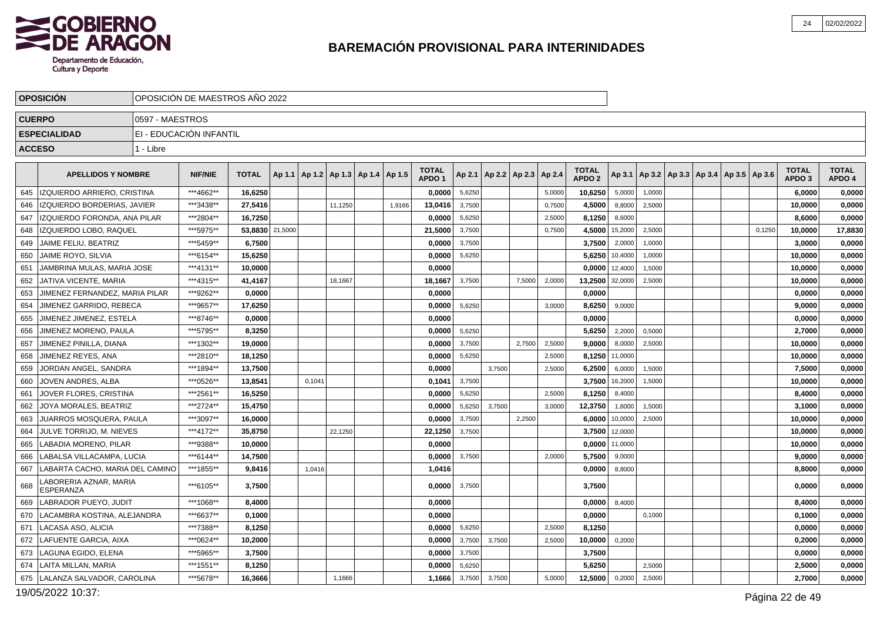

|               | <b>OPOSICION</b>                          |                 | OPOSICION DE MAESTROS ANO 2022 |                 |        |         |                                            |        |                                   |        |                                   |        |        |                                   |         |        |                                                     |        |                                   |                        |
|---------------|-------------------------------------------|-----------------|--------------------------------|-----------------|--------|---------|--------------------------------------------|--------|-----------------------------------|--------|-----------------------------------|--------|--------|-----------------------------------|---------|--------|-----------------------------------------------------|--------|-----------------------------------|------------------------|
| <b>CUERPO</b> |                                           | 0597 - MAESTROS |                                |                 |        |         |                                            |        |                                   |        |                                   |        |        |                                   |         |        |                                                     |        |                                   |                        |
|               | <b>ESPECIALIDAD</b>                       |                 | EI - EDUCACIÓN INFANTIL        |                 |        |         |                                            |        |                                   |        |                                   |        |        |                                   |         |        |                                                     |        |                                   |                        |
| <b>ACCESO</b> |                                           | 1 - Libre       |                                |                 |        |         |                                            |        |                                   |        |                                   |        |        |                                   |         |        |                                                     |        |                                   |                        |
|               |                                           |                 |                                |                 |        |         |                                            |        |                                   |        |                                   |        |        |                                   |         |        |                                                     |        |                                   |                        |
|               | <b>APELLIDOS Y NOMBRE</b>                 |                 | <b>NIF/NIE</b>                 | <b>TOTAL</b>    |        |         | Ap 1.1   Ap 1.2   Ap 1.3   Ap 1.4   Ap 1.5 |        | <b>TOTAL</b><br>APDO <sub>1</sub> |        | Ap 2.1   Ap 2.2   Ap 2.3   Ap 2.4 |        |        | <b>TOTAL</b><br>APDO <sub>2</sub> |         |        | Ap 3.1   Ap 3.2   Ap 3.3   Ap 3.4   Ap 3.5   Ap 3.6 |        | <b>TOTAL</b><br>APDO <sub>3</sub> | <b>TOTAL</b><br>APDO 4 |
| 645           | IZQUIERDO ARRIERO, CRISTINA               |                 | ***4662**                      | 16,6250         |        |         |                                            |        | 0,0000                            | 5,6250 |                                   |        | 5,0000 | 10,6250                           | 5,0000  | 1,0000 |                                                     |        | 6,0000                            | 0,0000                 |
| 646           | IZQUIERDO BORDERIAS, JAVIER               |                 | ***3438**                      | 27,5416         |        | 11,1250 |                                            | 1,9166 | 13,0416                           | 3,7500 |                                   |        | 0,7500 | 4,5000                            | 8,8000  | 2,5000 |                                                     |        | 10,0000                           | 0,0000                 |
| 647           | IZQUIERDO FORONDA, ANA PILAR              |                 | ***2804**                      | 16,7250         |        |         |                                            |        | 0,0000                            | 5,6250 |                                   |        | 2,5000 | 8,1250                            | 8,6000  |        |                                                     |        | 8,6000                            | 0,0000                 |
| 648           | <b>IZQUIERDO LOBO. RAQUEL</b>             |                 | ***5975**                      | 53,8830 21,5000 |        |         |                                            |        | 21,5000                           | 3,7500 |                                   |        | 0.7500 | 4,5000                            | 15,2000 | 2,5000 |                                                     | 0.1250 | 10,0000                           | 17,8830                |
| 649           | JAIME FELIU, BEATRIZ                      |                 | ***5459**                      | 6,7500          |        |         |                                            |        | 0,0000                            | 3,7500 |                                   |        |        | 3,7500                            | 2,0000  | 1,0000 |                                                     |        | 3,0000                            | 0,0000                 |
| 650           | <b>JAIME ROYO, SILVIA</b>                 |                 | ***6154**                      | 15,6250         |        |         |                                            |        | 0.0000                            | 5,6250 |                                   |        |        | 5,6250                            | 10,4000 | 1,0000 |                                                     |        | 10,0000                           | 0,0000                 |
| 651           | JAMBRINA MULAS, MARIA JOSE                |                 | ***4131**                      | 10,0000         |        |         |                                            |        | 0,0000                            |        |                                   |        |        | 0,0000                            | 12,4000 | 1,5000 |                                                     |        | 10,0000                           | 0,0000                 |
| 652           | <b>JATIVA VICENTE, MARIA</b>              |                 | ***4315**                      | 41,4167         |        | 18,1667 |                                            |        | 18,1667                           | 3,7500 |                                   | 7,5000 | 2,000  | 13,2500                           | 32,0000 | 2,5000 |                                                     |        | 10,0000                           | 0,0000                 |
| 653           | JIMENEZ FERNANDEZ, MARIA PILAR            |                 | ***9262**                      | 0,0000          |        |         |                                            |        | 0,0000                            |        |                                   |        |        | 0,0000                            |         |        |                                                     |        | 0,0000                            | 0,0000                 |
| 654           | JIMENEZ GARRIDO, REBECA                   |                 | ***9657**                      | 17,6250         |        |         |                                            |        | 0,0000                            | 5,6250 |                                   |        | 3.0000 | 8,6250                            | 9,0000  |        |                                                     |        | 9,0000                            | 0,0000                 |
| 655           | JIMENEZ JIMENEZ. ESTELA                   |                 | ***8746**                      | 0.0000          |        |         |                                            |        | 0.0000                            |        |                                   |        |        | 0.0000                            |         |        |                                                     |        | 0.0000                            | 0,0000                 |
| 656           | JIMENEZ MORENO, PAULA                     |                 | ***5795**                      | 8,3250          |        |         |                                            |        | 0,0000                            | 5,6250 |                                   |        |        | 5,6250                            | 2,2000  | 0,5000 |                                                     |        | 2,7000                            | 0,0000                 |
| 657           | JIMENEZ PINILLA, DIANA                    |                 | ***1302**                      | 19,0000         |        |         |                                            |        | 0.0000                            | 3,7500 |                                   | 2,7500 | 2,5000 | 9,0000                            | 8,0000  | 2,5000 |                                                     |        | 10,0000                           | 0,0000                 |
| 658           | JIMENEZ REYES, ANA                        |                 | ***2810**                      | 18,1250         |        |         |                                            |        | 0,0000                            | 5,6250 |                                   |        | 2,5000 | 8,1250                            | 11,0000 |        |                                                     |        | 10,0000                           | 0,0000                 |
| 659           | JORDAN ANGEL, SANDRA                      |                 | ***1894**                      | 13,7500         |        |         |                                            |        | 0,0000                            |        | 3,7500                            |        | 2,5000 | 6,2500                            | 6,0000  | 1,5000 |                                                     |        | 7,5000                            | 0,0000                 |
| 660           | JOVEN ANDRES, ALBA                        |                 | ***0526**                      | 13,8541         | 0.1041 |         |                                            |        | 0,1041                            | 3,7500 |                                   |        |        | 3,7500                            | 16,2000 | 1,5000 |                                                     |        | 10,0000                           | 0,0000                 |
| 661           | JOVER FLORES, CRISTINA                    |                 | ***2561**                      | 16,5250         |        |         |                                            |        | 0.0000                            | 5,6250 |                                   |        | 2,5000 | 8,1250                            | 8,4000  |        |                                                     |        | 8,4000                            | 0,0000                 |
| 662           | JOYA MORALES. BEATRIZ                     |                 | ***2724**                      | 15.4750         |        |         |                                            |        | 0.0000                            | 5,6250 | 3.7500                            |        | 3.0000 | 12,3750                           | 1,6000  | 1,5000 |                                                     |        | 3,1000                            | 0,0000                 |
| 663           | JUARROS MOSQUERA, PAULA                   |                 | ***3097**                      | 16,0000         |        |         |                                            |        | 0,0000                            | 3,7500 |                                   | 2,2500 |        | 6,0000                            | 10,0000 | 2,5000 |                                                     |        | 10,0000                           | 0,0000                 |
| 664           | JULVE TORRIJO. M. NIEVES                  |                 | ***4172**                      | 35,8750         |        | 22,1250 |                                            |        | 22,1250                           | 3,7500 |                                   |        |        | 3,7500                            | 12,0000 |        |                                                     |        | 10,0000                           | 0,0000                 |
| 665           | LABADIA MORENO, PILAR                     |                 | ***9388**                      | 10,0000         |        |         |                                            |        | 0,0000                            |        |                                   |        |        | 0,0000                            | 11,0000 |        |                                                     |        | 10,0000                           | 0,0000                 |
| 666           | LABALSA VILLACAMPA, LUCIA                 |                 | ***6144**                      | 14,7500         |        |         |                                            |        | 0,0000                            | 3,7500 |                                   |        | 2.0000 | 5,7500                            | 9,0000  |        |                                                     |        | 9,0000                            | 0,0000                 |
| 667           | LABARTA CACHO, MARIA DEL CAMINO           |                 | ***1855**                      | 9,8416          | 1,0416 |         |                                            |        | 1,0416                            |        |                                   |        |        | 0,0000                            | 8,8000  |        |                                                     |        | 8,8000                            | 0,0000                 |
| 668           | ABORERIA AZNAR, MARIA<br><b>ESPERANZA</b> |                 | ***6105**                      | 3.7500          |        |         |                                            |        | 0.00001                           | 3,7500 |                                   |        |        | 3,7500                            |         |        |                                                     |        | 0.0000                            | 0,0000                 |
| 669           | <b>LABRADOR PUEYO, JUDIT</b>              |                 | ***1068**                      | 8,4000          |        |         |                                            |        | 0.0000                            |        |                                   |        |        | 0.0000                            | 8,4000  |        |                                                     |        | 8,4000                            | 0,0000                 |
| 670           | LACAMBRA KOSTINA, ALEJANDRA               |                 | ***6637**                      | 0,1000          |        |         |                                            |        | 0,0000                            |        |                                   |        |        | 0,0000                            |         | 0,1000 |                                                     |        | 0,1000                            | 0,0000                 |
| 671           | LACASA ASO, ALICIA                        |                 | ***7388**                      | 8,1250          |        |         |                                            |        | 0.0000                            | 5,6250 |                                   |        | 2,5000 | 8,1250                            |         |        |                                                     |        | 0,0000                            | 0,0000                 |
| 672           | LAFUENTE GARCIA, AIXA                     |                 | ***0624**                      | 10,2000         |        |         |                                            |        | 0,0000                            | 3,7500 | 3,7500                            |        | 2,5000 | 10,0000                           | 0,2000  |        |                                                     |        | 0,2000                            | 0,0000                 |
| 673           | LAGUNA EGIDO, ELENA                       |                 | ***5965**                      | 3,7500          |        |         |                                            |        | 0,0000                            | 3,7500 |                                   |        |        | 3,7500                            |         |        |                                                     |        | 0,0000                            | 0,0000                 |
| 674           | LAITA MILLAN. MARIA                       |                 | ***1551**                      | 8,1250          |        |         |                                            |        | 0.0000                            | 5,6250 |                                   |        |        | 5,6250                            |         | 2,5000 |                                                     |        | 2,5000                            | 0,0000                 |
| 675           | LALANZA SALVADOR, CAROLINA                |                 | ***5678**                      | 16,3666         |        | 1,1666  |                                            |        | 1,1666                            | 3,7500 | 3,7500                            |        | 5,0000 | 12,5000                           | 0,2000  | 2,5000 |                                                     |        | 2,7000                            | 0,0000                 |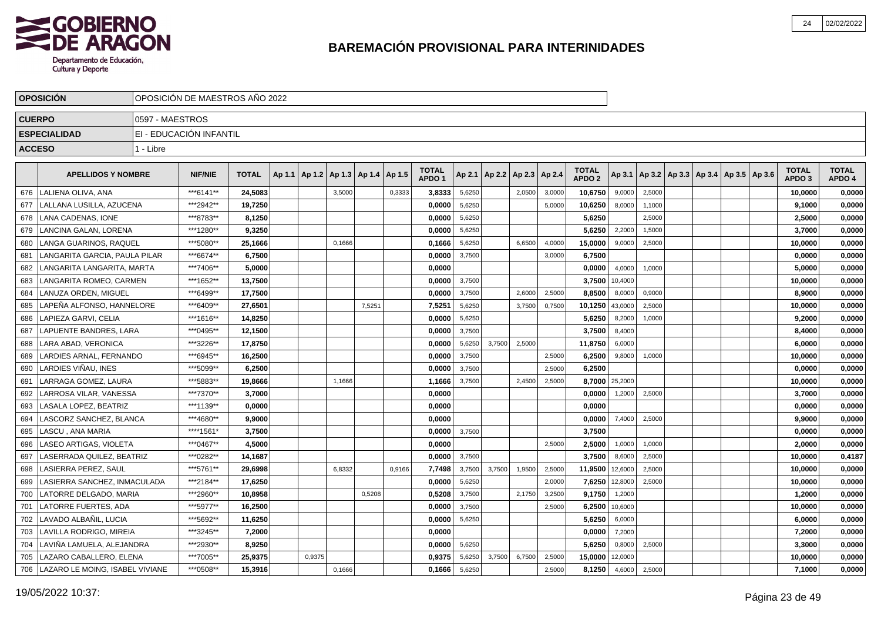

|               | <b>OPOSICION</b>                |                 | OPOSICIÓN DE MAESTROS AÑO 2022 |              |        |        |                                   |        |        |                                   |        |        |                 |        |                                   |                |        |                                            |  |                                   |                        |
|---------------|---------------------------------|-----------------|--------------------------------|--------------|--------|--------|-----------------------------------|--------|--------|-----------------------------------|--------|--------|-----------------|--------|-----------------------------------|----------------|--------|--------------------------------------------|--|-----------------------------------|------------------------|
| <b>CUERPO</b> |                                 | 0597 - MAESTROS |                                |              |        |        |                                   |        |        |                                   |        |        |                 |        |                                   |                |        |                                            |  |                                   |                        |
|               | <b>ESPECIALIDAD</b>             |                 | EI - EDUCACIÓN INFANTIL        |              |        |        |                                   |        |        |                                   |        |        |                 |        |                                   |                |        |                                            |  |                                   |                        |
| <b>ACCESO</b> |                                 | 1 - Libre       |                                |              |        |        |                                   |        |        |                                   |        |        |                 |        |                                   |                |        |                                            |  |                                   |                        |
|               |                                 |                 |                                |              |        |        |                                   |        |        |                                   |        |        |                 |        |                                   |                |        |                                            |  |                                   |                        |
|               | <b>APELLIDOS Y NOMBRE</b>       |                 | <b>NIF/NIE</b>                 | <b>TOTAL</b> | Ap 1.1 |        | Ap 1.2   Ap 1.3   Ap 1.4   Ap 1.5 |        |        | <b>TOTAL</b><br>APDO <sub>1</sub> | Ap 2.1 | Ap 2.2 | Ap 2.3   Ap 2.4 |        | <b>TOTAL</b><br>APDO <sub>2</sub> | Ap 3.1         |        | Ap 3.2   Ap 3.3   Ap 3.4   Ap 3.5   Ap 3.6 |  | <b>TOTAL</b><br>APDO <sub>3</sub> | <b>TOTAL</b><br>APDO 4 |
| 676           | LALIENA OLIVA. ANA              |                 | ***6141**                      | 24,5083      |        |        | 3,5000                            |        | 0,3333 | 3,8333                            | 5,6250 |        | 2,0500          | 3,0000 | 10,6750                           | 9,0000         | 2,5000 |                                            |  | 10,0000                           | 0,0000                 |
| 677           | LALLANA LUSILLA, AZUCENA        |                 | ***2942**                      | 19,7250      |        |        |                                   |        |        | 0.0000                            | 5,6250 |        |                 | 5,0000 | 10,6250                           | 8,0000         | 1,1000 |                                            |  | 9,1000                            | 0,0000                 |
| 678           | LANA CADENAS, IONE              |                 | ***8783**                      | 8,1250       |        |        |                                   |        |        | 0,0000                            | 5,6250 |        |                 |        | 5,6250                            |                | 2,5000 |                                            |  | 2,5000                            | 0,0000                 |
| 679           | LANCINA GALAN, LORENA           |                 | ***1280**                      | 9,3250       |        |        |                                   |        |        | 0,0000                            | 5,6250 |        |                 |        | 5,6250                            | 2,2000         | 1,5000 |                                            |  | 3,7000                            | 0,0000                 |
| 680           | LANGA GUARINOS, RAQUEL          |                 | ***5080**                      | 25,1666      |        |        | 0,1666                            |        |        | 0,1666                            | 5,6250 |        | 6,6500          | 4,0000 | 15,0000                           | 9,0000         | 2,5000 |                                            |  | 10,0000                           | 0,0000                 |
| 681           | LANGARITA GARCIA. PAULA PILAR   |                 | ***6674**                      | 6.7500       |        |        |                                   |        |        | 0.0000                            | 3,7500 |        |                 | 3,0000 | 6.7500                            |                |        |                                            |  | 0.0000                            | 0,0000                 |
| 682           | LANGARITA LANGARITA. MARTA      |                 | ***7406**                      | 5.0000       |        |        |                                   |        |        | 0,0000                            |        |        |                 |        | 0,0000                            | 4,0000         | 1,0000 |                                            |  | 5,0000                            | 0,0000                 |
| 683           | LANGARITA ROMEO, CARMEN         |                 | ***1652**                      | 13,7500      |        |        |                                   |        |        | 0,0000                            | 3,7500 |        |                 |        | 3,7500                            | 10,4000        |        |                                            |  | 10,0000                           | 0,0000                 |
| 684           | <b>LANUZA ORDEN. MIGUEL</b>     |                 | ***6499**                      | 17,7500      |        |        |                                   |        |        | 0,0000                            | 3,7500 |        | 2,6000          | 2,5000 | 8,8500                            | 8,0000         | 0,9000 |                                            |  | 8,9000                            | 0,0000                 |
| 685           | LAPEÑA ALFONSO, HANNELORE       |                 | ***6409**                      | 27,6501      |        |        |                                   | 7,5251 |        | 7,5251                            | 5,6250 |        | 3,7500          | 0,7500 | 10,1250                           | 43,0000        | 2,5000 |                                            |  | 10,0000                           | 0,0000                 |
| 686           | LAPIEZA GARVI, CELIA            |                 | ***1616**                      | 14,8250      |        |        |                                   |        |        | 0,0000                            | 5,6250 |        |                 |        | 5,6250                            | 8,2000         | 1,0000 |                                            |  | 9,2000                            | 0,0000                 |
| 687           | LAPUENTE BANDRES, LARA          |                 | ***0495**                      | 12,1500      |        |        |                                   |        |        | 0.0000                            | 3,7500 |        |                 |        | 3,7500                            | 8,4000         |        |                                            |  | 8,4000                            | 0,0000                 |
| 688           | LARA ABAD. VERONICA             |                 | ***3226**                      | 17,8750      |        |        |                                   |        |        | 0,0000                            | 5,6250 | 3.7500 | 2,5000          |        | 11,8750                           | 6,0000         |        |                                            |  | 6,0000                            | 0,0000                 |
| 689           | LARDIES ARNAL, FERNANDO         |                 | ***6945**                      | 16,2500      |        |        |                                   |        |        | 0,0000                            | 3,7500 |        |                 | 2,5000 | 6,2500                            | 9,8000         | 1,0000 |                                            |  | 10,0000                           | 0,0000                 |
| 690           | LARDIES VIÑAU, INES             |                 | ***5099**                      | 6,2500       |        |        |                                   |        |        | 0,0000                            | 3,7500 |        |                 | 2,5000 | 6,2500                            |                |        |                                            |  | 0,0000                            | 0,0000                 |
| 691           | LARRAGA GOMEZ. LAURA            |                 | ***5883**                      | 19,8666      |        |        | 1,1666                            |        |        | 1,1666                            | 3,7500 |        | 2,4500          | 2,5000 |                                   | 8,7000 25,2000 |        |                                            |  | 10,0000                           | 0,0000                 |
| 692           | LARROSA VILAR, VANESSA          |                 | ***7370**                      | 3,7000       |        |        |                                   |        |        | 0,0000                            |        |        |                 |        | 0,0000                            | 1,2000         | 2,5000 |                                            |  | 3,7000                            | 0,0000                 |
| 693           | LASALA LOPEZ. BEATRIZ           |                 | ***1139**                      | 0.0000       |        |        |                                   |        |        | 0.0000                            |        |        |                 |        | 0,0000                            |                |        |                                            |  | 0.0000                            | 0,0000                 |
| 694           | LASCORZ SANCHEZ. BLANCA         |                 | ***4680**                      | 9.9000       |        |        |                                   |        |        | 0.0000                            |        |        |                 |        | 0.0000                            | 7,4000         | 2,5000 |                                            |  | 9,9000                            | 0,0000                 |
| 695           | LASCU. ANA MARIA                |                 | ****1561*                      | 3,7500       |        |        |                                   |        |        | 0,0000                            | 3,7500 |        |                 |        | 3,7500                            |                |        |                                            |  | 0,0000                            | 0,0000                 |
| 696           | LASEO ARTIGAS, VIOLETA          |                 | ***0467**                      | 4,5000       |        |        |                                   |        |        | 0,0000                            |        |        |                 | 2,5000 | 2,5000                            | 1,0000         | 1,0000 |                                            |  | 2,0000                            | 0,0000                 |
| 697           | LASERRADA QUILEZ, BEATRIZ       |                 | ***0282**                      | 14,1687      |        |        |                                   |        |        | 0.0000                            | 3,7500 |        |                 |        | 3,7500                            | 8,6000         | 2,5000 |                                            |  | 10,0000                           | 0,4187                 |
| 698           | LASIERRA PEREZ, SAUL            |                 | ***5761**                      | 29,6998      |        |        | 6,8332                            |        | 0,9166 | 7,7498                            | 3,7500 | 3,7500 | 1,9500          | 2,5000 | 11,9500                           | 12,6000        | 2,5000 |                                            |  | 10,0000                           | 0,0000                 |
| 699           | LASIERRA SANCHEZ. INMACULADA    |                 | ***2184**                      | 17,6250      |        |        |                                   |        |        | 0.0000                            | 5,6250 |        |                 | 2,0000 | 7,6250                            | 12,8000        | 2,5000 |                                            |  | 10,0000                           | 0,0000                 |
| 700           | LATORRE DELGADO, MARIA          |                 | ***2960**                      | 10.8958      |        |        |                                   | 0,5208 |        | 0,5208                            | 3,7500 |        | 2,1750          | 3,2500 | 9,1750                            | 1,2000         |        |                                            |  | 1,2000                            | 0,0000                 |
| 701           | LATORRE FUERTES, ADA            |                 | ***5977**                      | 16,2500      |        |        |                                   |        |        | 0,0000                            | 3,7500 |        |                 | 2,5000 | 6,2500                            | 10,6000        |        |                                            |  | 10,0000                           | 0,0000                 |
| 702           | LAVADO ALBAÑIL, LUCIA           |                 | ***5692**                      | 11,6250      |        |        |                                   |        |        | 0,0000                            | 5,6250 |        |                 |        | 5,6250                            | 6,0000         |        |                                            |  | 6,0000                            | 0,0000                 |
| 703           | LAVILLA RODRIGO, MIREIA         |                 | ***3245**                      | 7,2000       |        |        |                                   |        |        | 0,0000                            |        |        |                 |        | 0,0000                            | 7,2000         |        |                                            |  | 7,2000                            | 0,0000                 |
| 704           | LAVIÑA LAMUELA, ALEJANDRA       |                 | ***2930**                      | 8,9250       |        |        |                                   |        |        | 0,0000                            | 5,6250 |        |                 |        | 5,6250                            | 0,8000         | 2,5000 |                                            |  | 3,3000                            | 0,0000                 |
| 705           | LAZARO CABALLERO, ELENA         |                 | ***7005**                      | 25,9375      |        | 0,9375 |                                   |        |        | 0.9375                            | 5,6250 | 3,7500 | 6,7500          | 2,5000 | 15,0000                           | 12,0000        |        |                                            |  | 10,0000                           | 0,0000                 |
| 706           | LAZARO LE MOING, ISABEL VIVIANE |                 | ***0508**                      | 15,3916      |        |        | 0,1666                            |        |        | 0,1666                            | 5,6250 |        |                 | 2,5000 | 8,1250                            | 4,6000         | 2,5000 |                                            |  | 7,1000                            | 0,0000                 |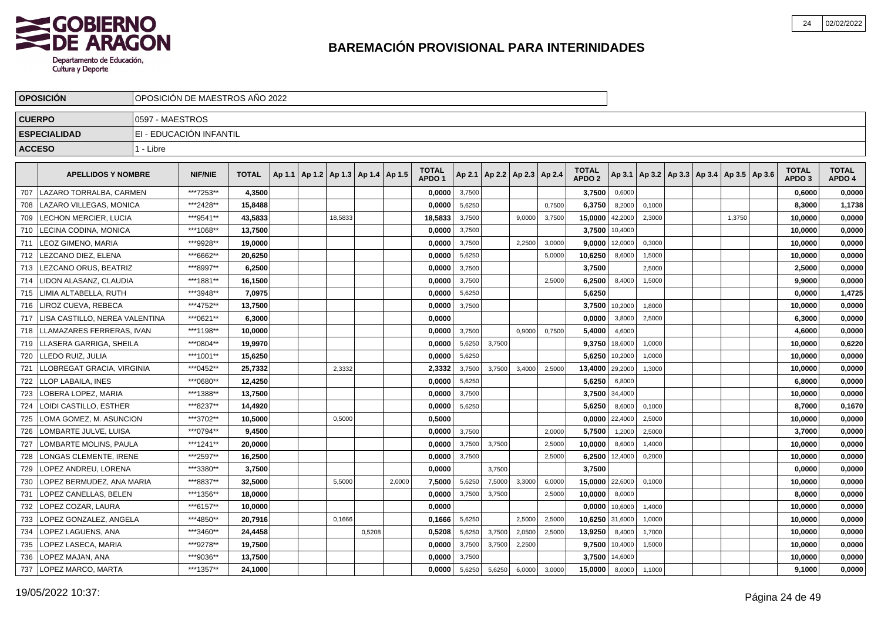

|               | <b>OPOSICION</b>                 |                 | OPOSICION DE MAESTROS ANO 2022 |              |        |                                   |         |        |        |                                   |        |        |                          |        |                                   |                  |        |                                                     |        |                                   |                        |
|---------------|----------------------------------|-----------------|--------------------------------|--------------|--------|-----------------------------------|---------|--------|--------|-----------------------------------|--------|--------|--------------------------|--------|-----------------------------------|------------------|--------|-----------------------------------------------------|--------|-----------------------------------|------------------------|
| <b>CUERPO</b> |                                  | 0597 - MAESTROS |                                |              |        |                                   |         |        |        |                                   |        |        |                          |        |                                   |                  |        |                                                     |        |                                   |                        |
|               | <b>ESPECIALIDAD</b>              |                 | EI - EDUCACIÓN INFANTIL        |              |        |                                   |         |        |        |                                   |        |        |                          |        |                                   |                  |        |                                                     |        |                                   |                        |
| <b>ACCESO</b> |                                  | 1 - Libre       |                                |              |        |                                   |         |        |        |                                   |        |        |                          |        |                                   |                  |        |                                                     |        |                                   |                        |
|               |                                  |                 |                                |              |        |                                   |         |        |        |                                   |        |        |                          |        |                                   |                  |        |                                                     |        |                                   |                        |
|               | <b>APELLIDOS Y NOMBRE</b>        |                 | <b>NIF/NIE</b>                 | <b>TOTAL</b> | Ap 1.1 | Ap 1.2   Ap 1.3   Ap 1.4   Ap 1.5 |         |        |        | <b>TOTAL</b><br>APDO <sub>1</sub> | Ap 2.1 |        | Ap 2.2   Ap 2.3   Ap 2.4 |        | <b>TOTAL</b><br>APDO <sub>2</sub> |                  |        | Ap 3.1   Ap 3.2   Ap 3.3   Ap 3.4   Ap 3.5   Ap 3.6 |        | <b>TOTAL</b><br>APDO <sub>3</sub> | <b>TOTAL</b><br>APDO 4 |
| 707           | LLAZARO TORRALBA. CARMEN         |                 | ***7253**                      | 4.3500       |        |                                   |         |        |        | 0.0000                            | 3,7500 |        |                          |        | 3,7500                            | 0,6000           |        |                                                     |        | 0,6000                            | 0,0000                 |
| 708           | LAZARO VILLEGAS, MONICA          |                 | ***2428**                      | 15.8488      |        |                                   |         |        |        | 0.0000                            | 5,6250 |        |                          | 0.7500 | 6,3750                            | 8,2000           | 0,1000 |                                                     |        | 8.3000                            | 1,1738                 |
| 709           | LECHON MERCIER, LUCIA            |                 | ***9541**                      | 43,5833      |        |                                   | 18,5833 |        |        | 18,5833                           | 3,7500 |        | 9,0000                   | 3.7500 | 15,0000                           | 42,2000          | 2,3000 |                                                     | 1,3750 | 10,0000                           | 0,0000                 |
| 710           | LECINA CODINA, MONICA            |                 | ***1068**                      | 13,7500      |        |                                   |         |        |        | 0.0000                            | 3,7500 |        |                          |        | 3.7500                            | 10,4000          |        |                                                     |        | 10,0000                           | 0,0000                 |
| 711           | LEOZ GIMENO, MARIA               |                 | ***9928**                      | 19,0000      |        |                                   |         |        |        | 0,0000                            | 3,7500 |        | 2,2500                   | 3,0000 |                                   | $9,0000$ 12,0000 | 0,3000 |                                                     |        | 10,0000                           | 0,0000                 |
| 712           | LEZCANO DIEZ, ELENA              |                 | ***6662**                      | 20,6250      |        |                                   |         |        |        | 0,0000                            | 5,6250 |        |                          | 5,0000 | 10,6250                           | 8,6000           | 1,5000 |                                                     |        | 10,0000                           | 0,0000                 |
| 713           | LEZCANO ORUS, BEATRIZ            |                 | ***8997**                      | 6,2500       |        |                                   |         |        |        | 0,0000                            | 3,7500 |        |                          |        | 3,7500                            |                  | 2,5000 |                                                     |        | 2,5000                            | 0,0000                 |
| 714           | LIDON ALASANZ, CLAUDIA           |                 | ***1881**                      | 16,1500      |        |                                   |         |        |        | 0.0000                            | 3,7500 |        |                          | 2,5000 | 6,2500                            | 8,4000           | 1,5000 |                                                     |        | 9,9000                            | 0,0000                 |
| 715           | LIMIA ALTABELLA. RUTH            |                 | ***3948**                      | 7.0975       |        |                                   |         |        |        | 0.0000                            | 5,6250 |        |                          |        | 5,6250                            |                  |        |                                                     |        | 0,0000                            | 1,4725                 |
| 716           | LIROZ CUEVA. REBECA              |                 | ***4752**                      | 13,7500      |        |                                   |         |        |        | 0,0000                            | 3,7500 |        |                          |        |                                   | 3,7500 10,2000   | 1,8000 |                                                     |        | 10,0000                           | 0,0000                 |
| 717           | LISA CASTILLO, NEREA VALENTINA   |                 | ***0621**                      | 6,3000       |        |                                   |         |        |        | 0,0000                            |        |        |                          |        | 0,0000                            | 3,8000           | 2,5000 |                                                     |        | 6,3000                            | 0,0000                 |
| 718           | <b>LLAMAZARES FERRERAS. IVAN</b> |                 | ***1198**                      | 10,0000      |        |                                   |         |        |        | 0,0000                            | 3,7500 |        | 0,9000                   | 0,7500 | 5,4000                            | 4,6000           |        |                                                     |        | 4,6000                            | 0,0000                 |
| 719           | LLASERA GARRIGA, SHEILA          |                 | ***0804**                      | 19,9970      |        |                                   |         |        |        | 0,0000                            | 5,6250 | 3,7500 |                          |        | 9,3750                            | 18,6000          | 1,0000 |                                                     |        | 10,0000                           | 0,6220                 |
| 720           | LLEDO RUIZ, JULIA                |                 | ***1001**                      | 15,6250      |        |                                   |         |        |        | 0,0000                            | 5,6250 |        |                          |        | 5,6250                            | 10,2000          | 1,0000 |                                                     |        | 10,0000                           | 0,0000                 |
| 721           | LLOBREGAT GRACIA, VIRGINIA       |                 | ***0452**                      | 25,7332      |        |                                   | 2,3332  |        |        | 2,3332                            | 3,7500 | 3,7500 | 3,4000                   | 2,5000 |                                   | 13,4000 29,2000  | 1,3000 |                                                     |        | 10.0000                           | 0,0000                 |
| 722           | <b>LLOP LABAILA. INES</b>        |                 | ***0680**                      | 12.4250      |        |                                   |         |        |        | 0.0000                            | 5,6250 |        |                          |        | 5,6250                            | 6,8000           |        |                                                     |        | 6,8000                            | 0,0000                 |
| 723           | LOBERA LOPEZ. MARIA              |                 | ***1388**                      | 13.7500      |        |                                   |         |        |        | 0.0000                            | 3,7500 |        |                          |        | 3,7500                            | 34,4000          |        |                                                     |        | 10.0000                           | 0,0000                 |
| 724           | LOIDI CASTILLO. ESTHER           |                 | ***8237**                      | 14,4920      |        |                                   |         |        |        | 0,0000                            | 5,6250 |        |                          |        | 5,6250                            | 8,6000           | 0,1000 |                                                     |        | 8,7000                            | 0,1670                 |
| 725           | LOMA GOMEZ. M. ASUNCION          |                 | ***3702**                      | 10,5000      |        |                                   | 0,5000  |        |        | 0,5000                            |        |        |                          |        | 0,0000                            | 22,4000          | 2,5000 |                                                     |        | 10,0000                           | 0,0000                 |
| 726           | LOMBARTE JULVE, LUISA            |                 | ***0794**                      | 9,4500       |        |                                   |         |        |        | 0,0000                            | 3,7500 |        |                          | 2,0000 | 5,7500                            | 1,2000           | 2,5000 |                                                     |        | 3,7000                            | 0,0000                 |
| 727           | LOMBARTE MOLINS, PAULA           |                 | ***1241**                      | 20,0000      |        |                                   |         |        |        | 0,0000                            | 3,7500 | 3,7500 |                          | 2,5000 | 10,0000                           | 8,6000           | 1,4000 |                                                     |        | 10,0000                           | 0,0000                 |
| 728           | LONGAS CLEMENTE, IRENE           |                 | ***2597**                      | 16,2500      |        |                                   |         |        |        | 0.0000                            | 3,7500 |        |                          | 2.5000 | 6,2500                            | 12,4000          | 0,2000 |                                                     |        | 10,0000                           | 0,0000                 |
| 729           | LOPEZ ANDREU. LORENA             |                 | ***3380**                      | 3,7500       |        |                                   |         |        |        | 0.0000                            |        | 3,7500 |                          |        | 3.7500                            |                  |        |                                                     |        | 0.0000                            | 0,0000                 |
| 730           | LOPEZ BERMUDEZ, ANA MARIA        |                 | ***8837**                      | 32,5000      |        |                                   | 5,5000  |        | 2,0000 | 7,5000                            | 5,6250 | 7,5000 | 3,3000                   | 6,0000 |                                   | 15,0000 22,6000  | 0,1000 |                                                     |        | 10,0000                           | 0,0000                 |
| 731           | <b>LOPEZ CANELLAS, BELEN</b>     |                 | ***1356**                      | 18,0000      |        |                                   |         |        |        | 0,0000                            | 3,7500 | 3,7500 |                          | 2,5000 | 10,0000                           | 8,0000           |        |                                                     |        | 8,0000                            | 0,0000                 |
| 732           | LOPEZ COZAR, LAURA               |                 | ***6157**                      | 10,0000      |        |                                   |         |        |        | 0,0000                            |        |        |                          |        |                                   | $0.0000$ 10,6000 | 1,4000 |                                                     |        | 10,0000                           | 0,0000                 |
| 733           | LOPEZ GONZALEZ, ANGELA           |                 | ***4850**                      | 20,7916      |        |                                   | 0,1666  |        |        | 0,1666                            | 5,6250 |        | 2,5000                   | 2,5000 | 10,6250 31,6000                   |                  | 1,0000 |                                                     |        | 10,0000                           | 0,0000                 |
| 734           | <b>LOPEZ LAGUENS, ANA</b>        |                 | ***3460**                      | 24,4458      |        |                                   |         | 0,5208 |        | 0,5208                            | 5,6250 | 3,7500 | 2,0500                   | 2,5000 | 13,9250                           | 8,4000           | 1,7000 |                                                     |        | 10,0000                           | 0,0000                 |
| 735           | LLOPEZ LASECA. MARIA             |                 | ***9278**                      | 19,7500      |        |                                   |         |        |        | 0,0000                            | 3,7500 | 3,7500 | 2,2500                   |        |                                   | 9,7500 10,4000   | 1,5000 |                                                     |        | 10.0000                           | 0,0000                 |
| 736           | LOPEZ MAJAN. ANA                 |                 | ***9036**                      | 13,7500      |        |                                   |         |        |        | 0.0000                            | 3,7500 |        |                          |        |                                   | 3,7500 14,6000   |        |                                                     |        | 10,0000                           | 0,0000                 |
| 737           | LOPEZ MARCO, MARTA               |                 | ***1357**                      | 24,1000      |        |                                   |         |        |        | 0.0000                            | 5,6250 | 5,6250 | 6,0000                   | 3,0000 | 15,0000                           | 8,0000           | 1,1000 |                                                     |        | 9,1000                            | 0,0000                 |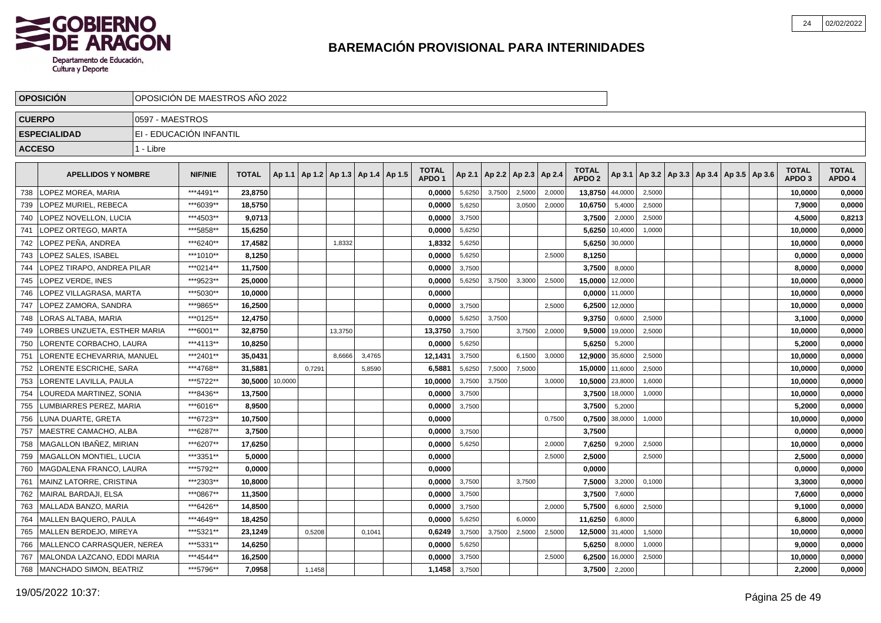

|               | <b>OPOSICION</b>              |                 | OPOSICION DE MAESTROS ANO 2022 |              |         |        |                                   |        |                                   |        |        |                          |        |                                   |         |        |                                            |  |                                   |                        |
|---------------|-------------------------------|-----------------|--------------------------------|--------------|---------|--------|-----------------------------------|--------|-----------------------------------|--------|--------|--------------------------|--------|-----------------------------------|---------|--------|--------------------------------------------|--|-----------------------------------|------------------------|
| <b>CUERPO</b> |                               | 0597 - MAESTROS |                                |              |         |        |                                   |        |                                   |        |        |                          |        |                                   |         |        |                                            |  |                                   |                        |
|               | <b>ESPECIALIDAD</b>           |                 | EI - EDUCACIÓN INFANTIL        |              |         |        |                                   |        |                                   |        |        |                          |        |                                   |         |        |                                            |  |                                   |                        |
| <b>ACCESO</b> |                               | 1 - Libre       |                                |              |         |        |                                   |        |                                   |        |        |                          |        |                                   |         |        |                                            |  |                                   |                        |
|               |                               |                 |                                |              |         |        |                                   |        |                                   |        |        |                          |        |                                   |         |        |                                            |  |                                   |                        |
|               | <b>APELLIDOS Y NOMBRE</b>     |                 | <b>NIF/NIE</b>                 | <b>TOTAL</b> | Ap 1.1  |        | Ap 1.2   Ap 1.3   Ap 1.4   Ap 1.5 |        | <b>TOTAL</b><br>APDO <sub>1</sub> | Ap 2.1 |        | Ap 2.2   Ap 2.3   Ap 2.4 |        | <b>TOTAL</b><br>APDO <sub>2</sub> | Ap 3.1  |        | Ap 3.2   Ap 3.3   Ap 3.4   Ap 3.5   Ap 3.6 |  | <b>TOTAL</b><br>APDO <sub>3</sub> | <b>TOTAL</b><br>APDO 4 |
| 738           | LOPEZ MOREA, MARIA            |                 | ***4491**                      | 23,8750      |         |        |                                   |        | 0,0000                            | 5,6250 | 3.7500 | 2,5000                   | 2,0000 | 13,8750                           | 44,0000 | 2,5000 |                                            |  | 10,0000                           | 0,0000                 |
| 739           | LOPEZ MURIEL, REBECA          |                 | ***6039**                      | 18,5750      |         |        |                                   |        | 0,0000                            | 5,6250 |        | 3,0500                   | 2,0000 | 10,6750                           | 5,4000  | 2,5000 |                                            |  | 7,9000                            | 0,0000                 |
| 740           | LOPEZ NOVELLON, LUCIA         |                 | ***4503**                      | 9,0713       |         |        |                                   |        | 0,0000                            | 3,7500 |        |                          |        | 3,7500                            | 2,0000  | 2,5000 |                                            |  | 4,5000                            | 0,8213                 |
| 741           | LOPEZ ORTEGO, MARTA           |                 | ***5858**                      | 15,6250      |         |        |                                   |        | 0.0000                            | 5,6250 |        |                          |        | 5,6250                            | 10,4000 | 1.0000 |                                            |  | 10,0000                           | 0,0000                 |
| 742           | LOPEZ PEÑA. ANDREA            |                 | ***6240**                      | 17.4582      |         |        | 1,8332                            |        | 1,8332                            | 5,6250 |        |                          |        | 5,6250                            | 30,0000 |        |                                            |  | 10,0000                           | 0,0000                 |
| 743           | LOPEZ SALES, ISABEL           |                 | ***1010**                      | 8,1250       |         |        |                                   |        | 0.0000                            | 5,6250 |        |                          | 2,5000 | 8,1250                            |         |        |                                            |  | 0.0000                            | 0,0000                 |
| 744           | LOPEZ TIRAPO, ANDREA PILAR    |                 | ***0214**                      | 11,7500      |         |        |                                   |        | 0,0000                            | 3,7500 |        |                          |        | 3,7500                            | 8,0000  |        |                                            |  | 8,0000                            | 0,0000                 |
| 745           | <b>LOPEZ VERDE. INES</b>      |                 | ***9523**                      | 25,0000      |         |        |                                   |        | 0,0000                            | 5,6250 | 3,7500 | 3,3000                   | 2,5000 | 15,0000                           | 12,0000 |        |                                            |  | 10,0000                           | 0,0000                 |
| 746           | LOPEZ VILLAGRASA, MARTA       |                 | ***5030**                      | 10,0000      |         |        |                                   |        | 0,0000                            |        |        |                          |        | 0,0000                            | 11,0000 |        |                                            |  | 10,0000                           | 0,0000                 |
| 747           | LOPEZ ZAMORA, SANDRA          |                 | ***9865**                      | 16,2500      |         |        |                                   |        | 0,0000                            | 3,7500 |        |                          | 2.5000 | 6,2500                            | 12,0000 |        |                                            |  | 10,0000                           | 0,0000                 |
| 748           | LORAS ALTABA, MARIA           |                 | ***0125**                      | 12,4750      |         |        |                                   |        | 0,0000                            | 5,6250 | 3.7500 |                          |        | 9,3750                            | 0,6000  | 2,5000 |                                            |  | 3,1000                            | 0,0000                 |
| 749           | LORBES UNZUETA, ESTHER MARIA  |                 | ***6001**                      | 32,8750      |         |        | 13,3750                           |        | 13,3750                           | 3,7500 |        | 3,7500                   | 2,0000 | 9,5000                            | 19,0000 | 2,5000 |                                            |  | 10,0000                           | 0,0000                 |
| 750           | LORENTE CORBACHO, LAURA       |                 | ***4113**                      | 10,8250      |         |        |                                   |        | 0,0000                            | 5,6250 |        |                          |        | 5,6250                            | 5,2000  |        |                                            |  | 5,2000                            | 0,0000                 |
| 751           | LORENTE ECHEVARRIA, MANUEL    |                 | ***2401**                      | 35,0431      |         |        | 8,6666                            | 3,4765 | 12,1431                           | 3,7500 |        | 6,1500                   | 3,0000 | 12,9000                           | 35,6000 | 2,5000 |                                            |  | 10,0000                           | 0,0000                 |
| 752           | LORENTE ESCRICHE. SARA        |                 | ***4768**                      | 31.5881      |         | 0.7291 |                                   | 5.8590 | 6,5881                            | 5,6250 | 7.5000 | 7,5000                   |        | 15,0000                           | 11,6000 | 2,5000 |                                            |  | 10,0000                           | 0,0000                 |
| 753           | LORENTE LAVILLA. PAULA        |                 | ***5722**                      | 30.5000      | 10,0000 |        |                                   |        | 10.0000                           | 3,7500 | 3,7500 |                          | 3,0000 | 10,5000                           | 23,8000 | 1,6000 |                                            |  | 10.0000                           | 0,0000                 |
| 754           | LOUREDA MARTINEZ. SONIA       |                 | ***8436**                      | 13,7500      |         |        |                                   |        | 0,0000                            | 3,7500 |        |                          |        | 3,7500                            | 18,0000 | 1,0000 |                                            |  | 10,0000                           | 0,0000                 |
| 755           | LUMBIARRES PEREZ, MARIA       |                 | ***6016**                      | 8,9500       |         |        |                                   |        | 0,0000                            | 3,7500 |        |                          |        | 3,7500                            | 5,2000  |        |                                            |  | 5,2000                            | 0,0000                 |
| 756           | LUNA DUARTE, GRETA            |                 | ***6723**                      | 10,7500      |         |        |                                   |        | 0,0000                            |        |        |                          | 0,7500 | 0,7500                            | 38,0000 | 1,0000 |                                            |  | 10,0000                           | 0,0000                 |
| 757           | MAESTRE CAMACHO, ALBA         |                 | ***6287**                      | 3.7500       |         |        |                                   |        | 0.0000                            | 3,7500 |        |                          |        | 3,7500                            |         |        |                                            |  | 0.0000                            | 0,0000                 |
| 758           | MAGALLON IBAÑEZ, MIRIAN       |                 | ***6207**                      | 17,6250      |         |        |                                   |        | 0,0000                            | 5,6250 |        |                          | 2.0000 | 7,6250                            | 9,2000  | 2,5000 |                                            |  | 10,0000                           | 0,0000                 |
| 759           | MAGALLON MONTIEL, LUCIA       |                 | ***3351**                      | 5,0000       |         |        |                                   |        | 0,0000                            |        |        |                          | 2,5000 | 2,5000                            |         | 2,5000 |                                            |  | 2,5000                            | 0,0000                 |
| 760           | MAGDALENA FRANCO, LAURA       |                 | ***5792**                      | 0,0000       |         |        |                                   |        | 0.0000                            |        |        |                          |        | 0,0000                            |         |        |                                            |  | 0,0000                            | 0,0000                 |
| 761           | MAINZ LATORRE, CRISTINA       |                 | ***2303**                      | 10,8000      |         |        |                                   |        | 0,0000                            | 3,7500 |        | 3,7500                   |        | 7,5000                            | 3,2000  | 0,1000 |                                            |  | 3,3000                            | 0,0000                 |
| 762           | <b>MAIRAL BARDAJI. ELSA</b>   |                 | ***0867**                      | 11.3500      |         |        |                                   |        | 0.0000                            | 3,7500 |        |                          |        | 3.7500                            | 7,6000  |        |                                            |  | 7.6000                            | 0.0000                 |
| 763           | MALLADA BANZO, MARIA          |                 | ***6426**                      | 14.8500      |         |        |                                   |        | 0.0000                            | 3,7500 |        |                          | 2,0000 | 5,7500                            | 6,6000  | 2,5000 |                                            |  | 9.1000                            | 0,0000                 |
| 764           | MALLEN BAQUERO, PAULA         |                 | ***4649**                      | 18,4250      |         |        |                                   |        | 0,0000                            | 5,6250 |        | 6,0000                   |        | 11,6250                           | 6,8000  |        |                                            |  | 6,8000                            | 0,0000                 |
| 765           | MALLEN BERDEJO, MIREYA        |                 | ***5321**                      | 23,1249      |         | 0,5208 |                                   | 0.1041 | 0,6249                            | 3,7500 | 3,7500 | 2,5000                   | 2,5000 | 12,5000                           | 31,4000 | 1,5000 |                                            |  | 10,0000                           | 0,0000                 |
| 766           | MALLENCO CARRASQUER, NEREA    |                 | ***5331**                      | 14,6250      |         |        |                                   |        | 0,0000                            | 5,6250 |        |                          |        | 5,6250                            | 8,0000  | 1,0000 |                                            |  | 9,0000                            | 0,0000                 |
| 767           | MALONDA LAZCANO. EDDI MARIA   |                 | ***4544**                      | 16,2500      |         |        |                                   |        | 0.0000                            | 3,7500 |        |                          | 2.5000 | 6,2500                            | 16,0000 | 2,5000 |                                            |  | 10,0000                           | 0,0000                 |
|               | 768   MANCHADO SIMON, BEATRIZ |                 | ***5796**                      | 7.0958       |         | 1,1458 |                                   |        | 1.1458                            | 3,7500 |        |                          |        | 3.7500                            | 2,2000  |        |                                            |  | 2.2000                            | 0,0000                 |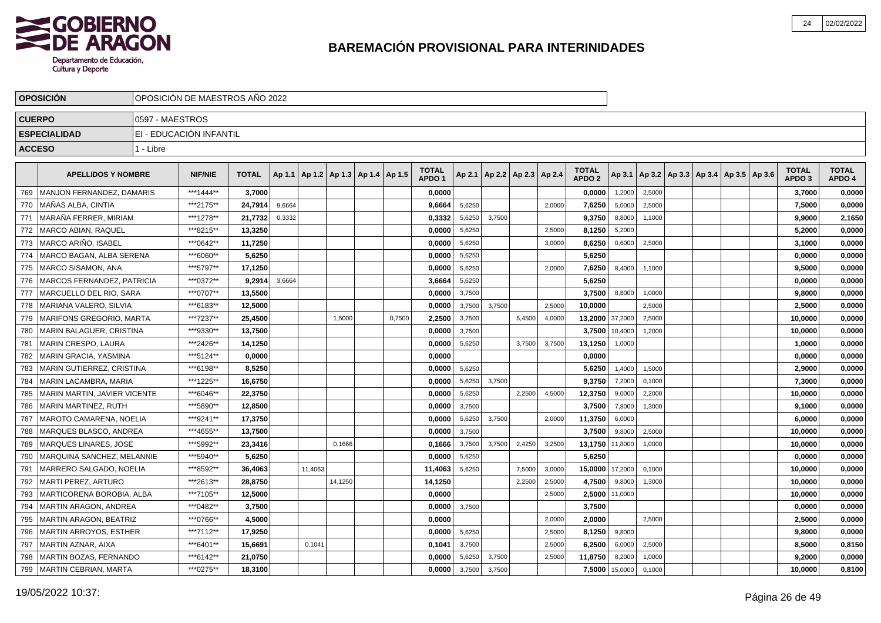

|     | <b>OPOSICIÓN</b>              |                 | OPOSICIÓN DE MAESTROS AÑO 2022 |              |        |                                            |         |        |                                   |        |        |                                   |        |                                   |         |        |                                            |  |                                   |                        |
|-----|-------------------------------|-----------------|--------------------------------|--------------|--------|--------------------------------------------|---------|--------|-----------------------------------|--------|--------|-----------------------------------|--------|-----------------------------------|---------|--------|--------------------------------------------|--|-----------------------------------|------------------------|
|     | <b>CUERPO</b>                 | 0597 - MAESTROS |                                |              |        |                                            |         |        |                                   |        |        |                                   |        |                                   |         |        |                                            |  |                                   |                        |
|     | <b>ESPECIALIDAD</b>           |                 | EI - EDUCACIÓN INFANTIL        |              |        |                                            |         |        |                                   |        |        |                                   |        |                                   |         |        |                                            |  |                                   |                        |
|     | <b>ACCESO</b>                 | 1 - Libre       |                                |              |        |                                            |         |        |                                   |        |        |                                   |        |                                   |         |        |                                            |  |                                   |                        |
|     |                               |                 |                                |              |        |                                            |         |        |                                   |        |        |                                   |        |                                   |         |        |                                            |  |                                   |                        |
|     | <b>APELLIDOS Y NOMBRE</b>     |                 | <b>NIF/NIE</b>                 | <b>TOTAL</b> |        | Ap 1.1   Ap 1.2   Ap 1.3   Ap 1.4   Ap 1.5 |         |        | <b>TOTAL</b><br>APDO <sub>1</sub> |        |        | Ap 2.1   Ap 2.2   Ap 2.3   Ap 2.4 |        | <b>TOTAL</b><br>APDO <sub>2</sub> | Ap 3.1  |        | Ap 3.2   Ap 3.3   Ap 3.4   Ap 3.5   Ap 3.6 |  | <b>TOTAL</b><br>APDO <sub>3</sub> | <b>TOTAL</b><br>APDO 4 |
| 769 | MANJON FERNANDEZ, DAMARIS     |                 | ***1444**                      | 3,7000       |        |                                            |         |        | 0,0000                            |        |        |                                   |        | 0,0000                            | 1,2000  | 2,5000 |                                            |  | 3,7000                            | 0,0000                 |
| 770 | MAÑAS ALBA. CINTIA            |                 | ***2175**                      | 24,7914      | 9,6664 |                                            |         |        | 9,6664                            | 5,6250 |        |                                   | 2,0000 | 7,6250                            | 5,0000  | 2,5000 |                                            |  | 7,5000                            | 0,0000                 |
| 771 | MARAÑA FERRER, MIRIAM         |                 | ***1278**                      | 21,7732      | 0,3332 |                                            |         |        | 0,3332                            | 5,6250 | 3,7500 |                                   |        | 9,3750                            | 8,8000  | 1,1000 |                                            |  | 9,9000                            | 2,1650                 |
| 772 | MARCO ABIAN, RAQUEL           |                 | ***8215**                      | 13,3250      |        |                                            |         |        | 0,0000                            | 5,6250 |        |                                   | 2,5000 | 8,1250                            | 5,2000  |        |                                            |  | 5,2000                            | 0,0000                 |
| 773 | MARCO ARIÑO, ISABEL           |                 | ***0642**                      | 11,7250      |        |                                            |         |        | 0,0000                            | 5,6250 |        |                                   | 3,0000 | 8,6250                            | 0,6000  | 2,5000 |                                            |  | 3,1000                            | 0,0000                 |
| 774 | MARCO BAGAN. ALBA SERENA      |                 | ***6060**                      | 5,6250       |        |                                            |         |        | 0.0000                            | 5,6250 |        |                                   |        | 5.6250                            |         |        |                                            |  | 0.0000                            | 0,0000                 |
| 775 | MARCO SISAMON, ANA            |                 | ***5797**                      | 17,1250      |        |                                            |         |        | 0.0000                            | 5,6250 |        |                                   | 2,0000 | 7,6250                            | 8,4000  | 1,1000 |                                            |  | 9.5000                            | 0,0000                 |
| 776 | IMARCOS FERNANDEZ. PATRICIA   |                 | ***0372**                      | 9.2914       | 3,6664 |                                            |         |        | 3.6664                            | 5,6250 |        |                                   |        | 5.6250                            |         |        |                                            |  | 0,0000                            | 0,0000                 |
| 777 | IMARCUELLO DEL RIO. SARA      |                 | ***0707**                      | 13,5500      |        |                                            |         |        | 0,0000                            | 3,7500 |        |                                   |        | 3,7500                            | 8,8000  | 1,0000 |                                            |  | 9,8000                            | 0,0000                 |
| 778 | MARIANA VALERO, SILVIA        |                 | ***6183**                      | 12,5000      |        |                                            |         |        | 0,0000                            | 3,7500 | 3,7500 |                                   | 2,5000 | 10,0000                           |         | 2,5000 |                                            |  | 2,5000                            | 0,0000                 |
| 779 | MARIFONS GREGORIO, MARTA      |                 | ***7237**                      | 25,4500      |        |                                            | 1,5000  | 0,7500 | 2,2500                            | 3,7500 |        | 5,4500                            | 4,0000 | 13,2000                           | 37,2000 | 2,5000 |                                            |  | 10,0000                           | 0,0000                 |
| 780 | MARIN BALAGUER, CRISTINA      |                 | ***9330**                      | 13,7500      |        |                                            |         |        | 0,0000                            | 3,7500 |        |                                   |        | 3,7500                            | 10,4000 | 1,2000 |                                            |  | 10,0000                           | 0,0000                 |
| 781 | MARIN CRESPO, LAURA           |                 | ***2426**                      | 14,1250      |        |                                            |         |        | 0,0000                            | 5,6250 |        | 3,7500                            | 3,7500 | 13,1250                           | 1,0000  |        |                                            |  | 1,0000                            | 0,0000                 |
| 782 | MARIN GRACIA, YASMINA         |                 | ***5124**                      | 0,0000       |        |                                            |         |        | 0,0000                            |        |        |                                   |        | 0,0000                            |         |        |                                            |  | 0,0000                            | 0,0000                 |
| 783 | MARIN GUTIERREZ, CRISTINA     |                 | ***6198**                      | 8,5250       |        |                                            |         |        | 0,0000                            | 5,6250 |        |                                   |        | 5,6250                            | 1,4000  | 1,5000 |                                            |  | 2,9000                            | 0,0000                 |
| 784 | MARIN LACAMBRA, MARIA         |                 | ***1225**                      | 16,6750      |        |                                            |         |        | 0,0000                            | 5,6250 | 3,7500 |                                   |        | 9,3750                            | 7,2000  | 0,1000 |                                            |  | 7,3000                            | 0,0000                 |
| 785 | MARIN MARTIN, JAVIER VICENTE  |                 | ***6046**                      | 22.3750      |        |                                            |         |        | 0.0000                            | 5,6250 |        | 2.2500                            | 4,5000 | 12,3750                           | 9,0000  | 2,2000 |                                            |  | 10.0000                           | 0,0000                 |
| 786 | MARIN MARTINEZ. RUTH          |                 | ***5890**                      | 12,8500      |        |                                            |         |        | 0,0000                            | 3,7500 |        |                                   |        | 3,7500                            | 7,8000  | 1,3000 |                                            |  | 9,1000                            | 0,0000                 |
| 787 | MAROTO CAMARENA, NOELIA       |                 | ***9241**                      | 17,3750      |        |                                            |         |        | 0.0000                            | 5,6250 | 3,7500 |                                   | 2,0000 | 11,3750                           | 6,0000  |        |                                            |  | 6,0000                            | 0,0000                 |
| 788 | MARQUES BLASCO. ANDREA        |                 | ***4655**                      | 13,7500      |        |                                            |         |        | 0,0000                            | 3,7500 |        |                                   |        | 3,7500                            | 9,8000  | 2,5000 |                                            |  | 10,0000                           | 0,0000                 |
| 789 | <b>MARQUES LINARES, JOSE</b>  |                 | ***5992**                      | 23,3416      |        |                                            | 0,1666  |        | 0,1666                            | 3,7500 | 3.7500 | 2,4250                            | 3,2500 | 13,1750                           | 11,8000 | 1,0000 |                                            |  | 10,0000                           | 0,0000                 |
| 790 | MARQUINA SANCHEZ, MELANNIE    |                 | ***5940**                      | 5,6250       |        |                                            |         |        | 0,0000                            | 5,6250 |        |                                   |        | 5,6250                            |         |        |                                            |  | 0.0000                            | 0,0000                 |
| 791 | MARRERO SALGADO, NOELIA       |                 | ***8592**                      | 36,4063      |        | 11,4063                                    |         |        | 11,4063                           | 5,6250 |        | 7,5000                            | 3,0000 | 15,0000                           | 17,2000 | 0,1000 |                                            |  | 10,0000                           | 0,0000                 |
| 792 | <b>MARTI PEREZ, ARTURO</b>    |                 | ***2613**                      | 28,8750      |        |                                            | 14,1250 |        | 14,1250                           |        |        | 2,2500                            | 2,5000 | 4,7500                            | 9,8000  | 1,3000 |                                            |  | 10,0000                           | 0,0000                 |
| 793 | MARTICORENA BOROBIA, ALBA     |                 | ***7105**                      | 12,5000      |        |                                            |         |        | 0,0000                            |        |        |                                   | 2,5000 | 2,5000                            | 11,0000 |        |                                            |  | 10,0000                           | 0,0000                 |
| 794 | MARTIN ARAGON, ANDREA         |                 | ***0482**                      | 3,7500       |        |                                            |         |        | 0,0000                            | 3,7500 |        |                                   |        | 3,7500                            |         |        |                                            |  | 0,0000                            | 0,0000                 |
| 795 | MARTIN ARAGON, BEATRIZ        |                 | ***0766**                      | 4,5000       |        |                                            |         |        | 0,0000                            |        |        |                                   | 2,0000 | 2,0000                            |         | 2,5000 |                                            |  | 2,5000                            | 0,0000                 |
| 796 | MARTIN ARROYOS, ESTHER        |                 | ***7112**                      | 17,9250      |        |                                            |         |        | 0.0000                            | 5,6250 |        |                                   | 2,5000 | 8,1250                            | 9,8000  |        |                                            |  | 9.8000                            | 0,0000                 |
| 797 | MARTIN AZNAR, AIXA            |                 | ***6401**                      | 15.6691      |        | 0.1041                                     |         |        | 0,1041                            | 3,7500 |        |                                   | 2,5000 | 6,2500                            | 6,0000  | 2,5000 |                                            |  | 8,5000                            | 0,8150                 |
| 798 | <b>MARTIN BOZAS, FERNANDO</b> |                 | ***6142**                      | 21,0750      |        |                                            |         |        | 0,0000                            | 5,6250 | 3,7500 |                                   | 2,5000 | 11,8750                           | 8,2000  | 1,0000 |                                            |  | 9.2000                            | 0,0000                 |
|     | 799   MARTIN CEBRIAN, MARTA   |                 | ***0275**                      | 18,3100      |        |                                            |         |        | 0,0000                            | 3,7500 | 3,7500 |                                   |        | 7,5000                            | 15,0000 | 0,1000 |                                            |  | 10,0000                           | 0,8100                 |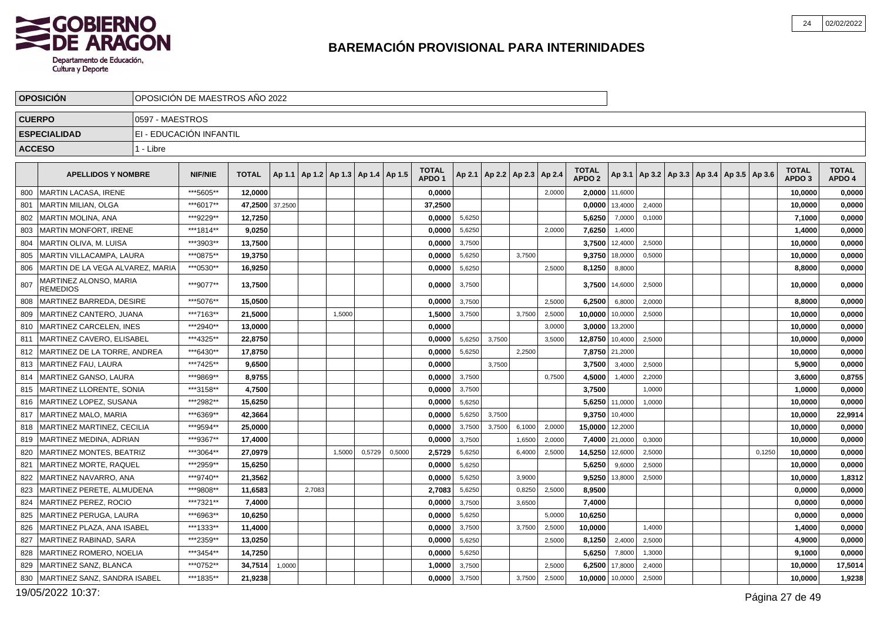

|     | <b>OPOSICIÓN</b>                          |                 | OPOSICIÓN DE MAESTROS AÑO 2022 |                 |        |                                   |        |        |        |                                   |        |                          |        |        |                                   |                    |        |                                                     |        |                                   |                        |
|-----|-------------------------------------------|-----------------|--------------------------------|-----------------|--------|-----------------------------------|--------|--------|--------|-----------------------------------|--------|--------------------------|--------|--------|-----------------------------------|--------------------|--------|-----------------------------------------------------|--------|-----------------------------------|------------------------|
|     | <b>CUERPO</b>                             | 0597 - MAESTROS |                                |                 |        |                                   |        |        |        |                                   |        |                          |        |        |                                   |                    |        |                                                     |        |                                   |                        |
|     | <b>ESPECIALIDAD</b>                       |                 | EI - EDUCACIÓN INFANTIL        |                 |        |                                   |        |        |        |                                   |        |                          |        |        |                                   |                    |        |                                                     |        |                                   |                        |
|     | <b>ACCESO</b>                             | 1 - Libre       |                                |                 |        |                                   |        |        |        |                                   |        |                          |        |        |                                   |                    |        |                                                     |        |                                   |                        |
|     | <b>APELLIDOS Y NOMBRE</b>                 |                 | <b>NIF/NIE</b>                 | <b>TOTAL</b>    | Ap 1.1 | Ap 1.2   Ap 1.3   Ap 1.4   Ap 1.5 |        |        |        | <b>TOTAL</b><br>APDO <sub>1</sub> | Ap 2.1 | Ap 2.2   Ap 2.3   Ap 2.4 |        |        | <b>TOTAL</b><br>APDO <sub>2</sub> |                    |        | Ap 3.1   Ap 3.2   Ap 3.3   Ap 3.4   Ap 3.5   Ap 3.6 |        | <b>TOTAL</b><br>APDO <sub>3</sub> | <b>TOTAL</b><br>APDO 4 |
| 800 | MARTIN LACASA, IRENE                      |                 | ***5605**                      | 12,0000         |        |                                   |        |        |        | 0,0000                            |        |                          |        | 2,0000 |                                   | 2,0000 11,6000     |        |                                                     |        | 10,0000                           | 0,0000                 |
| 801 | l MARTIN MILIAN. OLGA                     |                 | ***6017**                      | 47,2500 37,2500 |        |                                   |        |        |        | 37,2500                           |        |                          |        |        |                                   | $0.0000$   13,4000 | 2,4000 |                                                     |        | 10,0000                           | 0,0000                 |
| 802 | MARTIN MOLINA, ANA                        |                 | ***9229**                      | 12,7250         |        |                                   |        |        |        | 0,0000                            | 5,6250 |                          |        |        | 5,6250                            | 7,0000             | 0,1000 |                                                     |        | 7,1000                            | 0,0000                 |
| 803 | <b>MARTIN MONFORT, IRENE</b>              |                 | ***1814**                      | 9,0250          |        |                                   |        |        |        | 0,0000                            | 5,6250 |                          |        | 2,0000 | 7,6250                            | 1,4000             |        |                                                     |        | 1,4000                            | 0,0000                 |
| 804 | İ MARTIN OLIVA. M. LUISA                  |                 | ***3903**                      | 13,7500         |        |                                   |        |        |        | 0,0000                            | 3,7500 |                          |        |        | 3,7500                            | 12,4000            | 2,5000 |                                                     |        | 10.0000                           | 0,0000                 |
| 805 | MARTIN VILLACAMPA, LAURA                  |                 | ***0875**                      | 19,3750         |        |                                   |        |        |        | 0,0000                            | 5,6250 |                          | 3,7500 |        |                                   | 9,3750 18,0000     | 0,5000 |                                                     |        | 10,0000                           | 0,0000                 |
| 806 | MARTIN DE LA VEGA ALVAREZ, MARIA          |                 | ***0530**                      | 16,9250         |        |                                   |        |        |        | 0,0000                            | 5,6250 |                          |        | 2.5000 | 8,1250                            | 8,8000             |        |                                                     |        | 8,8000                            | 0,0000                 |
| 807 | MARTINEZ ALONSO. MARIA<br><b>REMEDIOS</b> |                 | ***9077**                      | 13,7500         |        |                                   |        |        |        | 0,0000                            | 3,7500 |                          |        |        | 3,7500                            | 14,6000            | 2,5000 |                                                     |        | 10,0000                           | 0,0000                 |
| 808 | MARTINEZ BARREDA, DESIRE                  |                 | ***5076**                      | 15,0500         |        |                                   |        |        |        | 0,0000                            | 3,7500 |                          |        | 2,5000 | 6,2500                            | 6,8000             | 2,0000 |                                                     |        | 8,8000                            | 0,0000                 |
| 809 | MARTINEZ CANTERO, JUANA                   |                 | ***7163**                      | 21.5000         |        |                                   | 1,5000 |        |        | 1,5000                            | 3,7500 |                          | 3,7500 | 2,5000 | 10,0000                           | 10,0000            | 2,5000 |                                                     |        | 10,0000                           | 0,0000                 |
| 810 | MARTINEZ CARCELEN, INES                   |                 | ***2940**                      | 13,0000         |        |                                   |        |        |        | 0,0000                            |        |                          |        | 3.0000 |                                   | 3,0000 13,2000     |        |                                                     |        | 10,0000                           | 0,0000                 |
| 811 | MARTINEZ CAVERO, ELISABEL                 |                 | ***4325**                      | 22,8750         |        |                                   |        |        |        | 0,0000                            | 5,6250 | 3,7500                   |        | 3,5000 | 12,8750                           | 10,4000            | 2,5000 |                                                     |        | 10,0000                           | 0,0000                 |
| 812 | MARTINEZ DE LA TORRE. ANDREA              |                 | ***6430**                      | 17,8750         |        |                                   |        |        |        | 0,0000                            | 5,6250 |                          | 2,2500 |        | 7,8750                            | 21,2000            |        |                                                     |        | 10,0000                           | 0,0000                 |
| 813 | MARTINEZ FAU, LAURA                       |                 | ***7425**                      | 9,6500          |        |                                   |        |        |        | 0,0000                            |        | 3,7500                   |        |        | 3,7500                            | 3,4000             | 2,5000 |                                                     |        | 5,9000                            | 0,0000                 |
| 814 | MARTINEZ GANSO, LAURA                     |                 | ***9869**                      | 8,9755          |        |                                   |        |        |        | 0,0000                            | 3,7500 |                          |        | 0,7500 | 4,5000                            | 1,4000             | 2,2000 |                                                     |        | 3,6000                            | 0,8755                 |
| 815 | MARTINEZ LLORENTE. SONIA                  |                 | ***3158**                      | 4,7500          |        |                                   |        |        |        | 0.0000                            | 3,7500 |                          |        |        | 3.7500                            |                    | 1,0000 |                                                     |        | 1,0000                            | 0,0000                 |
| 816 | MARTINEZ LOPEZ, SUSANA                    |                 | ***2982**                      | 15,6250         |        |                                   |        |        |        | 0,0000                            | 5,6250 |                          |        |        |                                   | 5,6250 11,0000     | 1,0000 |                                                     |        | 10,0000                           | 0,0000                 |
| 817 | MARTINEZ MALO, MARIA                      |                 | ***6369**                      | 42,3664         |        |                                   |        |        |        | 0,0000                            | 5,6250 | 3.7500                   |        |        |                                   | 9,3750 10,4000     |        |                                                     |        | 10,0000                           | 22,9914                |
| 818 | MARTINEZ MARTINEZ, CECILIA                |                 | ***9594**                      | 25,0000         |        |                                   |        |        |        | 0,0000                            | 3,7500 | 3,7500                   | 6,1000 | 2,0000 | 15,0000 12,2000                   |                    |        |                                                     |        | 10,0000                           | 0,0000                 |
| 819 | MARTINEZ MEDINA, ADRIAN                   |                 | ***9367**                      | 17,4000         |        |                                   |        |        |        | 0,0000                            | 3,7500 |                          | 1,6500 | 2,0000 |                                   | 7,4000 21,0000     | 0,3000 |                                                     |        | 10,0000                           | 0,0000                 |
| 820 | I MARTINEZ MONTES. BEATRIZ                |                 | ***3064**                      | 27,0979         |        |                                   | 1,5000 | 0,5729 | 0,5000 | 2,5729                            | 5,6250 |                          | 6,4000 | 2,5000 | 14,5250                           | 12,6000            | 2,5000 |                                                     | 0.1250 | 10,0000                           | 0,0000                 |
| 821 | MARTINEZ MORTE, RAQUEL                    |                 | ***2959**                      | 15,6250         |        |                                   |        |        |        | 0,0000                            | 5,6250 |                          |        |        | 5,6250                            | 9,6000             | 2,5000 |                                                     |        | 10,0000                           | 0,0000                 |
| 822 | MARTINEZ NAVARRO, ANA                     |                 | ***9740**                      | 21,3562         |        |                                   |        |        |        | 0,0000                            | 5,6250 |                          | 3,9000 |        | 9,5250                            | 13,8000            | 2,5000 |                                                     |        | 10,0000                           | 1,8312                 |
| 823 | MARTINEZ PERETE. ALMUDENA                 |                 | ***9808**                      | 11.6583         |        | 2.7083                            |        |        |        | 2,7083                            | 5,6250 |                          | 0,8250 | 2.5000 | 8,9500                            |                    |        |                                                     |        | 0,0000                            | 0,0000                 |
| 824 | <b>MARTINEZ PEREZ, ROCIO</b>              |                 | ***7321**                      | 7,4000          |        |                                   |        |        |        | 0,0000                            | 3,7500 |                          | 3,6500 |        | 7,4000                            |                    |        |                                                     |        | 0,0000                            | 0,0000                 |
| 825 | MARTINEZ PERUGA, LAURA                    |                 | ***6963**                      | 10,6250         |        |                                   |        |        |        | 0,0000                            | 5,6250 |                          |        | 5.0000 | 10,6250                           |                    |        |                                                     |        | 0,0000                            | 0,0000                 |
| 826 | MARTINEZ PLAZA, ANA ISABEL                |                 | ***1333**                      | 11,4000         |        |                                   |        |        |        | 0,0000                            | 3,7500 |                          | 3,7500 | 2,5000 | 10,0000                           |                    | 1,4000 |                                                     |        | 1,4000                            | 0,0000                 |
| 827 | MARTINEZ RABINAD, SARA                    |                 | ***2359**                      | 13,0250         |        |                                   |        |        |        | 0,0000                            | 5,6250 |                          |        | 2,5000 | 8,1250                            | 2,4000             | 2,5000 |                                                     |        | 4,9000                            | 0,0000                 |
| 828 | <b>MARTINEZ ROMERO, NOELIA</b>            |                 | ***3454**                      | 14,7250         |        |                                   |        |        |        | 0,0000                            | 5,6250 |                          |        |        | 5,6250                            | 7,8000             | 1,3000 |                                                     |        | 9,1000                            | 0,0000                 |
| 829 | MARTINEZ SANZ, BLANCA                     |                 | ***0752**                      | 34,7514         | 1,0000 |                                   |        |        |        | 1,0000                            | 3,7500 |                          |        | 2,5000 | 6,2500                            | 17,8000            | 2,4000 |                                                     |        | 10,0000                           | 17,5014                |
| 830 | <b>MARTINEZ SANZ, SANDRA ISABEL</b>       |                 | ***1835**                      | 21,9238         |        |                                   |        |        |        | 0.0000                            | 3,7500 |                          | 3,7500 | 2,5000 | 10,0000 10,0000                   |                    | 2,5000 |                                                     |        | 10.0000                           | 1,9238                 |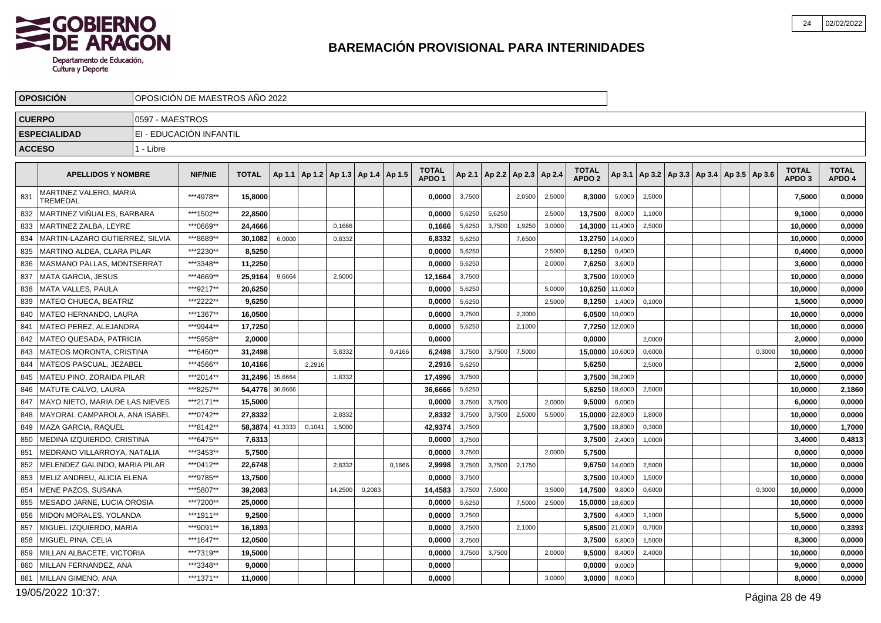

|     | <b>OPOSICIÓN</b>                   |                 | OPOSICIÓN DE MAESTROS AÑO 2022 |                 |         |        |         |                          |        |                                   |        |        |                          |        |                                   |                |        |                                            |        |                                   |                        |
|-----|------------------------------------|-----------------|--------------------------------|-----------------|---------|--------|---------|--------------------------|--------|-----------------------------------|--------|--------|--------------------------|--------|-----------------------------------|----------------|--------|--------------------------------------------|--------|-----------------------------------|------------------------|
|     | <b>CUERPO</b>                      | 0597 - MAESTROS |                                |                 |         |        |         |                          |        |                                   |        |        |                          |        |                                   |                |        |                                            |        |                                   |                        |
|     | <b>ESPECIALIDAD</b>                |                 | EI - EDUCACIÓN INFANTIL        |                 |         |        |         |                          |        |                                   |        |        |                          |        |                                   |                |        |                                            |        |                                   |                        |
|     | <b>ACCESO</b>                      | 1 - Libre       |                                |                 |         |        |         |                          |        |                                   |        |        |                          |        |                                   |                |        |                                            |        |                                   |                        |
|     |                                    |                 |                                |                 |         |        |         |                          |        |                                   |        |        |                          |        |                                   |                |        |                                            |        |                                   |                        |
|     | <b>APELLIDOS Y NOMBRE</b>          |                 | <b>NIF/NIE</b>                 | <b>TOTAL</b>    | Ap 1.1  |        |         | Ap 1.2   Ap 1.3   Ap 1.4 | Ap 1.5 | <b>TOTAL</b><br>APDO <sub>1</sub> | Ap 2.1 |        | Ap 2.2   Ap 2.3   Ap 2.4 |        | <b>TOTAL</b><br>APDO <sub>2</sub> | Ap 3.1         |        | Ap 3.2   Ap 3.3   Ap 3.4   Ap 3.5   Ap 3.6 |        | <b>TOTAL</b><br>APDO <sub>3</sub> | <b>TOTAL</b><br>APDO 4 |
| 831 | MARTINEZ VALERO, MARIA<br>TREMEDAL |                 | ***4978**                      | 15,8000         |         |        |         |                          |        | 0,0000                            | 3,7500 |        | 2,0500                   | 2,5000 | 8,3000                            | 5,0000         | 2,5000 |                                            |        | 7,5000                            | 0,0000                 |
| 832 | MARTINEZ VIÑUALES, BARBARA         |                 | ***1502**                      | 22,8500         |         |        |         |                          |        | 0,0000                            | 5,6250 | 5,6250 |                          | 2,5000 | 13,7500                           | 8,0000         | 1,1000 |                                            |        | 9,1000                            | 0,0000                 |
| 833 | MARTINEZ ZALBA, LEYRE              |                 | ***0669**                      | 24,4666         |         |        | 0.1666  |                          |        | 0,1666                            | 5,6250 | 3.7500 | 1,9250                   | 3,0000 | 14,3000                           | 11,4000        | 2,5000 |                                            |        | 10,0000                           | 0,0000                 |
| 834 | MARTIN-LAZARO GUTIERREZ, SILVIA    |                 | ***8689**                      | 30,1082         | 6,0000  |        | 0,8332  |                          |        | 6,8332                            | 5,6250 |        | 7,6500                   |        | 13,2750                           | 14,0000        |        |                                            |        | 10,0000                           | 0,0000                 |
| 835 | MARTINO ALDEA, CLARA PILAR         |                 | ***2230**                      | 8,5250          |         |        |         |                          |        | 0,0000                            | 5,6250 |        |                          | 2,5000 | 8,1250                            | 0,4000         |        |                                            |        | 0,4000                            | 0,0000                 |
| 836 | MASMANO PALLAS, MONTSERRAT         |                 | ***3348**                      | 11,2250         |         |        |         |                          |        | 0,0000                            | 5,6250 |        |                          | 2,0000 | 7,6250                            | 3,6000         |        |                                            |        | 3,6000                            | 0,0000                 |
| 837 | MATA GARCIA, JESUS                 |                 | ***4669**                      | 25.9164         | 9,6664  |        | 2,5000  |                          |        | 12,1664                           | 3,7500 |        |                          |        | 3,7500                            | 10,0000        |        |                                            |        | 10,0000                           | 0,0000                 |
| 838 | MATA VALLES, PAULA                 |                 | ***9217**                      | 20,6250         |         |        |         |                          |        | 0,0000                            | 5,6250 |        |                          | 5,0000 | 10,6250                           | 11,0000        |        |                                            |        | 10,0000                           | 0,0000                 |
| 839 | <b>IMATEO CHUECA. BEATRIZ</b>      |                 | ***2222**                      | 9.6250          |         |        |         |                          |        | 0,0000                            | 5,6250 |        |                          | 2,5000 | 8,1250                            | 1,4000         | 0,1000 |                                            |        | 1,5000                            | 0,0000                 |
| 840 | MATEO HERNANDO, LAURA              |                 | ***1367**                      | 16,0500         |         |        |         |                          |        | 0,0000                            | 3,7500 |        | 2,3000                   |        | 6,0500                            | 10,0000        |        |                                            |        | 10,0000                           | 0,0000                 |
| 841 | MATEO PEREZ. ALEJANDRA             |                 | ***9944**                      | 17,7250         |         |        |         |                          |        | 0.0000                            | 5,6250 |        | 2,1000                   |        | 7,7250                            | 12,0000        |        |                                            |        | 10,0000                           | 0,0000                 |
| 842 | MATEO QUESADA, PATRICIA            |                 | ***5958**                      | 2,0000          |         |        |         |                          |        | 0,0000                            |        |        |                          |        | 0,0000                            |                | 2,0000 |                                            |        | 2,0000                            | 0,0000                 |
| 843 | <b>MATEOS MORONTA, CRISTINA</b>    |                 | ***6460**                      | 31,2498         |         |        | 5,8332  |                          | 0.4166 | 6.2498                            | 3,7500 | 3.7500 | 7,5000                   |        | 15,0000                           | 10.6000        | 0,6000 |                                            | 0,3000 | 10,0000                           | 0,0000                 |
| 844 | MATEOS PASCUAL, JEZABEL            |                 | ***4566**                      | 10,4166         |         | 2,2916 |         |                          |        | 2,2916                            | 5,6250 |        |                          |        | 5,6250                            |                | 2,5000 |                                            |        | 2,5000                            | 0,0000                 |
| 845 | <b>MATEU PINO, ZORAIDA PILAR</b>   |                 | ***2014**                      | 31,2496 15,6664 |         |        | 1,8332  |                          |        | 17,4996                           | 3,7500 |        |                          |        |                                   | 3.7500 38,2000 |        |                                            |        | 10.0000                           | 0,0000                 |
| 846 | MATUTE CALVO, LAURA                |                 | ***8257**                      | 54,4776 36,6666 |         |        |         |                          |        | 36,6666                           | 5,6250 |        |                          |        | 5,6250                            | 18,6000        | 2,5000 |                                            |        | 10,0000                           | 2,1860                 |
| 847 | MAYO NIETO. MARIA DE LAS NIEVES    |                 | ***2171**                      | 15.5000         |         |        |         |                          |        | 0.0000                            | 3,7500 | 3,7500 |                          | 2,0000 | 9,5000                            | 6,0000         |        |                                            |        | 6.0000                            | 0,0000                 |
| 848 | MAYORAL CAMPAROLA, ANA ISABEL      |                 | ***0742**                      | 27,8332         |         |        | 2,8332  |                          |        | 2,8332                            | 3,7500 | 3,7500 | 2,5000                   | 5,5000 | 15,0000                           | 22,8000        | 1,8000 |                                            |        | 10,0000                           | 0,0000                 |
| 849 | MAZA GARCIA, RAQUEL                |                 | ***8142**                      | 58,3874         | 41,3333 | 0.1041 | 1,5000  |                          |        | 42,9374                           | 3,7500 |        |                          |        | 3,7500                            | 18,8000        | 0,3000 |                                            |        | 10,0000                           | 1,7000                 |
| 850 | MEDINA IZQUIERDO, CRISTINA         |                 | ***6475**                      | 7,6313          |         |        |         |                          |        | 0,0000                            | 3,7500 |        |                          |        | 3,7500                            | 2,4000         | 1,0000 |                                            |        | 3,4000                            | 0,4813                 |
| 851 | MEDRANO VILLARROYA, NATALIA        |                 | ***3453**                      | 5,7500          |         |        |         |                          |        | 0,0000                            | 3,7500 |        |                          | 2,0000 | 5,7500                            |                |        |                                            |        | 0,0000                            | 0,0000                 |
| 852 | MELENDEZ GALINDO, MARIA PILAR      |                 | ***0412**                      | 22,6748         |         |        | 2,8332  |                          | 0,1666 | 2,9998                            | 3,7500 | 3.7500 | 2,1750                   |        | 9,6750                            | 14,0000        | 2,5000 |                                            |        | 10,0000                           | 0,0000                 |
| 853 | MELIZ ANDREU, ALICIA ELENA         |                 | ***9785**                      | 13,7500         |         |        |         |                          |        | 0,0000                            | 3,7500 |        |                          |        | 3,7500                            | 10,4000        | 1,5000 |                                            |        | 10,0000                           | 0,0000                 |
| 854 | MENE PAZOS, SUSANA                 |                 | ***5807**                      | 39,2083         |         |        | 14,2500 | 0,2083                   |        | 14,4583                           | 3,7500 | 7.5000 |                          | 3,5000 | 14,7500                           | 9,8000         | 0,6000 |                                            | 0,3000 | 10,0000                           | 0,0000                 |
| 855 | MESADO JARNE, LUCIA OROSIA         |                 | ***7200**                      | 25,0000         |         |        |         |                          |        | 0,0000                            | 5,6250 |        | 7,5000                   | 2,5000 | 15,0000                           | 18,6000        |        |                                            |        | 10,0000                           | 0,0000                 |
| 856 | <b>MIDON MORALES, YOLANDA</b>      |                 | ***1911**                      | 9,2500          |         |        |         |                          |        | 0,0000                            | 3,7500 |        |                          |        | 3,7500                            | 4,4000         | 1,1000 |                                            |        | 5.5000                            | 0,0000                 |
| 857 | MIGUEL IZQUIERDO, MARIA            |                 | ***9091**                      | 16,1893         |         |        |         |                          |        | 0,0000                            | 3,7500 |        | 2,1000                   |        | 5,8500                            | 21,0000        | 0,7000 |                                            |        | 10,0000                           | 0,3393                 |
| 858 | MIGUEL PINA, CELIA                 |                 | ***1647**                      | 12,0500         |         |        |         |                          |        | 0,0000                            | 3,7500 |        |                          |        | 3,7500                            | 6,8000         | 1,5000 |                                            |        | 8,3000                            | 0,0000                 |
| 859 | MILLAN ALBACETE, VICTORIA          |                 | ***7319**                      | 19,5000         |         |        |         |                          |        | 0,0000                            | 3,7500 | 3,7500 |                          | 2,0000 | 9,5000                            | 8,4000         | 2,4000 |                                            |        | 10,0000                           | 0,0000                 |
| 860 | MILLAN FERNANDEZ. ANA              |                 | ***3348**                      | 9,0000          |         |        |         |                          |        | 0,0000                            |        |        |                          |        | 0,0000                            | 9,0000         |        |                                            |        | 9,0000                            | 0,0000                 |
| 861 | MILLAN GIMENO, ANA                 |                 | ***1371**                      | 11,0000         |         |        |         |                          |        | 0,0000                            |        |        |                          | 3,0000 | 3,0000                            | 8,0000         |        |                                            |        | 8,0000                            | 0,0000                 |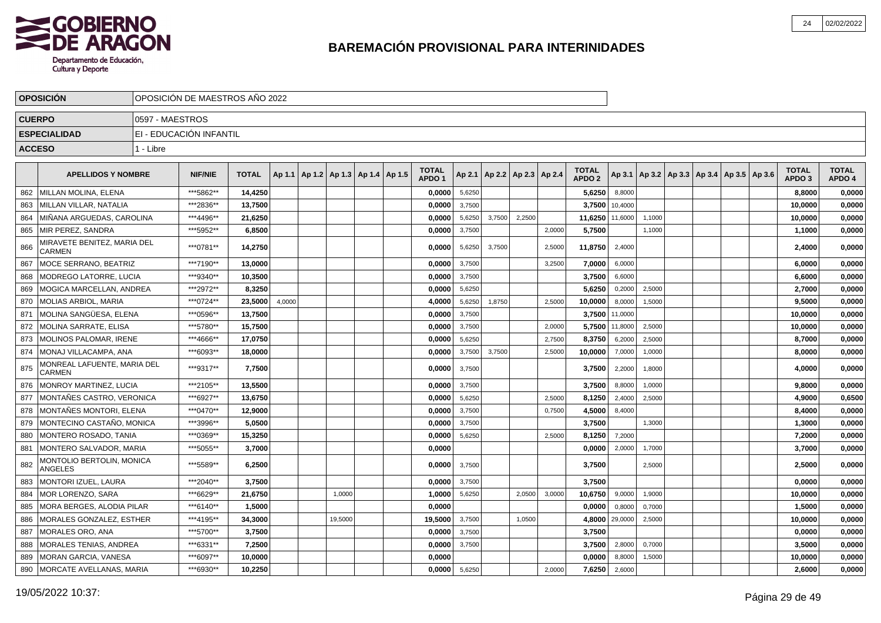

|     | <b>OPOSICIÓN</b>                             | OPOSICIÓN DE MAESTROS AÑO 2022 |                |              |        |                                            |  |                                   |        |        |                                   |        |                                   |         |                                                     |  |  |                                   |                        |
|-----|----------------------------------------------|--------------------------------|----------------|--------------|--------|--------------------------------------------|--|-----------------------------------|--------|--------|-----------------------------------|--------|-----------------------------------|---------|-----------------------------------------------------|--|--|-----------------------------------|------------------------|
|     | <b>CUERPO</b>                                | 0597 - MAESTROS                |                |              |        |                                            |  |                                   |        |        |                                   |        |                                   |         |                                                     |  |  |                                   |                        |
|     | <b>ESPECIALIDAD</b>                          | EI - EDUCACIÓN INFANTIL        |                |              |        |                                            |  |                                   |        |        |                                   |        |                                   |         |                                                     |  |  |                                   |                        |
|     | <b>ACCESO</b>                                | 1 - Libre                      |                |              |        |                                            |  |                                   |        |        |                                   |        |                                   |         |                                                     |  |  |                                   |                        |
|     |                                              |                                |                |              |        |                                            |  |                                   |        |        |                                   |        |                                   |         |                                                     |  |  |                                   |                        |
|     | <b>APELLIDOS Y NOMBRE</b>                    |                                | <b>NIF/NIE</b> | <b>TOTAL</b> |        | Ap 1.1   Ap 1.2   Ap 1.3   Ap 1.4   Ap 1.5 |  | <b>TOTAL</b><br>APDO <sub>1</sub> |        |        | Ap 2.1   Ap 2.2   Ap 2.3   Ap 2.4 |        | <b>TOTAL</b><br>APDO <sub>2</sub> |         | Ap 3.1   Ap 3.2   Ap 3.3   Ap 3.4   Ap 3.5   Ap 3.6 |  |  | <b>TOTAL</b><br>APDO <sub>3</sub> | <b>TOTAL</b><br>APDO 4 |
| 862 | <b>IMILLAN MOLINA. ELENA</b>                 |                                | ***5862**      | 14.4250      |        |                                            |  | 0.0000                            | 5,6250 |        |                                   |        | 5,6250                            | 8.8000  |                                                     |  |  | 8.8000                            | 0,0000                 |
| 863 | MILLAN VILLAR, NATALIA                       |                                | ***2836**      | 13,7500      |        |                                            |  | 0.0000                            | 3,7500 |        |                                   |        | 3,7500                            | 10.4000 |                                                     |  |  | 10,0000                           | 0,0000                 |
| 864 | MIÑANA ARGUEDAS, CAROLINA                    |                                | ***4496**      | 21,6250      |        |                                            |  | 0.0000                            | 5,6250 | 3,7500 | 2,2500                            |        | 11,6250                           | 11,6000 | 1,1000                                              |  |  | 10,0000                           | 0,0000                 |
| 865 | MIR PEREZ. SANDRA                            |                                | ***5952**      | 6,8500       |        |                                            |  | 0,0000                            | 3,7500 |        |                                   | 2,0000 | 5,7500                            |         | 1,1000                                              |  |  | 1,1000                            | 0,0000                 |
| 866 | MIRAVETE BENITEZ, MARIA DEL<br>CARMEN        |                                | ***0781**      | 14,2750      |        |                                            |  | 0,0000                            | 5,6250 | 3,7500 |                                   | 2,5000 | 11,8750                           | 2,4000  |                                                     |  |  | 2,4000                            | 0,0000                 |
| 867 | MOCE SERRANO, BEATRIZ                        |                                | ***7190**      | 13,0000      |        |                                            |  | 0,0000                            | 3,7500 |        |                                   | 3,2500 | 7,0000                            | 6,0000  |                                                     |  |  | 6,0000                            | 0,0000                 |
| 868 | <b>MODREGO LATORRE, LUCIA</b>                |                                | ***9340**      | 10,3500      |        |                                            |  | 0,0000                            | 3,7500 |        |                                   |        | 3,7500                            | 6,6000  |                                                     |  |  | 6,6000                            | 0,0000                 |
| 869 | MOGICA MARCELLAN, ANDREA                     |                                | ***2972**      | 8,3250       |        |                                            |  | 0,0000                            | 5,6250 |        |                                   |        | 5,6250                            | 0,2000  | 2,5000                                              |  |  | 2,7000                            | 0,0000                 |
| 870 | <b>MOLIAS ARBIOL, MARIA</b>                  |                                | ***0724**      | 23,5000      | 4,0000 |                                            |  | 4,0000                            | 5,6250 | 1,8750 |                                   | 2,5000 | 10,0000                           | 8,0000  | 1,5000                                              |  |  | 9,5000                            | 0,0000                 |
| 871 | MOLINA SANGÜESA, ELENA                       |                                | ***0596**      | 13,7500      |        |                                            |  | 0,0000                            | 3,7500 |        |                                   |        | 3,7500                            | 11,0000 |                                                     |  |  | 10,0000                           | 0,0000                 |
| 872 | MOLINA SARRATE, ELISA                        |                                | ***5780**      | 15,7500      |        |                                            |  | 0,0000                            | 3,7500 |        |                                   | 2,0000 | 5,7500                            | 11,8000 | 2,5000                                              |  |  | 10,0000                           | 0,0000                 |
| 873 | MOLINOS PALOMAR, IRENE                       |                                | ***4666**      | 17,0750      |        |                                            |  | 0,0000                            | 5,6250 |        |                                   | 2,7500 | 8,3750                            | 6,2000  | 2,5000                                              |  |  | 8,7000                            | 0,0000                 |
| 874 | MONAJ VILLACAMPA, ANA                        |                                | ***6093**      | 18,0000      |        |                                            |  | 0,0000                            | 3,7500 | 3,7500 |                                   | 2,5000 | 10,0000                           | 7,0000  | 1,0000                                              |  |  | 8,0000                            | 0,0000                 |
| 875 | MONREAL LAFUENTE, MARIA DEL<br><b>CARMEN</b> |                                | ***9317**      | 7,7500       |        |                                            |  | 0,0000                            | 3,7500 |        |                                   |        | 3,7500                            | 2,2000  | 1,8000                                              |  |  | 4,0000                            | 0,0000                 |
| 876 | MONROY MARTINEZ, LUCIA                       |                                | ***2105**      | 13,5500      |        |                                            |  | 0,0000                            | 3,7500 |        |                                   |        | 3,7500                            | 8,8000  | 1,0000                                              |  |  | 9,8000                            | 0,0000                 |
| 877 | MONTAÑES CASTRO, VERONICA                    |                                | ***6927**      | 13,6750      |        |                                            |  | 0,0000                            | 5,6250 |        |                                   | 2,5000 | 8,1250                            | 2,4000  | 2,5000                                              |  |  | 4,9000                            | 0,6500                 |
| 878 | MONTAÑES MONTORI, ELENA                      |                                | ***0470**      | 12,9000      |        |                                            |  | 0,0000                            | 3,7500 |        |                                   | 0,7500 | 4,5000                            | 8,4000  |                                                     |  |  | 8,4000                            | 0,0000                 |
| 879 | MONTECINO CASTAÑO, MONICA                    |                                | ***3996**      | 5,0500       |        |                                            |  | 0,0000                            | 3,7500 |        |                                   |        | 3,7500                            |         | 1,3000                                              |  |  | 1,3000                            | 0,0000                 |
| 880 | MONTERO ROSADO, TANIA                        |                                | ***0369**      | 15,3250      |        |                                            |  | 0,0000                            | 5,6250 |        |                                   | 2,5000 | 8,1250                            | 7,2000  |                                                     |  |  | 7,2000                            | 0,0000                 |
| 881 | MONTERO SALVADOR, MARIA                      |                                | ***5055**      | 3,7000       |        |                                            |  | 0,0000                            |        |        |                                   |        | 0,0000                            | 2,0000  | 1,7000                                              |  |  | 3,7000                            | 0,0000                 |
| 882 | MONTOLIO BERTOLIN, MONICA<br>ANGELES         |                                | ***5589**      | 6,2500       |        |                                            |  | 0.0000                            | 3,7500 |        |                                   |        | 3,7500                            |         | 2,5000                                              |  |  | 2,5000                            | 0,0000                 |
| 883 | MONTORI IZUEL. LAURA                         |                                | ***2040**      | 3,7500       |        |                                            |  | 0.0000                            | 3,7500 |        |                                   |        | 3,7500                            |         |                                                     |  |  | 0.0000                            | 0,0000                 |
| 884 | <b>IMOR LORENZO. SARA</b>                    |                                | ***6629**      | 21,6750      |        | 1,0000                                     |  | 1,0000                            | 5,6250 |        | 2,0500                            | 3,0000 | 10.6750                           | 9,0000  | 1,9000                                              |  |  | 10,0000                           | 0,0000                 |
| 885 | MORA BERGES. ALODIA PILAR                    |                                | ***6140**      | 1,5000       |        |                                            |  | 0.0000                            |        |        |                                   |        | 0,0000                            | 0,8000  | 0,7000                                              |  |  | 1,5000                            | 0,0000                 |
| 886 | MORALES GONZALEZ, ESTHER                     |                                | ***4195**      | 34,3000      |        | 19,5000                                    |  | 19,5000                           | 3,7500 |        | 1,0500                            |        | 4,8000                            | 29,0000 | 2,5000                                              |  |  | 10,0000                           | 0,0000                 |
| 887 | <b>MORALES ORO, ANA</b>                      |                                | ***5700**      | 3,7500       |        |                                            |  | 0.0000                            | 3,7500 |        |                                   |        | 3,7500                            |         |                                                     |  |  | 0,0000                            | 0,0000                 |
| 888 | <b>MORALES TENIAS, ANDREA</b>                |                                | ***6331**      | 7,2500       |        |                                            |  | 0,0000                            | 3,7500 |        |                                   |        | 3,7500                            | 2,8000  | 0,7000                                              |  |  | 3,5000                            | 0,0000                 |
| 889 | MORAN GARCIA, VANESA                         |                                | ***6097**      | 10,0000      |        |                                            |  | 0,0000                            |        |        |                                   |        | 0,0000                            | 8,8000  | 1,5000                                              |  |  | 10,0000                           | 0,0000                 |
| 890 | MORCATE AVELLANAS, MARIA                     |                                | ***6930**      | 10,2250      |        |                                            |  | 0,0000                            | 5,6250 |        |                                   | 2,0000 | 7,6250                            | 2,6000  |                                                     |  |  | 2,6000                            | 0,0000                 |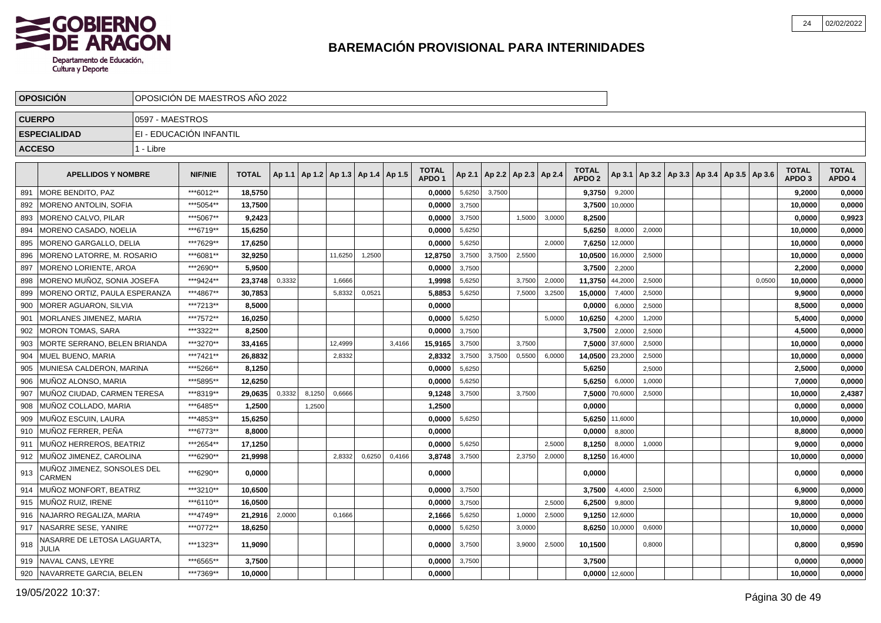

|               | <b>OPOSICION</b>                      |                 | OPOSICIÓN DE MAESTROS AÑO 2022 |              |        |        |                                   |        |        |                                   |        |        |                          |        |                                   |                  |        |  |                                                     |        |                                   |                        |
|---------------|---------------------------------------|-----------------|--------------------------------|--------------|--------|--------|-----------------------------------|--------|--------|-----------------------------------|--------|--------|--------------------------|--------|-----------------------------------|------------------|--------|--|-----------------------------------------------------|--------|-----------------------------------|------------------------|
| <b>CUERPO</b> |                                       | 0597 - MAESTROS |                                |              |        |        |                                   |        |        |                                   |        |        |                          |        |                                   |                  |        |  |                                                     |        |                                   |                        |
|               | <b>ESPECIALIDAD</b>                   |                 | EI - EDUCACIÓN INFANTIL        |              |        |        |                                   |        |        |                                   |        |        |                          |        |                                   |                  |        |  |                                                     |        |                                   |                        |
| <b>ACCESO</b> |                                       | 1 - Libre       |                                |              |        |        |                                   |        |        |                                   |        |        |                          |        |                                   |                  |        |  |                                                     |        |                                   |                        |
|               |                                       |                 |                                |              |        |        |                                   |        |        |                                   |        |        |                          |        |                                   |                  |        |  |                                                     |        |                                   |                        |
|               | <b>APELLIDOS Y NOMBRE</b>             |                 | <b>NIF/NIE</b>                 | <b>TOTAL</b> | Ap 1.1 |        | Ap 1.2   Ap 1.3   Ap 1.4   Ap 1.5 |        |        | <b>TOTAL</b><br>APDO <sub>1</sub> | Ap 2.1 |        | Ap 2.2   Ap 2.3   Ap 2.4 |        | <b>TOTAL</b><br>APDO <sub>2</sub> |                  |        |  | Ap 3.1   Ap 3.2   Ap 3.3   Ap 3.4   Ap 3.5   Ap 3.6 |        | <b>TOTAL</b><br>APDO <sub>3</sub> | <b>TOTAL</b><br>APDO 4 |
| 891           | MORE BENDITO, PAZ                     |                 | ***6012**                      | 18,5750      |        |        |                                   |        |        | 0,0000                            | 5,6250 | 3,7500 |                          |        | 9,3750                            | 9,2000           |        |  |                                                     |        | 9,2000                            | 0,0000                 |
| 892           | MORENO ANTOLIN, SOFIA                 |                 | ***5054**                      | 13,7500      |        |        |                                   |        |        | 0,0000                            | 3,7500 |        |                          |        | 3,7500                            | 10,0000          |        |  |                                                     |        | 10,0000                           | 0,0000                 |
| 893           | MORENO CALVO, PILAR                   |                 | ***5067**                      | 9,2423       |        |        |                                   |        |        | 0,0000                            | 3,7500 |        | 1,5000                   | 3,0000 | 8,2500                            |                  |        |  |                                                     |        | 0.0000                            | 0,9923                 |
| 894           | <b>MORENO CASADO, NOELIA</b>          |                 | ***6719**                      | 15.6250      |        |        |                                   |        |        | 0.0000                            | 5,6250 |        |                          |        | 5.6250                            | 8,0000           | 2,0000 |  |                                                     |        | 10.0000                           | 0,0000                 |
| 895           | MORENO GARGALLO, DELIA                |                 | ***7629**                      | 17,6250      |        |        |                                   |        |        | 0,0000                            | 5,6250 |        |                          | 2,0000 | 7,6250                            | 12,0000          |        |  |                                                     |        | 10,0000                           | 0,0000                 |
| 896           | MORENO LATORRE, M. ROSARIO            |                 | ***6081**                      | 32,9250      |        |        | 11,6250                           | 1,2500 |        | 12,8750                           | 3,7500 | 3,7500 | 2,5500                   |        | 10,0500                           | 16,0000          | 2,5000 |  |                                                     |        | 10,0000                           | 0,0000                 |
| 897           | MORENO LORIENTE, AROA                 |                 | ***2690**                      | 5,9500       |        |        |                                   |        |        | 0,0000                            | 3,7500 |        |                          |        | 3,7500                            | 2,2000           |        |  |                                                     |        | 2,2000                            | 0,0000                 |
| 898           | MORENO MUÑOZ, SONIA JOSEFA            |                 | ***9424**                      | 23,3748      | 0,3332 |        | 1,6666                            |        |        | 1,9998                            | 5,6250 |        | 3,7500                   | 2,0000 | 11,3750                           | 44,2000          | 2,5000 |  |                                                     | 0,0500 | 10,0000                           | 0,0000                 |
| 899           | MORENO ORTIZ, PAULA ESPERANZA         |                 | ***4867**                      | 30,7853      |        |        | 5,8332                            | 0,0521 |        | 5,8853                            | 5,6250 |        | 7,5000                   | 3,2500 | 15,0000                           | 7,4000           | 2,5000 |  |                                                     |        | 9,9000                            | 0,0000                 |
| 900           | <b>MORER AGUARON, SILVIA</b>          |                 | ***7213**                      | 8.5000       |        |        |                                   |        |        | 0.0000                            |        |        |                          |        | 0,0000                            | 6,0000           | 2,5000 |  |                                                     |        | 8,5000                            | 0,0000                 |
| 901           | MORLANES JIMENEZ, MARIA               |                 | ***7572**                      | 16,0250      |        |        |                                   |        |        | 0,0000                            | 5,6250 |        |                          | 5,0000 | 10,6250                           | 4,2000           | 1,2000 |  |                                                     |        | 5,4000                            | 0,0000                 |
| 902           | <b>MORON TOMAS, SARA</b>              |                 | ***3322**                      | 8,2500       |        |        |                                   |        |        | 0,0000                            | 3,7500 |        |                          |        | 3,7500                            | 2,0000           | 2,5000 |  |                                                     |        | 4,5000                            | 0,0000                 |
| 903           | MORTE SERRANO. BELEN BRIANDA          |                 | ***3270**                      | 33,4165      |        |        | 12,4999                           |        | 3,4166 | 15,9165                           | 3,7500 |        | 3,7500                   |        | 7,5000                            | 37,6000          | 2,5000 |  |                                                     |        | 10,0000                           | 0,0000                 |
| 904           | MUEL BUENO, MARIA                     |                 | ***7421**                      | 26,8832      |        |        | 2,8332                            |        |        | 2,8332                            | 3,7500 | 3.7500 | 0,5500                   | 6,0000 | 14,0500                           | 23,2000          | 2,5000 |  |                                                     |        | 10,0000                           | 0,0000                 |
| 905           | MUNIESA CALDERON, MARINA              |                 | ***5266**                      | 8,1250       |        |        |                                   |        |        | 0,0000                            | 5,6250 |        |                          |        | 5,6250                            |                  | 2,5000 |  |                                                     |        | 2,5000                            | 0,0000                 |
| 906           | MUÑOZ ALONSO, MARIA                   |                 | ***5895**                      | 12.6250      |        |        |                                   |        |        | 0.0000                            | 5,6250 |        |                          |        | 5.6250                            | 6,0000           | 1,0000 |  |                                                     |        | 7,0000                            | 0,0000                 |
| 907           | MUÑOZ CIUDAD, CARMEN TERESA           |                 | ***8319**                      | 29.0635      | 0,3332 | 8,1250 | 0,6666                            |        |        | 9,1248                            | 3,7500 |        | 3,7500                   |        | 7,5000                            | 70,6000          | 2,5000 |  |                                                     |        | 10,0000                           | 2,4387                 |
| 908           | MUÑOZ COLLADO, MARIA                  |                 | ***6485**                      | 1,2500       |        | 1,2500 |                                   |        |        | 1,2500                            |        |        |                          |        | 0,0000                            |                  |        |  |                                                     |        | 0,0000                            | 0,0000                 |
| 909           | MUÑOZ ESCUIN, LAURA                   |                 | ***4853**                      | 15,6250      |        |        |                                   |        |        | 0,0000                            | 5,6250 |        |                          |        | 5,6250                            | 11,6000          |        |  |                                                     |        | 10,0000                           | 0,0000                 |
| 910           | MUÑOZ FERRER. PEÑA                    |                 | ***6773**                      | 8,8000       |        |        |                                   |        |        | 0,0000                            |        |        |                          |        | 0,0000                            | 8,8000           |        |  |                                                     |        | 8,8000                            | 0,0000                 |
| 911           | MUÑOZ HERREROS, BEATRIZ               |                 | ***2654**                      | 17,1250      |        |        |                                   |        |        | 0,0000                            | 5,6250 |        |                          | 2,5000 | 8,1250                            | 8,0000           | 1,0000 |  |                                                     |        | 9.0000                            | 0,0000                 |
| 912           | MUÑOZ JIMENEZ, CAROLINA               |                 | ***6290**                      | 21,9998      |        |        | 2,8332                            | 0,6250 | 0,4166 | 3,8748                            | 3,7500 |        | 2,3750                   | 2,0000 | 8,1250                            | 16,4000          |        |  |                                                     |        | 10,0000                           | 0,0000                 |
| 913           | MUÑOZ JIMENEZ. SONSOLES DEL<br>CARMEN |                 | ***6290**                      | 0,0000       |        |        |                                   |        |        | 0,0000                            |        |        |                          |        | 0,0000                            |                  |        |  |                                                     |        | 0,0000                            | 0,0000                 |
| 914           | MUÑOZ MONFORT, BEATRIZ                |                 | ***3210**                      | 10.6500      |        |        |                                   |        |        | 0.0000                            | 3,7500 |        |                          |        | 3,7500                            | 4,4000           | 2,5000 |  |                                                     |        | 6,9000                            | 0,0000                 |
| 915           | İ MUÑOZ RUIZ. IRENE                   |                 | ***6110**                      | 16.0500      |        |        |                                   |        |        | 0.0000                            | 3,7500 |        |                          | 2.5000 | 6,2500                            | 9,8000           |        |  |                                                     |        | 9.8000                            | 0,0000                 |
| 916           | NAJARRO REGALIZA, MARIA               |                 | ***4749**                      | 21,2916      | 2,0000 |        | 0,1666                            |        |        | 2,1666                            | 5,6250 |        | 1,0000                   | 2,5000 | 9,1250                            | 12,6000          |        |  |                                                     |        | 10,0000                           | 0,0000                 |
| 917           | NASARRE SESE, YANIRE                  |                 | ***0772**                      | 18,6250      |        |        |                                   |        |        | 0,0000                            | 5,6250 |        | 3,0000                   |        | 8,6250                            | 10,0000          | 0,6000 |  |                                                     |        | 10,0000                           | 0,0000                 |
| 918           | NASARRE DE LETOSA LAGUARTA,<br>JULIA  |                 | ***1323**                      | 11,9090      |        |        |                                   |        |        | 0,0000                            | 3,7500 |        | 3,9000                   | 2,5000 | 10,1500                           |                  | 0.8000 |  |                                                     |        | 0,8000                            | 0,9590                 |
| 919           | NAVAL CANS, LEYRE                     |                 | ***6565**                      | 3,7500       |        |        |                                   |        |        | 0,0000                            | 3,7500 |        |                          |        | 3,7500                            |                  |        |  |                                                     |        | 0,0000                            | 0,0000                 |
|               | 920 NAVARRETE GARCIA, BELEN           |                 | ***7369**                      | 10,0000      |        |        |                                   |        |        | 0,0000                            |        |        |                          |        |                                   | $0,0000$ 12,6000 |        |  |                                                     |        | 10,0000                           | 0,0000                 |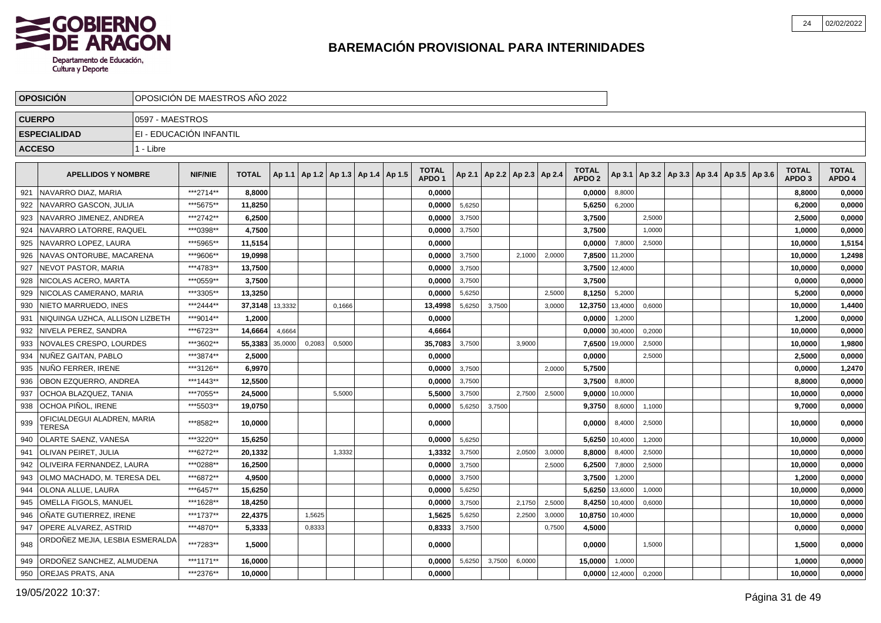

|               | <b>OPOSICION</b>                             |                 | OPOSICIÓN DE MAESTROS AÑO 2022 |              |         |        |                                   |  |                                   |        |        |                                   |        |                                   |         |                                                     |  |  |                                   |                        |
|---------------|----------------------------------------------|-----------------|--------------------------------|--------------|---------|--------|-----------------------------------|--|-----------------------------------|--------|--------|-----------------------------------|--------|-----------------------------------|---------|-----------------------------------------------------|--|--|-----------------------------------|------------------------|
| <b>CUERPO</b> |                                              | 0597 - MAESTROS |                                |              |         |        |                                   |  |                                   |        |        |                                   |        |                                   |         |                                                     |  |  |                                   |                        |
|               | <b>ESPECIALIDAD</b>                          |                 | EI - EDUCACIÓN INFANTIL        |              |         |        |                                   |  |                                   |        |        |                                   |        |                                   |         |                                                     |  |  |                                   |                        |
| <b>ACCESO</b> |                                              | 1 - Libre       |                                |              |         |        |                                   |  |                                   |        |        |                                   |        |                                   |         |                                                     |  |  |                                   |                        |
|               |                                              |                 |                                |              |         |        |                                   |  |                                   |        |        |                                   |        |                                   |         |                                                     |  |  |                                   |                        |
|               | <b>APELLIDOS Y NOMBRE</b>                    |                 | <b>NIF/NIE</b>                 | <b>TOTAL</b> | Ap 1.1  |        | Ap 1.2   Ap 1.3   Ap 1.4   Ap 1.5 |  | <b>TOTAL</b><br>APDO <sub>1</sub> |        |        | Ap 2.1   Ap 2.2   Ap 2.3   Ap 2.4 |        | <b>TOTAL</b><br>APDO <sub>2</sub> |         | Ap 3.1   Ap 3.2   Ap 3.3   Ap 3.4   Ap 3.5   Ap 3.6 |  |  | <b>TOTAL</b><br>APDO <sub>3</sub> | <b>TOTAL</b><br>APDO 4 |
| 921           | NAVARRO DIAZ, MARIA                          |                 | ***2714**                      | 8,8000       |         |        |                                   |  | 0,0000                            |        |        |                                   |        | 0,0000                            | 8,8000  |                                                     |  |  | 8,8000                            | 0,0000                 |
| 922           | NAVARRO GASCON, JULIA                        |                 | ***5675**                      | 11,8250      |         |        |                                   |  | 0,0000                            | 5,6250 |        |                                   |        | 5,6250                            | 6,2000  |                                                     |  |  | 6,2000                            | 0,0000                 |
| 923           | NAVARRO JIMENEZ, ANDREA                      |                 | ***2742**                      | 6,2500       |         |        |                                   |  | 0,0000                            | 3,7500 |        |                                   |        | 3,7500                            |         | 2,5000                                              |  |  | 2,5000                            | 0,0000                 |
| 924           | NAVARRO LATORRE, RAQUEL                      |                 | ***0398**                      | 4,7500       |         |        |                                   |  | 0,0000                            | 3,7500 |        |                                   |        | 3,7500                            |         | 1,0000                                              |  |  | 1,0000                            | 0,0000                 |
| 925           | NAVARRO LOPEZ, LAURA                         |                 | ***5965**                      | 11,5154      |         |        |                                   |  | 0.0000                            |        |        |                                   |        | 0,0000                            | 7,8000  | 2,5000                                              |  |  | 10,0000                           | 1,5154                 |
| 926           | NAVAS ONTORUBE, MACARENA                     |                 | ***9606**                      | 19.0998      |         |        |                                   |  | 0,0000                            | 3,7500 |        | 2,1000                            | 2,0000 | 7,8500                            | 11,2000 |                                                     |  |  | 10.0000                           | 1,2498                 |
| 927           | <b>NEVOT PASTOR, MARIA</b>                   |                 | ***4783**                      | 13,7500      |         |        |                                   |  | 0,0000                            | 3,7500 |        |                                   |        | 3,7500                            | 12,4000 |                                                     |  |  | 10,0000                           | 0,0000                 |
| 928           | NICOLAS ACERO, MARTA                         |                 | ***0559**                      | 3,7500       |         |        |                                   |  | 0,0000                            | 3,7500 |        |                                   |        | 3,7500                            |         |                                                     |  |  | 0,0000                            | 0,0000                 |
| 929           | NICOLAS CAMERANO, MARIA                      |                 | ***3305**                      | 13,3250      |         |        |                                   |  | 0,0000                            | 5,6250 |        |                                   | 2,5000 | 8,1250                            | 5,2000  |                                                     |  |  | 5,2000                            | 0,0000                 |
| 930           | NIETO MARRUEDO, INES                         |                 | ***2444**                      | 37,3148      | 13,3332 |        | 0,1666                            |  | 13,4998                           | 5,6250 | 3,7500 |                                   | 3,0000 | 12,3750                           | 13,4000 | 0,6000                                              |  |  | 10,0000                           | 1,4400                 |
| 931           | NIQUINGA UZHCA. ALLISON LIZBETH              |                 | ***9014**                      | 1,2000       |         |        |                                   |  | 0,0000                            |        |        |                                   |        | 0,0000                            | 1,2000  |                                                     |  |  | 1,2000                            | 0,0000                 |
| 932           | NIVELA PEREZ. SANDRA                         |                 | ***6723**                      | 14,6664      | 4,6664  |        |                                   |  | 4,6664                            |        |        |                                   |        | 0,0000                            | 30,4000 | 0,2000                                              |  |  | 10,0000                           | 0,0000                 |
| 933           | NOVALES CRESPO. LOURDES                      |                 | ***3602**                      | 55,3383      | 35,0000 | 0,2083 | 0,5000                            |  | 35,7083                           | 3,7500 |        | 3,9000                            |        | 7,6500                            | 19,0000 | 2,5000                                              |  |  | 10,0000                           | 1,9800                 |
| 934           | NUÑEZ GAITAN, PABLO                          |                 | ***3874**                      | 2,5000       |         |        |                                   |  | 0.0000                            |        |        |                                   |        | 0.0000                            |         | 2,5000                                              |  |  | 2.5000                            | 0,0000                 |
| 935           | NUÑO FERRER, IRENE                           |                 | ***3126**                      | 6,9970       |         |        |                                   |  | 0,0000                            | 3,7500 |        |                                   | 2,0000 | 5,7500                            |         |                                                     |  |  | 0,0000                            | 1,2470                 |
| 936           | OBON EZQUERRO, ANDREA                        |                 | ***1443**                      | 12,5500      |         |        |                                   |  | 0,0000                            | 3,7500 |        |                                   |        | 3,7500                            | 8,8000  |                                                     |  |  | 8,8000                            | 0,0000                 |
| 937           | OCHOA BLAZQUEZ, TANIA                        |                 | ***7055**                      | 24,5000      |         |        | 5,5000                            |  | 5,5000                            | 3,7500 |        | 2,7500                            | 2,5000 | 9,0000                            | 10,0000 |                                                     |  |  | 10,0000                           | 0,0000                 |
| 938           | OCHOA PIÑOL, IRENE                           |                 | ***5503**                      | 19,0750      |         |        |                                   |  | 0,0000                            | 5,6250 | 3,7500 |                                   |        | 9,3750                            | 8,6000  | 1,1000                                              |  |  | 9,7000                            | 0,0000                 |
| 939           | OFICIALDEGUI ALADREN, MARIA<br><b>TERESA</b> |                 | ***8582**                      | 10.0000      |         |        |                                   |  | 0.0000                            |        |        |                                   |        | 0,0000                            | 8,4000  | 2,5000                                              |  |  | 10.0000                           | 0,0000                 |
| 940           | OLARTE SAENZ, VANESA                         |                 | ***3220**                      | 15,6250      |         |        |                                   |  | 0,0000                            | 5,6250 |        |                                   |        | 5,6250                            | 10,4000 | 1,2000                                              |  |  | 10,0000                           | 0,0000                 |
| 941           | <b>OLIVAN PEIRET, JULIA</b>                  |                 | ***6272**                      | 20,1332      |         |        | 1,3332                            |  | 1,3332                            | 3,7500 |        | 2,0500                            | 3,0000 | 8,8000                            | 8,4000  | 2,5000                                              |  |  | 10,0000                           | 0,0000                 |
| 942           | <b>OLIVEIRA FERNANDEZ, LAURA</b>             |                 | ***0288**                      | 16,2500      |         |        |                                   |  | 0,0000                            | 3,7500 |        |                                   | 2,5000 | 6,2500                            | 7,8000  | 2,5000                                              |  |  | 10,0000                           | 0,0000                 |
| 943           | l OLMO MACHADO. M. TERESA DEL                |                 | ***6872**                      | 4,9500       |         |        |                                   |  | 0.0000                            | 3,7500 |        |                                   |        | 3,7500                            | 1,2000  |                                                     |  |  | 1,2000                            | 0,0000                 |
| 944           | OLONA ALLUE, LAURA                           |                 | ***6457**                      | 15,6250      |         |        |                                   |  | 0,0000                            | 5,6250 |        |                                   |        | 5,6250                            | 13,6000 | 1,0000                                              |  |  | 10,0000                           | 0,0000                 |
| 945           | OMELLA FIGOLS, MANUEL                        |                 | ***1628**                      | 18,4250      |         |        |                                   |  | 0,0000                            | 3,7500 |        | 2,1750                            | 2,5000 | 8,4250                            | 10,4000 | 0,6000                                              |  |  | 10,0000                           | 0,0000                 |
| 946           | OÑATE GUTIERREZ, IRENE                       |                 | ***1737**                      | 22,4375      |         | 1,5625 |                                   |  | 1,5625                            | 5,6250 |        | 2,2500                            | 3,0000 | 10,8750                           | 10,4000 |                                                     |  |  | 10,0000                           | 0,0000                 |
| 947           | OPERE ALVAREZ, ASTRID                        |                 | ***4870**                      | 5,3333       |         | 0,8333 |                                   |  | 0,8333                            | 3,7500 |        |                                   | 0,7500 | 4,5000                            |         |                                                     |  |  | 0,0000                            | 0,0000                 |
| 948           | ORDOÑEZ MEJIA, LESBIA ESMERALDA              |                 | ***7283**                      | 1,5000       |         |        |                                   |  | 0,0000                            |        |        |                                   |        | 0,0000                            |         | 1,5000                                              |  |  | 1,5000                            | 0,0000                 |
| 949           | ORDOÑEZ SANCHEZ, ALMUDENA                    |                 | ***1171**                      | 16,0000      |         |        |                                   |  | 0,0000                            | 5,6250 | 3,7500 | 6,0000                            |        | 15,0000                           | 1,0000  |                                                     |  |  | 1,0000                            | 0,0000                 |
| 950           | <b>OREJAS PRATS, ANA</b>                     |                 | ***2376**                      | 10,0000      |         |        |                                   |  | 0,0000                            |        |        |                                   |        | 0,0000                            | 12,4000 | 0,2000                                              |  |  | 10,0000                           | 0,0000                 |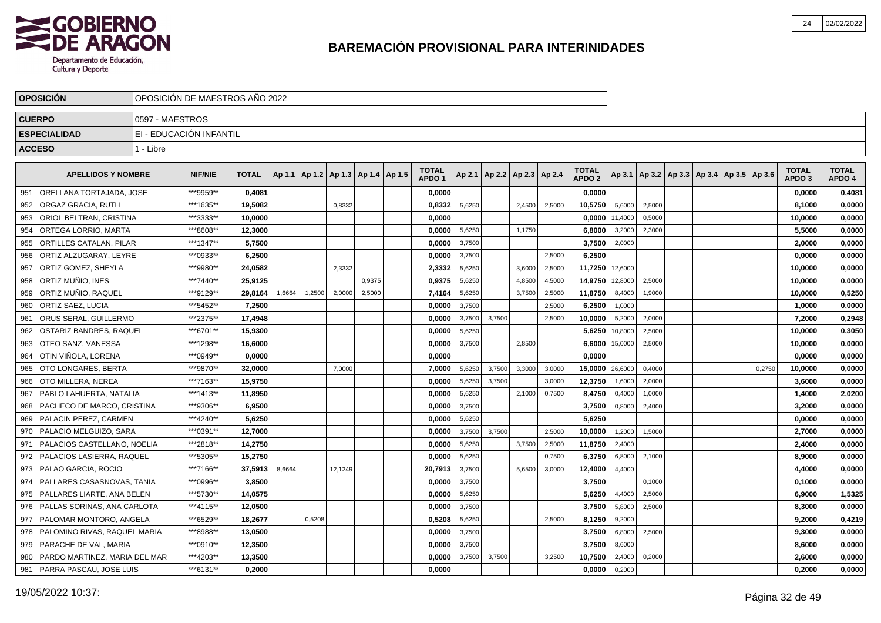

|               | <b>OPOSICIÓN</b>                    |                 | OPOSICIÓN DE MAESTROS AÑO 2022 |              |        |        |                                            |        |                                   |        |        |                                   |        |                                   |         |                                            |  |        |                                   |                        |
|---------------|-------------------------------------|-----------------|--------------------------------|--------------|--------|--------|--------------------------------------------|--------|-----------------------------------|--------|--------|-----------------------------------|--------|-----------------------------------|---------|--------------------------------------------|--|--------|-----------------------------------|------------------------|
|               | <b>CUERPO</b>                       | 0597 - MAESTROS |                                |              |        |        |                                            |        |                                   |        |        |                                   |        |                                   |         |                                            |  |        |                                   |                        |
|               | <b>ESPECIALIDAD</b>                 |                 | EI - EDUCACIÓN INFANTIL        |              |        |        |                                            |        |                                   |        |        |                                   |        |                                   |         |                                            |  |        |                                   |                        |
| <b>ACCESO</b> |                                     | 1 - Libre       |                                |              |        |        |                                            |        |                                   |        |        |                                   |        |                                   |         |                                            |  |        |                                   |                        |
|               |                                     |                 |                                |              |        |        |                                            |        |                                   |        |        |                                   |        |                                   |         |                                            |  |        |                                   |                        |
|               | <b>APELLIDOS Y NOMBRE</b>           |                 | <b>NIF/NIE</b>                 | <b>TOTAL</b> |        |        | Ap 1.1   Ap 1.2   Ap 1.3   Ap 1.4   Ap 1.5 |        | <b>TOTAL</b><br>APDO <sub>1</sub> |        |        | Ap 2.1   Ap 2.2   Ap 2.3   Ap 2.4 |        | <b>TOTAL</b><br>APDO <sub>2</sub> | Ap 3.1  | Ap 3.2   Ap 3.3   Ap 3.4   Ap 3.5   Ap 3.6 |  |        | <b>TOTAL</b><br>APDO <sub>3</sub> | <b>TOTAL</b><br>APDO 4 |
| 951           | ORELLANA TORTAJADA. JOSE            |                 | ***9959**                      | 0.4081       |        |        |                                            |        | 0.0000                            |        |        |                                   |        | 0.0000                            |         |                                            |  |        | 0,0000                            | 0,4081                 |
| 952           | <b>ORGAZ GRACIA, RUTH</b>           |                 | ***1635**                      | 19.5082      |        |        | 0,8332                                     |        | 0.8332                            | 5,6250 |        | 2.4500                            | 2,5000 | 10,5750                           | 5,6000  | 2,5000                                     |  |        | 8,1000                            | 0,0000                 |
| 953           | ORIOL BELTRAN, CRISTINA             |                 | ***3333**                      | 10,0000      |        |        |                                            |        | 0.0000                            |        |        |                                   |        | 0,0000                            | 11,4000 | 0,5000                                     |  |        | 10,0000                           | 0,0000                 |
| 954           | ORTEGA LORRIO, MARTA                |                 | ***8608**                      | 12.3000      |        |        |                                            |        | 0.0000                            | 5,6250 |        | 1,1750                            |        | 6,8000                            | 3,2000  | 2,3000                                     |  |        | 5.5000                            | 0,0000                 |
| 955           | <b>ORTILLES CATALAN, PILAR</b>      |                 | ***1347**                      | 5,7500       |        |        |                                            |        | 0,0000                            | 3,7500 |        |                                   |        | 3,7500                            | 2,0000  |                                            |  |        | 2,0000                            | 0,0000                 |
| 956           | ORTIZ ALZUGARAY. LEYRE              |                 | ***0933**                      | 6,2500       |        |        |                                            |        | 0.0000                            | 3,7500 |        |                                   | 2,5000 | 6,2500                            |         |                                            |  |        | 0.0000                            | 0,0000                 |
| 957           | ORTIZ GOMEZ, SHEYLA                 |                 | ***9980**                      | 24,0582      |        |        | 2,3332                                     |        | 2,3332                            | 5,6250 |        | 3,6000                            | 2,5000 | 11,7250                           | 12,6000 |                                            |  |        | 10,0000                           | 0,0000                 |
| 958           | I ORTIZ MUÑIO. INES                 |                 | ***7440**                      | 25,9125      |        |        |                                            | 0,9375 | 0,9375                            | 5,6250 |        | 4,8500                            | 4,5000 | 14,9750                           | 12,8000 | 2,5000                                     |  |        | 10,0000                           | 0,0000                 |
| 959           | IORTIZ MUÑIO. RAQUEL                |                 | ***9129**                      | 29,8164      | 1,6664 | 1,2500 | 2,0000                                     | 2,5000 | 7,4164                            | 5,6250 |        | 3,7500                            | 2,5000 | 11,8750                           | 8,4000  | 1,9000                                     |  |        | 10,0000                           | 0,5250                 |
| 960           | <b>ORTIZ SAEZ, LUCIA</b>            |                 | ***5452**                      | 7,2500       |        |        |                                            |        | 0,0000                            | 3,7500 |        |                                   | 2,5000 | 6,2500                            | 1,0000  |                                            |  |        | 1,0000                            | 0,0000                 |
| 961           | <b>ORUS SERAL, GUILLERMO</b>        |                 | ***2375**                      | 17,4948      |        |        |                                            |        | 0,0000                            | 3,7500 | 3,7500 |                                   | 2,5000 | 10,0000                           | 5,2000  | 2,0000                                     |  |        | 7,2000                            | 0,2948                 |
| 962           | <b>OSTARIZ BANDRES, RAQUEL</b>      |                 | ***6701**                      | 15,9300      |        |        |                                            |        | 0,0000                            | 5,6250 |        |                                   |        | 5,6250                            | 10,8000 | 2,5000                                     |  |        | 10,0000                           | 0,3050                 |
| 963           | <b>OTEO SANZ. VANESSA</b>           |                 | ***1298**                      | 16,6000      |        |        |                                            |        | 0,0000                            | 3,7500 |        | 2,8500                            |        | 6,6000                            | 15,0000 | 2,5000                                     |  |        | 10,0000                           | 0,0000                 |
| 964           | OTIN VIÑOLA, LORENA                 |                 | ***0949**                      | 0,0000       |        |        |                                            |        | 0,0000                            |        |        |                                   |        | 0,0000                            |         |                                            |  |        | 0,0000                            | 0,0000                 |
| 965           | OTO LONGARES. BERTA                 |                 | ***9870**                      | 32,0000      |        |        | 7,0000                                     |        | 7,0000                            | 5,6250 | 3,7500 | 3,3000                            | 3,0000 | 15,0000                           | 26,6000 | 0,4000                                     |  | 0,2750 | 10,0000                           | 0,0000                 |
| 966           | OTO MILLERA, NEREA                  |                 | ***7163**                      | 15,9750      |        |        |                                            |        | 0,0000                            | 5,6250 | 3,7500 |                                   | 3,0000 | 12,3750                           | 1,6000  | 2,0000                                     |  |        | 3,6000                            | 0,0000                 |
| 967           | PABLO LAHUERTA, NATALIA             |                 | ***1413**                      | 11,8950      |        |        |                                            |        | 0,0000                            | 5,6250 |        | 2,1000                            | 0,7500 | 8,4750                            | 0,4000  | 1,0000                                     |  |        | 1,4000                            | 2,0200                 |
| 968           | PACHECO DE MARCO, CRISTINA          |                 | ***9306**                      | 6,9500       |        |        |                                            |        | 0,0000                            | 3,7500 |        |                                   |        | 3,7500                            | 0,8000  | 2,4000                                     |  |        | 3,2000                            | 0,0000                 |
| 969           | PALACIN PEREZ, CARMEN               |                 | ***4240**                      | 5,6250       |        |        |                                            |        | 0,0000                            | 5,6250 |        |                                   |        | 5,6250                            |         |                                            |  |        | 0,0000                            | 0,0000                 |
| 970           | <b>PALACIO MELGUIZO, SARA</b>       |                 | ***0391**                      | 12,7000      |        |        |                                            |        | 0,0000                            | 3,7500 | 3,7500 |                                   | 2,5000 | 10,0000                           | 1,2000  | 1,5000                                     |  |        | 2,7000                            | 0,0000                 |
| 971           | PALACIOS CASTELLANO, NOELIA         |                 | ***2818**                      | 14,2750      |        |        |                                            |        | 0,0000                            | 5,6250 |        | 3,7500                            | 2,5000 | 11,8750                           | 2,4000  |                                            |  |        | 2,4000                            | 0,0000                 |
| 972           | <b>PALACIOS LASIERRA, RAQUEL</b>    |                 | ***5305**                      | 15,2750      |        |        |                                            |        | 0,0000                            | 5,6250 |        |                                   | 0.7500 | 6,3750                            | 6,8000  | 2,1000                                     |  |        | 8,9000                            | 0,0000                 |
| 973           | <b>I PALAO GARCIA. ROCIO</b>        |                 | ***7166**                      | 37.5913      | 8,6664 |        | 12.1249                                    |        | 20.7913                           | 3,7500 |        | 5,6500                            | 3,0000 | 12,4000                           | 4.4000  |                                            |  |        | 4.4000                            | 0,0000                 |
| 974           | <b>PALLARES CASASNOVAS, TANIA</b>   |                 | ***0996**                      | 3.8500       |        |        |                                            |        | 0.0000                            | 3,7500 |        |                                   |        | 3.7500                            |         | 0,1000                                     |  |        | 0,1000                            | 0,0000                 |
| 975           | <b>PALLARES LIARTE, ANA BELEN</b>   |                 | ***5730**                      | 14.0575      |        |        |                                            |        | 0.0000                            | 5,6250 |        |                                   |        | 5,6250                            | 4,4000  | 2,5000                                     |  |        | 6,9000                            | 1,5325                 |
| 976           | <b>PALLAS SORINAS, ANA CARLOTA</b>  |                 | ***4115**                      | 12,0500      |        |        |                                            |        | 0.0000                            | 3,7500 |        |                                   |        | 3,7500                            | 5,8000  | 2,5000                                     |  |        | 8,3000                            | 0,0000                 |
| 977           | I PALOMAR MONTORO. ANGELA           |                 | ***6529**                      | 18,2677      |        | 0.5208 |                                            |        | 0,5208                            | 5,6250 |        |                                   | 2,5000 | 8,1250                            | 9.2000  |                                            |  |        | 9,2000                            | 0,4219                 |
| 978           | <b>PALOMINO RIVAS, RAQUEL MARIA</b> |                 | ***8988**                      | 13,0500      |        |        |                                            |        | 0,0000                            | 3,7500 |        |                                   |        | 3,7500                            | 6,8000  | 2,5000                                     |  |        | 9,3000                            | 0,0000                 |
| 979           | <b>PARACHE DE VAL, MARIA</b>        |                 | ***0910**                      | 12,3500      |        |        |                                            |        | 0,0000                            | 3,7500 |        |                                   |        | 3,7500                            | 8,6000  |                                            |  |        | 8,6000                            | 0,0000                 |
| 980           | PARDO MARTINEZ, MARIA DEL MAR       |                 | ***4203**                      | 13,3500      |        |        |                                            |        | 0,0000                            | 3,7500 | 3,7500 |                                   | 3,2500 | 10,7500                           | 2,4000  | 0,2000                                     |  |        | 2,6000                            | 0,0000                 |
| 981           | <b>PARRA PASCAU, JOSE LUIS</b>      |                 | ***6131**                      | 0,2000       |        |        |                                            |        | 0,0000                            |        |        |                                   |        | 0,0000                            | 0,2000  |                                            |  |        | 0,2000                            | 0,0000                 |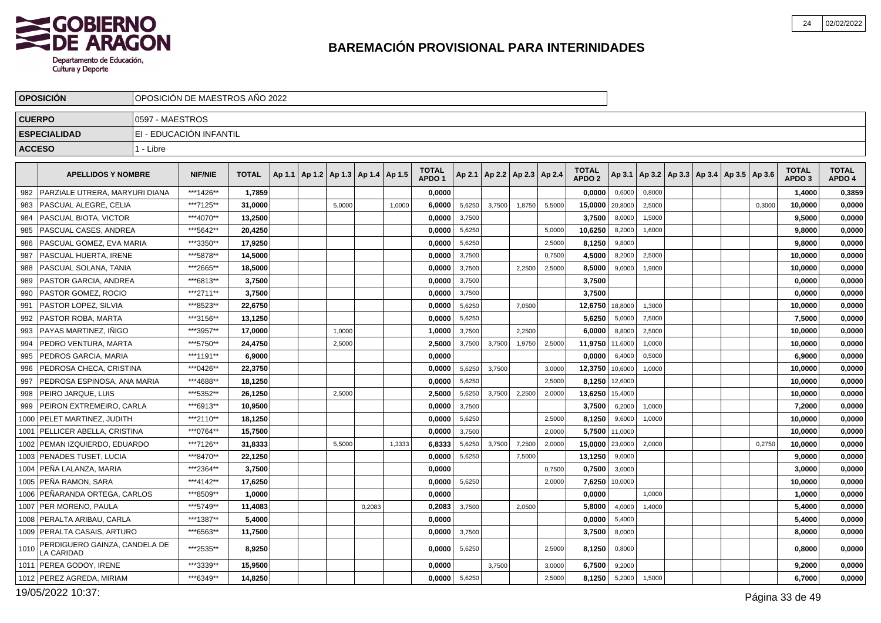

| 0597 - MAESTROS<br><b>CUERPO</b><br>EI - EDUCACIÓN INFANTIL<br><b>ESPECIALIDAD</b><br><b>ACCESO</b><br>1 - Libre<br><b>TOTAL</b><br><b>TOTAL</b><br><b>TOTAL</b><br><b>TOTAL</b><br><b>APELLIDOS Y NOMBRE</b><br><b>NIF/NIE</b><br><b>TOTAL</b><br>Ap 1.1   Ap 1.2   Ap 1.3   Ap 1.4   Ap 1.5<br>Ap 2.1   Ap 2.2   Ap 2.3   Ap 2.4<br>Ap 3.1   Ap 3.2   Ap 3.3   Ap 3.4   Ap 3.5   Ap 3.6<br>APDO <sub>2</sub><br>APDO <sub>1</sub><br>APDO <sub>3</sub><br>lPARZIALE UTRERA. MARYURI DIANA<br>***1426**<br>1,7859<br>0,0000<br>982<br>0.0000<br>0,6000<br>0,8000<br>1,4000<br>***7125**<br>5,6250<br>1,8750<br>PASCUAL ALEGRE, CELIA<br>31,0000<br>1,0000<br>6,0000<br>3,7500<br>5,5000<br>2,5000<br>0,3000<br>10,0000<br>983<br>5,0000<br>15,0000<br>20,8000<br>***4070**<br>I PASCUAL BIOTA. VICTOR<br>13.2500<br>0,0000<br>3,7500<br>3,7500<br>9.5000<br>984<br>8,0000<br>1,5000<br>***5642**<br>985<br>PASCUAL CASES, ANDREA<br>20,4250<br>0,0000<br>5,6250<br>5,0000<br>10,6250<br>8,2000<br>1,6000<br>9,8000<br>***3350**<br>PASCUAL GOMEZ. EVA MARIA<br>986<br>17,9250<br>0,0000<br>5,6250<br>2,5000<br>8,1250<br>9,8000<br>9,8000<br>PASCUAL HUERTA, IRENE<br>***5878**<br>987<br>14,5000<br>0,0000<br>3,7500<br>0,7500<br>4,5000<br>8,2000<br>2,5000<br>10,0000<br>988<br>PASCUAL SOLANA, TANIA<br>***2665**<br>0,0000<br>3,7500<br>2,2500<br>8,5000<br>18,5000<br>2,5000<br>9,0000<br>1,9000<br>10,0000<br>PASTOR GARCIA, ANDREA<br>989<br>***6813**<br>3,7500<br>0.0000<br>3,7500<br>3,7500<br>0.0000<br>PASTOR GOMEZ, ROCIO<br>***2711**<br>3,7500<br>0,0000<br>3,7500<br>990<br>3,7500<br>0,0000<br>991<br>PASTOR LOPEZ, SILVIA<br>***8523**<br>22,6750<br>5,6250<br>18,8000<br>0.0000<br>7,0500<br>12,6750<br>1.3000<br>10,0000<br>992<br>PASTOR ROBA, MARTA<br>***3156**<br>13,1250<br>0,0000<br>5,6250<br>5,6250<br>5,0000<br>2,5000<br>7,5000<br>I PAYAS MARTINEZ. IÑIGO<br>***3957**<br>17.0000<br>1.0000<br>3,7500<br>6,0000<br>8,8000<br>993<br>1,0000<br>2,2500<br>2,5000<br>10.0000<br>***5750**<br>994<br>PEDRO VENTURA, MARTA<br>24,4750<br>2,5000<br>3,7500<br>2,5000<br>11,9750<br>11,6000<br>1,0000<br>10,0000<br>2,5000<br>3,7500<br>1,9750<br>***1191**<br>995<br>PEDROS GARCIA, MARIA<br>6.9000<br>0,0000<br>0,0000<br>0,5000<br>6,9000<br>6,4000<br>996<br>PEDROSA CHECA, CRISTINA<br>***0426**<br>22,3750<br>0,0000<br>5,6250<br>3,7500<br>3,0000<br>12,3750<br>10,6000<br>1,0000<br>10,0000<br>***4688**<br>997<br>PEDROSA ESPINOSA, ANA MARIA<br>18,1250<br>0,0000<br>5,6250<br>2.5000<br>8,1250<br>12,6000<br>10,0000<br>***5352**<br>998<br>PEIRO JARQUE, LUIS<br>26,1250<br>2,5000<br>5,6250<br>3,7500<br>2,2500<br>2,0000<br>13,6250<br>15,4000<br>10,0000<br>2,5000<br>999<br>PEIRON EXTREMEIRO. CARLA<br>***6913**<br>0,0000<br>3,7500<br>3,7500<br>10,9500<br>6,2000<br>1,0000<br>7,2000<br>PELET MARTINEZ. JUDITH<br>1000<br>***2110**<br>18.1250<br>0.0000<br>5,6250<br>8,1250<br>9,6000<br>10,0000<br>2.5000<br>1,0000<br>PELLICER ABELLA, CRISTINA<br>3,7500<br>5,7500<br>1001<br>***0764**<br>15,7500<br>0,0000<br>2,0000<br>11,0000<br>10,0000<br><b>PEMAN IZQUIERDO, EDUARDO</b><br>3,7500<br>7,2500<br>15,0000<br>1002<br>***7126**<br>31.8333<br>5,5000<br>1,3333<br>6.8333<br>5,6250<br>2.0000<br>23,0000<br>2,0000<br>0,2750<br>10,0000<br><b>PENADES TUSET, LUCIA</b><br>***8470**<br>22,1250<br>13,1250<br>0,0000<br>5,6250<br>7,5000<br>9,0000<br>9,0000<br>1003<br>1004   PEÑA LALANZA, MARIA<br>***2364**<br>3,7500<br>0.0000<br>0,7500<br>0,7500<br>3,0000<br>3,0000<br>1005   PEÑA RAMON, SARA<br>***4142**<br>17,6250<br>0,0000<br>5,6250<br>2,0000<br>7,6250<br>10,0000<br>10,0000<br>***8509**<br>1006   PEÑARANDA ORTEGA, CARLOS<br>1.0000<br>0,0000<br>0,0000<br>1,0000<br>1,0000<br>***5749**<br>1007 PER MORENO, PAULA<br>11,4083<br>0,2083<br>0,2083<br>3,7500<br>2,0500<br>5,8000<br>4,0000<br>1,4000<br>5,4000<br>***1387**<br>1008   PERALTA ARIBAU, CARLA<br>5,4000<br>0,0000<br>0,0000<br>5,4000<br>5,4000<br>1009 PERALTA CASAIS, ARTURO<br>***6563**<br>11,7500<br>0,0000<br>3,7500<br>3,7500<br>8,0000<br>8,0000<br>PERDIGUERO GAINZA, CANDELA DE<br>***2535**<br>8.9250<br>0.0000<br>5,6250<br>2.5000<br>8,1250<br>0,8000<br>0.8000<br>1010<br>LA CARIDAD<br>***3339**<br>1011   PEREA GODOY, IRENE<br>15.9500<br>0.0000<br>3,7500<br>3.0000<br>6,7500<br>9.2000<br>9,2000<br>1012 PEREZ AGREDA, MIRIAM<br>***6349**<br>5,6250<br>14,8250<br>0,0000<br>2,5000<br>8,1250<br>5,2000<br>1,5000<br>6,7000 | <b>OPOSICION</b> | OPOSICIÓN DE MAESTROS AÑO 2022 |  |  |  |  |  |  |  |  |  |        |
|------------------------------------------------------------------------------------------------------------------------------------------------------------------------------------------------------------------------------------------------------------------------------------------------------------------------------------------------------------------------------------------------------------------------------------------------------------------------------------------------------------------------------------------------------------------------------------------------------------------------------------------------------------------------------------------------------------------------------------------------------------------------------------------------------------------------------------------------------------------------------------------------------------------------------------------------------------------------------------------------------------------------------------------------------------------------------------------------------------------------------------------------------------------------------------------------------------------------------------------------------------------------------------------------------------------------------------------------------------------------------------------------------------------------------------------------------------------------------------------------------------------------------------------------------------------------------------------------------------------------------------------------------------------------------------------------------------------------------------------------------------------------------------------------------------------------------------------------------------------------------------------------------------------------------------------------------------------------------------------------------------------------------------------------------------------------------------------------------------------------------------------------------------------------------------------------------------------------------------------------------------------------------------------------------------------------------------------------------------------------------------------------------------------------------------------------------------------------------------------------------------------------------------------------------------------------------------------------------------------------------------------------------------------------------------------------------------------------------------------------------------------------------------------------------------------------------------------------------------------------------------------------------------------------------------------------------------------------------------------------------------------------------------------------------------------------------------------------------------------------------------------------------------------------------------------------------------------------------------------------------------------------------------------------------------------------------------------------------------------------------------------------------------------------------------------------------------------------------------------------------------------------------------------------------------------------------------------------------------------------------------------------------------------------------------------------------------------------------------------------------------------------------------------------------------------------------------------------------------------------------------------------------------------------------------------------------------------------------------------------------------------------------------------------------------------------------------------------------------------------------------------------------------------------------------------------------------------------------------------------------------------------------------------------------------------------------------------------------------------------------------------------------------------------------------------------------------------------------------|------------------|--------------------------------|--|--|--|--|--|--|--|--|--|--------|
|                                                                                                                                                                                                                                                                                                                                                                                                                                                                                                                                                                                                                                                                                                                                                                                                                                                                                                                                                                                                                                                                                                                                                                                                                                                                                                                                                                                                                                                                                                                                                                                                                                                                                                                                                                                                                                                                                                                                                                                                                                                                                                                                                                                                                                                                                                                                                                                                                                                                                                                                                                                                                                                                                                                                                                                                                                                                                                                                                                                                                                                                                                                                                                                                                                                                                                                                                                                                                                                                                                                                                                                                                                                                                                                                                                                                                                                                                                                                                                                                                                                                                                                                                                                                                                                                                                                                                                                                                                                                                    |                  |                                |  |  |  |  |  |  |  |  |  |        |
|                                                                                                                                                                                                                                                                                                                                                                                                                                                                                                                                                                                                                                                                                                                                                                                                                                                                                                                                                                                                                                                                                                                                                                                                                                                                                                                                                                                                                                                                                                                                                                                                                                                                                                                                                                                                                                                                                                                                                                                                                                                                                                                                                                                                                                                                                                                                                                                                                                                                                                                                                                                                                                                                                                                                                                                                                                                                                                                                                                                                                                                                                                                                                                                                                                                                                                                                                                                                                                                                                                                                                                                                                                                                                                                                                                                                                                                                                                                                                                                                                                                                                                                                                                                                                                                                                                                                                                                                                                                                                    |                  |                                |  |  |  |  |  |  |  |  |  |        |
|                                                                                                                                                                                                                                                                                                                                                                                                                                                                                                                                                                                                                                                                                                                                                                                                                                                                                                                                                                                                                                                                                                                                                                                                                                                                                                                                                                                                                                                                                                                                                                                                                                                                                                                                                                                                                                                                                                                                                                                                                                                                                                                                                                                                                                                                                                                                                                                                                                                                                                                                                                                                                                                                                                                                                                                                                                                                                                                                                                                                                                                                                                                                                                                                                                                                                                                                                                                                                                                                                                                                                                                                                                                                                                                                                                                                                                                                                                                                                                                                                                                                                                                                                                                                                                                                                                                                                                                                                                                                                    |                  |                                |  |  |  |  |  |  |  |  |  |        |
|                                                                                                                                                                                                                                                                                                                                                                                                                                                                                                                                                                                                                                                                                                                                                                                                                                                                                                                                                                                                                                                                                                                                                                                                                                                                                                                                                                                                                                                                                                                                                                                                                                                                                                                                                                                                                                                                                                                                                                                                                                                                                                                                                                                                                                                                                                                                                                                                                                                                                                                                                                                                                                                                                                                                                                                                                                                                                                                                                                                                                                                                                                                                                                                                                                                                                                                                                                                                                                                                                                                                                                                                                                                                                                                                                                                                                                                                                                                                                                                                                                                                                                                                                                                                                                                                                                                                                                                                                                                                                    |                  |                                |  |  |  |  |  |  |  |  |  |        |
|                                                                                                                                                                                                                                                                                                                                                                                                                                                                                                                                                                                                                                                                                                                                                                                                                                                                                                                                                                                                                                                                                                                                                                                                                                                                                                                                                                                                                                                                                                                                                                                                                                                                                                                                                                                                                                                                                                                                                                                                                                                                                                                                                                                                                                                                                                                                                                                                                                                                                                                                                                                                                                                                                                                                                                                                                                                                                                                                                                                                                                                                                                                                                                                                                                                                                                                                                                                                                                                                                                                                                                                                                                                                                                                                                                                                                                                                                                                                                                                                                                                                                                                                                                                                                                                                                                                                                                                                                                                                                    |                  |                                |  |  |  |  |  |  |  |  |  | APDO 4 |
|                                                                                                                                                                                                                                                                                                                                                                                                                                                                                                                                                                                                                                                                                                                                                                                                                                                                                                                                                                                                                                                                                                                                                                                                                                                                                                                                                                                                                                                                                                                                                                                                                                                                                                                                                                                                                                                                                                                                                                                                                                                                                                                                                                                                                                                                                                                                                                                                                                                                                                                                                                                                                                                                                                                                                                                                                                                                                                                                                                                                                                                                                                                                                                                                                                                                                                                                                                                                                                                                                                                                                                                                                                                                                                                                                                                                                                                                                                                                                                                                                                                                                                                                                                                                                                                                                                                                                                                                                                                                                    |                  |                                |  |  |  |  |  |  |  |  |  | 0,3859 |
|                                                                                                                                                                                                                                                                                                                                                                                                                                                                                                                                                                                                                                                                                                                                                                                                                                                                                                                                                                                                                                                                                                                                                                                                                                                                                                                                                                                                                                                                                                                                                                                                                                                                                                                                                                                                                                                                                                                                                                                                                                                                                                                                                                                                                                                                                                                                                                                                                                                                                                                                                                                                                                                                                                                                                                                                                                                                                                                                                                                                                                                                                                                                                                                                                                                                                                                                                                                                                                                                                                                                                                                                                                                                                                                                                                                                                                                                                                                                                                                                                                                                                                                                                                                                                                                                                                                                                                                                                                                                                    |                  |                                |  |  |  |  |  |  |  |  |  | 0,0000 |
|                                                                                                                                                                                                                                                                                                                                                                                                                                                                                                                                                                                                                                                                                                                                                                                                                                                                                                                                                                                                                                                                                                                                                                                                                                                                                                                                                                                                                                                                                                                                                                                                                                                                                                                                                                                                                                                                                                                                                                                                                                                                                                                                                                                                                                                                                                                                                                                                                                                                                                                                                                                                                                                                                                                                                                                                                                                                                                                                                                                                                                                                                                                                                                                                                                                                                                                                                                                                                                                                                                                                                                                                                                                                                                                                                                                                                                                                                                                                                                                                                                                                                                                                                                                                                                                                                                                                                                                                                                                                                    |                  |                                |  |  |  |  |  |  |  |  |  | 0,0000 |
|                                                                                                                                                                                                                                                                                                                                                                                                                                                                                                                                                                                                                                                                                                                                                                                                                                                                                                                                                                                                                                                                                                                                                                                                                                                                                                                                                                                                                                                                                                                                                                                                                                                                                                                                                                                                                                                                                                                                                                                                                                                                                                                                                                                                                                                                                                                                                                                                                                                                                                                                                                                                                                                                                                                                                                                                                                                                                                                                                                                                                                                                                                                                                                                                                                                                                                                                                                                                                                                                                                                                                                                                                                                                                                                                                                                                                                                                                                                                                                                                                                                                                                                                                                                                                                                                                                                                                                                                                                                                                    |                  |                                |  |  |  |  |  |  |  |  |  | 0,0000 |
|                                                                                                                                                                                                                                                                                                                                                                                                                                                                                                                                                                                                                                                                                                                                                                                                                                                                                                                                                                                                                                                                                                                                                                                                                                                                                                                                                                                                                                                                                                                                                                                                                                                                                                                                                                                                                                                                                                                                                                                                                                                                                                                                                                                                                                                                                                                                                                                                                                                                                                                                                                                                                                                                                                                                                                                                                                                                                                                                                                                                                                                                                                                                                                                                                                                                                                                                                                                                                                                                                                                                                                                                                                                                                                                                                                                                                                                                                                                                                                                                                                                                                                                                                                                                                                                                                                                                                                                                                                                                                    |                  |                                |  |  |  |  |  |  |  |  |  | 0,0000 |
|                                                                                                                                                                                                                                                                                                                                                                                                                                                                                                                                                                                                                                                                                                                                                                                                                                                                                                                                                                                                                                                                                                                                                                                                                                                                                                                                                                                                                                                                                                                                                                                                                                                                                                                                                                                                                                                                                                                                                                                                                                                                                                                                                                                                                                                                                                                                                                                                                                                                                                                                                                                                                                                                                                                                                                                                                                                                                                                                                                                                                                                                                                                                                                                                                                                                                                                                                                                                                                                                                                                                                                                                                                                                                                                                                                                                                                                                                                                                                                                                                                                                                                                                                                                                                                                                                                                                                                                                                                                                                    |                  |                                |  |  |  |  |  |  |  |  |  | 0,0000 |
|                                                                                                                                                                                                                                                                                                                                                                                                                                                                                                                                                                                                                                                                                                                                                                                                                                                                                                                                                                                                                                                                                                                                                                                                                                                                                                                                                                                                                                                                                                                                                                                                                                                                                                                                                                                                                                                                                                                                                                                                                                                                                                                                                                                                                                                                                                                                                                                                                                                                                                                                                                                                                                                                                                                                                                                                                                                                                                                                                                                                                                                                                                                                                                                                                                                                                                                                                                                                                                                                                                                                                                                                                                                                                                                                                                                                                                                                                                                                                                                                                                                                                                                                                                                                                                                                                                                                                                                                                                                                                    |                  |                                |  |  |  |  |  |  |  |  |  | 0,0000 |
|                                                                                                                                                                                                                                                                                                                                                                                                                                                                                                                                                                                                                                                                                                                                                                                                                                                                                                                                                                                                                                                                                                                                                                                                                                                                                                                                                                                                                                                                                                                                                                                                                                                                                                                                                                                                                                                                                                                                                                                                                                                                                                                                                                                                                                                                                                                                                                                                                                                                                                                                                                                                                                                                                                                                                                                                                                                                                                                                                                                                                                                                                                                                                                                                                                                                                                                                                                                                                                                                                                                                                                                                                                                                                                                                                                                                                                                                                                                                                                                                                                                                                                                                                                                                                                                                                                                                                                                                                                                                                    |                  |                                |  |  |  |  |  |  |  |  |  | 0,0000 |
|                                                                                                                                                                                                                                                                                                                                                                                                                                                                                                                                                                                                                                                                                                                                                                                                                                                                                                                                                                                                                                                                                                                                                                                                                                                                                                                                                                                                                                                                                                                                                                                                                                                                                                                                                                                                                                                                                                                                                                                                                                                                                                                                                                                                                                                                                                                                                                                                                                                                                                                                                                                                                                                                                                                                                                                                                                                                                                                                                                                                                                                                                                                                                                                                                                                                                                                                                                                                                                                                                                                                                                                                                                                                                                                                                                                                                                                                                                                                                                                                                                                                                                                                                                                                                                                                                                                                                                                                                                                                                    |                  |                                |  |  |  |  |  |  |  |  |  | 0,0000 |
|                                                                                                                                                                                                                                                                                                                                                                                                                                                                                                                                                                                                                                                                                                                                                                                                                                                                                                                                                                                                                                                                                                                                                                                                                                                                                                                                                                                                                                                                                                                                                                                                                                                                                                                                                                                                                                                                                                                                                                                                                                                                                                                                                                                                                                                                                                                                                                                                                                                                                                                                                                                                                                                                                                                                                                                                                                                                                                                                                                                                                                                                                                                                                                                                                                                                                                                                                                                                                                                                                                                                                                                                                                                                                                                                                                                                                                                                                                                                                                                                                                                                                                                                                                                                                                                                                                                                                                                                                                                                                    |                  |                                |  |  |  |  |  |  |  |  |  | 0,0000 |
|                                                                                                                                                                                                                                                                                                                                                                                                                                                                                                                                                                                                                                                                                                                                                                                                                                                                                                                                                                                                                                                                                                                                                                                                                                                                                                                                                                                                                                                                                                                                                                                                                                                                                                                                                                                                                                                                                                                                                                                                                                                                                                                                                                                                                                                                                                                                                                                                                                                                                                                                                                                                                                                                                                                                                                                                                                                                                                                                                                                                                                                                                                                                                                                                                                                                                                                                                                                                                                                                                                                                                                                                                                                                                                                                                                                                                                                                                                                                                                                                                                                                                                                                                                                                                                                                                                                                                                                                                                                                                    |                  |                                |  |  |  |  |  |  |  |  |  | 0,0000 |
|                                                                                                                                                                                                                                                                                                                                                                                                                                                                                                                                                                                                                                                                                                                                                                                                                                                                                                                                                                                                                                                                                                                                                                                                                                                                                                                                                                                                                                                                                                                                                                                                                                                                                                                                                                                                                                                                                                                                                                                                                                                                                                                                                                                                                                                                                                                                                                                                                                                                                                                                                                                                                                                                                                                                                                                                                                                                                                                                                                                                                                                                                                                                                                                                                                                                                                                                                                                                                                                                                                                                                                                                                                                                                                                                                                                                                                                                                                                                                                                                                                                                                                                                                                                                                                                                                                                                                                                                                                                                                    |                  |                                |  |  |  |  |  |  |  |  |  | 0,0000 |
|                                                                                                                                                                                                                                                                                                                                                                                                                                                                                                                                                                                                                                                                                                                                                                                                                                                                                                                                                                                                                                                                                                                                                                                                                                                                                                                                                                                                                                                                                                                                                                                                                                                                                                                                                                                                                                                                                                                                                                                                                                                                                                                                                                                                                                                                                                                                                                                                                                                                                                                                                                                                                                                                                                                                                                                                                                                                                                                                                                                                                                                                                                                                                                                                                                                                                                                                                                                                                                                                                                                                                                                                                                                                                                                                                                                                                                                                                                                                                                                                                                                                                                                                                                                                                                                                                                                                                                                                                                                                                    |                  |                                |  |  |  |  |  |  |  |  |  | 0,0000 |
|                                                                                                                                                                                                                                                                                                                                                                                                                                                                                                                                                                                                                                                                                                                                                                                                                                                                                                                                                                                                                                                                                                                                                                                                                                                                                                                                                                                                                                                                                                                                                                                                                                                                                                                                                                                                                                                                                                                                                                                                                                                                                                                                                                                                                                                                                                                                                                                                                                                                                                                                                                                                                                                                                                                                                                                                                                                                                                                                                                                                                                                                                                                                                                                                                                                                                                                                                                                                                                                                                                                                                                                                                                                                                                                                                                                                                                                                                                                                                                                                                                                                                                                                                                                                                                                                                                                                                                                                                                                                                    |                  |                                |  |  |  |  |  |  |  |  |  | 0,0000 |
|                                                                                                                                                                                                                                                                                                                                                                                                                                                                                                                                                                                                                                                                                                                                                                                                                                                                                                                                                                                                                                                                                                                                                                                                                                                                                                                                                                                                                                                                                                                                                                                                                                                                                                                                                                                                                                                                                                                                                                                                                                                                                                                                                                                                                                                                                                                                                                                                                                                                                                                                                                                                                                                                                                                                                                                                                                                                                                                                                                                                                                                                                                                                                                                                                                                                                                                                                                                                                                                                                                                                                                                                                                                                                                                                                                                                                                                                                                                                                                                                                                                                                                                                                                                                                                                                                                                                                                                                                                                                                    |                  |                                |  |  |  |  |  |  |  |  |  | 0,0000 |
|                                                                                                                                                                                                                                                                                                                                                                                                                                                                                                                                                                                                                                                                                                                                                                                                                                                                                                                                                                                                                                                                                                                                                                                                                                                                                                                                                                                                                                                                                                                                                                                                                                                                                                                                                                                                                                                                                                                                                                                                                                                                                                                                                                                                                                                                                                                                                                                                                                                                                                                                                                                                                                                                                                                                                                                                                                                                                                                                                                                                                                                                                                                                                                                                                                                                                                                                                                                                                                                                                                                                                                                                                                                                                                                                                                                                                                                                                                                                                                                                                                                                                                                                                                                                                                                                                                                                                                                                                                                                                    |                  |                                |  |  |  |  |  |  |  |  |  | 0,0000 |
|                                                                                                                                                                                                                                                                                                                                                                                                                                                                                                                                                                                                                                                                                                                                                                                                                                                                                                                                                                                                                                                                                                                                                                                                                                                                                                                                                                                                                                                                                                                                                                                                                                                                                                                                                                                                                                                                                                                                                                                                                                                                                                                                                                                                                                                                                                                                                                                                                                                                                                                                                                                                                                                                                                                                                                                                                                                                                                                                                                                                                                                                                                                                                                                                                                                                                                                                                                                                                                                                                                                                                                                                                                                                                                                                                                                                                                                                                                                                                                                                                                                                                                                                                                                                                                                                                                                                                                                                                                                                                    |                  |                                |  |  |  |  |  |  |  |  |  | 0,0000 |
|                                                                                                                                                                                                                                                                                                                                                                                                                                                                                                                                                                                                                                                                                                                                                                                                                                                                                                                                                                                                                                                                                                                                                                                                                                                                                                                                                                                                                                                                                                                                                                                                                                                                                                                                                                                                                                                                                                                                                                                                                                                                                                                                                                                                                                                                                                                                                                                                                                                                                                                                                                                                                                                                                                                                                                                                                                                                                                                                                                                                                                                                                                                                                                                                                                                                                                                                                                                                                                                                                                                                                                                                                                                                                                                                                                                                                                                                                                                                                                                                                                                                                                                                                                                                                                                                                                                                                                                                                                                                                    |                  |                                |  |  |  |  |  |  |  |  |  | 0,0000 |
|                                                                                                                                                                                                                                                                                                                                                                                                                                                                                                                                                                                                                                                                                                                                                                                                                                                                                                                                                                                                                                                                                                                                                                                                                                                                                                                                                                                                                                                                                                                                                                                                                                                                                                                                                                                                                                                                                                                                                                                                                                                                                                                                                                                                                                                                                                                                                                                                                                                                                                                                                                                                                                                                                                                                                                                                                                                                                                                                                                                                                                                                                                                                                                                                                                                                                                                                                                                                                                                                                                                                                                                                                                                                                                                                                                                                                                                                                                                                                                                                                                                                                                                                                                                                                                                                                                                                                                                                                                                                                    |                  |                                |  |  |  |  |  |  |  |  |  | 0,0000 |
|                                                                                                                                                                                                                                                                                                                                                                                                                                                                                                                                                                                                                                                                                                                                                                                                                                                                                                                                                                                                                                                                                                                                                                                                                                                                                                                                                                                                                                                                                                                                                                                                                                                                                                                                                                                                                                                                                                                                                                                                                                                                                                                                                                                                                                                                                                                                                                                                                                                                                                                                                                                                                                                                                                                                                                                                                                                                                                                                                                                                                                                                                                                                                                                                                                                                                                                                                                                                                                                                                                                                                                                                                                                                                                                                                                                                                                                                                                                                                                                                                                                                                                                                                                                                                                                                                                                                                                                                                                                                                    |                  |                                |  |  |  |  |  |  |  |  |  | 0,0000 |
|                                                                                                                                                                                                                                                                                                                                                                                                                                                                                                                                                                                                                                                                                                                                                                                                                                                                                                                                                                                                                                                                                                                                                                                                                                                                                                                                                                                                                                                                                                                                                                                                                                                                                                                                                                                                                                                                                                                                                                                                                                                                                                                                                                                                                                                                                                                                                                                                                                                                                                                                                                                                                                                                                                                                                                                                                                                                                                                                                                                                                                                                                                                                                                                                                                                                                                                                                                                                                                                                                                                                                                                                                                                                                                                                                                                                                                                                                                                                                                                                                                                                                                                                                                                                                                                                                                                                                                                                                                                                                    |                  |                                |  |  |  |  |  |  |  |  |  | 0,0000 |
|                                                                                                                                                                                                                                                                                                                                                                                                                                                                                                                                                                                                                                                                                                                                                                                                                                                                                                                                                                                                                                                                                                                                                                                                                                                                                                                                                                                                                                                                                                                                                                                                                                                                                                                                                                                                                                                                                                                                                                                                                                                                                                                                                                                                                                                                                                                                                                                                                                                                                                                                                                                                                                                                                                                                                                                                                                                                                                                                                                                                                                                                                                                                                                                                                                                                                                                                                                                                                                                                                                                                                                                                                                                                                                                                                                                                                                                                                                                                                                                                                                                                                                                                                                                                                                                                                                                                                                                                                                                                                    |                  |                                |  |  |  |  |  |  |  |  |  | 0,0000 |
|                                                                                                                                                                                                                                                                                                                                                                                                                                                                                                                                                                                                                                                                                                                                                                                                                                                                                                                                                                                                                                                                                                                                                                                                                                                                                                                                                                                                                                                                                                                                                                                                                                                                                                                                                                                                                                                                                                                                                                                                                                                                                                                                                                                                                                                                                                                                                                                                                                                                                                                                                                                                                                                                                                                                                                                                                                                                                                                                                                                                                                                                                                                                                                                                                                                                                                                                                                                                                                                                                                                                                                                                                                                                                                                                                                                                                                                                                                                                                                                                                                                                                                                                                                                                                                                                                                                                                                                                                                                                                    |                  |                                |  |  |  |  |  |  |  |  |  | 0,0000 |
|                                                                                                                                                                                                                                                                                                                                                                                                                                                                                                                                                                                                                                                                                                                                                                                                                                                                                                                                                                                                                                                                                                                                                                                                                                                                                                                                                                                                                                                                                                                                                                                                                                                                                                                                                                                                                                                                                                                                                                                                                                                                                                                                                                                                                                                                                                                                                                                                                                                                                                                                                                                                                                                                                                                                                                                                                                                                                                                                                                                                                                                                                                                                                                                                                                                                                                                                                                                                                                                                                                                                                                                                                                                                                                                                                                                                                                                                                                                                                                                                                                                                                                                                                                                                                                                                                                                                                                                                                                                                                    |                  |                                |  |  |  |  |  |  |  |  |  | 0,0000 |
|                                                                                                                                                                                                                                                                                                                                                                                                                                                                                                                                                                                                                                                                                                                                                                                                                                                                                                                                                                                                                                                                                                                                                                                                                                                                                                                                                                                                                                                                                                                                                                                                                                                                                                                                                                                                                                                                                                                                                                                                                                                                                                                                                                                                                                                                                                                                                                                                                                                                                                                                                                                                                                                                                                                                                                                                                                                                                                                                                                                                                                                                                                                                                                                                                                                                                                                                                                                                                                                                                                                                                                                                                                                                                                                                                                                                                                                                                                                                                                                                                                                                                                                                                                                                                                                                                                                                                                                                                                                                                    |                  |                                |  |  |  |  |  |  |  |  |  | 0,0000 |
|                                                                                                                                                                                                                                                                                                                                                                                                                                                                                                                                                                                                                                                                                                                                                                                                                                                                                                                                                                                                                                                                                                                                                                                                                                                                                                                                                                                                                                                                                                                                                                                                                                                                                                                                                                                                                                                                                                                                                                                                                                                                                                                                                                                                                                                                                                                                                                                                                                                                                                                                                                                                                                                                                                                                                                                                                                                                                                                                                                                                                                                                                                                                                                                                                                                                                                                                                                                                                                                                                                                                                                                                                                                                                                                                                                                                                                                                                                                                                                                                                                                                                                                                                                                                                                                                                                                                                                                                                                                                                    |                  |                                |  |  |  |  |  |  |  |  |  | 0,0000 |
|                                                                                                                                                                                                                                                                                                                                                                                                                                                                                                                                                                                                                                                                                                                                                                                                                                                                                                                                                                                                                                                                                                                                                                                                                                                                                                                                                                                                                                                                                                                                                                                                                                                                                                                                                                                                                                                                                                                                                                                                                                                                                                                                                                                                                                                                                                                                                                                                                                                                                                                                                                                                                                                                                                                                                                                                                                                                                                                                                                                                                                                                                                                                                                                                                                                                                                                                                                                                                                                                                                                                                                                                                                                                                                                                                                                                                                                                                                                                                                                                                                                                                                                                                                                                                                                                                                                                                                                                                                                                                    |                  |                                |  |  |  |  |  |  |  |  |  | 0,0000 |
|                                                                                                                                                                                                                                                                                                                                                                                                                                                                                                                                                                                                                                                                                                                                                                                                                                                                                                                                                                                                                                                                                                                                                                                                                                                                                                                                                                                                                                                                                                                                                                                                                                                                                                                                                                                                                                                                                                                                                                                                                                                                                                                                                                                                                                                                                                                                                                                                                                                                                                                                                                                                                                                                                                                                                                                                                                                                                                                                                                                                                                                                                                                                                                                                                                                                                                                                                                                                                                                                                                                                                                                                                                                                                                                                                                                                                                                                                                                                                                                                                                                                                                                                                                                                                                                                                                                                                                                                                                                                                    |                  |                                |  |  |  |  |  |  |  |  |  | 0,0000 |
|                                                                                                                                                                                                                                                                                                                                                                                                                                                                                                                                                                                                                                                                                                                                                                                                                                                                                                                                                                                                                                                                                                                                                                                                                                                                                                                                                                                                                                                                                                                                                                                                                                                                                                                                                                                                                                                                                                                                                                                                                                                                                                                                                                                                                                                                                                                                                                                                                                                                                                                                                                                                                                                                                                                                                                                                                                                                                                                                                                                                                                                                                                                                                                                                                                                                                                                                                                                                                                                                                                                                                                                                                                                                                                                                                                                                                                                                                                                                                                                                                                                                                                                                                                                                                                                                                                                                                                                                                                                                                    |                  |                                |  |  |  |  |  |  |  |  |  | 0,0000 |
|                                                                                                                                                                                                                                                                                                                                                                                                                                                                                                                                                                                                                                                                                                                                                                                                                                                                                                                                                                                                                                                                                                                                                                                                                                                                                                                                                                                                                                                                                                                                                                                                                                                                                                                                                                                                                                                                                                                                                                                                                                                                                                                                                                                                                                                                                                                                                                                                                                                                                                                                                                                                                                                                                                                                                                                                                                                                                                                                                                                                                                                                                                                                                                                                                                                                                                                                                                                                                                                                                                                                                                                                                                                                                                                                                                                                                                                                                                                                                                                                                                                                                                                                                                                                                                                                                                                                                                                                                                                                                    |                  |                                |  |  |  |  |  |  |  |  |  | 0,0000 |
|                                                                                                                                                                                                                                                                                                                                                                                                                                                                                                                                                                                                                                                                                                                                                                                                                                                                                                                                                                                                                                                                                                                                                                                                                                                                                                                                                                                                                                                                                                                                                                                                                                                                                                                                                                                                                                                                                                                                                                                                                                                                                                                                                                                                                                                                                                                                                                                                                                                                                                                                                                                                                                                                                                                                                                                                                                                                                                                                                                                                                                                                                                                                                                                                                                                                                                                                                                                                                                                                                                                                                                                                                                                                                                                                                                                                                                                                                                                                                                                                                                                                                                                                                                                                                                                                                                                                                                                                                                                                                    |                  |                                |  |  |  |  |  |  |  |  |  | 0,0000 |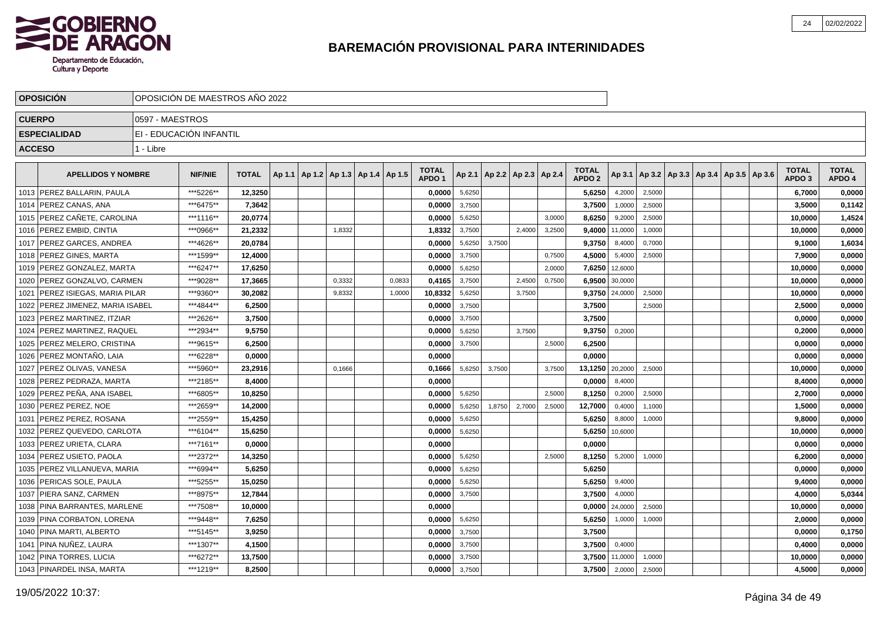

|               | <b>OPOSICIÓN</b>                  | OPOSICIÓN DE MAESTROS AÑO 2022 |                |              |  |                                            |        |                                   |        |        |                                   |        |                                   |         |        |  |                                            |                                   |                        |
|---------------|-----------------------------------|--------------------------------|----------------|--------------|--|--------------------------------------------|--------|-----------------------------------|--------|--------|-----------------------------------|--------|-----------------------------------|---------|--------|--|--------------------------------------------|-----------------------------------|------------------------|
|               | <b>CUERPO</b>                     | 0597 - MAESTROS                |                |              |  |                                            |        |                                   |        |        |                                   |        |                                   |         |        |  |                                            |                                   |                        |
|               | <b>ESPECIALIDAD</b>               | EI - EDUCACIÓN INFANTIL        |                |              |  |                                            |        |                                   |        |        |                                   |        |                                   |         |        |  |                                            |                                   |                        |
| <b>ACCESO</b> |                                   | 1 - Libre                      |                |              |  |                                            |        |                                   |        |        |                                   |        |                                   |         |        |  |                                            |                                   |                        |
|               |                                   |                                |                |              |  |                                            |        |                                   |        |        |                                   |        |                                   |         |        |  |                                            |                                   |                        |
|               | <b>APELLIDOS Y NOMBRE</b>         |                                | <b>NIF/NIE</b> | <b>TOTAL</b> |  | Ap 1.1   Ap 1.2   Ap 1.3   Ap 1.4   Ap 1.5 |        | <b>TOTAL</b><br>APDO <sub>1</sub> |        |        | Ap 2.1   Ap 2.2   Ap 2.3   Ap 2.4 |        | <b>TOTAL</b><br>APDO <sub>2</sub> | Ap 3.1  |        |  | Ap 3.2   Ap 3.3   Ap 3.4   Ap 3.5   Ap 3.6 | <b>TOTAL</b><br>APDO <sub>3</sub> | <b>TOTAL</b><br>APDO 4 |
|               | 1013 PEREZ BALLARIN, PAULA        |                                | ***5226**      | 12,3250      |  |                                            |        | 0,0000                            | 5,6250 |        |                                   |        | 5,6250                            | 4,2000  | 2,5000 |  |                                            | 6,7000                            | 0,0000                 |
| 1014          | <b>PEREZ CANAS, ANA</b>           |                                | ***6475**      | 7,3642       |  |                                            |        | 0,0000                            | 3,7500 |        |                                   |        | 3,7500                            | 1,0000  | 2,5000 |  |                                            | 3,5000                            | 0,1142                 |
|               | 1015 PEREZ CAÑETE, CAROLINA       |                                | ***1116**      | 20,0774      |  |                                            |        | 0,0000                            | 5,6250 |        |                                   | 3,0000 | 8,6250                            | 9,2000  | 2,5000 |  |                                            | 10,0000                           | 1,4524                 |
|               | 1016   PEREZ EMBID, CINTIA        |                                | ***0966**      | 21,2332      |  | 1,8332                                     |        | 1,8332                            | 3,7500 |        | 2,4000                            | 3,2500 | 9,4000                            | 11,0000 | 1,0000 |  |                                            | 10,0000                           | 0,0000                 |
|               | 1017   PEREZ GARCES, ANDREA       |                                | ***4626**      | 20,0784      |  |                                            |        | 0,0000                            | 5,6250 | 3,7500 |                                   |        | 9,3750                            | 8,4000  | 0,7000 |  |                                            | 9,1000                            | 1,6034                 |
|               | 1018   PEREZ GINES, MARTA         |                                | ***1599**      | 12.4000      |  |                                            |        | 0.0000                            | 3,7500 |        |                                   | 0,7500 | 4,5000                            | 5,4000  | 2,5000 |  |                                            | 7.9000                            | 0,0000                 |
|               | 1019   PEREZ GONZALEZ, MARTA      |                                | ***6247**      | 17,6250      |  |                                            |        | 0.0000                            | 5,6250 |        |                                   | 2,0000 | 7,6250                            | 12,6000 |        |  |                                            | 10,0000                           | 0,0000                 |
|               | 1020 PEREZ GONZALVO, CARMEN       |                                | ***9028**      | 17.3665      |  | 0,3332                                     | 0,0833 | 0.4165                            | 3,7500 |        | 2,4500                            | 0,7500 | 6,9500                            | 30,0000 |        |  |                                            | 10.0000                           | 0,0000                 |
|               | 1021   PEREZ ISIEGAS, MARIA PILAR |                                | ***9360**      | 30,2082      |  | 9,8332                                     | 1,0000 | 10,8332                           | 5,6250 |        | 3,7500                            |        | 9,3750                            | 24,0000 | 2,5000 |  |                                            | 10,0000                           | 0,0000                 |
|               | 1022 PEREZ JIMENEZ, MARIA ISABEL  |                                | ***4844**      | 6,2500       |  |                                            |        | 0,0000                            | 3,7500 |        |                                   |        | 3,7500                            |         | 2,5000 |  |                                            | 2,5000                            | 0,0000                 |
|               | 1023   PEREZ MARTINEZ, ITZIAR     |                                | ***2626**      | 3,7500       |  |                                            |        | 0,0000                            | 3,7500 |        |                                   |        | 3,7500                            |         |        |  |                                            | 0,0000                            | 0,0000                 |
|               | 1024   PEREZ MARTINEZ, RAQUEL     |                                | ***2934**      | 9,5750       |  |                                            |        | 0,0000                            | 5,6250 |        | 3,7500                            |        | 9,3750                            | 0,2000  |        |  |                                            | 0,2000                            | 0,0000                 |
|               | 1025   PEREZ MELERO, CRISTINA     |                                | ***9615**      | 6,2500       |  |                                            |        | 0,0000                            | 3,7500 |        |                                   | 2,5000 | 6,2500                            |         |        |  |                                            | 0,0000                            | 0,0000                 |
|               | 1026   PEREZ MONTAÑO, LAIA        |                                | ***6228**      | 0,0000       |  |                                            |        | 0,0000                            |        |        |                                   |        | 0,0000                            |         |        |  |                                            | 0,0000                            | 0,0000                 |
|               | 1027   PEREZ OLIVAS, VANESA       |                                | ***5960**      | 23,2916      |  | 0,1666                                     |        | 0,1666                            | 5,6250 | 3,7500 |                                   | 3,7500 | 13,1250                           | 20,2000 | 2,5000 |  |                                            | 10,0000                           | 0,0000                 |
|               | 1028   PEREZ PEDRAZA, MARTA       |                                | ***2185**      | 8,4000       |  |                                            |        | 0,0000                            |        |        |                                   |        | 0,0000                            | 8,4000  |        |  |                                            | 8,4000                            | 0,0000                 |
| 1029          | PEREZ PEÑA. ANA ISABEL            |                                | ***6805**      | 10.8250      |  |                                            |        | 0.0000                            | 5,6250 |        |                                   | 2.5000 | 8,1250                            | 0,2000  | 2,5000 |  |                                            | 2.7000                            | 0,0000                 |
|               | 1030   PEREZ PEREZ, NOE           |                                | ***2659**      | 14,2000      |  |                                            |        | 0,0000                            | 5,6250 | 1.8750 | 2,7000                            | 2,5000 | 12,7000                           | 0.4000  | 1,1000 |  |                                            | 1,5000                            | 0,0000                 |
| 1031          | <b>PEREZ PEREZ, ROSANA</b>        |                                | ***2559**      | 15,4250      |  |                                            |        | 0.0000                            | 5,6250 |        |                                   |        | 5,6250                            | 8,8000  | 1,0000 |  |                                            | 9,8000                            | 0,0000                 |
|               | 1032 PEREZ QUEVEDO, CARLOTA       |                                | ***6104**      | 15,6250      |  |                                            |        | 0,0000                            | 5,6250 |        |                                   |        | 5,6250                            | 10,6000 |        |  |                                            | 10,0000                           | 0,0000                 |
|               | 1033   PEREZ URIETA, CLARA        |                                | ***7161**      | 0,0000       |  |                                            |        | 0,0000                            |        |        |                                   |        | 0,0000                            |         |        |  |                                            | 0,0000                            | 0,0000                 |
| 1034          | PEREZ USIETO, PAOLA               |                                | ***2372**      | 14,3250      |  |                                            |        | 0,0000                            | 5,6250 |        |                                   | 2,5000 | 8,1250                            | 5,2000  | 1,0000 |  |                                            | 6,2000                            | 0,0000                 |
|               | 1035   PEREZ VILLANUEVA, MARIA    |                                | ***6994**      | 5,6250       |  |                                            |        | 0,0000                            | 5,6250 |        |                                   |        | 5,6250                            |         |        |  |                                            | 0,0000                            | 0,0000                 |
|               | 1036   PERICAS SOLE, PAULA        |                                | ***5255**      | 15,0250      |  |                                            |        | 0,0000                            | 5,6250 |        |                                   |        | 5,6250                            | 9,4000  |        |  |                                            | 9,4000                            | 0,0000                 |
|               | 1037 PIERA SANZ, CARMEN           |                                | ***8975**      | 12,7844      |  |                                            |        | 0,0000                            | 3,7500 |        |                                   |        | 3,7500                            | 4,0000  |        |  |                                            | 4,0000                            | 5,0344                 |
|               | 1038 PINA BARRANTES, MARLENE      |                                | ***7508**      | 10,0000      |  |                                            |        | 0,0000                            |        |        |                                   |        | 0,0000                            | 24,0000 | 2,5000 |  |                                            | 10,0000                           | 0,0000                 |
|               | 1039   PINA CORBATON, LORENA      |                                | ***9448**      | 7,6250       |  |                                            |        | 0,0000                            | 5,6250 |        |                                   |        | 5,6250                            | 1,0000  | 1,0000 |  |                                            | 2,0000                            | 0,0000                 |
|               | 1040   PINA MARTI, ALBERTO        |                                | ***5145**      | 3,9250       |  |                                            |        | 0.0000                            | 3,7500 |        |                                   |        | 3,7500                            |         |        |  |                                            | 0.0000                            | 0,1750                 |
|               | 1041   PINA NUÑEZ, LAURA          |                                | ***1307**      | 4,1500       |  |                                            |        | 0,0000                            | 3,7500 |        |                                   |        | 3,7500                            | 0,4000  |        |  |                                            | 0,4000                            | 0,0000                 |
|               | 1042   PINA TORRES, LUCIA         |                                | ***6272**      | 13,7500      |  |                                            |        | 0,0000                            | 3,7500 |        |                                   |        | 3,7500                            | 11,0000 | 1,0000 |  |                                            | 10,0000                           | 0,0000                 |
|               | 1043   PINARDEL INSA, MARTA       |                                | ***1219**      | 8,2500       |  |                                            |        | 0,0000                            | 3,7500 |        |                                   |        | 3,7500                            | 2,0000  | 2,5000 |  |                                            | 4,5000                            | 0,0000                 |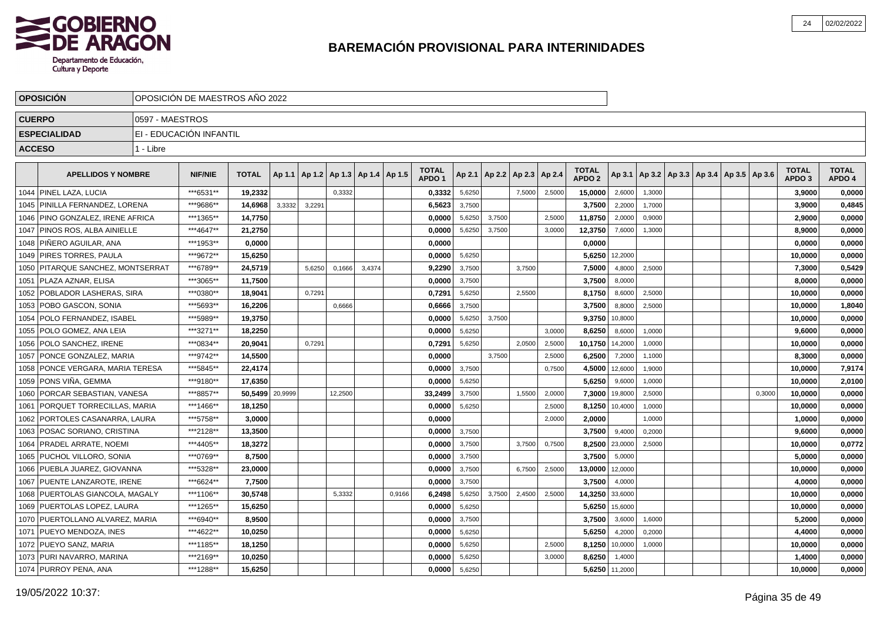

|      | <b>OPOSICION</b>                  |                 | OPOSICIÓN DE MAESTROS AÑO 2022 |              |         |        |                                   |        |        |                                   |        |        |                          |        |                                   |                |        |  |                                            |        |                                   |                        |
|------|-----------------------------------|-----------------|--------------------------------|--------------|---------|--------|-----------------------------------|--------|--------|-----------------------------------|--------|--------|--------------------------|--------|-----------------------------------|----------------|--------|--|--------------------------------------------|--------|-----------------------------------|------------------------|
|      | <b>CUERPO</b>                     | 0597 - MAESTROS |                                |              |         |        |                                   |        |        |                                   |        |        |                          |        |                                   |                |        |  |                                            |        |                                   |                        |
|      | <b>ESPECIALIDAD</b>               |                 | EI - EDUCACIÓN INFANTIL        |              |         |        |                                   |        |        |                                   |        |        |                          |        |                                   |                |        |  |                                            |        |                                   |                        |
|      | <b>ACCESO</b>                     | 1 - Libre       |                                |              |         |        |                                   |        |        |                                   |        |        |                          |        |                                   |                |        |  |                                            |        |                                   |                        |
|      |                                   |                 |                                |              |         |        |                                   |        |        |                                   |        |        |                          |        |                                   |                |        |  |                                            |        |                                   |                        |
|      | <b>APELLIDOS Y NOMBRE</b>         |                 | <b>NIF/NIE</b>                 | <b>TOTAL</b> | Ap 1.1  |        | Ap 1.2   Ap 1.3   Ap 1.4   Ap 1.5 |        |        | <b>TOTAL</b><br>APDO <sub>1</sub> | Ap 2.1 |        | Ap 2.2   Ap 2.3   Ap 2.4 |        | <b>TOTAL</b><br>APDO <sub>2</sub> | Ap 3.1         |        |  | Ap 3.2   Ap 3.3   Ap 3.4   Ap 3.5   Ap 3.6 |        | <b>TOTAL</b><br>APDO <sub>3</sub> | <b>TOTAL</b><br>APDO 4 |
|      | 1044   PINEL LAZA, LUCIA          |                 | ***6531**                      | 19,2332      |         |        | 0,3332                            |        |        | 0,3332                            | 5,6250 |        | 7,5000                   | 2,5000 | 15,0000                           | 2,6000         | 1,3000 |  |                                            |        | 3,9000                            | 0,0000                 |
|      | 1045 PINILLA FERNANDEZ, LORENA    |                 | ***9686**                      | 14,6968      | 3,3332  | 3,2291 |                                   |        |        | 6,5623                            | 3,7500 |        |                          |        | 3,7500                            | 2,2000         | 1,7000 |  |                                            |        | 3,9000                            | 0,4845                 |
|      | 1046 PINO GONZALEZ, IRENE AFRICA  |                 | ***1365**                      | 14.7750      |         |        |                                   |        |        | 0.0000                            | 5,6250 | 3.7500 |                          | 2.5000 | 11,8750                           | 2.0000         | 0,9000 |  |                                            |        | 2.9000                            | 0,0000                 |
|      | 1047 PINOS ROS. ALBA AINIELLE     |                 | ***4647**                      | 21,2750      |         |        |                                   |        |        | 0,0000                            | 5,6250 | 3,7500 |                          | 3.0000 | 12,3750                           | 7,6000         | 1,3000 |  |                                            |        | 8.9000                            | 0,0000                 |
|      | 1048 PIÑERO AGUILAR, ANA          |                 | ***1953**                      | 0.0000       |         |        |                                   |        |        | 0.0000                            |        |        |                          |        | 0,0000                            |                |        |  |                                            |        | 0.0000                            | 0,0000                 |
|      | 1049   PIRES TORRES, PAULA        |                 | ***9672**                      | 15,6250      |         |        |                                   |        |        | 0,0000                            | 5,6250 |        |                          |        | 5,6250                            | 12,2000        |        |  |                                            |        | 10,0000                           | 0,0000                 |
|      | 1050 PITARQUE SANCHEZ, MONTSERRAT |                 | ***6789**                      | 24,5719      |         | 5,6250 | 0,1666                            | 3,4374 |        | 9,2290                            | 3,7500 |        | 3,7500                   |        | 7,5000                            | 4,8000         | 2,5000 |  |                                            |        | 7,3000                            | 0,5429                 |
|      | 1051   PLAZA AZNAR, ELISA         |                 | ***3065**                      | 11,7500      |         |        |                                   |        |        | 0,0000                            | 3,7500 |        |                          |        | 3,7500                            | 8,0000         |        |  |                                            |        | 8,0000                            | 0,0000                 |
|      | 1052 POBLADOR LASHERAS, SIRA      |                 | ***0380**                      | 18,9041      |         | 0,7291 |                                   |        |        | 0,7291                            | 5,6250 |        | 2,5500                   |        | 8,1750                            | 8,6000         | 2,5000 |  |                                            |        | 10,0000                           | 0,0000                 |
|      | 1053 POBO GASCON, SONIA           |                 | ***5693**                      | 16,2206      |         |        | 0,6666                            |        |        | 0,6666                            | 3,7500 |        |                          |        | 3,7500                            | 8,8000         | 2,5000 |  |                                            |        | 10,0000                           | 1,8040                 |
|      | 1054   POLO FERNANDEZ, ISABEL     |                 | ***5989**                      | 19,3750      |         |        |                                   |        |        | 0,0000                            | 5,6250 | 3,7500 |                          |        | 9,3750                            | 10,8000        |        |  |                                            |        | 10,0000                           | 0,0000                 |
|      | 1055   POLO GOMEZ, ANA LEIA       |                 | ***3271**                      | 18,2250      |         |        |                                   |        |        | 0,0000                            | 5,6250 |        |                          | 3.0000 | 8,6250                            | 8,6000         | 1,0000 |  |                                            |        | 9.6000                            | 0,0000                 |
|      | 1056   POLO SANCHEZ, IRENE        |                 | ***0834**                      | 20,9041      |         | 0.7291 |                                   |        |        | 0,7291                            | 5,6250 |        | 2,0500                   | 2,5000 | 10,1750                           | 14,2000        | 1,0000 |  |                                            |        | 10,0000                           | 0,0000                 |
|      | 1057   PONCE GONZALEZ, MARIA      |                 | ***9742**                      | 14,5500      |         |        |                                   |        |        | 0,0000                            |        | 3.7500 |                          | 2,5000 | 6,2500                            | 7,2000         | 1,1000 |  |                                            |        | 8,3000                            | 0,0000                 |
| 1058 | PONCE VERGARA, MARIA TERESA       |                 | ***5845**                      | 22,4174      |         |        |                                   |        |        | 0,0000                            | 3,7500 |        |                          | 0,7500 | 4,5000                            | 12,6000        | 1,9000 |  |                                            |        | 10,0000                           | 7,9174                 |
|      | 1059 PONS VIÑA, GEMMA             |                 | ***9180**                      | 17,6350      |         |        |                                   |        |        | 0,0000                            | 5,6250 |        |                          |        | 5,6250                            | 9,6000         | 1,0000 |  |                                            |        | 10,0000                           | 2,0100                 |
|      | 1060 PORCAR SEBASTIAN, VANESA     |                 | ***8857**                      | 50,5499      | 20,9999 |        | 12,2500                           |        |        | 33,2499                           | 3,7500 |        | 1,5500                   | 2,0000 | 7,3000                            | 19,8000        | 2,5000 |  |                                            | 0,3000 | 10,0000                           | 0,0000                 |
| 1061 | PORQUET TORRECILLAS, MARIA        |                 | ***1466**                      | 18,1250      |         |        |                                   |        |        | 0,0000                            | 5,6250 |        |                          | 2,5000 | 8,1250                            | 10,4000        | 1,0000 |  |                                            |        | 10,0000                           | 0,0000                 |
| 1062 | PORTOLES CASANARRA, LAURA         |                 | ***5758**                      | 3,0000       |         |        |                                   |        |        | 0,0000                            |        |        |                          | 2,0000 | 2,0000                            |                | 1,0000 |  |                                            |        | 1,0000                            | 0,0000                 |
| 1063 | I POSAC SORIANO. CRISTINA         |                 | ***2128**                      | 13.3500      |         |        |                                   |        |        | 0.0000                            | 3,7500 |        |                          |        | 3,7500                            | 9,4000         | 0,2000 |  |                                            |        | 9.6000                            | 0,0000                 |
| 1064 | <b>PRADEL ARRATE, NOEMI</b>       |                 | ***4405**                      | 18,3272      |         |        |                                   |        |        | 0.0000                            | 3,7500 |        | 3,7500                   | 0,7500 | 8,2500                            | 23,0000        | 2,5000 |  |                                            |        | 10,0000                           | 0,0772                 |
|      | 1065 PUCHOL VILLORO, SONIA        |                 | ***0769**                      | 8,7500       |         |        |                                   |        |        | 0.0000                            | 3,7500 |        |                          |        | 3,7500                            | 5,0000         |        |  |                                            |        | 5.0000                            | 0,0000                 |
|      | 1066   PUEBLA JUAREZ, GIOVANNA    |                 | ***5328**                      | 23,0000      |         |        |                                   |        |        | 0,0000                            | 3,7500 |        | 6,7500                   | 2,5000 | 13,0000                           | 12,0000        |        |  |                                            |        | 10,0000                           | 0,0000                 |
|      | 1067 PUENTE LANZAROTE, IRENE      |                 | ***6624**                      | 7,7500       |         |        |                                   |        |        | 0,0000                            | 3,7500 |        |                          |        | 3,7500                            | 4,0000         |        |  |                                            |        | 4,0000                            | 0,0000                 |
|      | 1068 PUERTOLAS GIANCOLA, MAGALY   |                 | ***1106**                      | 30,5748      |         |        | 5,3332                            |        | 0,9166 | 6,2498                            | 5,6250 | 3,7500 | 2,4500                   | 2,5000 | 14,3250                           | 33,6000        |        |  |                                            |        | 10,0000                           | 0,0000                 |
|      | 1069 PUERTOLAS LOPEZ, LAURA       |                 | ***1265**                      | 15,6250      |         |        |                                   |        |        | 0,0000                            | 5,6250 |        |                          |        | 5,6250                            | 15,6000        |        |  |                                            |        | 10,0000                           | 0,0000                 |
|      | 1070   PUERTOLLANO ALVAREZ, MARIA |                 | ***6940**                      | 8,9500       |         |        |                                   |        |        | 0,0000                            | 3,7500 |        |                          |        | 3,7500                            | 3,6000         | 1,6000 |  |                                            |        | 5,2000                            | 0,0000                 |
| 1071 | PUEYO MENDOZA, INES               |                 | ***4622**                      | 10,0250      |         |        |                                   |        |        | 0,0000                            | 5,6250 |        |                          |        | 5,6250                            | 4.2000         | 0,2000 |  |                                            |        | 4,4000                            | 0,0000                 |
|      | 1072 PUEYO SANZ, MARIA            |                 | ***1185**                      | 18,1250      |         |        |                                   |        |        | 0,0000                            | 5,6250 |        |                          | 2,5000 | 8,1250                            | 10,0000        | 1,0000 |  |                                            |        | 10,0000                           | 0,0000                 |
|      | 1073   PURI NAVARRO, MARINA       |                 | ***2169**                      | 10,0250      |         |        |                                   |        |        | 0,0000                            | 5,6250 |        |                          | 3,0000 | 8,6250                            | 1,4000         |        |  |                                            |        | 1,4000                            | 0,0000                 |
|      | 1074   PURROY PENA, ANA           |                 | ***1288**                      | 15,6250      |         |        |                                   |        |        | 0,0000                            | 5,6250 |        |                          |        |                                   | 5,6250 11,2000 |        |  |                                            |        | 10,0000                           | 0,0000                 |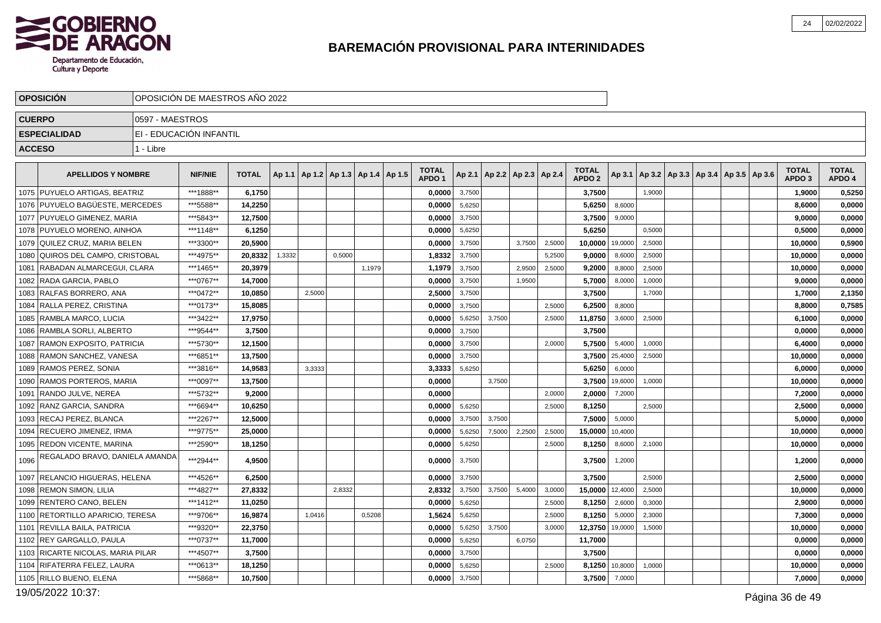

|               | <b>OPOSICION</b>                  | OPOSICIÓN DE MAESTROS AÑO 2022 |                         |              |        |        |                                            |        |                                   |        |        |                                   |        |                                   |         |                                                     |  |  |                                   |                        |
|---------------|-----------------------------------|--------------------------------|-------------------------|--------------|--------|--------|--------------------------------------------|--------|-----------------------------------|--------|--------|-----------------------------------|--------|-----------------------------------|---------|-----------------------------------------------------|--|--|-----------------------------------|------------------------|
| <b>CUERPO</b> |                                   | 0597 - MAESTROS                |                         |              |        |        |                                            |        |                                   |        |        |                                   |        |                                   |         |                                                     |  |  |                                   |                        |
|               | <b>ESPECIALIDAD</b>               |                                | EI - EDUCACIÓN INFANTIL |              |        |        |                                            |        |                                   |        |        |                                   |        |                                   |         |                                                     |  |  |                                   |                        |
| <b>ACCESO</b> |                                   | 1 - Libre                      |                         |              |        |        |                                            |        |                                   |        |        |                                   |        |                                   |         |                                                     |  |  |                                   |                        |
|               | <b>APELLIDOS Y NOMBRE</b>         |                                | <b>NIF/NIE</b>          | <b>TOTAL</b> |        |        | Ap 1.1   Ap 1.2   Ap 1.3   Ap 1.4   Ap 1.5 |        | <b>TOTAL</b><br>APDO <sub>1</sub> |        |        | Ap 2.1   Ap 2.2   Ap 2.3   Ap 2.4 |        | <b>TOTAL</b><br>APDO <sub>2</sub> |         | Ap 3.1   Ap 3.2   Ap 3.3   Ap 3.4   Ap 3.5   Ap 3.6 |  |  | <b>TOTAL</b><br>APDO <sub>3</sub> | <b>TOTAL</b><br>APDO 4 |
|               | 1075   PUYUELO ARTIGAS, BEATRIZ   |                                | ***1888**               | 6,1750       |        |        |                                            |        | 0,0000                            | 3,7500 |        |                                   |        | 3,7500                            |         | 1,9000                                              |  |  | 1,9000                            | 0,5250                 |
|               | 1076 PUYUELO BAGÜESTE. MERCEDES   |                                | ***5588**               | 14,2250      |        |        |                                            |        | 0,0000                            | 5,6250 |        |                                   |        | 5,6250                            | 8,6000  |                                                     |  |  | 8,6000                            | 0,0000                 |
|               | 1077 PUYUELO GIMENEZ, MARIA       |                                | ***5843**               | 12,7500      |        |        |                                            |        | 0,0000                            | 3,7500 |        |                                   |        | 3,7500                            | 9,0000  |                                                     |  |  | 9,0000                            | 0,0000                 |
|               | 1078 PUYUELO MORENO. AINHOA       |                                | ***1148**               | 6,1250       |        |        |                                            |        | 0,0000                            | 5,6250 |        |                                   |        | 5,6250                            |         | 0,5000                                              |  |  | 0,5000                            | 0,0000                 |
|               | 1079   QUILEZ CRUZ, MARIA BELEN   |                                | ***3300**               | 20,5900      |        |        |                                            |        | 0,0000                            | 3,7500 |        | 3,7500                            | 2,5000 | 10,0000                           | 19,0000 | 2,5000                                              |  |  | 10,0000                           | 0,5900                 |
|               | 1080 QUIROS DEL CAMPO, CRISTOBAL  |                                | ***4975**               | 20.8332      | 1,3332 |        | 0,5000                                     |        | 1,8332                            | 3,7500 |        |                                   | 5,2500 | 9,0000                            | 8,6000  | 2,5000                                              |  |  | 10,0000                           | 0,0000                 |
| 1081          | RABADAN ALMARCEGUI, CLARA         |                                | ***1465**               | 20,3979      |        |        |                                            | 1,1979 | 1,1979                            | 3,7500 |        | 2,9500                            | 2,5000 | 9,2000                            | 8,8000  | 2,5000                                              |  |  | 10,0000                           | 0,0000                 |
| 1082          | <b>IRADA GARCIA. PABLO</b>        |                                | ***0767**               | 14,7000      |        |        |                                            |        | 0.0000                            | 3,7500 |        | 1,9500                            |        | 5,7000                            | 8.0000  | 1,0000                                              |  |  | 9,0000                            | 0,0000                 |
|               | 1083 RALFAS BORRERO, ANA          |                                | ***0472**               | 10,0850      |        | 2,5000 |                                            |        | 2,5000                            | 3,7500 |        |                                   |        | 3,7500                            |         | 1,7000                                              |  |  | 1,7000                            | 2,1350                 |
|               | 1084 RALLA PEREZ, CRISTINA        |                                | ***0173**               | 15,8085      |        |        |                                            |        | 0,0000                            | 3,7500 |        |                                   | 2.5000 | 6,2500                            | 8,8000  |                                                     |  |  | 8,8000                            | 0,7585                 |
|               | 1085   RAMBLA MARCO, LUCIA        |                                | ***3422**               | 17,9750      |        |        |                                            |        | 0,0000                            | 5,6250 | 3,7500 |                                   | 2,5000 | 11,8750                           | 3,6000  | 2,5000                                              |  |  | 6,1000                            | 0,0000                 |
|               | 1086   RAMBLA SORLI, ALBERTO      |                                | ***9544**               | 3.7500       |        |        |                                            |        | 0.0000                            | 3,7500 |        |                                   |        | 3,7500                            |         |                                                     |  |  | 0,0000                            | 0,0000                 |
|               | 1087   RAMON EXPOSITO, PATRICIA   |                                | ***5730**               | 12,1500      |        |        |                                            |        | 0,0000                            | 3,7500 |        |                                   | 2,0000 | 5,7500                            | 5,4000  | 1,0000                                              |  |  | 6,4000                            | 0,0000                 |
|               | 1088 RAMON SANCHEZ, VANESA        |                                | ***6851**               | 13,7500      |        |        |                                            |        | 0,0000                            | 3,7500 |        |                                   |        | 3,7500                            | 25,4000 | 2,5000                                              |  |  | 10,0000                           | 0,0000                 |
|               | 1089 RAMOS PEREZ, SONIA           |                                | ***3816**               | 14,9583      |        | 3,3333 |                                            |        | 3,3333                            | 5,6250 |        |                                   |        | 5,6250                            | 6,0000  |                                                     |  |  | 6,0000                            | 0,0000                 |
|               | 1090 RAMOS PORTEROS, MARIA        |                                | ***0097**               | 13,7500      |        |        |                                            |        | 0,0000                            |        | 3,7500 |                                   |        | 3,7500                            | 19,6000 | 1,0000                                              |  |  | 10,0000                           | 0,0000                 |
| 1091          | RANDO JULVE, NEREA                |                                | ***5732**               | 9,2000       |        |        |                                            |        | 0,0000                            |        |        |                                   | 2,0000 | 2,0000                            | 7,2000  |                                                     |  |  | 7,2000                            | 0,0000                 |
|               | 1092   RANZ GARCIA, SANDRA        |                                | ***6694**               | 10,6250      |        |        |                                            |        | 0,0000                            | 5,6250 |        |                                   | 2,5000 | 8,1250                            |         | 2,5000                                              |  |  | 2,5000                            | 0,0000                 |
| 1093          | <b>RECAJ PEREZ. BLANCA</b>        |                                | ***2267**               | 12,5000      |        |        |                                            |        | 0,0000                            | 3,7500 | 3,7500 |                                   |        | 7,5000                            | 5,0000  |                                                     |  |  | 5,0000                            | 0,0000                 |
| 1094          | RECUERO JIMENEZ, IRMA             |                                | ***9775**               | 25,0000      |        |        |                                            |        | 0,0000                            | 5,6250 | 7,5000 | 2,2500                            | 2,5000 | 15,0000                           | 10,4000 |                                                     |  |  | 10,0000                           | 0,0000                 |
|               | 1095 REDON VICENTE, MARINA        |                                | ***2590**               | 18,1250      |        |        |                                            |        | 0,0000                            | 5,6250 |        |                                   | 2,5000 | 8,1250                            | 8,6000  | 2,1000                                              |  |  | 10,0000                           | 0,0000                 |
| 1096          | REGALADO BRAVO, DANIELA AMANDA    |                                | ***2944**               | 4,9500       |        |        |                                            |        | 0,0000                            | 3,7500 |        |                                   |        | 3,7500                            | 1,2000  |                                                     |  |  | 1,2000                            | 0,0000                 |
|               | 1097 RELANCIO HIGUERAS, HELENA    |                                | ***4526**               | 6,2500       |        |        |                                            |        | 0,0000                            | 3,7500 |        |                                   |        | 3,7500                            |         | 2,5000                                              |  |  | 2,5000                            | 0,0000                 |
|               | 1098   REMON SIMON, LILIA         |                                | ***4827**               | 27,8332      |        |        | 2,8332                                     |        | 2,8332                            | 3,7500 | 3,7500 | 5,4000                            | 3,0000 | 15,0000                           | 12,4000 | 2,5000                                              |  |  | 10,0000                           | 0,0000                 |
|               | 1099   RENTERO CANO, BELEN        |                                | ***1412**               | 11,0250      |        |        |                                            |        | 0,0000                            | 5,6250 |        |                                   | 2,5000 | 8,1250                            | 2,6000  | 0,3000                                              |  |  | 2,9000                            | 0,0000                 |
|               | 1100 RETORTILLO APARICIO, TERESA  |                                | ***9706**               | 16,9874      |        | 1.0416 |                                            | 0.5208 | 1,5624                            | 5,6250 |        |                                   | 2,5000 | 8,1250                            | 5,0000  | 2,3000                                              |  |  | 7,3000                            | 0,0000                 |
| 1101          | <b>REVILLA BAILA, PATRICIA</b>    |                                | ***9320**               | 22,3750      |        |        |                                            |        | 0,0000                            | 5,6250 | 3,7500 |                                   | 3,0000 | 12,3750                           | 19,0000 | 1,5000                                              |  |  | 10,0000                           | 0,0000                 |
|               | 1102 REY GARGALLO, PAULA          |                                | ***0737**               | 11,7000      |        |        |                                            |        | 0,0000                            | 5,6250 |        | 6,0750                            |        | 11,7000                           |         |                                                     |  |  | 0.0000                            | 0,0000                 |
|               | 1103 RICARTE NICOLAS, MARIA PILAR |                                | ***4507**               | 3,7500       |        |        |                                            |        | 0,0000                            | 3,7500 |        |                                   |        | 3,7500                            |         |                                                     |  |  | 0,0000                            | 0,0000                 |
|               | 1104 RIFATERRA FELEZ. LAURA       |                                | ***0613**               | 18,1250      |        |        |                                            |        | 0,0000                            | 5,6250 |        |                                   | 2,5000 | 8,1250                            | 10,8000 | 1,0000                                              |  |  | 10,0000                           | 0,0000                 |
|               | 1105 RILLO BUENO, ELENA           |                                | ***5868**               | 10,7500      |        |        |                                            |        | 0,0000                            | 3,7500 |        |                                   |        | 3,7500                            | 7,0000  |                                                     |  |  | 7,0000                            | 0,0000                 |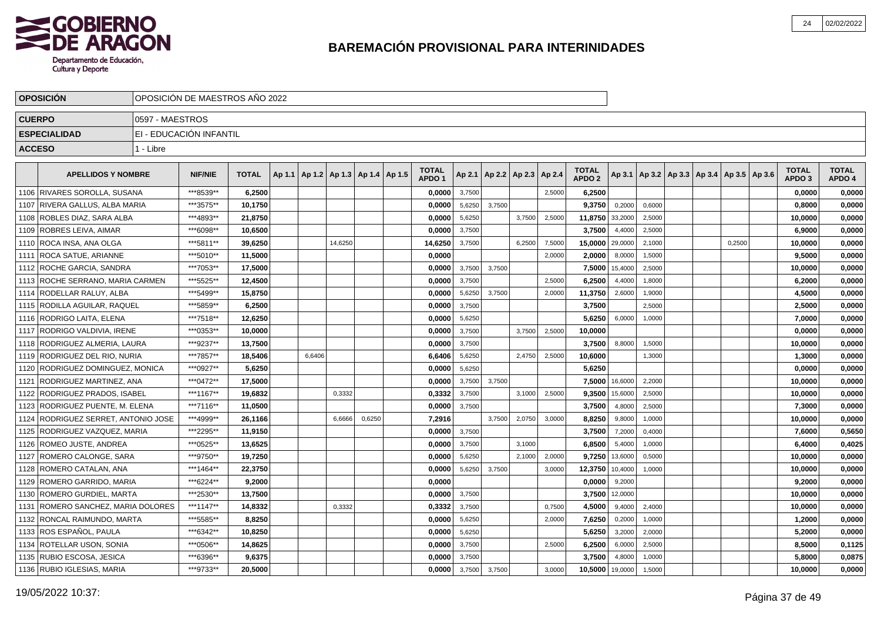

|               | <b>OPOSICION</b>                     |                 | OPOSICION DE MAESTROS ANO 2022 |              |                                            |         |        |                   |        |        |                          |        |                   |                |        |                                                     |        |                   |              |
|---------------|--------------------------------------|-----------------|--------------------------------|--------------|--------------------------------------------|---------|--------|-------------------|--------|--------|--------------------------|--------|-------------------|----------------|--------|-----------------------------------------------------|--------|-------------------|--------------|
| <b>CUERPO</b> |                                      | 0597 - MAESTROS |                                |              |                                            |         |        |                   |        |        |                          |        |                   |                |        |                                                     |        |                   |              |
|               | <b>ESPECIALIDAD</b>                  |                 | EI - EDUCACIÓN INFANTIL        |              |                                            |         |        |                   |        |        |                          |        |                   |                |        |                                                     |        |                   |              |
| <b>ACCESO</b> |                                      | 1 - Libre       |                                |              |                                            |         |        |                   |        |        |                          |        |                   |                |        |                                                     |        |                   |              |
|               |                                      |                 |                                |              |                                            |         |        | <b>TOTAL</b>      |        |        |                          |        | <b>TOTAL</b>      |                |        |                                                     |        | <b>TOTAL</b>      | <b>TOTAL</b> |
|               | <b>APELLIDOS Y NOMBRE</b>            |                 | <b>NIF/NIE</b>                 | <b>TOTAL</b> | Ap 1.1   Ap 1.2   Ap 1.3   Ap 1.4   Ap 1.5 |         |        | APDO <sub>1</sub> | Ap 2.1 |        | Ap 2.2   Ap 2.3   Ap 2.4 |        | APDO <sub>2</sub> |                |        | Ap 3.1   Ap 3.2   Ap 3.3   Ap 3.4   Ap 3.5   Ap 3.6 |        | APDO <sub>3</sub> | APDO 4       |
|               | 1106 RIVARES SOROLLA, SUSANA         |                 | ***8539**                      | 6,2500       |                                            |         |        | 0.0000            | 3,7500 |        |                          | 2,5000 | 6,2500            |                |        |                                                     |        | 0,0000            | 0,0000       |
|               | 1107 RIVERA GALLUS, ALBA MARIA       |                 | ***3575**                      | 10,1750      |                                            |         |        | 0.0000            | 5,6250 | 3.7500 |                          |        | 9,3750            | 0,2000         | 0,6000 |                                                     |        | 0,8000            | 0,0000       |
|               | 1108 ROBLES DIAZ, SARA ALBA          |                 | ***4893**                      | 21,8750      |                                            |         |        | 0,0000            | 5,6250 |        | 3,7500                   | 2,5000 | 11,8750           | 33,2000        | 2,5000 |                                                     |        | 10,0000           | 0,0000       |
|               | 1109 ROBRES LEIVA, AIMAR             |                 | ***6098**                      | 10,6500      |                                            |         |        | 0,0000            | 3,7500 |        |                          |        | 3,7500            | 4,4000         | 2,5000 |                                                     |        | 6,9000            | 0,0000       |
|               | 1110 ROCA INSA, ANA OLGA             |                 | ***5811**                      | 39,6250      |                                            | 14,6250 |        | 14,6250           | 3,7500 |        | 6,2500                   | 7,5000 | 15,0000 29,0000   |                | 2,1000 |                                                     | 0,2500 | 10,0000           | 0,0000       |
|               | 1111 ROCA SATUE, ARIANNE             |                 | ***5010**                      | 11.5000      |                                            |         |        | 0.0000            |        |        |                          | 2,0000 | 2.0000            | 8,0000         | 1,5000 |                                                     |        | 9.5000            | 0,0000       |
|               | 1112 ROCHE GARCIA, SANDRA            |                 | ***7053**                      | 17.5000      |                                            |         |        | 0,0000            | 3,7500 | 3.7500 |                          |        |                   | 7,5000 15,4000 | 2,5000 |                                                     |        | 10,0000           | 0,0000       |
|               | 1113 ROCHE SERRANO. MARIA CARMEN     |                 | ***5525**                      | 12,4500      |                                            |         |        | 0,0000            | 3,7500 |        |                          | 2,5000 | 6,2500            | 4,4000         | 1,8000 |                                                     |        | 6,2000            | 0,0000       |
|               | 1114 RODELLAR RALUY, ALBA            |                 | ***5499**                      | 15,8750      |                                            |         |        | 0,0000            | 5,6250 | 3,7500 |                          | 2,0000 | 11,3750           | 2,6000         | 1,9000 |                                                     |        | 4,5000            | 0,0000       |
|               | 1115 RODILLA AGUILAR, RAQUEL         |                 | ***5859**                      | 6,2500       |                                            |         |        | 0,0000            | 3,7500 |        |                          |        | 3,7500            |                | 2,5000 |                                                     |        | 2,5000            | 0,0000       |
|               | 1116   RODRIGO LAITA, ELENA          |                 | ***7518**                      | 12,6250      |                                            |         |        | 0,0000            | 5,6250 |        |                          |        | 5,6250            | 6,0000         | 1,0000 |                                                     |        | 7,0000            | 0,0000       |
|               | 1117 RODRIGO VALDIVIA. IRENE         |                 | ***0353**                      | 10.0000      |                                            |         |        | 0.0000            | 3,7500 |        | 3.7500                   | 2,5000 | 10.0000           |                |        |                                                     |        | 0,0000            | 0,0000       |
|               | 1118 RODRIGUEZ ALMERIA. LAURA        |                 | ***9237**                      | 13,7500      |                                            |         |        | 0,0000            | 3,7500 |        |                          |        | 3,7500            | 8,8000         | 1,5000 |                                                     |        | 10,0000           | 0,0000       |
|               | 1119 RODRIGUEZ DEL RIO. NURIA        |                 | ***7857**                      | 18,5406      | 6,6406                                     |         |        | 6,6406            | 5,6250 |        | 2,4750                   | 2,5000 | 10,6000           |                | 1,3000 |                                                     |        | 1,3000            | 0,0000       |
|               | 1120 RODRIGUEZ DOMINGUEZ, MONICA     |                 | ***0927**                      | 5,6250       |                                            |         |        | 0,0000            | 5,6250 |        |                          |        | 5,6250            |                |        |                                                     |        | 0,0000            | 0,0000       |
|               | 1121   RODRIGUEZ MARTINEZ, ANA       |                 | ***0472**                      | 17,5000      |                                            |         |        | 0,0000            | 3,7500 | 3.7500 |                          |        |                   | 7,5000 16,6000 | 2,2000 |                                                     |        | 10,0000           | 0,0000       |
|               | 1122   RODRIGUEZ PRADOS, ISABEL      |                 | ***1167**                      | 19,6832      |                                            | 0,3332  |        | 0,3332            | 3,7500 |        | 3,1000                   | 2,5000 | 9,3500            | 15,6000        | 2,5000 |                                                     |        | 10,0000           | 0,0000       |
|               | 1123 RODRIGUEZ PUENTE, M. ELENA      |                 | ***7116**                      | 11.0500      |                                            |         |        | 0,0000            | 3,7500 |        |                          |        | 3,7500            | 4,8000         | 2,5000 |                                                     |        | 7,3000            | 0,0000       |
|               | 1124 RODRIGUEZ SERRET, ANTONIO JOSE  |                 | ***4999**                      | 26.1166      |                                            | 6,6666  | 0,6250 | 7,2916            |        | 3,7500 | 2,0750                   | 3,0000 | 8,8250            | 9,8000         | 1,0000 |                                                     |        | 10,0000           | 0,0000       |
|               | 1125   RODRIGUEZ VAZQUEZ, MARIA      |                 | ***2295**                      | 11,9150      |                                            |         |        | 0.0000            | 3,7500 |        |                          |        | 3,7500            | 7,2000         | 0,4000 |                                                     |        | 7,6000            | 0,5650       |
|               | 1126 ROMEO JUSTE, ANDREA             |                 | ***0525**                      | 13,6525      |                                            |         |        | 0,0000            | 3,7500 |        | 3,1000                   |        | 6,8500            | 5,4000         | 1,0000 |                                                     |        | 6,4000            | 0,4025       |
|               | 1127 ROMERO CALONGE, SARA            |                 | ***9750**                      | 19,7250      |                                            |         |        | 0,0000            | 5,6250 |        | 2,1000                   | 2,0000 | 9,7250            | 13,6000        | 0,5000 |                                                     |        | 10,0000           | 0,0000       |
|               | 1128 ROMERO CATALAN, ANA             |                 | ***1464**                      | 22,3750      |                                            |         |        | 0,0000            | 5,6250 | 3,7500 |                          | 3,0000 | 12,3750           | 10,4000        | 1,0000 |                                                     |        | 10,0000           | 0,0000       |
|               | 1129   ROMERO GARRIDO, MARIA         |                 | ***6224**                      | 9.2000       |                                            |         |        | 0.0000            |        |        |                          |        | 0.0000            | 9,2000         |        |                                                     |        | 9,2000            | 0,0000       |
|               | 1130   ROMERO GURDIEL, MARTA         |                 | ***2530**                      | 13,7500      |                                            |         |        | 0,0000            | 3,7500 |        |                          |        | 3.7500            | 12,0000        |        |                                                     |        | 10.0000           | 0,0000       |
|               | 1131   ROMERO SANCHEZ, MARIA DOLORES |                 | ***1147**                      | 14,8332      |                                            | 0,3332  |        | 0,3332            | 3,7500 |        |                          | 0,7500 | 4,5000            | 9,4000         | 2,4000 |                                                     |        | 10,0000           | 0,0000       |
|               | 1132 RONCAL RAIMUNDO, MARTA          |                 | ***5585**                      | 8,8250       |                                            |         |        | 0,0000            | 5,6250 |        |                          | 2,0000 | 7,6250            | 0,2000         | 1,0000 |                                                     |        | 1,2000            | 0,0000       |
|               | 1133 ROS ESPAÑOL, PAULA              |                 | ***6342**                      | 10,8250      |                                            |         |        | 0,0000            | 5,6250 |        |                          |        | 5,6250            | 3,2000         | 2,0000 |                                                     |        | 5,2000            | 0,0000       |
|               | 1134   ROTELLAR USON, SONIA          |                 | ***0506**                      | 14,8625      |                                            |         |        | 0,0000            | 3,7500 |        |                          | 2,5000 | 6,2500            | 6,0000         | 2,5000 |                                                     |        | 8,5000            | 0,1125       |
|               | 1135 RUBIO ESCOSA, JESICA            |                 | ***6396**                      | 9,6375       |                                            |         |        | 0.0000            | 3,7500 |        |                          |        | 3,7500            | 4,8000         | 1,0000 |                                                     |        | 5.8000            | 0,0875       |
|               | 1136 RUBIO IGLESIAS, MARIA           |                 | ***9733**                      | 20,5000      |                                            |         |        | 0.0000            | 3,7500 | 3,7500 |                          | 3,0000 | 10,5000 19,0000   |                | 1,5000 |                                                     |        | 10.0000           | 0,0000       |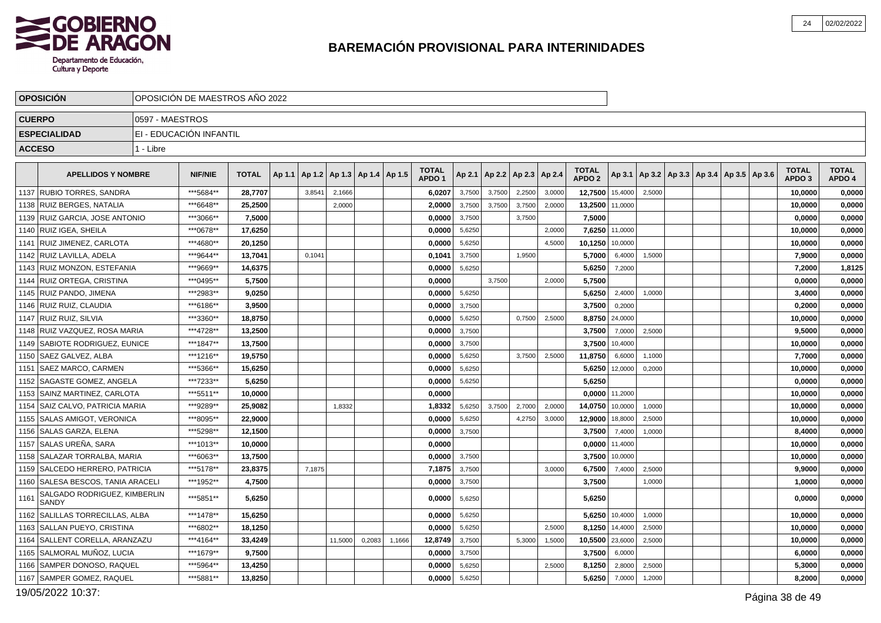

|      | <b>OPOSICION</b>                      |                 | OPOSICIÓN DE MAESTROS AÑO 2022 |              |        |        |         |                          |        |                                   |        |        |                                   |        |                                   |         |                                                     |  |  |                                   |                        |
|------|---------------------------------------|-----------------|--------------------------------|--------------|--------|--------|---------|--------------------------|--------|-----------------------------------|--------|--------|-----------------------------------|--------|-----------------------------------|---------|-----------------------------------------------------|--|--|-----------------------------------|------------------------|
|      | <b>CUERPO</b>                         | 0597 - MAESTROS |                                |              |        |        |         |                          |        |                                   |        |        |                                   |        |                                   |         |                                                     |  |  |                                   |                        |
|      | <b>ESPECIALIDAD</b>                   |                 | EI - EDUCACIÓN INFANTIL        |              |        |        |         |                          |        |                                   |        |        |                                   |        |                                   |         |                                                     |  |  |                                   |                        |
|      | <b>ACCESO</b>                         | 1 - Libre       |                                |              |        |        |         |                          |        |                                   |        |        |                                   |        |                                   |         |                                                     |  |  |                                   |                        |
|      | <b>APELLIDOS Y NOMBRE</b>             |                 | <b>NIF/NIE</b>                 | <b>TOTAL</b> | Ap 1.1 | Ap 1.2 |         | Ap 1.3   Ap 1.4   Ap 1.5 |        | <b>TOTAL</b><br>APDO <sub>1</sub> |        |        | Ap 2.1   Ap 2.2   Ap 2.3   Ap 2.4 |        | <b>TOTAL</b><br>APDO <sub>2</sub> |         | Ap 3.1   Ap 3.2   Ap 3.3   Ap 3.4   Ap 3.5   Ap 3.6 |  |  | <b>TOTAL</b><br>APDO <sub>3</sub> | <b>TOTAL</b><br>APDO 4 |
|      | 1137 RUBIO TORRES, SANDRA             |                 | ***5684**                      | 28,7707      |        | 3,8541 | 2,1666  |                          |        | 6,0207                            | 3,7500 | 3,7500 | 2,2500                            | 3,0000 | 12,7500                           | 15,4000 | 2,5000                                              |  |  | 10,0000                           | 0,0000                 |
|      | 1138 RUIZ BERGES, NATALIA             |                 | ***6648**                      | 25,2500      |        |        | 2,0000  |                          |        | 2,0000                            | 3,7500 | 3.7500 | 3,7500                            | 2,0000 | 13,2500                           | 11,0000 |                                                     |  |  | 10,0000                           | 0,0000                 |
|      | 1139 RUIZ GARCIA, JOSE ANTONIO        |                 | ***3066**                      | 7,5000       |        |        |         |                          |        | 0,0000                            | 3,7500 |        | 3,7500                            |        | 7,5000                            |         |                                                     |  |  | 0,0000                            | 0,0000                 |
|      | 1140 RUIZ IGEA, SHEILA                |                 | ***0678**                      | 17,6250      |        |        |         |                          |        | 0,0000                            | 5,6250 |        |                                   | 2,0000 | 7,6250                            | 11,0000 |                                                     |  |  | 10,0000                           | 0,0000                 |
|      | 1141 RUIZ JIMENEZ, CARLOTA            |                 | ***4680**                      | 20,1250      |        |        |         |                          |        | 0,0000                            | 5,6250 |        |                                   | 4.5000 | 10,1250                           | 10.0000 |                                                     |  |  | 10,0000                           | 0,0000                 |
|      | 1142 RUIZ LAVILLA, ADELA              |                 | ***9644**                      | 13,7041      |        | 0,1041 |         |                          |        | 0,1041                            | 3,7500 |        | 1,9500                            |        | 5,7000                            | 6,4000  | 1,5000                                              |  |  | 7,9000                            | 0,0000                 |
|      | 1143 RUIZ MONZON, ESTEFANIA           |                 | ***9669**                      | 14,6375      |        |        |         |                          |        | 0,0000                            | 5,6250 |        |                                   |        | 5,6250                            | 7,2000  |                                                     |  |  | 7,2000                            | 1,8125                 |
| 1144 | RUIZ ORTEGA. CRISTINA                 |                 | ***0495**                      | 5,7500       |        |        |         |                          |        | 0,0000                            |        | 3,7500 |                                   | 2,0000 | 5,7500                            |         |                                                     |  |  | 0,0000                            | 0,0000                 |
|      | 1145 RUIZ PANDO, JIMENA               |                 | ***2983**                      | 9,0250       |        |        |         |                          |        | 0,0000                            | 5,6250 |        |                                   |        | 5,6250                            | 2,4000  | 1,0000                                              |  |  | 3,4000                            | 0,0000                 |
|      | 1146   RUIZ RUIZ, CLAUDIA             |                 | ***6186**                      | 3,9500       |        |        |         |                          |        | 0,0000                            | 3,7500 |        |                                   |        | 3,7500                            | 0,2000  |                                                     |  |  | 0,2000                            | 0,0000                 |
|      | 1147 RUIZ RUIZ, SILVIA                |                 | ***3360**                      | 18,8750      |        |        |         |                          |        | 0,0000                            | 5,6250 |        | 0,7500                            | 2,5000 | 8,8750                            | 24,0000 |                                                     |  |  | 10,0000                           | 0,0000                 |
|      | 1148 RUIZ VAZQUEZ. ROSA MARIA         |                 | ***4728**                      | 13.2500      |        |        |         |                          |        | 0.0000                            | 3,7500 |        |                                   |        | 3,7500                            | 7,0000  | 2,5000                                              |  |  | 9.5000                            | 0,0000                 |
|      | 1149 SABIOTE RODRIGUEZ, EUNICE        |                 | ***1847**                      | 13,7500      |        |        |         |                          |        | 0,0000                            | 3,7500 |        |                                   |        | 3,7500                            | 10,4000 |                                                     |  |  | 10,0000                           | 0,0000                 |
|      | 1150   SAEZ GALVEZ, ALBA              |                 | ***1216**                      | 19,5750      |        |        |         |                          |        | 0,0000                            | 5,6250 |        | 3,7500                            | 2,5000 | 11,8750                           | 6,6000  | 1,1000                                              |  |  | 7,7000                            | 0,0000                 |
|      | 1151   SAEZ MARCO, CARMEN             |                 | ***5366**                      | 15,6250      |        |        |         |                          |        | 0,0000                            | 5,6250 |        |                                   |        | 5,6250                            | 12,0000 | 0,2000                                              |  |  | 10,0000                           | 0,0000                 |
|      | 1152 SAGASTE GOMEZ, ANGELA            |                 | ***7233**                      | 5,6250       |        |        |         |                          |        | 0,0000                            | 5,6250 |        |                                   |        | 5,6250                            |         |                                                     |  |  | 0,0000                            | 0,0000                 |
| 1153 | <b>SAINZ MARTINEZ, CARLOTA</b>        |                 | ***5511**                      | 10.0000      |        |        |         |                          |        | 0.0000                            |        |        |                                   |        | 0.0000                            | 11,2000 |                                                     |  |  | 10.0000                           | 0,0000                 |
|      | 1154 SAIZ CALVO, PATRICIA MARIA       |                 | ***9289**                      | 25,9082      |        |        | 1,8332  |                          |        | 1,8332                            | 5,6250 | 3,7500 | 2,7000                            | 2,0000 | 14,0750                           | 10,0000 | 1,0000                                              |  |  | 10,0000                           | 0,0000                 |
|      | 1155   SALAS AMIGOT, VERONICA         |                 | ***8095**                      | 22,9000      |        |        |         |                          |        | 0.0000                            | 5,6250 |        | 4,2750                            | 3,0000 | 12,9000                           | 18,8000 | 2,5000                                              |  |  | 10,0000                           | 0,0000                 |
|      | 1156 SALAS GARZA, ELENA               |                 | ***5298**                      | 12,1500      |        |        |         |                          |        | 0,0000                            | 3,7500 |        |                                   |        | 3,7500                            | 7,4000  | 1,0000                                              |  |  | 8,4000                            | 0,0000                 |
|      | 1157   SALAS UREÑA, SARA              |                 | ***1013**                      | 10,0000      |        |        |         |                          |        | 0,0000                            |        |        |                                   |        | 0,0000                            | 11,4000 |                                                     |  |  | 10,0000                           | 0,0000                 |
|      | 1158   SALAZAR TORRALBA, MARIA        |                 | ***6063**                      | 13,7500      |        |        |         |                          |        | 0.0000                            | 3,7500 |        |                                   |        | 3,7500                            | 10.0000 |                                                     |  |  | 10,0000                           | 0,0000                 |
|      | 1159 SALCEDO HERRERO, PATRICIA        |                 | ***5178**                      | 23,8375      |        | 7,1875 |         |                          |        | 7,1875                            | 3,7500 |        |                                   | 3,0000 | 6,7500                            | 7,4000  | 2,5000                                              |  |  | 9,9000                            | 0,0000                 |
|      | 1160 SALESA BESCOS, TANIA ARACELI     |                 | ***1952**                      | 4,7500       |        |        |         |                          |        | 0,0000                            | 3,7500 |        |                                   |        | 3,7500                            |         | 1,0000                                              |  |  | 1,0000                            | 0,0000                 |
| 1161 | SALGADO RODRIGUEZ, KIMBERLIN<br>SANDY |                 | ***5851**                      | 5,6250       |        |        |         |                          |        | 0,0000                            | 5,6250 |        |                                   |        | 5,6250                            |         |                                                     |  |  | 0,0000                            | 0,0000                 |
|      | 1162 SALILLAS TORRECILLAS, ALBA       |                 | ***1478**                      | 15,6250      |        |        |         |                          |        | 0,0000                            | 5,6250 |        |                                   |        | 5,6250                            | 10,4000 | 1,0000                                              |  |  | 10,0000                           | 0,0000                 |
|      | 1163 SALLAN PUEYO, CRISTINA           |                 | ***6802**                      | 18,1250      |        |        |         |                          |        | 0.0000                            | 5,6250 |        |                                   | 2.5000 | 8,1250                            | 14,4000 | 2,5000                                              |  |  | 10,0000                           | 0,0000                 |
| 1164 | SALLENT CORELLA, ARANZAZU             |                 | ***4164**                      | 33,4249      |        |        | 11,5000 | 0,2083                   | 1,1666 | 12,8749                           | 3,7500 |        | 5,3000                            | 1,5000 | 10,5500                           | 23,6000 | 2,5000                                              |  |  | 10,0000                           | 0,0000                 |
|      | 1165 SALMORAL MUÑOZ, LUCIA            |                 | ***1679**                      | 9,7500       |        |        |         |                          |        | 0,0000                            | 3,7500 |        |                                   |        | 3,7500                            | 6,0000  |                                                     |  |  | 6,0000                            | 0,0000                 |
|      | 1166 SAMPER DONOSO, RAQUEL            |                 | ***5964**                      | 13,4250      |        |        |         |                          |        | 0.0000                            | 5,6250 |        |                                   | 2.5000 | 8,1250                            | 2,8000  | 2,5000                                              |  |  | 5,3000                            | 0,0000                 |
|      | 1167 SAMPER GOMEZ, RAQUEL             |                 | ***5881**                      | 13,8250      |        |        |         |                          |        | 0,0000                            | 5,6250 |        |                                   |        | 5,6250                            | 7,0000  | 1,2000                                              |  |  | 8,2000                            | 0,0000                 |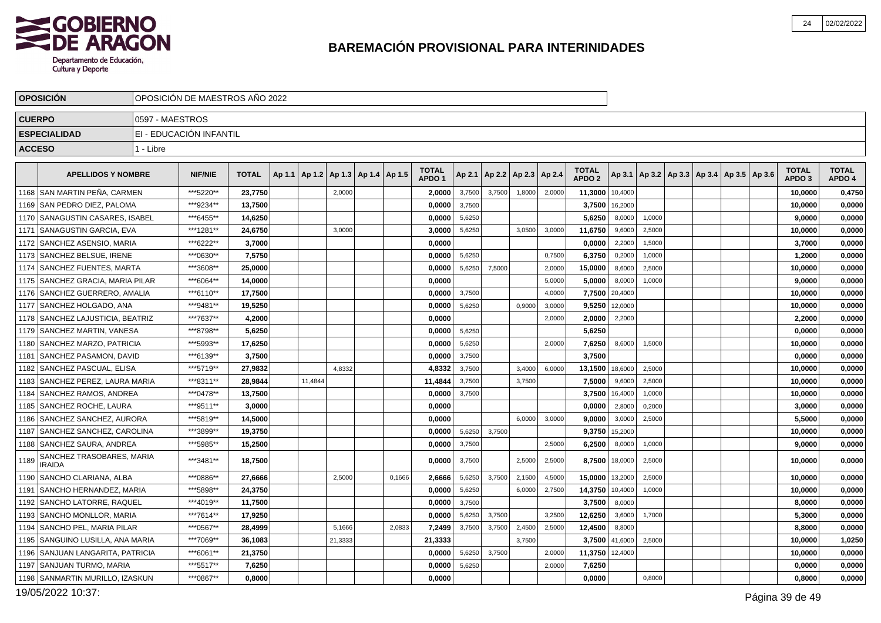

|               | <b>OPOSICION</b>                           |                 | OPOSICIÓN DE MAESTROS AÑO 2022 |              |                 |         |                          |        |                                   |        |                 |                 |        |                                   |         |                                                     |  |  |                                   |                        |
|---------------|--------------------------------------------|-----------------|--------------------------------|--------------|-----------------|---------|--------------------------|--------|-----------------------------------|--------|-----------------|-----------------|--------|-----------------------------------|---------|-----------------------------------------------------|--|--|-----------------------------------|------------------------|
| <b>CUERPO</b> |                                            | 0597 - MAESTROS |                                |              |                 |         |                          |        |                                   |        |                 |                 |        |                                   |         |                                                     |  |  |                                   |                        |
|               | <b>ESPECIALIDAD</b>                        |                 | EI - EDUCACIÓN INFANTIL        |              |                 |         |                          |        |                                   |        |                 |                 |        |                                   |         |                                                     |  |  |                                   |                        |
| <b>ACCESO</b> |                                            | 1 - Libre       |                                |              |                 |         |                          |        |                                   |        |                 |                 |        |                                   |         |                                                     |  |  |                                   |                        |
|               | <b>APELLIDOS Y NOMBRE</b>                  |                 | <b>NIF/NIE</b>                 | <b>TOTAL</b> | Ap 1.1   Ap 1.2 |         | Ap 1.3   Ap 1.4   Ap 1.5 |        | <b>TOTAL</b><br>APDO <sub>1</sub> |        | Ap 2.1   Ap 2.2 | Ap 2.3   Ap 2.4 |        | <b>TOTAL</b><br>APDO <sub>2</sub> |         | Ap 3.1   Ap 3.2   Ap 3.3   Ap 3.4   Ap 3.5   Ap 3.6 |  |  | <b>TOTAL</b><br>APDO <sub>3</sub> | <b>TOTAL</b><br>APDO 4 |
|               | 1168 SAN MARTIN PEÑA. CARMEN               |                 | ***5220**                      | 23.7750      |                 | 2,0000  |                          |        | 2,0000                            | 3,7500 | 3,7500          | 1,8000          | 2,0000 | 11,3000                           | 10,4000 |                                                     |  |  | 10.0000                           | 0,4750                 |
|               | 1169 SAN PEDRO DIEZ, PALOMA                |                 | ***9234**                      | 13,7500      |                 |         |                          |        | 0,0000                            | 3,7500 |                 |                 |        | 3,7500                            | 16,2000 |                                                     |  |  | 10,0000                           | 0,0000                 |
|               | 1170   SANAGUSTIN CASARES, ISABEL          |                 | ***6455**                      | 14,6250      |                 |         |                          |        | 0,0000                            | 5,6250 |                 |                 |        | 5,6250                            | 8,0000  | 1,0000                                              |  |  | 9.0000                            | 0,0000                 |
|               | 1171   SANAGUSTIN GARCIA, EVA              |                 | ***1281**                      | 24,6750      |                 | 3,0000  |                          |        | 3,0000                            | 5,6250 |                 | 3,0500          | 3,0000 | 11,6750                           | 9,6000  | 2,5000                                              |  |  | 10,0000                           | 0,0000                 |
|               | 1172   SANCHEZ ASENSIO, MARIA              |                 | ***6222**                      | 3,7000       |                 |         |                          |        | 0,0000                            |        |                 |                 |        | 0,0000                            | 2,2000  | 1,5000                                              |  |  | 3,7000                            | 0,0000                 |
|               | 1173   SANCHEZ BELSUE, IRENE               |                 | ***0630**                      | 7,5750       |                 |         |                          |        | 0,0000                            | 5,6250 |                 |                 | 0,7500 | 6,3750                            | 0,2000  | 1,0000                                              |  |  | 1,2000                            | 0,0000                 |
|               | 1174 SANCHEZ FUENTES, MARTA                |                 | ***3608**                      | 25,0000      |                 |         |                          |        | 0,0000                            | 5,6250 | 7,5000          |                 | 2,0000 | 15,0000                           | 8,6000  | 2,5000                                              |  |  | 10,0000                           | 0,0000                 |
|               | 1175   SANCHEZ GRACIA, MARIA PILAR         |                 | ***6064**                      | 14,0000      |                 |         |                          |        | 0,0000                            |        |                 |                 | 5,0000 | 5,0000                            | 8,0000  | 1.0000                                              |  |  | 9,0000                            | 0,0000                 |
|               | 1176 SANCHEZ GUERRERO, AMALIA              |                 | ***6110**                      | 17,7500      |                 |         |                          |        | 0.0000                            | 3,7500 |                 |                 | 4,0000 | 7,7500                            | 20,4000 |                                                     |  |  | 10,0000                           | 0,0000                 |
|               | 1177 SANCHEZ HOLGADO. ANA                  |                 | ***9481**                      | 19.5250      |                 |         |                          |        | 0.0000                            | 5,6250 |                 | 0,9000          | 3,0000 | 9,5250                            | 12,0000 |                                                     |  |  | 10.0000                           | 0,0000                 |
|               | 1178   SANCHEZ LAJUSTICIA, BEATRIZ         |                 | ***7637**                      | 4,2000       |                 |         |                          |        | 0,0000                            |        |                 |                 | 2,0000 | 2,0000                            | 2,2000  |                                                     |  |  | 2,2000                            | 0,0000                 |
|               | 1179 SANCHEZ MARTIN, VANESA                |                 | ***8798**                      | 5.6250       |                 |         |                          |        | 0.0000                            | 5,6250 |                 |                 |        | 5.6250                            |         |                                                     |  |  | 0.0000                            | 0,0000                 |
|               | 1180 SANCHEZ MARZO, PATRICIA               |                 | ***5993**                      | 17,6250      |                 |         |                          |        | 0,0000                            | 5,6250 |                 |                 | 2,0000 | 7,6250                            | 8,6000  | 1,5000                                              |  |  | 10,0000                           | 0,0000                 |
| 1181          | <b>SANCHEZ PASAMON. DAVID</b>              |                 | ***6139**                      | 3,7500       |                 |         |                          |        | 0.0000                            | 3,7500 |                 |                 |        | 3,7500                            |         |                                                     |  |  | 0,0000                            | 0,0000                 |
|               | 1182 SANCHEZ PASCUAL, ELISA                |                 | ***5719**                      | 27,9832      |                 | 4,8332  |                          |        | 4,8332                            | 3,7500 |                 | 3,4000          | 6,0000 | 13,1500                           | 18,6000 | 2,5000                                              |  |  | 10,0000                           | 0,0000                 |
|               | 1183   SANCHEZ PEREZ, LAURA MARIA          |                 | ***8311**                      | 28,9844      | 11.4844         |         |                          |        | 11,4844                           | 3,7500 |                 | 3,7500          |        | 7,5000                            | 9,6000  | 2,5000                                              |  |  | 10,0000                           | 0,0000                 |
| 1184          | <b>SANCHEZ RAMOS, ANDREA</b>               |                 | ***0478**                      | 13,7500      |                 |         |                          |        | 0,0000                            | 3,7500 |                 |                 |        | 3,7500                            | 16,4000 | 1,0000                                              |  |  | 10,0000                           | 0,0000                 |
| 1185          | <b>SANCHEZ ROCHE. LAURA</b>                |                 | ***9511**                      | 3,0000       |                 |         |                          |        | 0,0000                            |        |                 |                 |        | 0,0000                            | 2,8000  | 0,2000                                              |  |  | 3,0000                            | 0,0000                 |
|               | 1186 SANCHEZ SANCHEZ, AURORA               |                 | ***5819**                      | 14,5000      |                 |         |                          |        | 0,0000                            |        |                 | 6.0000          | 3,0000 | 9,0000                            | 3,0000  | 2,5000                                              |  |  | 5,5000                            | 0,0000                 |
| 1187          | SANCHEZ SANCHEZ. CAROLINA                  |                 | ***3899**                      | 19,3750      |                 |         |                          |        | 0.0000                            | 5,6250 | 3,7500          |                 |        | 9,3750                            | 15,2000 |                                                     |  |  | 10,0000                           | 0,0000                 |
| 1188          | <b>SANCHEZ SAURA. ANDREA</b>               |                 | ***5985**                      | 15,2500      |                 |         |                          |        | 0.0000                            | 3,7500 |                 |                 | 2.5000 | 6,2500                            | 8,0000  | 1,0000                                              |  |  | 9.0000                            | 0.0000                 |
| 1189          | SANCHEZ TRASOBARES, MARIA<br><b>IRAIDA</b> |                 | ***3481**                      | 18,7500      |                 |         |                          |        | 0.0000                            | 3,7500 |                 | 2,5000          | 2,5000 | 8,7500                            | 18,0000 | 2,5000                                              |  |  | 10,0000                           | 0,0000                 |
|               | 1190 SANCHO CLARIANA. ALBA                 |                 | ***0886**                      | 27,6666      |                 | 2,5000  |                          | 0,1666 | 2,6666                            | 5,6250 | 3,7500          | 2,1500          | 4,5000 | 15,0000                           | 13,2000 | 2,5000                                              |  |  | 10,0000                           | 0,0000                 |
| 1191          | <b>SANCHO HERNANDEZ, MARIA</b>             |                 | ***5898**                      | 24,3750      |                 |         |                          |        | 0,0000                            | 5,6250 |                 | 6,0000          | 2,7500 | 14,3750                           | 10,4000 | 1,0000                                              |  |  | 10,0000                           | 0,0000                 |
|               | 1192 SANCHO LATORRE, RAQUEL                |                 | ***4019**                      | 11,7500      |                 |         |                          |        | 0.0000                            | 3,7500 |                 |                 |        | 3,7500                            | 8,0000  |                                                     |  |  | 8,0000                            | 0,0000                 |
|               | 1193 SANCHO MONLLOR, MARIA                 |                 | ***7614**                      | 17,9250      |                 |         |                          |        | 0,0000                            | 5,6250 | 3,7500          |                 | 3,2500 | 12,6250                           | 3,6000  | 1,7000                                              |  |  | 5,3000                            | 0,0000                 |
| 1194          | <b>SANCHO PEL. MARIA PILAR</b>             |                 | ***0567**                      | 28,4999      |                 | 5,1666  |                          | 2,0833 | 7,2499                            | 3,7500 | 3,7500          | 2,4500          | 2,5000 | 12,4500                           | 8,8000  |                                                     |  |  | 8,8000                            | 0,0000                 |
|               | 1195   SANGUINO LUSILLA, ANA MARIA         |                 | ***7069**                      | 36,1083      |                 | 21,3333 |                          |        | 21,3333                           |        |                 | 3,7500          |        | 3,7500                            | 41,6000 | 2,5000                                              |  |  | 10,0000                           | 1,0250                 |
|               | 1196 SANJUAN LANGARITA, PATRICIA           |                 | ***6061**                      | 21,3750      |                 |         |                          |        | 0,0000                            | 5,6250 | 3,7500          |                 | 2,0000 | 11,3750                           | 12,4000 |                                                     |  |  | 10,0000                           | 0,0000                 |
|               | 1197   SANJUAN TURMO, MARIA                |                 | ***5517**                      | 7,6250       |                 |         |                          |        | 0,0000                            | 5,6250 |                 |                 | 2,0000 | 7,6250                            |         |                                                     |  |  | 0.0000                            | 0,0000                 |
|               | 1198 SANMARTIN MURILLO, IZASKUN            |                 | ***0867**                      | 0,8000       |                 |         |                          |        | 0,0000                            |        |                 |                 |        | 0,0000                            |         | 0,8000                                              |  |  | 0,8000                            | 0,0000                 |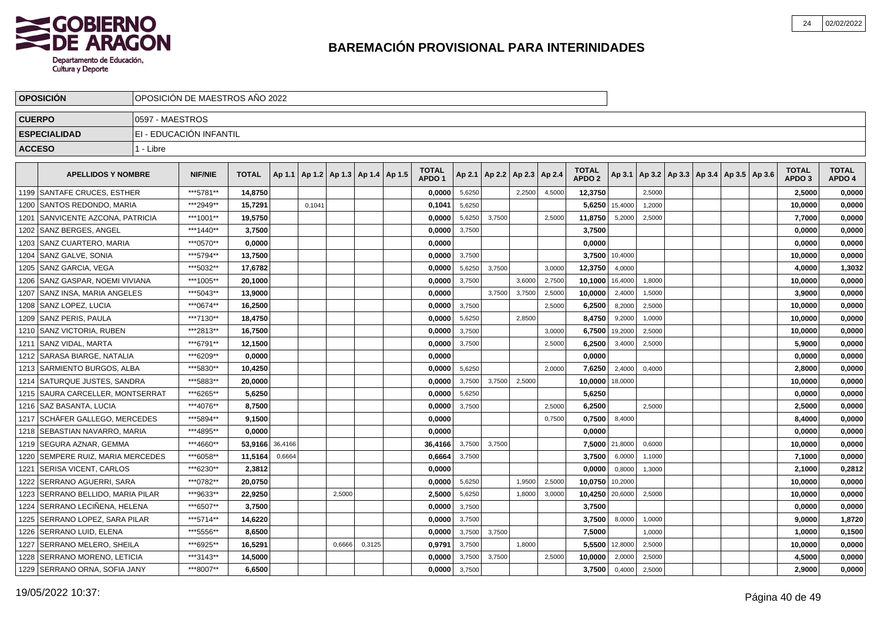

|               | <b>OPOSICION</b>                   |                 | OPOSICIÓN DE MAESTROS AÑO 2022 |              |         |        |                                   |        |                                   |        |        |                          |        |                                   |                |        |                                                     |  |                                   |                        |
|---------------|------------------------------------|-----------------|--------------------------------|--------------|---------|--------|-----------------------------------|--------|-----------------------------------|--------|--------|--------------------------|--------|-----------------------------------|----------------|--------|-----------------------------------------------------|--|-----------------------------------|------------------------|
| <b>CUERPO</b> |                                    | 0597 - MAESTROS |                                |              |         |        |                                   |        |                                   |        |        |                          |        |                                   |                |        |                                                     |  |                                   |                        |
|               | <b>ESPECIALIDAD</b>                |                 | EI - EDUCACIÓN INFANTIL        |              |         |        |                                   |        |                                   |        |        |                          |        |                                   |                |        |                                                     |  |                                   |                        |
| <b>ACCESO</b> |                                    | 1 - Libre       |                                |              |         |        |                                   |        |                                   |        |        |                          |        |                                   |                |        |                                                     |  |                                   |                        |
|               |                                    |                 |                                |              |         |        |                                   |        |                                   |        |        |                          |        |                                   |                |        |                                                     |  |                                   |                        |
|               | <b>APELLIDOS Y NOMBRE</b>          |                 | <b>NIF/NIE</b>                 | <b>TOTAL</b> | Ap 1.1  |        | Ap 1.2   Ap 1.3   Ap 1.4   Ap 1.5 |        | <b>TOTAL</b><br>APDO <sub>1</sub> | Ap 2.1 |        | Ap 2.2   Ap 2.3   Ap 2.4 |        | <b>TOTAL</b><br>APDO <sub>2</sub> |                |        | Ap 3.1   Ap 3.2   Ap 3.3   Ap 3.4   Ap 3.5   Ap 3.6 |  | <b>TOTAL</b><br>APDO <sub>3</sub> | <b>TOTAL</b><br>APDO 4 |
|               | 1199 SANTAFE CRUCES, ESTHER        |                 | ***5781**                      | 14,8750      |         |        |                                   |        | 0.0000                            | 5,6250 |        | 2,2500                   | 4,5000 | 12,3750                           |                | 2,5000 |                                                     |  | 2,5000                            | 0,0000                 |
| 1200          | SANTOS REDONDO, MARIA              |                 | ***2949**                      | 15,7291      |         | 0.1041 |                                   |        | 0,1041                            | 5,6250 |        |                          |        | 5,6250                            | 15,4000        | 1,2000 |                                                     |  | 10,0000                           | 0,0000                 |
| 1201          | SANVICENTE AZCONA, PATRICIA        |                 | ***1001**                      | 19,5750      |         |        |                                   |        | 0,0000                            | 5,6250 | 3,7500 |                          | 2,5000 | 11,8750                           | 5,2000         | 2,5000 |                                                     |  | 7,7000                            | 0,0000                 |
| 1202          | SANZ BERGES, ANGEL                 |                 | ***1440**                      | 3,7500       |         |        |                                   |        | 0,0000                            | 3,7500 |        |                          |        | 3,7500                            |                |        |                                                     |  | 0,0000                            | 0,0000                 |
|               | 1203 SANZ CUARTERO, MARIA          |                 | ***0570**                      | 0,0000       |         |        |                                   |        | 0,0000                            |        |        |                          |        | 0,0000                            |                |        |                                                     |  | 0,0000                            | 0,0000                 |
|               | 1204   SANZ GALVE, SONIA           |                 | ***5794**                      | 13.7500      |         |        |                                   |        | 0.0000                            | 3,7500 |        |                          |        |                                   | 3.7500 10,4000 |        |                                                     |  | 10.0000                           | 0,0000                 |
|               | 1205   SANZ GARCIA, VEGA           |                 | ***5032**                      | 17,6782      |         |        |                                   |        | 0.0000                            | 5,6250 | 3.7500 |                          | 3.0000 | 12,3750                           | 4,0000         |        |                                                     |  | 4,0000                            | 1,3032                 |
|               | 1206   SANZ GASPAR, NOEMI VIVIANA  |                 | ***1005**                      | 20,1000      |         |        |                                   |        | 0,0000                            | 3,7500 |        | 3,6000                   | 2,7500 | 10,1000                           | 16,4000        | 1,8000 |                                                     |  | 10,0000                           | 0,0000                 |
| 1207          | SANZ INSA, MARIA ANGELES           |                 | ***5043**                      | 13,9000      |         |        |                                   |        | 0,0000                            |        | 3,7500 | 3,7500                   | 2,5000 | 10,0000                           | 2,4000         | 1,5000 |                                                     |  | 3,9000                            | 0,0000                 |
|               | 1208   SANZ LOPEZ, LUCIA           |                 | ***0674**                      | 16,2500      |         |        |                                   |        | 0,0000                            | 3,7500 |        |                          | 2,5000 | 6,2500                            | 8,2000         | 2,5000 |                                                     |  | 10,0000                           | 0,0000                 |
|               | 1209   SANZ PERIS, PAULA           |                 | ***7130**                      | 18,4750      |         |        |                                   |        | 0,0000                            | 5,6250 |        | 2,8500                   |        | 8,4750                            | 9,2000         | 1,0000 |                                                     |  | 10,0000                           | 0,0000                 |
|               | 1210 SANZ VICTORIA, RUBEN          |                 | ***2813**                      | 16,7500      |         |        |                                   |        | 0.0000                            | 3,7500 |        |                          | 3.0000 | 6,7500                            | 19,2000        | 2,5000 |                                                     |  | 10,0000                           | 0,0000                 |
| 1211          | SANZ VIDAL. MARTA                  |                 | ***6791**                      | 12,1500      |         |        |                                   |        | 0,0000                            | 3,7500 |        |                          | 2.5000 | 6,2500                            | 3,4000         | 2,5000 |                                                     |  | 5,9000                            | 0,0000                 |
|               | 1212   SARASA BIARGE, NATALIA      |                 | ***6209**                      | 0,0000       |         |        |                                   |        | 0.0000                            |        |        |                          |        | 0,0000                            |                |        |                                                     |  | 0,0000                            | 0,0000                 |
|               | 1213   SARMIENTO BURGOS, ALBA      |                 | ***5830**                      | 10,4250      |         |        |                                   |        | 0,0000                            | 5,6250 |        |                          | 2.0000 | 7,6250                            | 2,4000         | 0,4000 |                                                     |  | 2,8000                            | 0,0000                 |
|               | 1214 SATURQUE JUSTES, SANDRA       |                 | ***5883**                      | 20,0000      |         |        |                                   |        | 0,0000                            | 3,7500 | 3,7500 | 2,5000                   |        | 10,0000                           | 18,0000        |        |                                                     |  | 10,0000                           | 0,0000                 |
|               | 1215   SAURA CARCELLER, MONTSERRAT |                 | ***6265**                      | 5,6250       |         |        |                                   |        | 0,0000                            | 5,6250 |        |                          |        | 5,6250                            |                |        |                                                     |  | 0,0000                            | 0,0000                 |
|               | 1216   SAZ BASANTA, LUCIA          |                 | ***4076**                      | 8,7500       |         |        |                                   |        | 0.0000                            | 3,7500 |        |                          | 2.5000 | 6,2500                            |                | 2.5000 |                                                     |  | 2,5000                            | 0,0000                 |
| 1217          | <b>SCHÄFER GALLEGO, MERCEDES</b>   |                 | ***5894**                      | 9,1500       |         |        |                                   |        | 0,0000                            |        |        |                          | 0,7500 | 0,7500                            | 8,4000         |        |                                                     |  | 8,4000                            | 0,0000                 |
| 1218          | SEBASTIAN NAVARRO, MARIA           |                 | ***4895**                      | 0.0000       |         |        |                                   |        | 0.0000                            |        |        |                          |        | 0,0000                            |                |        |                                                     |  | 0,0000                            | 0,0000                 |
| 1219          | SEGURA AZNAR, GEMMA                |                 | ***4660**                      | 53,9166      | 36,4166 |        |                                   |        | 36,4166                           | 3,7500 | 3,7500 |                          |        | 7,5000                            | 21,8000        | 0,6000 |                                                     |  | 10,0000                           | 0,0000                 |
| 1220          | SEMPERE RUIZ, MARIA MERCEDES       |                 | ***6058**                      | 11,5164      | 0,6664  |        |                                   |        | 0,6664                            | 3,7500 |        |                          |        | 3,7500                            | 6,0000         | 1,1000 |                                                     |  | 7,1000                            | 0,0000                 |
| 1221          | SERISA VICENT, CARLOS              |                 | ***6230**                      | 2,3812       |         |        |                                   |        | 0,0000                            |        |        |                          |        | 0,0000                            | 0,8000         | 1,3000 |                                                     |  | 2,1000                            | 0,2812                 |
| 1222          | SERRANO AGUERRI, SARA              |                 | ***0782**                      | 20.0750      |         |        |                                   |        | 0.0000                            | 5,6250 |        | 1.9500                   | 2,5000 | 10.0750                           | 10,2000        |        |                                                     |  | 10,0000                           | 0,0000                 |
| 1223          | SERRANO BELLIDO. MARIA PILAR       |                 | ***9633**                      | 22.9250      |         |        | 2,5000                            |        | 2,5000                            | 5,6250 |        | 1,8000                   | 3,0000 | 10,4250                           | 20,6000        | 2,5000 |                                                     |  | 10,0000                           | 0,0000                 |
|               | 1224 SERRANO LECIÑENA, HELENA      |                 | ***6507**                      | 3,7500       |         |        |                                   |        | 0,0000                            | 3,7500 |        |                          |        | 3,7500                            |                |        |                                                     |  | 0,0000                            | 0,0000                 |
|               | 1225   SERRANO LOPEZ, SARA PILAR   |                 | ***5714**                      | 14,6220      |         |        |                                   |        | 0,0000                            | 3,7500 |        |                          |        | 3,7500                            | 8,0000         | 1,0000 |                                                     |  | 9,0000                            | 1,8720                 |
| 1226          | SERRANO LUID, ELENA                |                 | ***5556**                      | 8,6500       |         |        |                                   |        | 0,0000                            | 3,7500 | 3,7500 |                          |        | 7,5000                            |                | 1,0000 |                                                     |  | 1,0000                            | 0,1500                 |
| 1227          | SERRANO MELERO, SHEILA             |                 | ***6925**                      | 16,5291      |         |        | 0,6666                            | 0,3125 | 0,9791                            | 3,7500 |        | 1,8000                   |        | 5,5500                            | 12,8000        | 2,5000 |                                                     |  | 10,0000                           | 0,0000                 |
| 1228          | SERRANO MORENO, LETICIA            |                 | ***3143**                      | 14,5000      |         |        |                                   |        | 0.0000                            | 3,7500 | 3,7500 |                          | 2,5000 | 10,0000                           | 2,0000         | 2,5000 |                                                     |  | 4,5000                            | 0,0000                 |
|               | 1229 SERRANO ORNA, SOFIA JANY      |                 | ***8007**                      | 6,6500       |         |        |                                   |        | 0,0000                            | 3,7500 |        |                          |        | 3,7500                            | 0,4000         | 2,5000 |                                                     |  | 2,9000                            | 0,0000                 |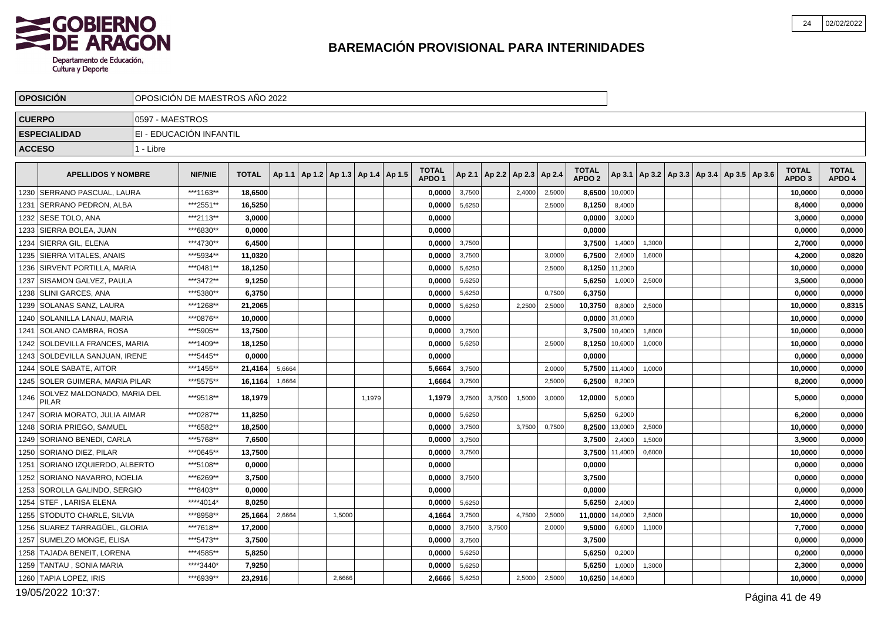

|               | <b>OPOSICIÓN</b>                            |                 | OPOSICIÓN DE MAESTROS AÑO 2022 |              |        |                                            |        |        |                                   |        |                                   |        |        |                                   |                |        |                                                     |  |                                   |                        |
|---------------|---------------------------------------------|-----------------|--------------------------------|--------------|--------|--------------------------------------------|--------|--------|-----------------------------------|--------|-----------------------------------|--------|--------|-----------------------------------|----------------|--------|-----------------------------------------------------|--|-----------------------------------|------------------------|
| <b>CUERPO</b> |                                             | 0597 - MAESTROS |                                |              |        |                                            |        |        |                                   |        |                                   |        |        |                                   |                |        |                                                     |  |                                   |                        |
|               | <b>ESPECIALIDAD</b>                         |                 | EI - EDUCACIÓN INFANTIL        |              |        |                                            |        |        |                                   |        |                                   |        |        |                                   |                |        |                                                     |  |                                   |                        |
| <b>ACCESO</b> |                                             | 1 - Libre       |                                |              |        |                                            |        |        |                                   |        |                                   |        |        |                                   |                |        |                                                     |  |                                   |                        |
|               | <b>APELLIDOS Y NOMBRE</b>                   |                 | <b>NIF/NIE</b>                 | <b>TOTAL</b> |        | Ap 1.1   Ap 1.2   Ap 1.3   Ap 1.4   Ap 1.5 |        |        | <b>TOTAL</b><br>APDO <sub>1</sub> |        | Ap 2.1   Ap 2.2   Ap 2.3   Ap 2.4 |        |        | <b>TOTAL</b><br>APDO <sub>2</sub> |                |        | Ap 3.1   Ap 3.2   Ap 3.3   Ap 3.4   Ap 3.5   Ap 3.6 |  | <b>TOTAL</b><br>APDO <sub>3</sub> | <b>TOTAL</b><br>APDO 4 |
|               | 1230 SERRANO PASCUAL. LAURA                 |                 | ***1163**                      | 18,6500      |        |                                            |        |        | 0,0000                            | 3,7500 |                                   | 2,4000 | 2,5000 | 8,6500                            | 10,0000        |        |                                                     |  | 10,0000                           | 0,0000                 |
| 1231          | <b>ISERRANO PEDRON. ALBA</b>                |                 | ***2551**                      | 16,5250      |        |                                            |        |        | 0.0000                            | 5,6250 |                                   |        | 2,5000 | 8,1250                            | 8,4000         |        |                                                     |  | 8,4000                            | 0,0000                 |
|               | 1232   SESE TOLO, ANA                       |                 | ***2113**                      | 3,0000       |        |                                            |        |        | 0,0000                            |        |                                   |        |        | 0,0000                            | 3,0000         |        |                                                     |  | 3,0000                            | 0,0000                 |
|               | 1233 SIERRA BOLEA, JUAN                     |                 | ***6830**                      | 0.0000       |        |                                            |        |        | 0.0000                            |        |                                   |        |        | 0,0000                            |                |        |                                                     |  | 0,0000                            | 0,0000                 |
|               | 1234   SIERRA GIL, ELENA                    |                 | ***4730**                      | 6,4500       |        |                                            |        |        | 0,0000                            | 3,7500 |                                   |        |        | 3,7500                            | 1,4000         | 1,3000 |                                                     |  | 2,7000                            | 0,0000                 |
|               | 1235   SIERRA VITALES, ANAIS                |                 | ***5934**                      | 11,0320      |        |                                            |        |        | 0,0000                            | 3,7500 |                                   |        | 3,0000 | 6,7500                            | 2,6000         | 1,6000 |                                                     |  | 4,2000                            | 0,0820                 |
|               | 1236   SIRVENT PORTILLA, MARIA              |                 | ***0481**                      | 18,1250      |        |                                            |        |        | 0.0000                            | 5,6250 |                                   |        | 2.5000 | 8,1250                            | 11,2000        |        |                                                     |  | 10,0000                           | 0,0000                 |
| 1237          | SISAMON GALVEZ, PAULA                       |                 | ***3472**                      | 9,1250       |        |                                            |        |        | 0,0000                            | 5,6250 |                                   |        |        | 5,6250                            | 1,0000         | 2,5000 |                                                     |  | 3,5000                            | 0,0000                 |
|               | 1238 SLINI GARCES, ANA                      |                 | ***5380**                      | 6,3750       |        |                                            |        |        | 0,0000                            | 5,6250 |                                   |        | 0,7500 | 6,3750                            |                |        |                                                     |  | 0,0000                            | 0,0000                 |
|               | 1239   SOLANAS SANZ, LAURA                  |                 | ***1268**                      | 21,2065      |        |                                            |        |        | 0,0000                            | 5,6250 |                                   | 2,2500 | 2,5000 | 10,3750                           | 8,8000         | 2,5000 |                                                     |  | 10,0000                           | 0,8315                 |
|               | 1240   SOLANILLA LANAU, MARIA               |                 | ***0876**                      | 10,0000      |        |                                            |        |        | 0,0000                            |        |                                   |        |        |                                   | 0,0000 31,0000 |        |                                                     |  | 10,0000                           | 0,0000                 |
| 1241          | <b>SOLANO CAMBRA, ROSA</b>                  |                 | ***5905**                      | 13,7500      |        |                                            |        |        | 0.0000                            | 3,7500 |                                   |        |        | 3,7500                            | 10,4000        | 1,8000 |                                                     |  | 10,0000                           | 0,0000                 |
|               | 1242   SOLDEVILLA FRANCES, MARIA            |                 | ***1409**                      | 18,1250      |        |                                            |        |        | 0,0000                            | 5,6250 |                                   |        | 2,5000 | 8,1250                            | 10,6000        | 1,0000 |                                                     |  | 10,0000                           | 0,0000                 |
|               | 1243   SOLDEVILLA SANJUAN, IRENE            |                 | *** 5445**                     | 0,0000       |        |                                            |        |        | 0,0000                            |        |                                   |        |        | 0,0000                            |                |        |                                                     |  | 0,0000                            | 0,0000                 |
|               | 1244 SOLE SABATE, AITOR                     |                 | ***1455**                      | 21,4164      | 5,6664 |                                            |        |        | 5,6664                            | 3,7500 |                                   |        | 2,000  | 5,7500                            | 11,4000        | 1,0000 |                                                     |  | 10,0000                           | 0,0000                 |
|               | 1245   SOLER GUIMERA, MARIA PILAR           |                 | ***5575**                      | 16,1164      | 1,6664 |                                            |        |        | 1,6664                            | 3,7500 |                                   |        | 2,5000 | 6,2500                            | 8,2000         |        |                                                     |  | 8,2000                            | 0,0000                 |
| 1246          | SOLVEZ MALDONADO, MARIA DEL<br><b>PILAR</b> |                 | ***9518**                      | 18,1979      |        |                                            |        | 1,1979 | 1,1979                            | 3,7500 | 3,7500                            | 1,5000 | 3,0000 | 12,0000                           | 5,0000         |        |                                                     |  | 5,0000                            | 0,0000                 |
|               | 1247   SORIA MORATO, JULIA AIMAR            |                 | ***0287**                      | 11,8250      |        |                                            |        |        | 0,0000                            | 5,6250 |                                   |        |        | 5,6250                            | 6,2000         |        |                                                     |  | 6,2000                            | 0,0000                 |
|               | 1248 SORIA PRIEGO, SAMUEL                   |                 | ***6582**                      | 18,2500      |        |                                            |        |        | 0,0000                            | 3,7500 |                                   | 3,7500 | 0,7500 | 8,2500                            | 13,0000        | 2,5000 |                                                     |  | 10,0000                           | 0,0000                 |
|               | 1249   SORIANO BENEDI, CARLA                |                 | ***5768**                      | 7,6500       |        |                                            |        |        | 0,0000                            | 3,7500 |                                   |        |        | 3,7500                            | 2,4000         | 1,5000 |                                                     |  | 3,9000                            | 0,0000                 |
|               | 1250   SORIANO DIEZ, PILAR                  |                 | ***0645**                      | 13,7500      |        |                                            |        |        | 0,0000                            | 3,7500 |                                   |        |        | 3,7500                            | 11,4000        | 0,6000 |                                                     |  | 10,0000                           | 0,0000                 |
| 1251          | I SORIANO IZQUIERDO. ALBERTO                |                 | ***5108**                      | 0.0000       |        |                                            |        |        | 0.0000                            |        |                                   |        |        | 0,0000                            |                |        |                                                     |  | 0,0000                            | 0,0000                 |
|               | 1252   SORIANO NAVARRO, NOELIA              |                 | ***6269**                      | 3,7500       |        |                                            |        |        | 0,0000                            | 3,7500 |                                   |        |        | 3,7500                            |                |        |                                                     |  | 0,0000                            | 0,0000                 |
|               | 1253 SOROLLA GALINDO, SERGIO                |                 | ***8403**                      | 0,0000       |        |                                            |        |        | 0.0000                            |        |                                   |        |        | 0,0000                            |                |        |                                                     |  | 0,0000                            | 0,0000                 |
|               | 1254   STEF , LARISA ELENA                  |                 | ****4014*                      | 8,0250       |        |                                            |        |        | 0,0000                            | 5,6250 |                                   |        |        | 5,6250                            | 2,4000         |        |                                                     |  | 2,4000                            | 0,0000                 |
|               | 1255   STODUTO CHARLE, SILVIA               |                 | ***8958**                      | 25,1664      | 2,6664 |                                            | 1,5000 |        | 4,1664                            | 3,7500 |                                   | 4,7500 | 2,5000 | 11,0000                           | 14,0000        | 2,5000 |                                                     |  | 10,0000                           | 0,0000                 |
|               | 1256   SUAREZ TARRAGÜEL, GLORIA             |                 | ***7618**                      | 17,2000      |        |                                            |        |        | 0.0000                            | 3,7500 | 3,7500                            |        | 2,0000 | 9,5000                            | 6,6000         | 1,1000 |                                                     |  | 7,7000                            | 0,0000                 |
| 1257          | <b>SUMELZO MONGE, ELISA</b>                 |                 | ***5473**                      | 3,7500       |        |                                            |        |        | 0,0000                            | 3,7500 |                                   |        |        | 3,7500                            |                |        |                                                     |  | 0,0000                            | 0,0000                 |
|               | 1258 TAJADA BENEIT, LORENA                  |                 | ***4585**                      | 5,8250       |        |                                            |        |        | 0,0000                            | 5,6250 |                                   |        |        | 5,6250                            | 0,2000         |        |                                                     |  | 0,2000                            | 0,0000                 |
|               | 1259   TANTAU , SONIA MARIA                 |                 | ****3440*                      | 7,9250       |        |                                            |        |        | 0,0000                            | 5,6250 |                                   |        |        | 5,6250                            | 1,0000         | 1,3000 |                                                     |  | 2,3000                            | 0,0000                 |
|               | 1260 TAPIA LOPEZ, IRIS                      |                 | ***6939**                      | 23,2916      |        |                                            | 2,6666 |        | 2,6666                            | 5,6250 |                                   | 2,5000 | 2,5000 | 10,6250                           | 14,6000        |        |                                                     |  | 10,0000                           | 0,0000                 |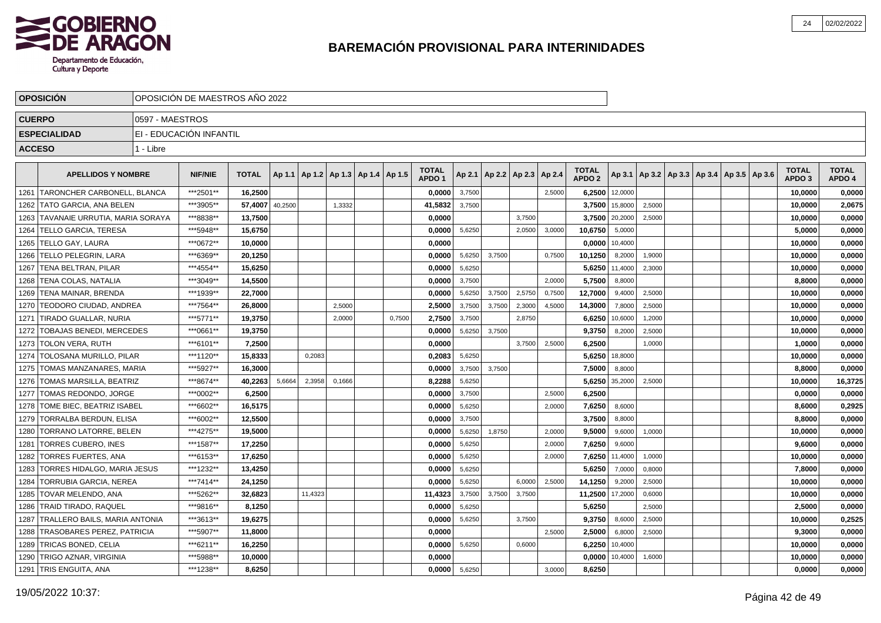

|               | <b>OPOSICION</b>                     |                 | OPOSICION DE MAESTROS ANO 2022 |              |         |         |        |                                            |        |                   |        |        |                          |        |                   |                |        |  |                                                     |                   |              |
|---------------|--------------------------------------|-----------------|--------------------------------|--------------|---------|---------|--------|--------------------------------------------|--------|-------------------|--------|--------|--------------------------|--------|-------------------|----------------|--------|--|-----------------------------------------------------|-------------------|--------------|
| <b>CUERPO</b> |                                      | 0597 - MAESTROS |                                |              |         |         |        |                                            |        |                   |        |        |                          |        |                   |                |        |  |                                                     |                   |              |
|               | <b>ESPECIALIDAD</b>                  |                 | EI - EDUCACIÓN INFANTIL        |              |         |         |        |                                            |        |                   |        |        |                          |        |                   |                |        |  |                                                     |                   |              |
| <b>ACCESO</b> |                                      | 1 - Libre       |                                |              |         |         |        |                                            |        |                   |        |        |                          |        |                   |                |        |  |                                                     |                   |              |
|               |                                      |                 |                                |              |         |         |        |                                            |        | <b>TOTAL</b>      |        |        |                          |        | <b>TOTAL</b>      |                |        |  |                                                     | <b>TOTAL</b>      | <b>TOTAL</b> |
|               | <b>APELLIDOS Y NOMBRE</b>            |                 | <b>NIF/NIE</b>                 | <b>TOTAL</b> |         |         |        | Ap 1.1   Ap 1.2   Ap 1.3   Ap 1.4   Ap 1.5 |        | APDO <sub>1</sub> | Ap 2.1 |        | Ap 2.2   Ap 2.3   Ap 2.4 |        | APDO <sub>2</sub> |                |        |  | Ap 3.1   Ap 3.2   Ap 3.3   Ap 3.4   Ap 3.5   Ap 3.6 | APDO <sub>3</sub> | APDO 4       |
| 1261          | <b>TARONCHER CARBONELL, BLANCA</b>   |                 | ***2501**                      | 16.2500      |         |         |        |                                            |        | 0.0000            | 3,7500 |        |                          | 2,5000 |                   | 6,2500 12,0000 |        |  |                                                     | 10,0000           | 0,0000       |
|               | 1262   TATO GARCIA, ANA BELEN        |                 | ***3905**                      | 57,4007      | 40,2500 |         | 1,3332 |                                            |        | 41,5832           | 3,7500 |        |                          |        | 3,7500            | 15,8000        | 2,5000 |  |                                                     | 10,0000           | 2,0675       |
| 1263          | TAVANAIE URRUTIA, MARIA SORAYA       |                 | ***8838**                      | 13,7500      |         |         |        |                                            |        | 0.0000            |        |        | 3,7500                   |        |                   | 3,7500 20,2000 | 2,5000 |  |                                                     | 10,0000           | 0,0000       |
| 1264          | <b>TELLO GARCIA, TERESA</b>          |                 | ***5948**                      | 15,6750      |         |         |        |                                            |        | 0,0000            | 5,6250 |        | 2,0500                   | 3,0000 | 10,6750           | 5,0000         |        |  |                                                     | 5,0000            | 0,0000       |
|               | 1265   TELLO GAY, LAURA              |                 | ***0672**                      | 10,0000      |         |         |        |                                            |        | 0,0000            |        |        |                          |        |                   | 0,0000 10,4000 |        |  |                                                     | 10,0000           | 0,0000       |
|               | 1266 TELLO PELEGRIN, LARA            |                 | ***6369**                      | 20.1250      |         |         |        |                                            |        | 0.0000            | 5,6250 | 3,7500 |                          | 0,7500 | 10.1250           | 8,2000         | 1,9000 |  |                                                     | 10.0000           | 0,0000       |
|               | 1267 TENA BELTRAN, PILAR             |                 | ***4554**                      | 15.6250      |         |         |        |                                            |        | 0,0000            | 5,6250 |        |                          |        |                   | 5,6250 11,4000 | 2,3000 |  |                                                     | 10,0000           | 0,0000       |
| 1268          | <b>TENA COLAS, NATALIA</b>           |                 | ***3049**                      | 14,5500      |         |         |        |                                            |        | 0,0000            | 3,7500 |        |                          | 2.0000 | 5,7500            | 8,8000         |        |  |                                                     | 8,8000            | 0,0000       |
|               | 1269   TENA MAINAR, BRENDA           |                 | ***1939**                      | 22,7000      |         |         |        |                                            |        | 0,0000            | 5,6250 | 3,7500 | 2,5750                   | 0,7500 | 12,7000           | 9,4000         | 2,5000 |  |                                                     | 10,0000           | 0,0000       |
|               | 1270   TEODORO CIUDAD, ANDREA        |                 | ***7564**                      | 26,8000      |         |         | 2,5000 |                                            |        | 2,5000            | 3,7500 | 3,7500 | 2,3000                   | 4,5000 | 14,3000           | 7,8000         | 2,5000 |  |                                                     | 10,0000           | 0,0000       |
|               | 1271 TIRADO GUALLAR, NURIA           |                 | ***5771**                      | 19,3750      |         |         | 2,0000 |                                            | 0,7500 | 2,7500            | 3,7500 |        | 2,8750                   |        | 6,6250            | 10,6000        | 1,2000 |  |                                                     | 10,0000           | 0,0000       |
|               | 1272 TOBAJAS BENEDI, MERCEDES        |                 | ***0661**                      | 19,3750      |         |         |        |                                            |        | 0.0000            | 5,6250 | 3.7500 |                          |        | 9,3750            | 8,2000         | 2,5000 |  |                                                     | 10,0000           | 0,0000       |
|               | 1273   TOLON VERA, RUTH              |                 | ***6101**                      | 7,2500       |         |         |        |                                            |        | 0,0000            |        |        | 3,7500                   | 2,5000 | 6,2500            |                | 1,0000 |  |                                                     | 1,0000            | 0,0000       |
| 1274          | TOLOSANA MURILLO. PILAR              |                 | ***1120**                      | 15,8333      |         | 0,2083  |        |                                            |        | 0,2083            | 5,6250 |        |                          |        |                   | 5,6250 18,8000 |        |  |                                                     | 10,0000           | 0,0000       |
| 1275          | TOMAS MANZANARES, MARIA              |                 | ***5927**                      | 16,3000      |         |         |        |                                            |        | 0,0000            | 3,7500 | 3,7500 |                          |        | 7,5000            | 8,8000         |        |  |                                                     | 8,8000            | 0,0000       |
| 1276          | TOMAS MARSILLA, BEATRIZ              |                 | ***8674**                      | 40.2263      | 5,6664  | 2,3958  | 0,1666 |                                            |        | 8,2288            | 5,6250 |        |                          |        | 5,6250            | 35,2000        | 2,5000 |  |                                                     | 10,0000           | 16,3725      |
| 1277          | <b>TOMAS REDONDO, JORGE</b>          |                 | ***0002**                      | 6,2500       |         |         |        |                                            |        | 0,0000            | 3,7500 |        |                          | 2,5000 | 6,2500            |                |        |  |                                                     | 0,0000            | 0,0000       |
| 1278          | TOME BIEC, BEATRIZ ISABEL            |                 | ***6602**                      | 16,5175      |         |         |        |                                            |        | 0.0000            | 5,6250 |        |                          | 2.0000 | 7,6250            | 8,6000         |        |  |                                                     | 8,6000            | 0,2925       |
| 1279          | TORRALBA BERDUN, ELISA               |                 | ***6002**                      | 12,5500      |         |         |        |                                            |        | 0,0000            | 3,7500 |        |                          |        | 3,7500            | 8,8000         |        |  |                                                     | 8,8000            | 0,0000       |
| 1280          | <b>TORRANO LATORRE, BELEN</b>        |                 | ***4275**                      | 19,5000      |         |         |        |                                            |        | 0.0000            | 5,6250 | 1,8750 |                          | 2,0000 | 9,5000            | 9,6000         | 1,0000 |  |                                                     | 10,0000           | 0,0000       |
| 1281          | <b>TORRES CUBERO, INES</b>           |                 | ***1587**                      | 17,2250      |         |         |        |                                            |        | 0.0000            | 5,6250 |        |                          | 2,0000 | 7,6250            | 9,6000         |        |  |                                                     | 9,6000            | 0,0000       |
| 1282          | TORRES FUERTES, ANA                  |                 | ***6153**                      | 17,6250      |         |         |        |                                            |        | 0,0000            | 5,6250 |        |                          | 2,0000 | 7,6250            | 11,4000        | 1,0000 |  |                                                     | 10,0000           | 0,0000       |
| 1283          | TORRES HIDALGO, MARIA JESUS          |                 | ***1232**                      | 13,4250      |         |         |        |                                            |        | 0,0000            | 5,6250 |        |                          |        | 5,6250            | 7,0000         | 0,8000 |  |                                                     | 7,8000            | 0,0000       |
| 1284          | <b>TORRUBIA GARCIA, NEREA</b>        |                 | ***7414**                      | 24,1250      |         |         |        |                                            |        | 0.0000            | 5,6250 |        | 6,0000                   | 2.5000 | 14,1250           | 9,2000         | 2,5000 |  |                                                     | 10.0000           | 0,0000       |
| 1285          | TOVAR MELENDO. ANA                   |                 | ***5262**                      | 32.6823      |         | 11,4323 |        |                                            |        | 11,4323           | 3,7500 | 3,7500 | 3,7500                   |        | 11,2500           | 17,2000        | 0,6000 |  |                                                     | 10.0000           | 0,0000       |
|               | 1286 TRAID TIRADO, RAQUEL            |                 | ***9816**                      | 8.1250       |         |         |        |                                            |        | 0,0000            | 5,6250 |        |                          |        | 5,6250            |                | 2,5000 |  |                                                     | 2,5000            | 0,0000       |
| 1287          | <b>TRALLERO BAILS, MARIA ANTONIA</b> |                 | ***3613**                      | 19,6275      |         |         |        |                                            |        | 0,0000            | 5,6250 |        | 3,7500                   |        | 9,3750            | 8,6000         | 2,5000 |  |                                                     | 10,0000           | 0,2525       |
| 1288          | <b>TRASOBARES PEREZ, PATRICIA</b>    |                 | ***5907**                      | 11,8000      |         |         |        |                                            |        | 0,0000            |        |        |                          | 2,5000 | 2,5000            | 6,8000         | 2,5000 |  |                                                     | 9,3000            | 0,0000       |
|               | 1289 TRICAS BONED, CELIA             |                 | ***6211**                      | 16,2250      |         |         |        |                                            |        | 0,0000            | 5,6250 |        | 0,6000                   |        |                   | 6,2250 10,4000 |        |  |                                                     | 10,0000           | 0,0000       |
| 1290          | TRIGO AZNAR, VIRGINIA                |                 | ***5988**                      | 10,0000      |         |         |        |                                            |        | 0.0000            |        |        |                          |        | 0,0000            | 10,4000        | 1,6000 |  |                                                     | 10.0000           | 0,0000       |
|               | 1291 TRIS ENGUITA, ANA               |                 | ***1238**                      | 8,6250       |         |         |        |                                            |        | 0,0000            | 5,6250 |        |                          | 3,0000 | 8,6250            |                |        |  |                                                     | 0.0000            | 0,0000       |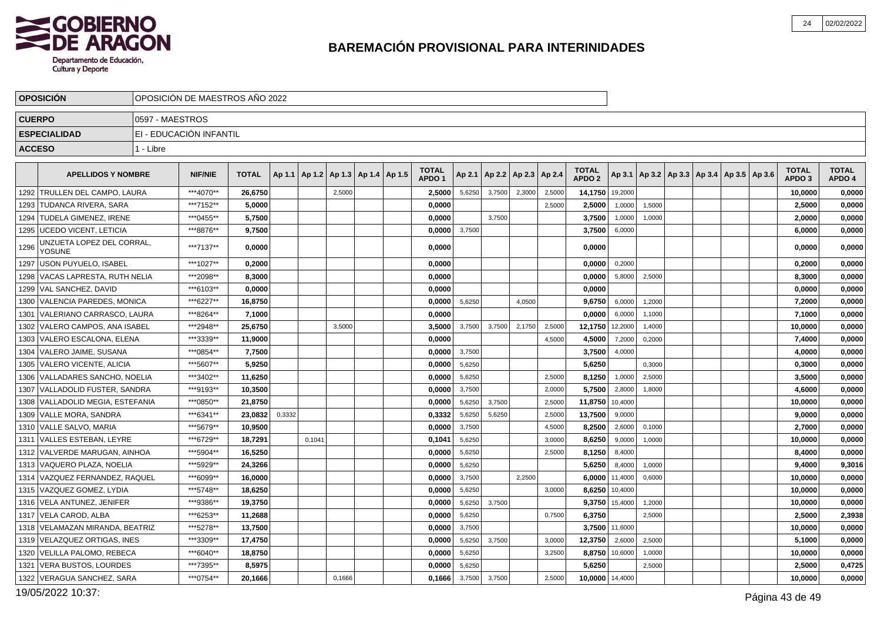

|      | <b>OPOSICIÓN</b>                    | OPOSICIÓN DE MAESTROS AÑO 2022 |                |              |        |        |        |                          |                                   |        |        |                          |        |                                   |         |                                                     |  |  |                                   |                        |
|------|-------------------------------------|--------------------------------|----------------|--------------|--------|--------|--------|--------------------------|-----------------------------------|--------|--------|--------------------------|--------|-----------------------------------|---------|-----------------------------------------------------|--|--|-----------------------------------|------------------------|
|      | <b>CUERPO</b>                       | 0597 - MAESTROS                |                |              |        |        |        |                          |                                   |        |        |                          |        |                                   |         |                                                     |  |  |                                   |                        |
|      | <b>ESPECIALIDAD</b>                 | EI - EDUCACIÓN INFANTIL        |                |              |        |        |        |                          |                                   |        |        |                          |        |                                   |         |                                                     |  |  |                                   |                        |
|      | <b>ACCESO</b>                       | 1 - Libre                      |                |              |        |        |        |                          |                                   |        |        |                          |        |                                   |         |                                                     |  |  |                                   |                        |
|      |                                     |                                |                |              |        |        |        |                          |                                   |        |        |                          |        |                                   |         |                                                     |  |  |                                   |                        |
|      | <b>APELLIDOS Y NOMBRE</b>           |                                | <b>NIF/NIE</b> | <b>TOTAL</b> | Ap 1.1 | Ap 1.2 |        | Ap 1.3   Ap 1.4   Ap 1.5 | <b>TOTAL</b><br>APDO <sub>1</sub> | Ap 2.1 |        | Ap 2.2   Ap 2.3   Ap 2.4 |        | <b>TOTAL</b><br>APDO <sub>2</sub> |         | Ap 3.1   Ap 3.2   Ap 3.3   Ap 3.4   Ap 3.5   Ap 3.6 |  |  | <b>TOTAL</b><br>APDO <sub>3</sub> | <b>TOTAL</b><br>APDO 4 |
| 1292 | l TRULLEN DEL CAMPO. LAURA          |                                | ***4070**      | 26,6750      |        |        | 2,5000 |                          | 2,5000                            | 5,6250 | 3,7500 | 2,3000                   | 2,5000 | 14,1750                           | 19,2000 |                                                     |  |  | 10,0000                           | 0,0000                 |
| 1293 | TUDANCA RIVERA, SARA                |                                | ***7152**      | 5,0000       |        |        |        |                          | 0,0000                            |        |        |                          | 2,5000 | 2,5000                            | 1,0000  | 1,5000                                              |  |  | 2,5000                            | 0,0000                 |
| 1294 | <b>TUDELA GIMENEZ. IRENE</b>        |                                | ***0455**      | 5,7500       |        |        |        |                          | 0,0000                            |        | 3,7500 |                          |        | 3,7500                            | 1,0000  | 1,0000                                              |  |  | 2,0000                            | 0,0000                 |
|      | 1295   UCEDO VICENT, LETICIA        |                                | ***8876**      | 9,7500       |        |        |        |                          | 0,0000                            | 3,7500 |        |                          |        | 3,7500                            | 6,0000  |                                                     |  |  | 6,0000                            | 0,0000                 |
| 1296 | JNZUETA LOPEZ DEL CORRAL,<br>YOSUNE |                                | ***7137**      | 0,0000       |        |        |        |                          | 0,0000                            |        |        |                          |        | 0,0000                            |         |                                                     |  |  | 0,0000                            | 0,0000                 |
|      | 1297   USON PUYUELO, ISABEL         |                                | ***1027**      | 0,2000       |        |        |        |                          | 0,0000                            |        |        |                          |        | 0,0000                            | 0.2000  |                                                     |  |  | 0,2000                            | 0,0000                 |
| 1298 | VACAS LAPRESTA, RUTH NELIA          |                                | ***2098**      | 8,3000       |        |        |        |                          | 0,0000                            |        |        |                          |        | 0,0000                            | 5,8000  | 2,5000                                              |  |  | 8,3000                            | 0,0000                 |
|      | 1299   VAL SANCHEZ, DAVID           |                                | ***6103**      | 0.0000       |        |        |        |                          | 0,0000                            |        |        |                          |        | 0,0000                            |         |                                                     |  |  | 0,0000                            | 0,0000                 |
|      | 1300 VALENCIA PAREDES, MONICA       |                                | ***6227**      | 16,8750      |        |        |        |                          | 0,0000                            | 5,6250 |        | 4,0500                   |        | 9,6750                            | 6,0000  | 1,2000                                              |  |  | 7,2000                            | 0,0000                 |
| 1301 | VALERIANO CARRASCO. LAURA           |                                | ***8264**      | 7,1000       |        |        |        |                          | 0,0000                            |        |        |                          |        | 0,0000                            | 6,0000  | 1,1000                                              |  |  | 7,1000                            | 0,0000                 |
| 1302 | VALERO CAMPOS. ANA ISABEL           |                                | ***2948**      | 25.6750      |        |        | 3,5000 |                          | 3.5000                            | 3,7500 | 3,7500 | 2,1750                   | 2,5000 | 12,1750                           | 12.2000 | 1,4000                                              |  |  | 10.0000                           | 0,0000                 |
| 1303 | VALERO ESCALONA, ELENA              |                                | ***3339**      | 11,9000      |        |        |        |                          | 0,0000                            |        |        |                          | 4,5000 | 4,5000                            | 7,2000  | 0,2000                                              |  |  | 7,4000                            | 0,0000                 |
| 1304 | VALERO JAIME. SUSANA                |                                | ***0854**      | 7,7500       |        |        |        |                          | 0.0000                            | 3,7500 |        |                          |        | 3,7500                            | 4,0000  |                                                     |  |  | 4,0000                            | 0,0000                 |
|      | 1305 VALERO VICENTE, ALICIA         |                                | ***5607**      | 5,9250       |        |        |        |                          | 0,0000                            | 5,6250 |        |                          |        | 5,6250                            |         | 0,3000                                              |  |  | 0,3000                            | 0,0000                 |
|      | 1306 VALLADARES SANCHO, NOELIA      |                                | ***3402**      | 11,6250      |        |        |        |                          | 0,0000                            | 5,6250 |        |                          | 2,5000 | 8,1250                            | 1,0000  | 2,5000                                              |  |  | 3,5000                            | 0,0000                 |
| 1307 | VALLADOLID FUSTER, SANDRA           |                                | ***9193**      | 10,3500      |        |        |        |                          | 0,0000                            | 3,7500 |        |                          | 2,0000 | 5,7500                            | 2,8000  | 1,8000                                              |  |  | 4,6000                            | 0,0000                 |
|      | 1308 VALLADOLID MEGIA, ESTEFANIA    |                                | ***0850**      | 21,8750      |        |        |        |                          | 0,0000                            | 5,6250 | 3,7500 |                          | 2,5000 | 11,8750                           | 10,4000 |                                                     |  |  | 10,0000                           | 0,0000                 |
|      | 1309   VALLE MORA, SANDRA           |                                | ***6341**      | 23,0832      | 0,3332 |        |        |                          | 0,3332                            | 5,6250 | 5.6250 |                          | 2,5000 | 13,7500                           | 9,0000  |                                                     |  |  | 9,0000                            | 0,0000                 |
|      | 1310 VALLE SALVO, MARIA             |                                | ***5679**      | 10,9500      |        |        |        |                          | 0,0000                            | 3,7500 |        |                          | 4,5000 | 8,2500                            | 2,6000  | 0,1000                                              |  |  | 2,7000                            | 0,0000                 |
|      | 1311   VALLES ESTEBAN, LEYRE        |                                | ***6729**      | 18,7291      |        | 0.1041 |        |                          | 0,1041                            | 5,6250 |        |                          | 3,0000 | 8,6250                            | 9,0000  | 1,0000                                              |  |  | 10,0000                           | 0,0000                 |
|      | 1312   VALVERDE MARUGAN, AINHOA     |                                | ***5904**      | 16,5250      |        |        |        |                          | 0,0000                            | 5,6250 |        |                          | 2,5000 | 8,1250                            | 8,4000  |                                                     |  |  | 8,4000                            | 0,0000                 |
| 1313 | VAQUERO PLAZA. NOELIA               |                                | ***5929**      | 24,3266      |        |        |        |                          | 0,0000                            | 5,6250 |        |                          |        | 5,6250                            | 8,4000  | 1,0000                                              |  |  | 9,4000                            | 9,3016                 |
| 1314 | VAZQUEZ FERNANDEZ, RAQUEL           |                                | ***6099**      | 16,0000      |        |        |        |                          | 0,0000                            | 3,7500 |        | 2,2500                   |        | 6,0000                            | 11,4000 | 0,6000                                              |  |  | 10,0000                           | 0,0000                 |
| 1315 | VAZQUEZ GOMEZ. LYDIA                |                                | ***5748**      | 18,6250      |        |        |        |                          | 0,0000                            | 5,6250 |        |                          | 3,0000 | 8,6250                            | 10,4000 |                                                     |  |  | 10,0000                           | 0,0000                 |
| 1316 | VELA ANTUNEZ. JENIFER               |                                | ***9386**      | 19.3750      |        |        |        |                          | 0.0000                            | 5,6250 | 3,7500 |                          |        | 9,3750                            | 15,4000 | 1,2000                                              |  |  | 10.0000                           | 0,0000                 |
|      | 1317 VELA CAROD, ALBA               |                                | ***6253**      | 11,2688      |        |        |        |                          | 0,0000                            | 5,6250 |        |                          | 0,7500 | 6,3750                            |         | 2,5000                                              |  |  | 2,5000                            | 2,3938                 |
|      | 1318 VELAMAZAN MIRANDA, BEATRIZ     |                                | ***5278**      | 13,7500      |        |        |        |                          | 0,0000                            | 3,7500 |        |                          |        | 3,7500                            | 11,6000 |                                                     |  |  | 10,0000                           | 0,0000                 |
|      | 1319 VELAZQUEZ ORTIGAS, INES        |                                | ***3309**      | 17,4750      |        |        |        |                          | 0,0000                            | 5,6250 | 3,7500 |                          | 3,0000 | 12,3750                           | 2,6000  | 2,5000                                              |  |  | 5,1000                            | 0,0000                 |
|      | 1320 VELILLA PALOMO, REBECA         |                                | ***6040**      | 18,8750      |        |        |        |                          | 0,0000                            | 5,6250 |        |                          | 3,2500 | 8,8750                            | 10,6000 | 1,0000                                              |  |  | 10,0000                           | 0,0000                 |
| 1321 | VERA BUSTOS, LOURDES                |                                | ***7395**      | 8,5975       |        |        |        |                          | 0,0000                            | 5,6250 |        |                          |        | 5,6250                            |         | 2,5000                                              |  |  | 2,5000                            | 0,4725                 |
|      | 1322 VERAGUA SANCHEZ, SARA          |                                | ***0754**      | 20,1666      |        |        | 0,1666 |                          | 0,1666                            | 3,7500 | 3,7500 |                          | 2,5000 | 10,0000                           | 14,4000 |                                                     |  |  | 10,0000                           | 0,0000                 |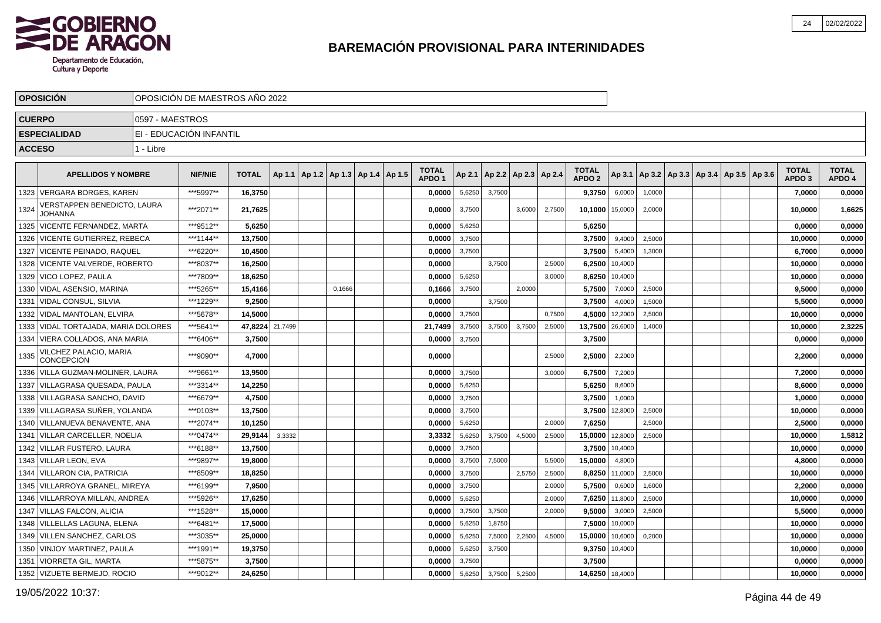

|               | <b>OPOSICION</b>                              |                 | OPOSICIÓN DE MAESTROS AÑO 2022 |                 |        |                       |        |        |                                   |        |        |                          |        |                                   |                |        |                                                |  |                                   |                        |
|---------------|-----------------------------------------------|-----------------|--------------------------------|-----------------|--------|-----------------------|--------|--------|-----------------------------------|--------|--------|--------------------------|--------|-----------------------------------|----------------|--------|------------------------------------------------|--|-----------------------------------|------------------------|
| <b>CUERPO</b> |                                               | 0597 - MAESTROS |                                |                 |        |                       |        |        |                                   |        |        |                          |        |                                   |                |        |                                                |  |                                   |                        |
|               | <b>ESPECIALIDAD</b>                           |                 | EI - EDUCACIÓN INFANTIL        |                 |        |                       |        |        |                                   |        |        |                          |        |                                   |                |        |                                                |  |                                   |                        |
| <b>ACCESO</b> |                                               | 1 - Libre       |                                |                 |        |                       |        |        |                                   |        |        |                          |        |                                   |                |        |                                                |  |                                   |                        |
|               |                                               |                 |                                |                 |        |                       |        |        |                                   |        |        |                          |        |                                   |                |        |                                                |  |                                   |                        |
|               | <b>APELLIDOS Y NOMBRE</b>                     |                 | <b>NIF/NIE</b>                 | <b>TOTAL</b>    | Ap 1.1 | Ap1.2   Ap1.3   Ap1.4 |        | Ap 1.5 | <b>TOTAL</b><br>APDO <sub>1</sub> | Ap 2.1 |        | Ap 2.2   Ap 2.3   Ap 2.4 |        | <b>TOTAL</b><br>APDO <sub>2</sub> | Ap 3.1         |        | $ $ Ap 3.2   Ap 3.3   Ap 3.4   Ap 3.5   Ap 3.6 |  | <b>TOTAL</b><br>APDO <sub>3</sub> | <b>TOTAL</b><br>APDO 4 |
| 1323          | <b>VERGARA BORGES, KAREN</b>                  |                 | ***5997**                      | 16,3750         |        |                       |        |        | 0.0000                            | 5,6250 | 3.7500 |                          |        | 9,3750                            | 6,0000         | 1.0000 |                                                |  | 7.0000                            | 0,0000                 |
| 1324          | /ERSTAPPEN BENEDICTO, LAURA<br><b>JOHANNA</b> |                 | ***2071**                      | 21,7625         |        |                       |        |        | 0,0000                            | 3,7500 |        | 3,6000                   | 2,7500 | 10,1000                           | 15,0000        | 2,0000 |                                                |  | 10,0000                           | 1,6625                 |
|               | 1325   VICENTE FERNANDEZ, MARTA               |                 | ***9512**                      | 5,6250          |        |                       |        |        | 0,0000                            | 5,6250 |        |                          |        | 5,6250                            |                |        |                                                |  | 0,0000                            | 0,0000                 |
| 1326          | VICENTE GUTIERREZ, REBECA                     |                 | ***1144**                      | 13,7500         |        |                       |        |        | 0,0000                            | 3,7500 |        |                          |        | 3,7500                            | 9,4000         | 2,5000 |                                                |  | 10,0000                           | 0,0000                 |
| 1327          | <b>VICENTE PEINADO, RAQUEL</b>                |                 | ***6220**                      | 10,4500         |        |                       |        |        | 0,0000                            | 3,7500 |        |                          |        | 3,7500                            | 5,4000         | 1,3000 |                                                |  | 6,7000                            | 0,0000                 |
|               | 1328   VICENTE VALVERDE, ROBERTO              |                 | ***8037**                      | 16.2500         |        |                       |        |        | 0.0000                            |        | 3,7500 |                          | 2.5000 | 6,2500                            | 10,4000        |        |                                                |  | 10,0000                           | 0,0000                 |
|               | 1329 VICO LOPEZ, PAULA                        |                 | ***7809**                      | 18.6250         |        |                       |        |        | 0.0000                            | 5,6250 |        |                          | 3.0000 | 8,6250                            | 10,4000        |        |                                                |  | 10,0000                           | 0,0000                 |
|               | 1330   VIDAL ASENSIO, MARINA                  |                 | ***5265**                      | 15,4166         |        |                       | 0,1666 |        | 0,1666                            | 3,7500 |        | 2,0000                   |        | 5,7500                            | 7,0000         | 2,5000 |                                                |  | 9,5000                            | 0,0000                 |
|               | 1331   VIDAL CONSUL, SILVIA                   |                 | ***1229**                      | 9,2500          |        |                       |        |        | 0,0000                            |        | 3,7500 |                          |        | 3,7500                            | 4,0000         | 1,5000 |                                                |  | 5,5000                            | 0,0000                 |
|               | 1332   VIDAL MANTOLAN, ELVIRA                 |                 | ***5678**                      | 14,5000         |        |                       |        |        | 0.0000                            | 3,7500 |        |                          | 0.7500 | 4,5000                            | 12,2000        | 2,5000 |                                                |  | 10,0000                           | 0,0000                 |
|               | 1333 VIDAL TORTAJADA, MARIA DOLORES           |                 | ***5641**                      | 47.8224 21,7499 |        |                       |        |        | 21,7499                           | 3,7500 | 3,7500 | 3,7500                   | 2,5000 | 13,7500 26,6000                   |                | 1,4000 |                                                |  | 10,0000                           | 2,3225                 |
| 1334          | <b>VIERA COLLADOS, ANA MARIA</b>              |                 | ***6406**                      | 3,7500          |        |                       |        |        | 0.0000                            | 3,7500 |        |                          |        | 3,7500                            |                |        |                                                |  | 0.0000                            | 0,0000                 |
| 1335          | VILCHEZ PALACIO, MARIA<br>CONCEPCION          |                 | ***9090**                      | 4,7000          |        |                       |        |        | 0,0000                            |        |        |                          | 2,5000 | 2,5000                            | 2,2000         |        |                                                |  | 2,2000                            | 0,0000                 |
|               | 1336 VILLA GUZMAN-MOLINER, LAURA              |                 | ***9661**                      | 13,9500         |        |                       |        |        | 0,0000                            | 3,7500 |        |                          | 3,0000 | 6,7500                            | 7,2000         |        |                                                |  | 7,2000                            | 0,0000                 |
|               | 1337   VILLAGRASA QUESADA, PAULA              |                 | ***3314**                      | 14,2250         |        |                       |        |        | 0,0000                            | 5,6250 |        |                          |        | 5,6250                            | 8,6000         |        |                                                |  | 8,6000                            | 0,0000                 |
|               | 1338 VILLAGRASA SANCHO, DAVID                 |                 | ***6679**                      | 4,7500          |        |                       |        |        | 0,0000                            | 3,7500 |        |                          |        | 3,7500                            | 1,0000         |        |                                                |  | 1,0000                            | 0,0000                 |
|               | 1339 VILLAGRASA SUÑER, YOLANDA                |                 | ***0103**                      | 13.7500         |        |                       |        |        | 0.0000                            | 3,7500 |        |                          |        | 3,7500                            | 12,8000        | 2,5000 |                                                |  | 10,0000                           | 0,0000                 |
|               | 1340   VILLANUEVA BENAVENTE, ANA              |                 | ***2074**                      | 10,1250         |        |                       |        |        | 0,0000                            | 5,6250 |        |                          | 2.0000 | 7,6250                            |                | 2.5000 |                                                |  | 2,5000                            | 0,0000                 |
| 1341          | VILLAR CARCELLER, NOELIA                      |                 | ***0474**                      | 29.9144         | 3,3332 |                       |        |        | 3,3332                            | 5,6250 | 3,7500 | 4,5000                   | 2,5000 | 15,0000                           | 12,8000        | 2,5000 |                                                |  | 10,0000                           | 1,5812                 |
|               | 1342 VILLAR FUSTERO, LAURA                    |                 | ***6188**                      | 13,7500         |        |                       |        |        | 0,0000                            | 3,7500 |        |                          |        | 3,7500                            | 10,4000        |        |                                                |  | 10,0000                           | 0,0000                 |
|               | 1343 VILLAR LEON, EVA                         |                 | ***9897**                      | 19,8000         |        |                       |        |        | 0,0000                            | 3,7500 | 7,5000 |                          | 5,5000 | 15,0000                           | 4,8000         |        |                                                |  | 4,8000                            | 0,0000                 |
|               | 1344 VILLARON CIA, PATRICIA                   |                 | ***8509**                      | 18.8250         |        |                       |        |        | 0.0000                            | 3,7500 |        | 2,5750                   | 2.5000 | 8,8250                            | 11,0000        | 2,5000 |                                                |  | 10.0000                           | 0,0000                 |
|               | 1345   VILLARROYA GRANEL, MIREYA              |                 | ***6199**                      | 7,9500          |        |                       |        |        | 0,0000                            | 3,7500 |        |                          | 2,0000 | 5,7500                            | 0,6000         | 1,6000 |                                                |  | 2,2000                            | 0,0000                 |
|               | 1346 VILLARROYA MILLAN, ANDREA                |                 | ***5926**                      | 17,6250         |        |                       |        |        | 0,0000                            | 5,6250 |        |                          | 2,0000 | 7,6250                            | 11,8000        | 2,5000 |                                                |  | 10,0000                           | 0,0000                 |
|               | 1347 VILLAS FALCON, ALICIA                    |                 | ***1528**                      | 15,0000         |        |                       |        |        | 0,0000                            | 3,7500 | 3,7500 |                          | 2,0000 | 9,5000                            | 3,0000         | 2,5000 |                                                |  | 5,5000                            | 0,0000                 |
|               | 1348 VILLELLAS LAGUNA, ELENA                  |                 | ***6481**                      | 17,5000         |        |                       |        |        | 0,0000                            | 5,6250 | 1,8750 |                          |        | 7,5000                            | 10,0000        |        |                                                |  | 10,0000                           | 0,0000                 |
|               | 1349 VILLEN SANCHEZ, CARLOS                   |                 | ***3035**                      | 25,0000         |        |                       |        |        | 0,0000                            | 5,6250 | 7,5000 | 2,2500                   | 4,5000 | 15,0000                           | 10,6000        | 0,2000 |                                                |  | 10,0000                           | 0,0000                 |
|               | 1350 VINJOY MARTINEZ, PAULA                   |                 | ***1991**                      | 19,3750         |        |                       |        |        | 0,0000                            | 5,6250 | 3,7500 |                          |        |                                   | 9,3750 10,4000 |        |                                                |  | 10,0000                           | 0,0000                 |
| 1351          | <b>VIORRETA GIL, MARTA</b>                    |                 | ***5875**                      | 3,7500          |        |                       |        |        | 0,0000                            | 3,7500 |        |                          |        | 3,7500                            |                |        |                                                |  | 0,0000                            | 0,0000                 |
|               | 1352   VIZUETE BERMEJO, ROCIO                 |                 | ***9012**                      | 24,6250         |        |                       |        |        | 0.0000                            | 5,6250 | 3,7500 | 5,2500                   |        | 14,6250 18,4000                   |                |        |                                                |  | 10,0000                           | 0,0000                 |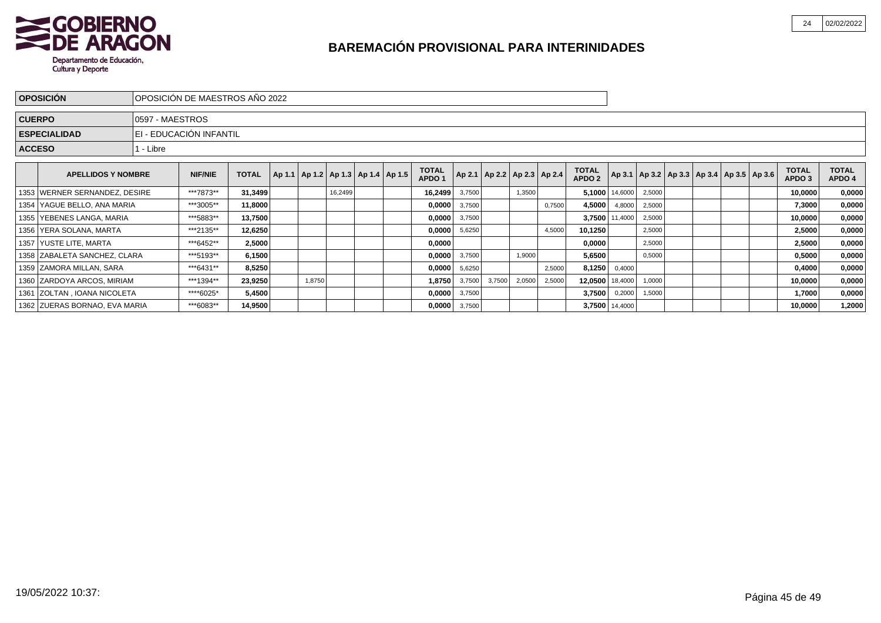

| <b>OPOSICIÓN</b>              |                  | IOPOSICIÓN DE MAESTROS AÑO 2022 |              |        |         |                                            |                                   |        |        |                                   |        |                                   |                |        |  |                                                     |                                   |                        |
|-------------------------------|------------------|---------------------------------|--------------|--------|---------|--------------------------------------------|-----------------------------------|--------|--------|-----------------------------------|--------|-----------------------------------|----------------|--------|--|-----------------------------------------------------|-----------------------------------|------------------------|
| <b>CUERPO</b>                 | I0597 - MAESTROS |                                 |              |        |         |                                            |                                   |        |        |                                   |        |                                   |                |        |  |                                                     |                                   |                        |
| <b>ESPECIALIDAD</b>           |                  | IEI - EDUCACIÓN INFANTIL        |              |        |         |                                            |                                   |        |        |                                   |        |                                   |                |        |  |                                                     |                                   |                        |
| <b>ACCESO</b>                 | l 1 - Libre      |                                 |              |        |         |                                            |                                   |        |        |                                   |        |                                   |                |        |  |                                                     |                                   |                        |
| <b>APELLIDOS Y NOMBRE</b>     |                  | <b>NIF/NIE</b>                  | <b>TOTAL</b> |        |         | Ap 1.1   Ap 1.2   Ap 1.3   Ap 1.4   Ap 1.5 | <b>TOTAL</b><br>APDO <sub>1</sub> |        |        | Ap 2.1   Ap 2.2   Ap 2.3   Ap 2.4 |        | <b>TOTAL</b><br>APDO <sub>2</sub> |                |        |  | Ap 3.1   Ap 3.2   Ap 3.3   Ap 3.4   Ap 3.5   Ap 3.6 | <b>TOTAL</b><br>APDO <sub>3</sub> | <b>TOTAL</b><br>APDO 4 |
| 1353 WERNER SERNANDEZ, DESIRE |                  | ***7873**                       | 31,3499      |        | 16,2499 |                                            | 16,2499                           | 3,7500 |        | 1,3500                            |        |                                   | 5,1000 14,6000 | 2,5000 |  |                                                     | 10,0000                           | 0,0000                 |
| 1354 YAGUE BELLO, ANA MARIA   |                  | ***3005**                       | 11,8000      |        |         |                                            | 0,0000                            | 3,7500 |        |                                   | 0,7500 | 4,5000                            | 4,8000         | 2,5000 |  |                                                     | 7,3000                            | 0,0000                 |
| 1355   YEBENES LANGA, MARIA   |                  | ***5883**                       | 13,7500      |        |         |                                            | 0,0000                            | 3,7500 |        |                                   |        |                                   | 3,7500 11,4000 | 2,5000 |  |                                                     | 10,0000                           | 0,0000                 |
| 1356 YERA SOLANA, MARTA       |                  | ***2135**                       | 12,6250      |        |         |                                            | 0,0000                            | 5,6250 |        |                                   | 4,5000 | 10,1250                           |                | 2,5000 |  |                                                     | 2,5000                            | 0,0000                 |
| 1357   YUSTE LITE, MARTA      |                  | ***6452**                       | 2,5000       |        |         |                                            | 0,0000                            |        |        |                                   |        | 0,0000                            |                | 2,5000 |  |                                                     | 2,5000                            | 0,0000                 |
| 1358 ZABALETA SANCHEZ, CLARA  |                  | ***5193**                       | 6,1500       |        |         |                                            | 0,0000                            | 3,7500 |        | 1,9000                            |        | 5,6500                            |                | 0,5000 |  |                                                     | 0,5000                            | 0,0000                 |
| 1359 ZAMORA MILLAN, SARA      |                  | ***6431**                       | 8,5250       |        |         |                                            | 0,0000                            | 5,6250 |        |                                   | 2,5000 | 8,1250                            | 0,4000         |        |  |                                                     | 0,4000                            | 0,0000                 |
| 1360 ZARDOYA ARCOS, MIRIAM    |                  | ***1394**                       | 23,9250      | 1,8750 |         |                                            | 1,8750                            | 3,7500 | 3,7500 | 2,0500                            | 2,5000 | 12,0500 18,4000                   |                | 1,0000 |  |                                                     | 10,0000                           | 0,0000                 |
| 1361 ZOLTAN, IOANA NICOLETA   |                  | ****6025*                       | 5,4500       |        |         |                                            | 0,0000                            | 3,7500 |        |                                   |        | 3,7500                            | 0,2000         | 1,5000 |  |                                                     | 1,7000                            | 0,0000                 |
| 1362 ZUERAS BORNAO, EVA MARIA |                  | ***6083**                       | 14,9500      |        |         |                                            | 0,0000                            | 3,7500 |        |                                   |        |                                   | 3,7500 14,4000 |        |  |                                                     | 10,0000                           | 1,2000                 |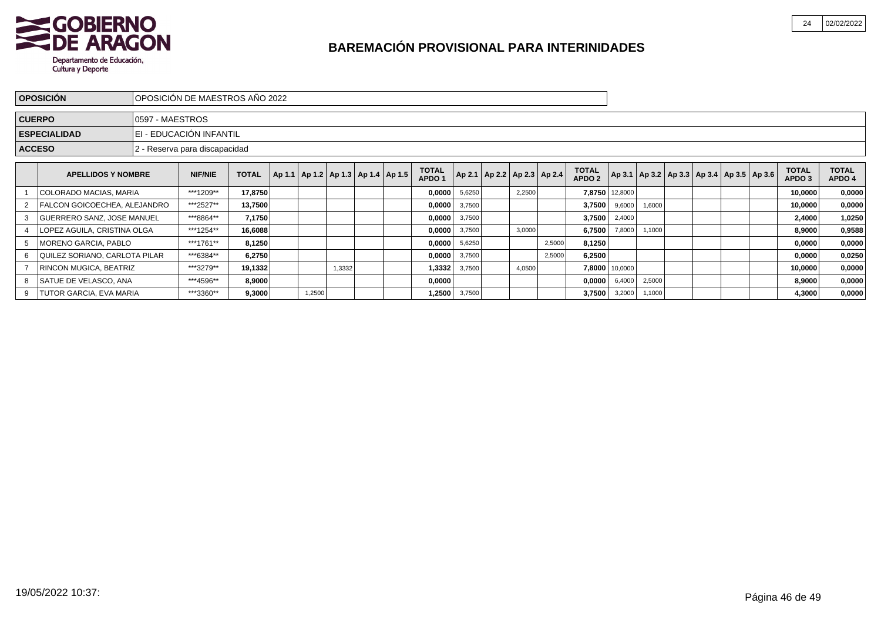

|   | <b>OPOSICIÓN</b>                                                                                                          |                                                                                                                                                                                                                            | <b>OPOSICIÓN DE MAESTROS AÑO 2022</b> |         |  |        |  |  |  |        |        |  |        |        |        |        |        |         |                                                     |                                   |                        |
|---|---------------------------------------------------------------------------------------------------------------------------|----------------------------------------------------------------------------------------------------------------------------------------------------------------------------------------------------------------------------|---------------------------------------|---------|--|--------|--|--|--|--------|--------|--|--------|--------|--------|--------|--------|---------|-----------------------------------------------------|-----------------------------------|------------------------|
|   | <b>CUERPO</b>                                                                                                             | 0597 - MAESTROS                                                                                                                                                                                                            |                                       |         |  |        |  |  |  |        |        |  |        |        |        |        |        |         |                                                     |                                   |                        |
|   | <b>ESPECIALIDAD</b>                                                                                                       |                                                                                                                                                                                                                            | I EI - EDUCACIÓN INFANTIL             |         |  |        |  |  |  |        |        |  |        |        |        |        |        |         |                                                     |                                   |                        |
|   | <b>ACCESO</b>                                                                                                             |                                                                                                                                                                                                                            | 2 - Reserva para discapacidad         |         |  |        |  |  |  |        |        |  |        |        |        |        |        |         |                                                     |                                   |                        |
|   |                                                                                                                           | <b>TOTAL</b><br><b>TOTAL</b><br>Ap 2.1   Ap 2.2   Ap 2.3   Ap 2.4<br>Ap 1.1   Ap 1.2   Ap 1.3   Ap 1.4   Ap 1.5  <br><b>NIF/NIE</b><br><b>APELLIDOS Y NOMBRE</b><br><b>TOTAL</b><br>APDO <sub>2</sub><br>APDO <sub>1</sub> |                                       |         |  |        |  |  |  |        |        |  |        |        |        |        |        |         | Ap 3.1   Ap 3.2   Ap 3.3   Ap 3.4   Ap 3.5   Ap 3.6 | <b>TOTAL</b><br>APDO <sub>3</sub> | <b>TOTAL</b><br>APDO 4 |
|   | ***1209**<br>17,8750<br>COLORADO MACIAS, MARIA<br>0,0000<br>7,8750 12,8000<br>5,6250<br>2,2500                            |                                                                                                                                                                                                                            |                                       |         |  |        |  |  |  |        |        |  |        |        |        |        |        |         | 10,0000                                             | 0,0000                            |                        |
|   | FALCON GOICOECHEA, ALEJANDRO                                                                                              |                                                                                                                                                                                                                            | ***2527**                             | 13,7500 |  |        |  |  |  | 0,0000 | 3,7500 |  |        |        | 3,7500 | 9,6000 | 1,6000 |         |                                                     | 10,0000                           | 0,0000                 |
| 3 | <b>GUERRERO SANZ, JOSE MANUEL</b>                                                                                         |                                                                                                                                                                                                                            | ***8864**                             | 7,1750  |  |        |  |  |  | 0,0000 | 3,7500 |  |        |        | 3,7500 | 2,4000 |        |         |                                                     | 2,4000                            | 1,0250                 |
|   | LOPEZ AGUILA, CRISTINA OLGA                                                                                               |                                                                                                                                                                                                                            | ***1254**                             | 16,6088 |  |        |  |  |  | 0,0000 | 3,7500 |  | 3,0000 |        | 6,7500 | 7,8000 | 1,1000 |         |                                                     | 8,9000                            | 0,9588                 |
| 5 | MORENO GARCIA, PABLO                                                                                                      |                                                                                                                                                                                                                            | ***1761**                             | 8,1250  |  |        |  |  |  | 0,0000 | 5,6250 |  |        | 2,5000 | 8,1250 |        |        |         |                                                     | 0,0000                            | 0,0000                 |
| 6 | ***6384**<br>QUILEZ SORIANO, CARLOTA PILAR<br>6,2750<br>0,0000<br>2,5000<br>3,7500                                        |                                                                                                                                                                                                                            |                                       |         |  |        |  |  |  |        |        |  |        |        |        |        |        | 0,0000  | 0,0250                                              |                                   |                        |
|   | 6,2500<br>***3279**<br><b>RINCON MUGICA, BEATRIZ</b><br>19,1332<br>1,3332<br>1,3332<br>4,0500<br>7,8000 10,0000<br>3,7500 |                                                                                                                                                                                                                            |                                       |         |  |        |  |  |  |        |        |  |        |        |        |        |        | 10,0000 | 0,0000                                              |                                   |                        |
| 8 | SATUE DE VELASCO, ANA                                                                                                     |                                                                                                                                                                                                                            | ***4596**                             | 8,9000  |  |        |  |  |  | 0,0000 |        |  |        |        | 0,0000 | 6,4000 | 2,5000 |         |                                                     | 8,9000                            | 0,0000                 |
| 9 | TUTOR GARCIA, EVA MARIA                                                                                                   |                                                                                                                                                                                                                            | ***3360**                             | 9,3000  |  | 1,2500 |  |  |  | 1,2500 | 3,7500 |  |        |        | 3,7500 | 3,2000 | 1,1000 |         |                                                     | 4,3000                            | 0,0000                 |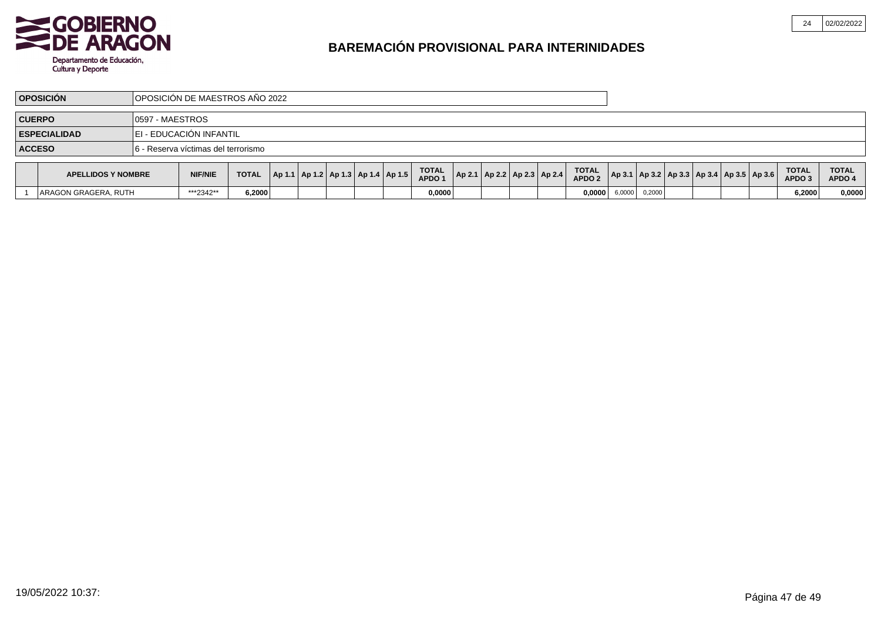

|               | <b>OPOSICIÓN</b>    | <b>IOPOSICIÓN DE MAESTROS AÑO 2022</b> |                                   |              |  |  |              |                         |              |  |                                    |  |              |              |
|---------------|---------------------|----------------------------------------|-----------------------------------|--------------|--|--|--------------|-------------------------|--------------|--|------------------------------------|--|--------------|--------------|
| <b>CUERPO</b> |                     | 10597 - MAESTROS                       |                                   |              |  |  |              |                         |              |  |                                    |  |              |              |
|               | <b>ESPECIALIDAD</b> | EI - EDUCACIÓN INFANTIL                |                                   |              |  |  |              |                         |              |  |                                    |  |              |              |
| <b>ACCESO</b> |                     | 16.                                    | - Reserva víctimas del terrorismo |              |  |  |              |                         |              |  |                                    |  |              |              |
|               | ADELLIDOR V NOMBBE  |                                        | <b>NUCAUC</b>                     | <b>TOTAL</b> |  |  | <b>TOTAL</b> | Augal Augal Augal Augal | <b>TOTAL</b> |  | اعصدا عصما امصما وصدم امصم المصدما |  | <b>TOTAL</b> | <b>TOTAL</b> |

| <b>APELLIDOS Y NOMBRE</b>  | <b>NIF/NIE</b> | <b>TOTAL</b> |  | Ap 1.1   Ap 1.2   Ap 1.3   Ap 1.4   Ap 1.5 | <b>TOTAL</b><br><b>APDO</b> |  | Ap 2.1   Ap 2.2   Ap 2.3   Ap 2.4 | <b>TOTAL</b><br><b>APDO2</b> | $ $ Ap 3.1   Ap 3.2   Ap 3.3   Ap 3.4   Ap 3.5   Ap 3.6 |        |  |  | <b>TOTAL</b><br><b>APDO3</b> | <b>TOTAL</b><br>APDO 4 |
|----------------------------|----------------|--------------|--|--------------------------------------------|-----------------------------|--|-----------------------------------|------------------------------|---------------------------------------------------------|--------|--|--|------------------------------|------------------------|
| . RUTH<br>LARAGON GRAGERA. | ***2342**      | ا 2000، ة    |  |                                            | 0.0000                      |  |                                   | 0,0000                       | 6,0000                                                  | 0,2000 |  |  | .2000,                       | 0.0000                 |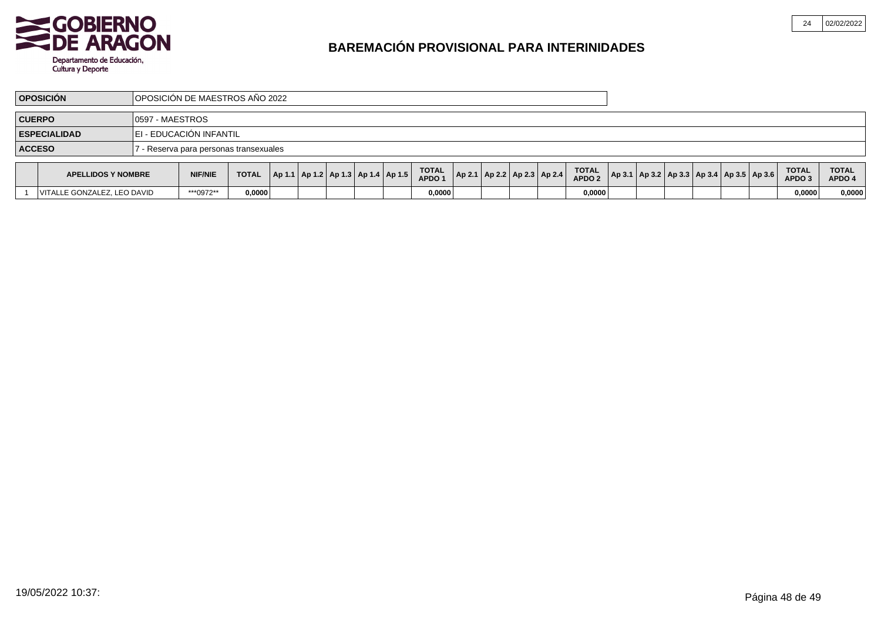

| <b>OPOSICIÓN DE MAESTROS AÑO 2022</b><br><b>OPOSICIÓN</b> |                      |                         |                                        |        |  |  |                              |  |              |  |  |  |              |                                     |  |  |  |  |              |              |
|-----------------------------------------------------------|----------------------|-------------------------|----------------------------------------|--------|--|--|------------------------------|--|--------------|--|--|--|--------------|-------------------------------------|--|--|--|--|--------------|--------------|
| <b>CUERPO</b><br>10597 - MAESTROS                         |                      |                         |                                        |        |  |  |                              |  |              |  |  |  |              |                                     |  |  |  |  |              |              |
|                                                           | <b>ESPECIALIDAD</b>  | EI - EDUCACIÓN INFANTIL |                                        |        |  |  |                              |  |              |  |  |  |              |                                     |  |  |  |  |              |              |
| <b>ACCESO</b>                                             |                      |                         | ' - Reserva para personas transexuales |        |  |  |                              |  |              |  |  |  |              |                                     |  |  |  |  |              |              |
|                                                           | 1.551110000111011000 |                         | $\mathbf{v}$                           | $\tau$ |  |  | اعديدامد بداهد بملحده امديدا |  | <b>TOTAL</b> |  |  |  | <b>TOTAL</b> | امميه اعميد ادميد امميد امميد ادميد |  |  |  |  | <b>TOTAL</b> | <b>TOTAL</b> |

| <b>APELLIDOS Y NOMBRE</b>   | <b>NIF/NIE</b> | <b>TOTAL</b> |  | $ $ Ap 1.1   Ap 1.2   Ap 1.3   Ap 1.4   Ap 1.5 |  | <b>TOTAL</b><br>APDO <sup>1</sup> |  | $ $ Ap 2.1   Ap 2.2   Ap 2.3   Ap 2.4 | <b>TOTAL</b><br>APDO <sub>2</sub> |  |  | $ $ Ap 3.1   Ap 3.2   Ap 3.3   Ap 3.4   Ap 3.5   Ap 3.6 | <b>TOTAL</b><br>APDO <sub>3</sub> | <b>TOTAL</b><br>APDO |
|-----------------------------|----------------|--------------|--|------------------------------------------------|--|-----------------------------------|--|---------------------------------------|-----------------------------------|--|--|---------------------------------------------------------|-----------------------------------|----------------------|
| VITALLE GONZALEZ. LEO DAVID | ***0972**      | 0.0000       |  |                                                |  | 0.0000                            |  |                                       | 0,0000                            |  |  |                                                         | 0,0000                            | 0,0000               |